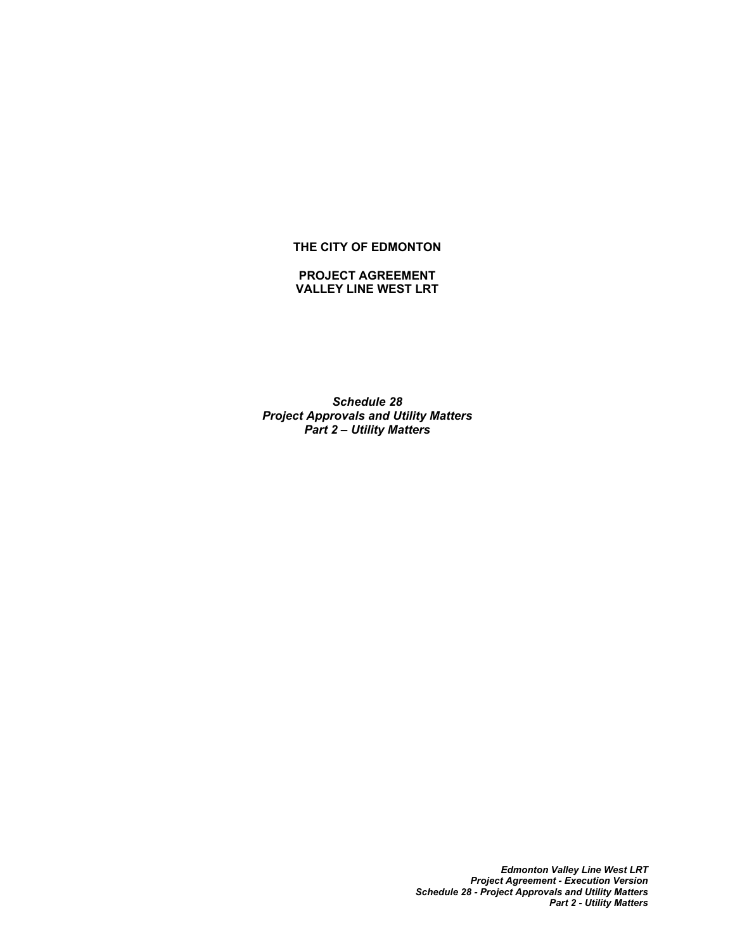### **THE CITY OF EDMONTON**

#### **PROJECT AGREEMENT VALLEY LINE WEST LRT**

*Schedule 28 Project Approvals and Utility Matters Part 2 – Utility Matters*

> *Edmonton Valley Line West LRT Project Agreement - Execution Version Schedule 28 - Project Approvals and Utility Matters Part 2 - Utility Matters*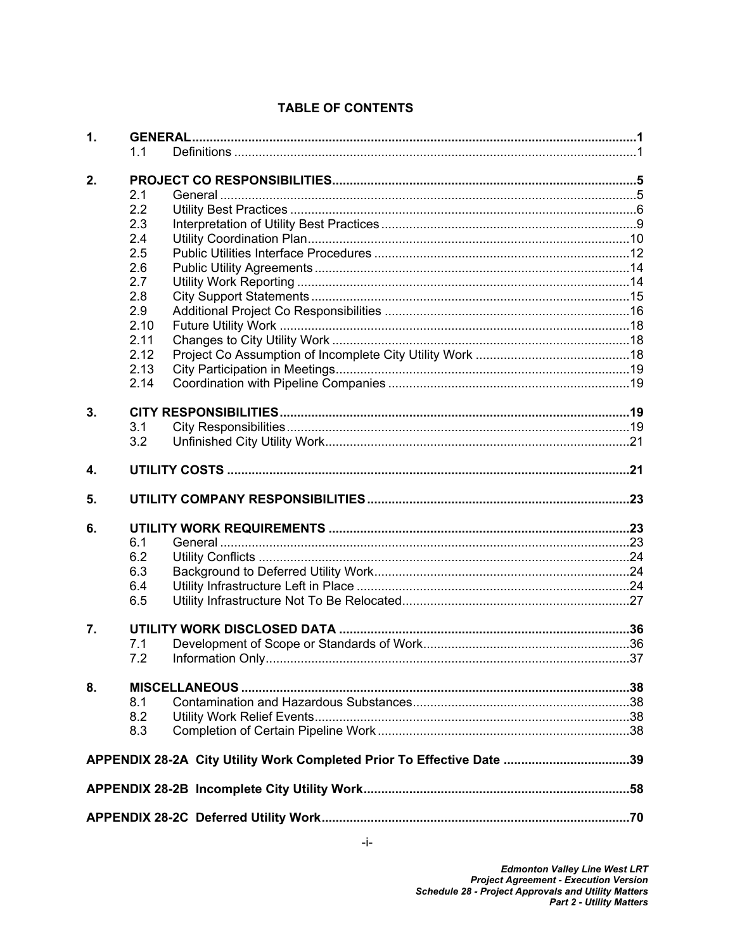| 1. |      |                                                                       |  |  |
|----|------|-----------------------------------------------------------------------|--|--|
|    | 1.1  |                                                                       |  |  |
| 2. |      |                                                                       |  |  |
|    | 2.1  |                                                                       |  |  |
|    | 2.2  |                                                                       |  |  |
|    | 2.3  |                                                                       |  |  |
|    | 2.4  |                                                                       |  |  |
|    | 2.5  |                                                                       |  |  |
|    | 2.6  |                                                                       |  |  |
|    | 2.7  |                                                                       |  |  |
|    | 2.8  |                                                                       |  |  |
|    | 2.9  |                                                                       |  |  |
|    | 2.10 |                                                                       |  |  |
|    | 2.11 |                                                                       |  |  |
|    | 2.12 |                                                                       |  |  |
|    | 2.13 |                                                                       |  |  |
|    | 2.14 |                                                                       |  |  |
|    |      |                                                                       |  |  |
| 3. |      |                                                                       |  |  |
|    | 3.1  |                                                                       |  |  |
|    | 3.2  |                                                                       |  |  |
|    |      |                                                                       |  |  |
| 4. |      |                                                                       |  |  |
| 5. |      |                                                                       |  |  |
| 6. |      |                                                                       |  |  |
|    | 6.1  |                                                                       |  |  |
|    | 6.2  |                                                                       |  |  |
|    | 6.3  |                                                                       |  |  |
|    | 6.4  |                                                                       |  |  |
|    | 6.5  |                                                                       |  |  |
|    |      |                                                                       |  |  |
| 7. |      |                                                                       |  |  |
|    | 7.1  |                                                                       |  |  |
|    | 7.2  |                                                                       |  |  |
|    |      |                                                                       |  |  |
| 8. |      |                                                                       |  |  |
|    | 8.1  |                                                                       |  |  |
|    | 8.2  |                                                                       |  |  |
|    | 8.3  |                                                                       |  |  |
|    |      | APPENDIX 28-2A City Utility Work Completed Prior To Effective Date 39 |  |  |
|    |      |                                                                       |  |  |
|    |      |                                                                       |  |  |
|    |      |                                                                       |  |  |

# **TABLE OF CONTENTS**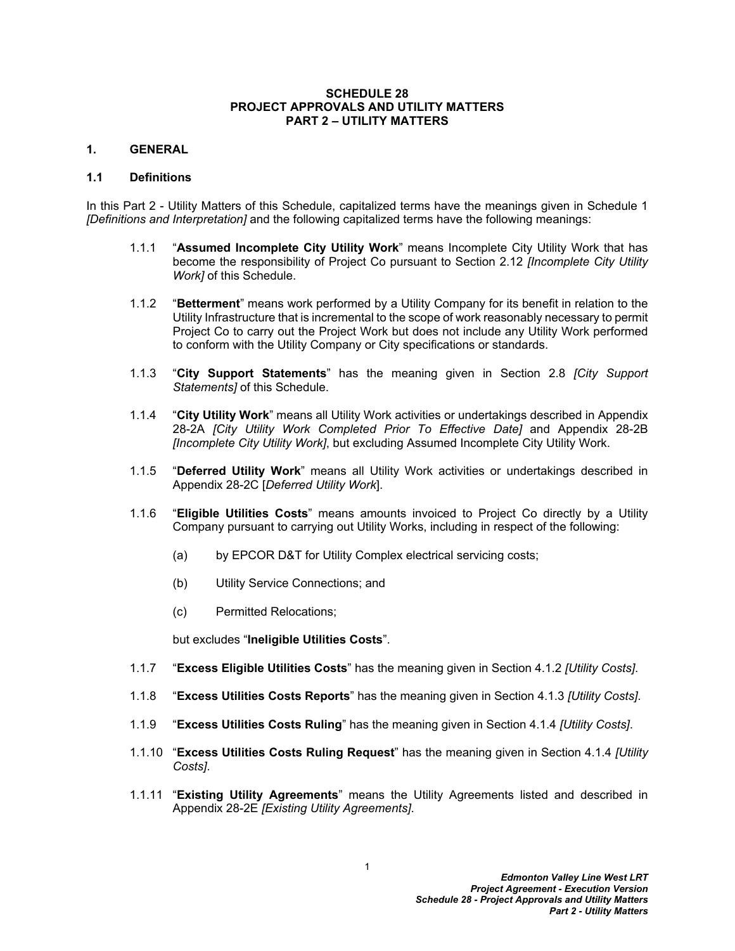#### **SCHEDULE 28 PROJECT APPROVALS AND UTILITY MATTERS PART 2 – UTILITY MATTERS**

#### <span id="page-3-0"></span>**1. GENERAL**

#### <span id="page-3-1"></span>**1.1 Definitions**

In this Part 2 - Utility Matters of this Schedule, capitalized terms have the meanings given in Schedule 1 *[Definitions and Interpretation]* and the following capitalized terms have the following meanings:

- 1.1.1 "**Assumed Incomplete City Utility Work**" means Incomplete City Utility Work that has become the responsibility of Project Co pursuant to Section [2.12](#page-20-2) *[Incomplete City Utility Work]* of this Schedule.
- 1.1.2 "**Betterment**" means work performed by a Utility Company for its benefit in relation to the Utility Infrastructure that is incremental to the scope of work reasonably necessary to permit Project Co to carry out the Project Work but does not include any Utility Work performed to conform with the Utility Company or City specifications or standards.
- 1.1.3 "**City Support Statements**" has the meaning given in Section [2.8](#page-17-0) *[City Support Statements]* of this Schedule.
- 1.1.4 "**City Utility Work**" means all Utility Work activities or undertakings described in Appendix 28-2A *[City Utility Work Completed Prior To Effective Date]* and Appendix 28-2B *[Incomplete City Utility Work]*, but excluding Assumed Incomplete City Utility Work.
- 1.1.5 "**Deferred Utility Work**" means all Utility Work activities or undertakings described in Appendix 28-2C [*Deferred Utility Work*].
- 1.1.6 "**Eligible Utilities Costs**" means amounts invoiced to Project Co directly by a Utility Company pursuant to carrying out Utility Works, including in respect of the following:
	- (a) by EPCOR D&T for Utility Complex electrical servicing costs;
	- (b) Utility Service Connections; and
	- (c) Permitted Relocations;

but excludes "**Ineligible Utilities Costs**".

- 1.1.7 "**Excess Eligible Utilities Costs**" has the meaning given in Section [4.1.2](#page-23-2) *[Utility Costs]*.
- 1.1.8 "**Excess Utilities Costs Reports**" has the meaning given in Section [4.1.3](#page-23-3) *[Utility Costs]*.
- 1.1.9 "**Excess Utilities Costs Ruling**" has the meaning given in Section [4.1.4](#page-23-4) *[Utility Costs]*.
- 1.1.10 "**Excess Utilities Costs Ruling Request**" has the meaning given in Section [4.1.4](#page-23-4) *[Utility Costs]*.
- 1.1.11 "**Existing Utility Agreements**" means the Utility Agreements listed and described in Appendix 28-2E *[Existing Utility Agreements]*.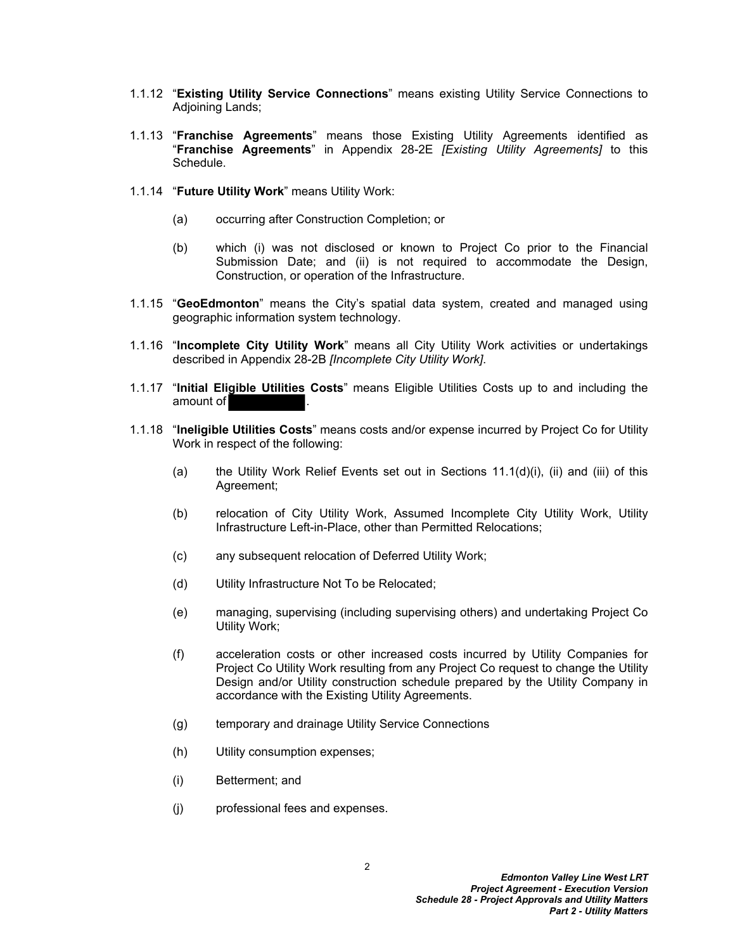- 1.1.12 "**Existing Utility Service Connections**" means existing Utility Service Connections to Adjoining Lands;
- 1.1.13 "**Franchise Agreements**" means those Existing Utility Agreements identified as "**Franchise Agreements**" in Appendix 28-2E *[Existing Utility Agreements]* to this Schedule.
- 1.1.14 "**Future Utility Work**" means Utility Work:
	- (a) occurring after Construction Completion; or
	- (b) which (i) was not disclosed or known to Project Co prior to the Financial Submission Date; and (ii) is not required to accommodate the Design, Construction, or operation of the Infrastructure.
- 1.1.15 "**GeoEdmonton**" means the City's spatial data system, created and managed using geographic information system technology.
- 1.1.16 "**Incomplete City Utility Work**" means all City Utility Work activities or undertakings described in Appendix 28-2B *[Incomplete City Utility Work]*.
- 1.1.17 "**Initial Eligible Utilities Costs**" means Eligible Utilities Costs up to and including the amount of
- <span id="page-4-6"></span><span id="page-4-5"></span><span id="page-4-4"></span><span id="page-4-3"></span><span id="page-4-2"></span><span id="page-4-1"></span><span id="page-4-0"></span>1.1.18 "**Ineligible Utilities Costs**" means costs and/or expense incurred by Project Co for Utility Work in respect of the following:
	- (a) the Utility Work Relief Events set out in Sections  $11.1(d)(i)$ , (ii) and (iii) of this Agreement;
	- (b) relocation of City Utility Work, Assumed Incomplete City Utility Work, Utility Infrastructure Left-in-Place, other than Permitted Relocations;
	- (c) any subsequent relocation of Deferred Utility Work;
	- (d) Utility Infrastructure Not To be Relocated;
	- (e) managing, supervising (including supervising others) and undertaking Project Co Utility Work;
	- (f) acceleration costs or other increased costs incurred by Utility Companies for Project Co Utility Work resulting from any Project Co request to change the Utility Design and/or Utility construction schedule prepared by the Utility Company in accordance with the Existing Utility Agreements.
	- (g) temporary and drainage Utility Service Connections
	- (h) Utility consumption expenses;
	- (i) Betterment; and
	- (j) professional fees and expenses.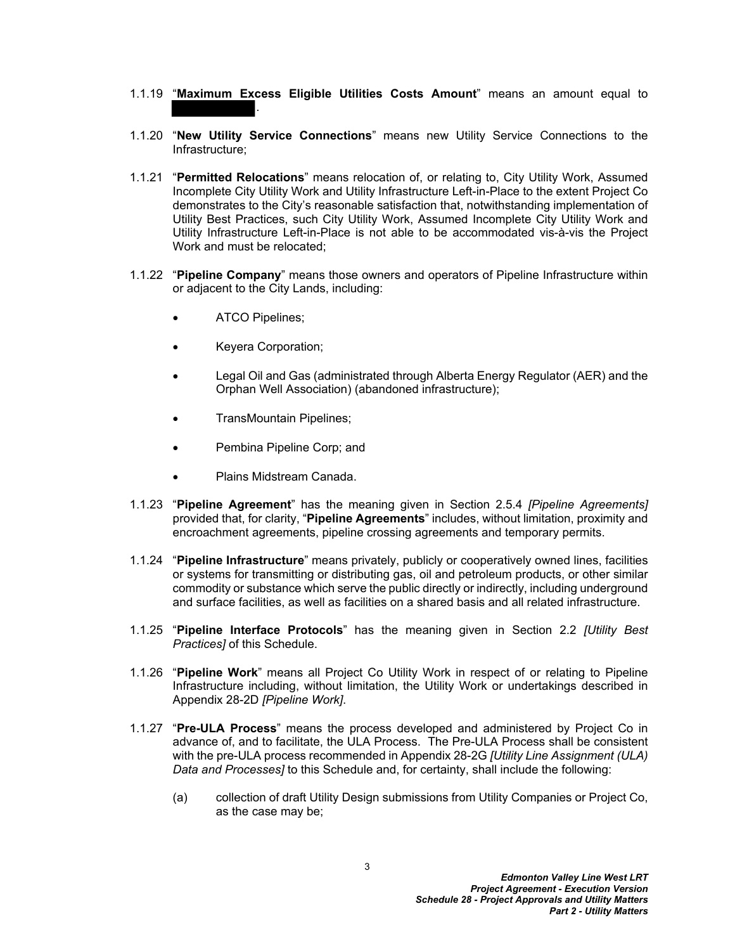- 1.1.19 "**Maximum Excess Eligible Utilities Costs Amount**" means an amount equal to .
- 1.1.20 "**New Utility Service Connections**" means new Utility Service Connections to the Infrastructure;
- 1.1.21 "**Permitted Relocations**" means relocation of, or relating to, City Utility Work, Assumed Incomplete City Utility Work and Utility Infrastructure Left-in-Place to the extent Project Co demonstrates to the City's reasonable satisfaction that, notwithstanding implementation of Utility Best Practices, such City Utility Work, Assumed Incomplete City Utility Work and Utility Infrastructure Left-in-Place is not able to be accommodated vis-à-vis the Project Work and must be relocated;
- 1.1.22 "**Pipeline Company**" means those owners and operators of Pipeline Infrastructure within or adjacent to the City Lands, including:
	- ATCO Pipelines;
	- Keyera Corporation;
	- Legal Oil and Gas (administrated through Alberta Energy Regulator (AER) and the Orphan Well Association) (abandoned infrastructure);
	- TransMountain Pipelines;
	- Pembina Pipeline Corp; and
	- Plains Midstream Canada.
- 1.1.23 "**Pipeline Agreement**" has the meaning given in Section [2.5.4](#page-15-0) *[Pipeline Agreements]* provided that, for clarity, "**Pipeline Agreements**" includes, without limitation, proximity and encroachment agreements, pipeline crossing agreements and temporary permits.
- 1.1.24 "**Pipeline Infrastructure**" means privately, publicly or cooperatively owned lines, facilities or systems for transmitting or distributing gas, oil and petroleum products, or other similar commodity or substance which serve the public directly or indirectly, including underground and surface facilities, as well as facilities on a shared basis and all related infrastructure.
- 1.1.25 "**Pipeline Interface Protocols**" has the meaning given in Section [2.2](#page-8-0) *[Utility Best Practices]* of this Schedule.
- 1.1.26 "**Pipeline Work**" means all Project Co Utility Work in respect of or relating to Pipeline Infrastructure including, without limitation, the Utility Work or undertakings described in Appendix 28-2D *[Pipeline Work]*.
- 1.1.27 "**Pre-ULA Process**" means the process developed and administered by Project Co in advance of, and to facilitate, the ULA Process. The Pre-ULA Process shall be consistent with the pre-ULA process recommended in Appendix 28-2G *[Utility Line Assignment (ULA) Data and Processes]* to this Schedule and, for certainty, shall include the following:
	- (a) collection of draft Utility Design submissions from Utility Companies or Project Co, as the case may be;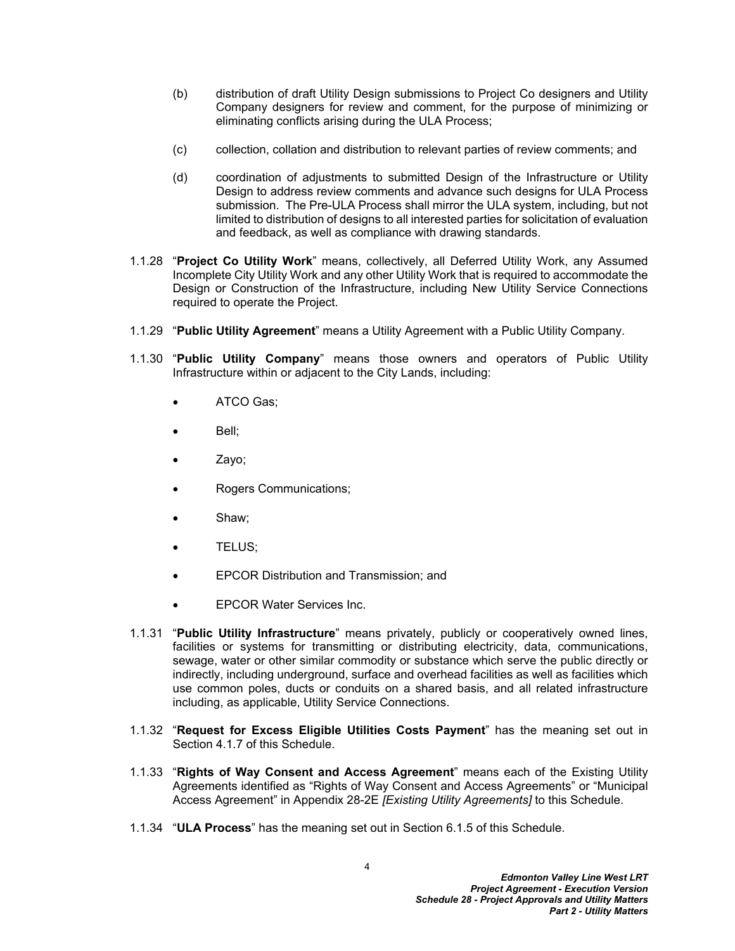- (b) distribution of draft Utility Design submissions to Project Co designers and Utility Company designers for review and comment, for the purpose of minimizing or eliminating conflicts arising during the ULA Process;
- (c) collection, collation and distribution to relevant parties of review comments; and
- (d) coordination of adjustments to submitted Design of the Infrastructure or Utility Design to address review comments and advance such designs for ULA Process submission. The Pre-ULA Process shall mirror the ULA system, including, but not limited to distribution of designs to all interested parties for solicitation of evaluation and feedback, as well as compliance with drawing standards.
- 1.1.28 "**Project Co Utility Work**" means, collectively, all Deferred Utility Work, any Assumed Incomplete City Utility Work and any other Utility Work that is required to accommodate the Design or Construction of the Infrastructure, including New Utility Service Connections required to operate the Project.
- 1.1.29 "**Public Utility Agreement**" means a Utility Agreement with a Public Utility Company.
- 1.1.30 "**Public Utility Company**" means those owners and operators of Public Utility Infrastructure within or adjacent to the City Lands, including:
	- ATCO Gas;
	- Bell;
	- Zayo;
	- Rogers Communications;
	- Shaw;
	- TELUS;
	- EPCOR Distribution and Transmission; and
	- EPCOR Water Services Inc.
- 1.1.31 "**Public Utility Infrastructure**" means privately, publicly or cooperatively owned lines, facilities or systems for transmitting or distributing electricity, data, communications, sewage, water or other similar commodity or substance which serve the public directly or indirectly, including underground, surface and overhead facilities as well as facilities which use common poles, ducts or conduits on a shared basis, and all related infrastructure including, as applicable, Utility Service Connections.
- 1.1.32 "**Request for Excess Eligible Utilities Costs Payment**" has the meaning set out in Section [4.1.7](#page-24-0) of this Schedule.
- 1.1.33 "**Rights of Way Consent and Access Agreement**" means each of the Existing Utility Agreements identified as "Rights of Way Consent and Access Agreements" or "Municipal Access Agreement" in Appendix 28-2E *[Existing Utility Agreements]* to this Schedule.
- 1.1.34 "**ULA Process**" has the meaning set out in Section [6.1.5](#page-25-3) of this Schedule.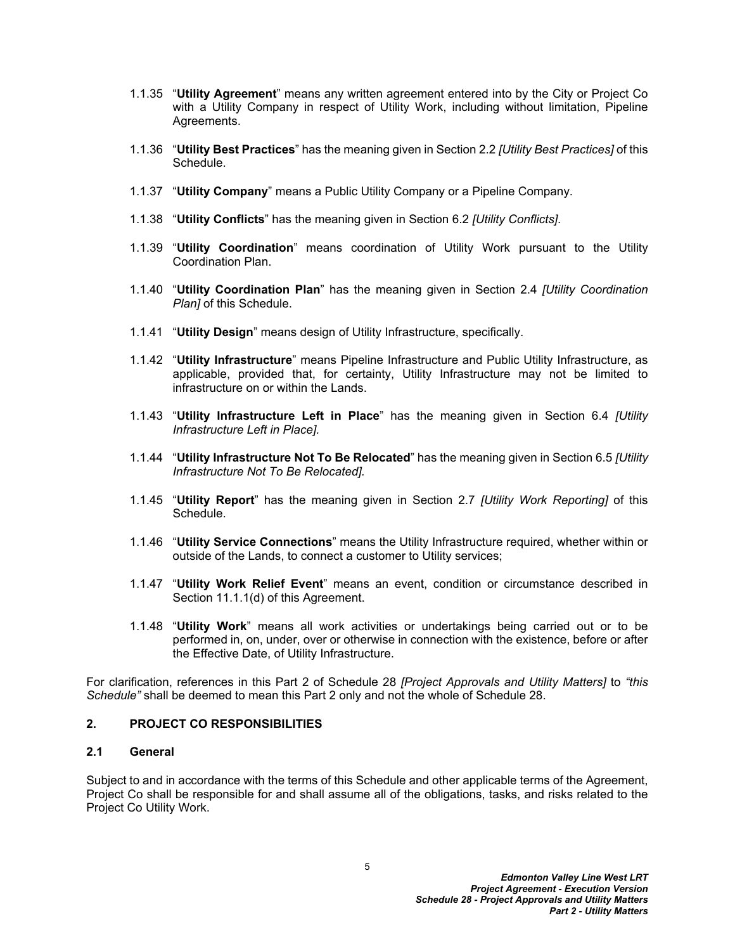- 1.1.35 "**Utility Agreement**" means any written agreement entered into by the City or Project Co with a Utility Company in respect of Utility Work, including without limitation, Pipeline Agreements.
- 1.1.36 "**Utility Best Practices**" has the meaning given in Section [2.2](#page-8-0) *[Utility Best Practices]* of this Schedule.
- 1.1.37 "**Utility Company**" means a Public Utility Company or a Pipeline Company.
- 1.1.38 "**Utility Conflicts**" has the meaning given in Section [6.2](#page-26-0) *[Utility Conflicts]*.
- 1.1.39 "**Utility Coordination**" means coordination of Utility Work pursuant to the Utility Coordination Plan.
- 1.1.40 "**Utility Coordination Plan**" has the meaning given in Section [2.4](#page-12-0) *[Utility Coordination Plan]* of this Schedule.
- 1.1.41 "**Utility Design**" means design of Utility Infrastructure, specifically.
- 1.1.42 "**Utility Infrastructure**" means Pipeline Infrastructure and Public Utility Infrastructure, as applicable, provided that, for certainty, Utility Infrastructure may not be limited to infrastructure on or within the Lands.
- 1.1.43 "**Utility Infrastructure Left in Place**" has the meaning given in Section [6.4](#page-26-2) *[Utility Infrastructure Left in Place].*
- 1.1.44 "**Utility Infrastructure Not To Be Relocated**" has the meaning given in Section [6.5](#page-29-0) *[Utility Infrastructure Not To Be Relocated].*
- 1.1.45 "**Utility Report**" has the meaning given in Section [2.7](#page-16-1) *[Utility Work Reporting]* of this Schedule.
- 1.1.46 "**Utility Service Connections**" means the Utility Infrastructure required, whether within or outside of the Lands, to connect a customer to Utility services;
- 1.1.47 "**Utility Work Relief Event**" means an event, condition or circumstance described in Section 11.1.1(d) of this Agreement.
- 1.1.48 "**Utility Work**" means all work activities or undertakings being carried out or to be performed in, on, under, over or otherwise in connection with the existence, before or after the Effective Date, of Utility Infrastructure.

For clarification, references in this Part 2 of Schedule 28 *[Project Approvals and Utility Matters]* to *"this Schedule"* shall be deemed to mean this Part 2 only and not the whole of Schedule 28.

#### <span id="page-7-0"></span>**2. PROJECT CO RESPONSIBILITIES**

### <span id="page-7-1"></span>**2.1 General**

Subject to and in accordance with the terms of this Schedule and other applicable terms of the Agreement, Project Co shall be responsible for and shall assume all of the obligations, tasks, and risks related to the Project Co Utility Work.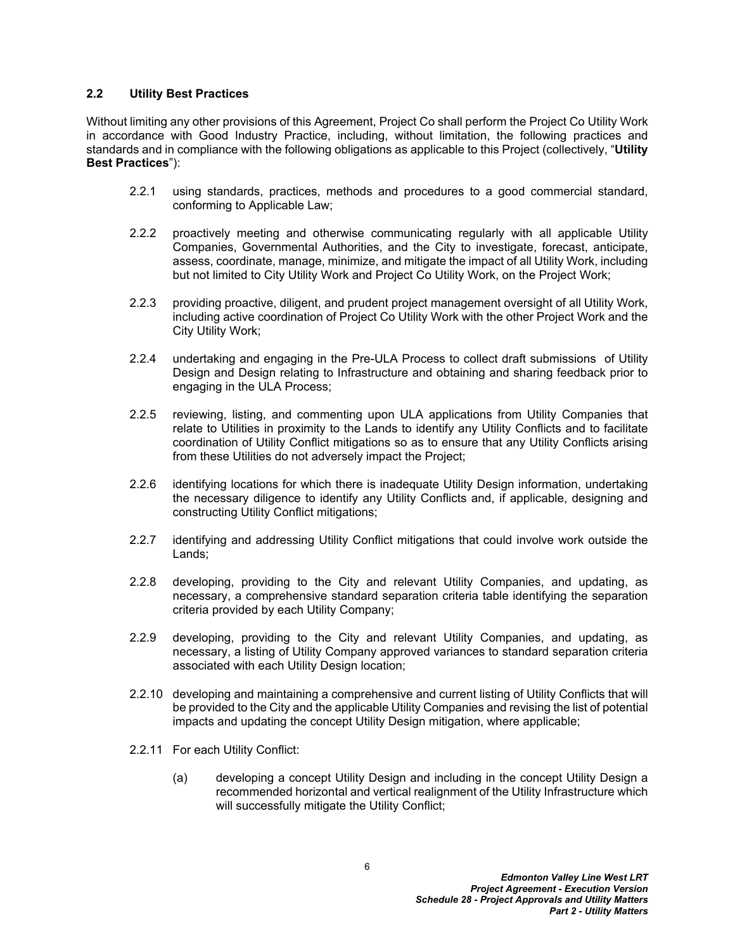#### <span id="page-8-0"></span>**2.2 Utility Best Practices**

Without limiting any other provisions of this Agreement, Project Co shall perform the Project Co Utility Work in accordance with Good Industry Practice, including, without limitation, the following practices and standards and in compliance with the following obligations as applicable to this Project (collectively, "**Utility Best Practices**"):

- 2.2.1 using standards, practices, methods and procedures to a good commercial standard, conforming to Applicable Law;
- 2.2.2 proactively meeting and otherwise communicating regularly with all applicable Utility Companies, Governmental Authorities, and the City to investigate, forecast, anticipate, assess, coordinate, manage, minimize, and mitigate the impact of all Utility Work, including but not limited to City Utility Work and Project Co Utility Work, on the Project Work;
- 2.2.3 providing proactive, diligent, and prudent project management oversight of all Utility Work, including active coordination of Project Co Utility Work with the other Project Work and the City Utility Work;
- 2.2.4 undertaking and engaging in the Pre-ULA Process to collect draft submissions of Utility Design and Design relating to Infrastructure and obtaining and sharing feedback prior to engaging in the ULA Process;
- 2.2.5 reviewing, listing, and commenting upon ULA applications from Utility Companies that relate to Utilities in proximity to the Lands to identify any Utility Conflicts and to facilitate coordination of Utility Conflict mitigations so as to ensure that any Utility Conflicts arising from these Utilities do not adversely impact the Project;
- 2.2.6 identifying locations for which there is inadequate Utility Design information, undertaking the necessary diligence to identify any Utility Conflicts and, if applicable, designing and constructing Utility Conflict mitigations;
- 2.2.7 identifying and addressing Utility Conflict mitigations that could involve work outside the Lands;
- 2.2.8 developing, providing to the City and relevant Utility Companies, and updating, as necessary, a comprehensive standard separation criteria table identifying the separation criteria provided by each Utility Company;
- 2.2.9 developing, providing to the City and relevant Utility Companies, and updating, as necessary, a listing of Utility Company approved variances to standard separation criteria associated with each Utility Design location;
- 2.2.10 developing and maintaining a comprehensive and current listing of Utility Conflicts that will be provided to the City and the applicable Utility Companies and revising the list of potential impacts and updating the concept Utility Design mitigation, where applicable;
- 2.2.11 For each Utility Conflict:
	- (a) developing a concept Utility Design and including in the concept Utility Design a recommended horizontal and vertical realignment of the Utility Infrastructure which will successfully mitigate the Utility Conflict;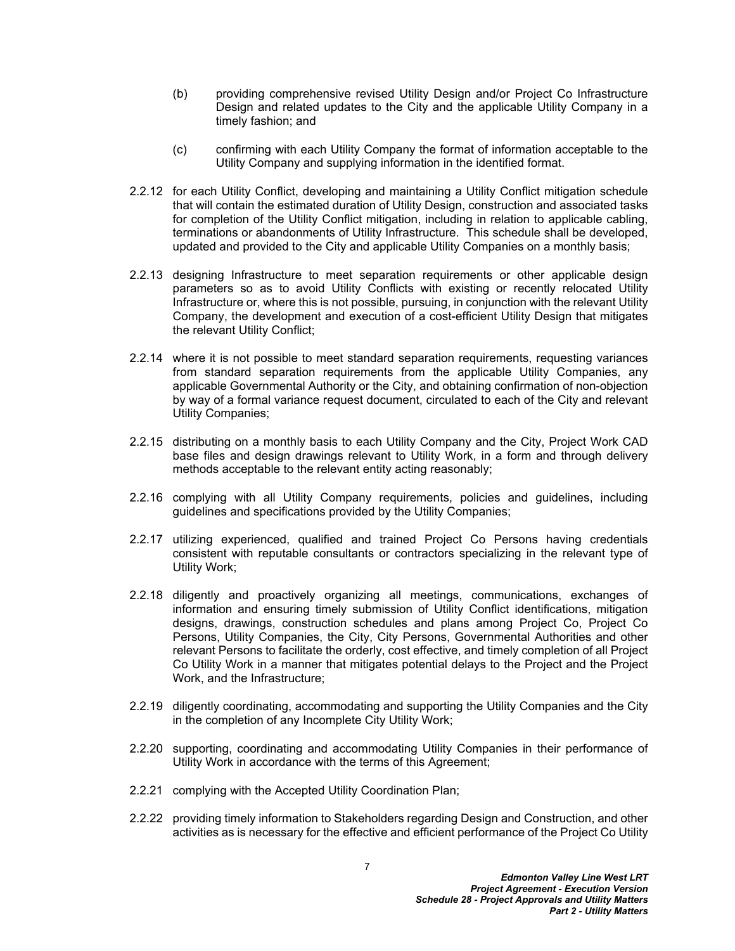- (b) providing comprehensive revised Utility Design and/or Project Co Infrastructure Design and related updates to the City and the applicable Utility Company in a timely fashion; and
- (c) confirming with each Utility Company the format of information acceptable to the Utility Company and supplying information in the identified format.
- 2.2.12 for each Utility Conflict, developing and maintaining a Utility Conflict mitigation schedule that will contain the estimated duration of Utility Design, construction and associated tasks for completion of the Utility Conflict mitigation, including in relation to applicable cabling, terminations or abandonments of Utility Infrastructure. This schedule shall be developed, updated and provided to the City and applicable Utility Companies on a monthly basis;
- 2.2.13 designing Infrastructure to meet separation requirements or other applicable design parameters so as to avoid Utility Conflicts with existing or recently relocated Utility Infrastructure or, where this is not possible, pursuing, in conjunction with the relevant Utility Company, the development and execution of a cost-efficient Utility Design that mitigates the relevant Utility Conflict;
- 2.2.14 where it is not possible to meet standard separation requirements, requesting variances from standard separation requirements from the applicable Utility Companies, any applicable Governmental Authority or the City, and obtaining confirmation of non-objection by way of a formal variance request document, circulated to each of the City and relevant Utility Companies;
- 2.2.15 distributing on a monthly basis to each Utility Company and the City, Project Work CAD base files and design drawings relevant to Utility Work, in a form and through delivery methods acceptable to the relevant entity acting reasonably;
- 2.2.16 complying with all Utility Company requirements, policies and guidelines, including guidelines and specifications provided by the Utility Companies;
- 2.2.17 utilizing experienced, qualified and trained Project Co Persons having credentials consistent with reputable consultants or contractors specializing in the relevant type of Utility Work;
- 2.2.18 diligently and proactively organizing all meetings, communications, exchanges of information and ensuring timely submission of Utility Conflict identifications, mitigation designs, drawings, construction schedules and plans among Project Co, Project Co Persons, Utility Companies, the City, City Persons, Governmental Authorities and other relevant Persons to facilitate the orderly, cost effective, and timely completion of all Project Co Utility Work in a manner that mitigates potential delays to the Project and the Project Work, and the Infrastructure;
- 2.2.19 diligently coordinating, accommodating and supporting the Utility Companies and the City in the completion of any Incomplete City Utility Work;
- 2.2.20 supporting, coordinating and accommodating Utility Companies in their performance of Utility Work in accordance with the terms of this Agreement;
- 2.2.21 complying with the Accepted Utility Coordination Plan;
- 2.2.22 providing timely information to Stakeholders regarding Design and Construction, and other activities as is necessary for the effective and efficient performance of the Project Co Utility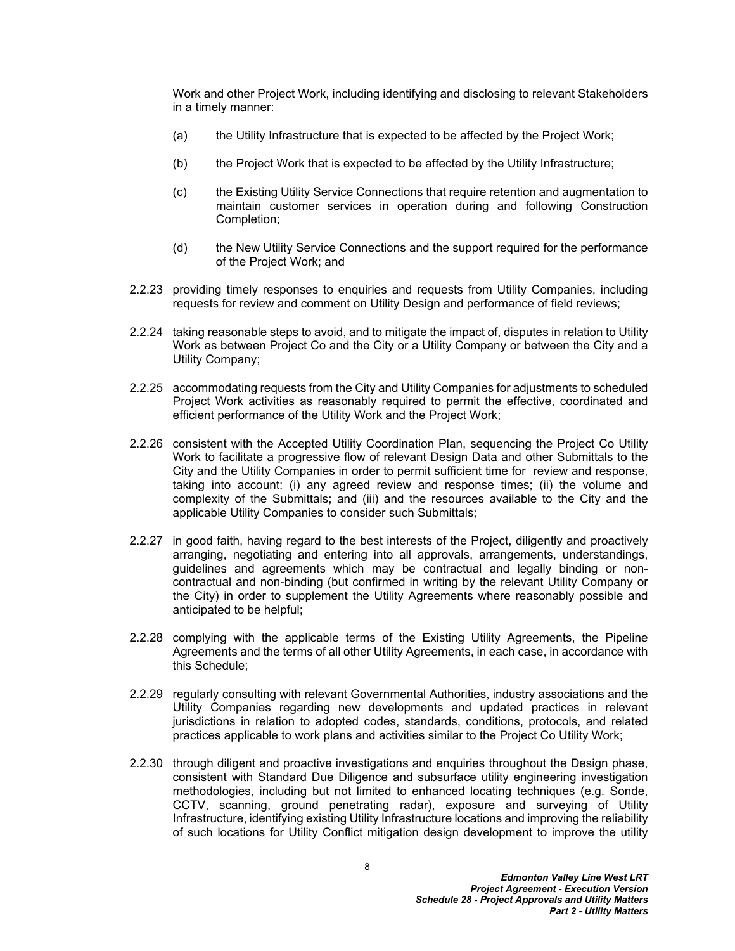Work and other Project Work, including identifying and disclosing to relevant Stakeholders in a timely manner:

- (a) the Utility Infrastructure that is expected to be affected by the Project Work;
- (b) the Project Work that is expected to be affected by the Utility Infrastructure;
- (c) the **E**xisting Utility Service Connections that require retention and augmentation to maintain customer services in operation during and following Construction Completion;
- (d) the New Utility Service Connections and the support required for the performance of the Project Work; and
- 2.2.23 providing timely responses to enquiries and requests from Utility Companies, including requests for review and comment on Utility Design and performance of field reviews;
- 2.2.24 taking reasonable steps to avoid, and to mitigate the impact of, disputes in relation to Utility Work as between Project Co and the City or a Utility Company or between the City and a Utility Company;
- 2.2.25 accommodating requests from the City and Utility Companies for adjustments to scheduled Project Work activities as reasonably required to permit the effective, coordinated and efficient performance of the Utility Work and the Project Work;
- 2.2.26 consistent with the Accepted Utility Coordination Plan, sequencing the Project Co Utility Work to facilitate a progressive flow of relevant Design Data and other Submittals to the City and the Utility Companies in order to permit sufficient time for review and response, taking into account: (i) any agreed review and response times; (ii) the volume and complexity of the Submittals; and (iii) and the resources available to the City and the applicable Utility Companies to consider such Submittals;
- 2.2.27 in good faith, having regard to the best interests of the Project, diligently and proactively arranging, negotiating and entering into all approvals, arrangements, understandings, guidelines and agreements which may be contractual and legally binding or noncontractual and non-binding (but confirmed in writing by the relevant Utility Company or the City) in order to supplement the Utility Agreements where reasonably possible and anticipated to be helpful;
- 2.2.28 complying with the applicable terms of the Existing Utility Agreements, the Pipeline Agreements and the terms of all other Utility Agreements, in each case, in accordance with this Schedule;
- 2.2.29 regularly consulting with relevant Governmental Authorities, industry associations and the Utility Companies regarding new developments and updated practices in relevant jurisdictions in relation to adopted codes, standards, conditions, protocols, and related practices applicable to work plans and activities similar to the Project Co Utility Work;
- 2.2.30 through diligent and proactive investigations and enquiries throughout the Design phase, consistent with Standard Due Diligence and subsurface utility engineering investigation methodologies, including but not limited to enhanced locating techniques (e.g. Sonde, CCTV, scanning, ground penetrating radar), exposure and surveying of Utility Infrastructure, identifying existing Utility Infrastructure locations and improving the reliability of such locations for Utility Conflict mitigation design development to improve the utility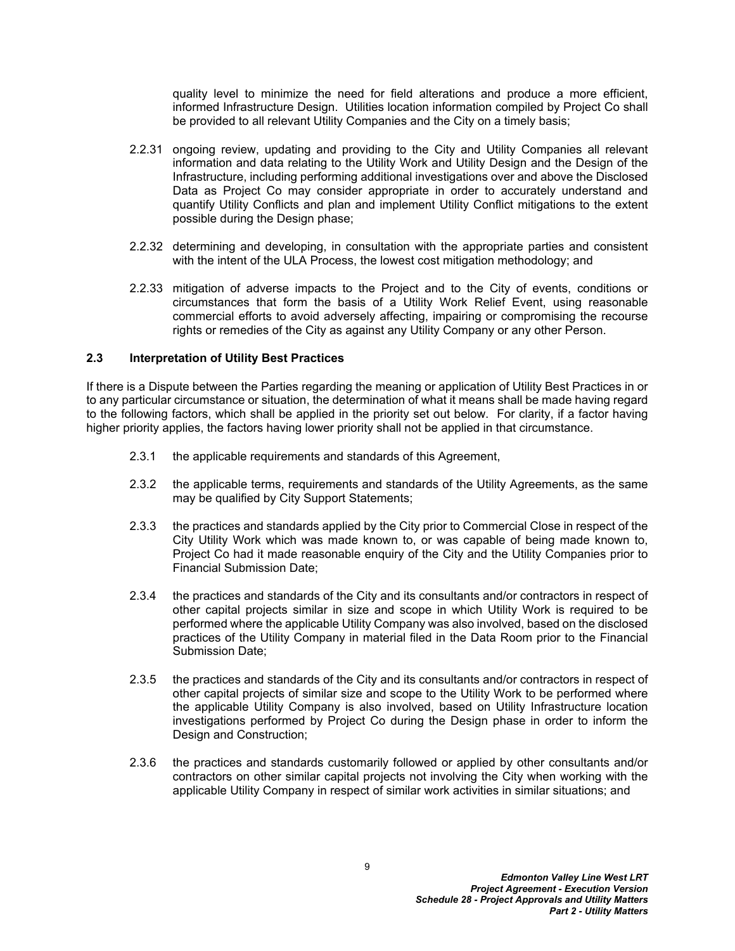quality level to minimize the need for field alterations and produce a more efficient, informed Infrastructure Design. Utilities location information compiled by Project Co shall be provided to all relevant Utility Companies and the City on a timely basis;

- 2.2.31 ongoing review, updating and providing to the City and Utility Companies all relevant information and data relating to the Utility Work and Utility Design and the Design of the Infrastructure, including performing additional investigations over and above the Disclosed Data as Project Co may consider appropriate in order to accurately understand and quantify Utility Conflicts and plan and implement Utility Conflict mitigations to the extent possible during the Design phase;
- 2.2.32 determining and developing, in consultation with the appropriate parties and consistent with the intent of the ULA Process, the lowest cost mitigation methodology; and
- 2.2.33 mitigation of adverse impacts to the Project and to the City of events, conditions or circumstances that form the basis of a Utility Work Relief Event, using reasonable commercial efforts to avoid adversely affecting, impairing or compromising the recourse rights or remedies of the City as against any Utility Company or any other Person.

#### <span id="page-11-0"></span>**2.3 Interpretation of Utility Best Practices**

If there is a Dispute between the Parties regarding the meaning or application of Utility Best Practices in or to any particular circumstance or situation, the determination of what it means shall be made having regard to the following factors, which shall be applied in the priority set out below. For clarity, if a factor having higher priority applies, the factors having lower priority shall not be applied in that circumstance.

- 2.3.1 the applicable requirements and standards of this Agreement,
- 2.3.2 the applicable terms, requirements and standards of the Utility Agreements, as the same may be qualified by City Support Statements;
- 2.3.3 the practices and standards applied by the City prior to Commercial Close in respect of the City Utility Work which was made known to, or was capable of being made known to, Project Co had it made reasonable enquiry of the City and the Utility Companies prior to Financial Submission Date;
- 2.3.4 the practices and standards of the City and its consultants and/or contractors in respect of other capital projects similar in size and scope in which Utility Work is required to be performed where the applicable Utility Company was also involved, based on the disclosed practices of the Utility Company in material filed in the Data Room prior to the Financial Submission Date;
- 2.3.5 the practices and standards of the City and its consultants and/or contractors in respect of other capital projects of similar size and scope to the Utility Work to be performed where the applicable Utility Company is also involved, based on Utility Infrastructure location investigations performed by Project Co during the Design phase in order to inform the Design and Construction;
- 2.3.6 the practices and standards customarily followed or applied by other consultants and/or contractors on other similar capital projects not involving the City when working with the applicable Utility Company in respect of similar work activities in similar situations; and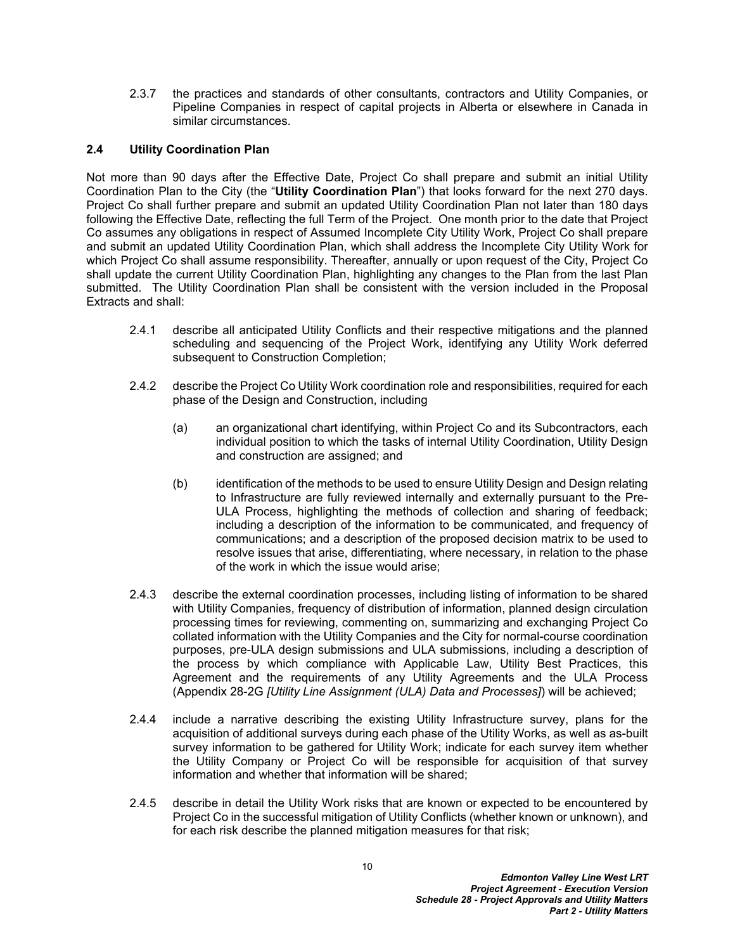2.3.7 the practices and standards of other consultants, contractors and Utility Companies, or Pipeline Companies in respect of capital projects in Alberta or elsewhere in Canada in similar circumstances.

#### <span id="page-12-0"></span>**2.4 Utility Coordination Plan**

Not more than 90 days after the Effective Date, Project Co shall prepare and submit an initial Utility Coordination Plan to the City (the "**Utility Coordination Plan**") that looks forward for the next 270 days. Project Co shall further prepare and submit an updated Utility Coordination Plan not later than 180 days following the Effective Date, reflecting the full Term of the Project. One month prior to the date that Project Co assumes any obligations in respect of Assumed Incomplete City Utility Work, Project Co shall prepare and submit an updated Utility Coordination Plan, which shall address the Incomplete City Utility Work for which Project Co shall assume responsibility. Thereafter, annually or upon request of the City, Project Co shall update the current Utility Coordination Plan, highlighting any changes to the Plan from the last Plan submitted. The Utility Coordination Plan shall be consistent with the version included in the Proposal Extracts and shall:

- 2.4.1 describe all anticipated Utility Conflicts and their respective mitigations and the planned scheduling and sequencing of the Project Work, identifying any Utility Work deferred subsequent to Construction Completion;
- 2.4.2 describe the Project Co Utility Work coordination role and responsibilities, required for each phase of the Design and Construction, including
	- (a) an organizational chart identifying, within Project Co and its Subcontractors, each individual position to which the tasks of internal Utility Coordination, Utility Design and construction are assigned; and
	- (b) identification of the methods to be used to ensure Utility Design and Design relating to Infrastructure are fully reviewed internally and externally pursuant to the Pre-ULA Process, highlighting the methods of collection and sharing of feedback; including a description of the information to be communicated, and frequency of communications; and a description of the proposed decision matrix to be used to resolve issues that arise, differentiating, where necessary, in relation to the phase of the work in which the issue would arise;
- 2.4.3 describe the external coordination processes, including listing of information to be shared with Utility Companies, frequency of distribution of information, planned design circulation processing times for reviewing, commenting on, summarizing and exchanging Project Co collated information with the Utility Companies and the City for normal-course coordination purposes, pre-ULA design submissions and ULA submissions, including a description of the process by which compliance with Applicable Law, Utility Best Practices, this Agreement and the requirements of any Utility Agreements and the ULA Process (Appendix 28-2G *[Utility Line Assignment (ULA) Data and Processes]*) will be achieved;
- 2.4.4 include a narrative describing the existing Utility Infrastructure survey, plans for the acquisition of additional surveys during each phase of the Utility Works, as well as as-built survey information to be gathered for Utility Work; indicate for each survey item whether the Utility Company or Project Co will be responsible for acquisition of that survey information and whether that information will be shared;
- 2.4.5 describe in detail the Utility Work risks that are known or expected to be encountered by Project Co in the successful mitigation of Utility Conflicts (whether known or unknown), and for each risk describe the planned mitigation measures for that risk;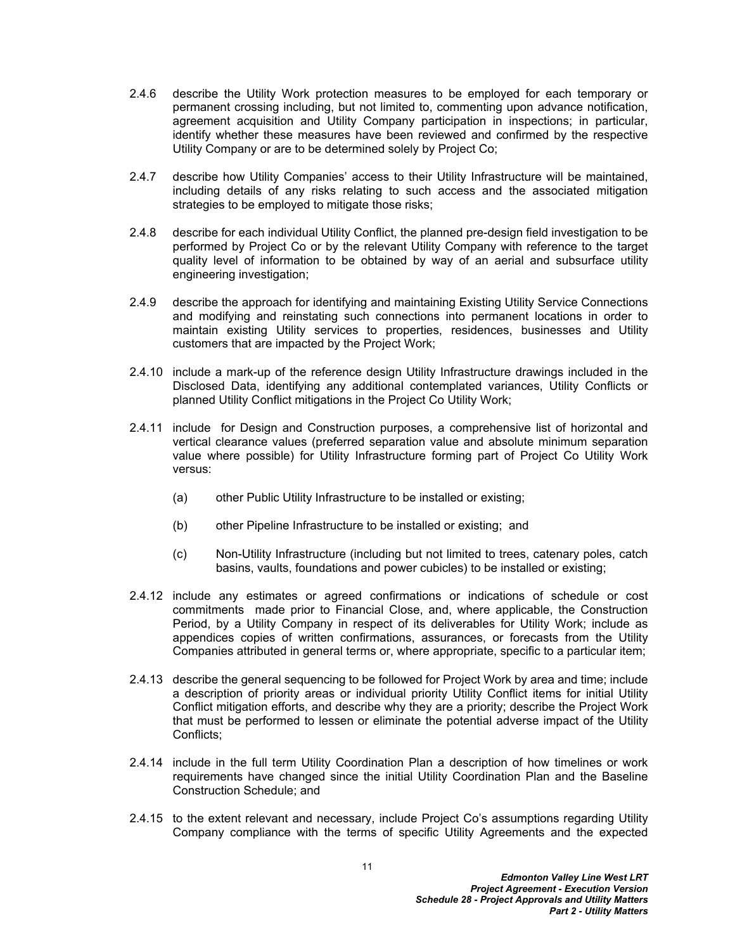- 2.4.6 describe the Utility Work protection measures to be employed for each temporary or permanent crossing including, but not limited to, commenting upon advance notification, agreement acquisition and Utility Company participation in inspections; in particular, identify whether these measures have been reviewed and confirmed by the respective Utility Company or are to be determined solely by Project Co;
- 2.4.7 describe how Utility Companies' access to their Utility Infrastructure will be maintained, including details of any risks relating to such access and the associated mitigation strategies to be employed to mitigate those risks;
- 2.4.8 describe for each individual Utility Conflict, the planned pre-design field investigation to be performed by Project Co or by the relevant Utility Company with reference to the target quality level of information to be obtained by way of an aerial and subsurface utility engineering investigation;
- 2.4.9 describe the approach for identifying and maintaining Existing Utility Service Connections and modifying and reinstating such connections into permanent locations in order to maintain existing Utility services to properties, residences, businesses and Utility customers that are impacted by the Project Work;
- 2.4.10 include a mark-up of the reference design Utility Infrastructure drawings included in the Disclosed Data, identifying any additional contemplated variances, Utility Conflicts or planned Utility Conflict mitigations in the Project Co Utility Work;
- 2.4.11 include for Design and Construction purposes, a comprehensive list of horizontal and vertical clearance values (preferred separation value and absolute minimum separation value where possible) for Utility Infrastructure forming part of Project Co Utility Work versus:
	- (a) other Public Utility Infrastructure to be installed or existing;
	- (b) other Pipeline Infrastructure to be installed or existing; and
	- (c) Non-Utility Infrastructure (including but not limited to trees, catenary poles, catch basins, vaults, foundations and power cubicles) to be installed or existing;
- 2.4.12 include any estimates or agreed confirmations or indications of schedule or cost commitments made prior to Financial Close, and, where applicable, the Construction Period, by a Utility Company in respect of its deliverables for Utility Work; include as appendices copies of written confirmations, assurances, or forecasts from the Utility Companies attributed in general terms or, where appropriate, specific to a particular item;
- 2.4.13 describe the general sequencing to be followed for Project Work by area and time; include a description of priority areas or individual priority Utility Conflict items for initial Utility Conflict mitigation efforts, and describe why they are a priority; describe the Project Work that must be performed to lessen or eliminate the potential adverse impact of the Utility Conflicts;
- 2.4.14 include in the full term Utility Coordination Plan a description of how timelines or work requirements have changed since the initial Utility Coordination Plan and the Baseline Construction Schedule; and
- 2.4.15 to the extent relevant and necessary, include Project Co's assumptions regarding Utility Company compliance with the terms of specific Utility Agreements and the expected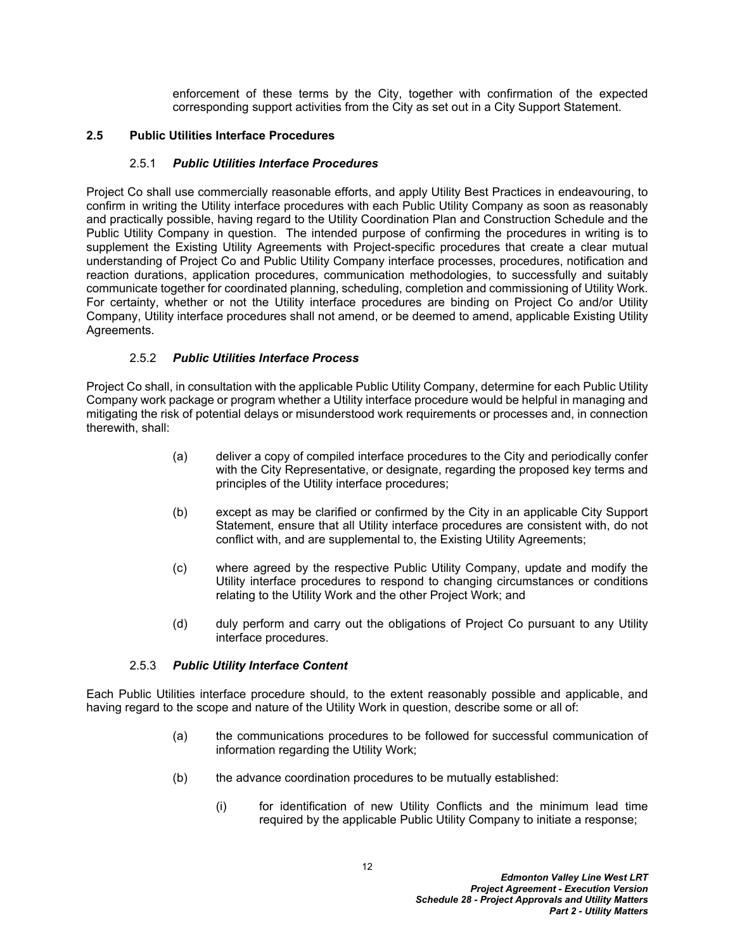enforcement of these terms by the City, together with confirmation of the expected corresponding support activities from the City as set out in a City Support Statement.

### <span id="page-14-0"></span>**2.5 Public Utilities Interface Procedures**

#### 2.5.1 *Public Utilities Interface Procedures*

Project Co shall use commercially reasonable efforts, and apply Utility Best Practices in endeavouring, to confirm in writing the Utility interface procedures with each Public Utility Company as soon as reasonably and practically possible, having regard to the Utility Coordination Plan and Construction Schedule and the Public Utility Company in question. The intended purpose of confirming the procedures in writing is to supplement the Existing Utility Agreements with Project-specific procedures that create a clear mutual understanding of Project Co and Public Utility Company interface processes, procedures, notification and reaction durations, application procedures, communication methodologies, to successfully and suitably communicate together for coordinated planning, scheduling, completion and commissioning of Utility Work. For certainty, whether or not the Utility interface procedures are binding on Project Co and/or Utility Company, Utility interface procedures shall not amend, or be deemed to amend, applicable Existing Utility Agreements.

#### 2.5.2 *Public Utilities Interface Process*

Project Co shall, in consultation with the applicable Public Utility Company, determine for each Public Utility Company work package or program whether a Utility interface procedure would be helpful in managing and mitigating the risk of potential delays or misunderstood work requirements or processes and, in connection therewith, shall:

- (a) deliver a copy of compiled interface procedures to the City and periodically confer with the City Representative, or designate, regarding the proposed key terms and principles of the Utility interface procedures;
- (b) except as may be clarified or confirmed by the City in an applicable City Support Statement, ensure that all Utility interface procedures are consistent with, do not conflict with, and are supplemental to, the Existing Utility Agreements;
- (c) where agreed by the respective Public Utility Company, update and modify the Utility interface procedures to respond to changing circumstances or conditions relating to the Utility Work and the other Project Work; and
- (d) duly perform and carry out the obligations of Project Co pursuant to any Utility interface procedures.

#### 2.5.3 *Public Utility Interface Content*

Each Public Utilities interface procedure should, to the extent reasonably possible and applicable, and having regard to the scope and nature of the Utility Work in question, describe some or all of:

- (a) the communications procedures to be followed for successful communication of information regarding the Utility Work;
- (b) the advance coordination procedures to be mutually established:
	- (i) for identification of new Utility Conflicts and the minimum lead time required by the applicable Public Utility Company to initiate a response;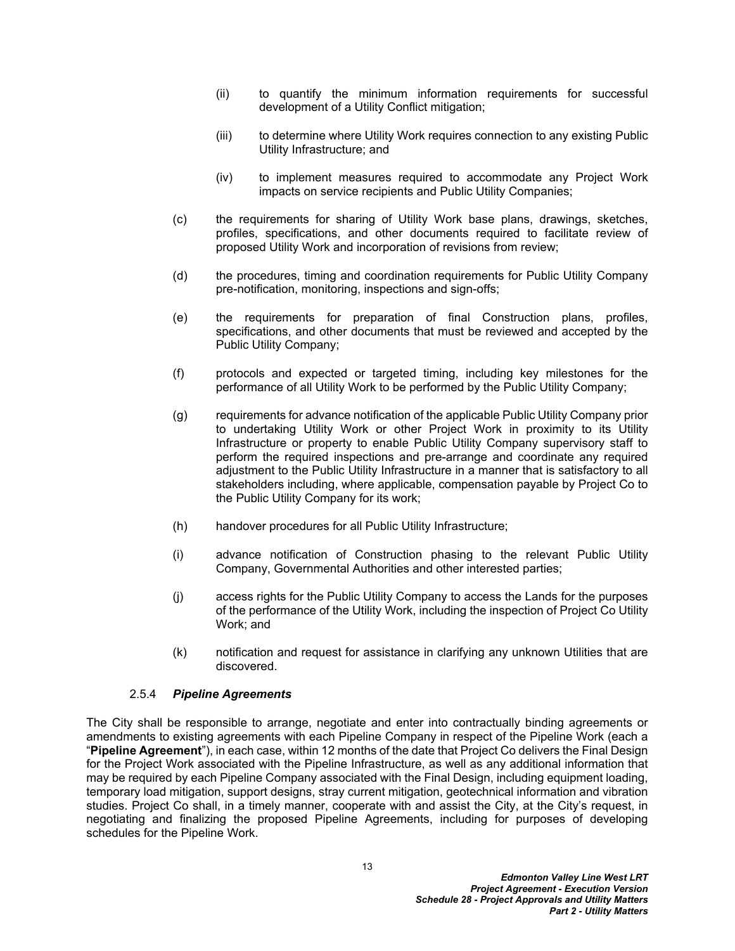- (ii) to quantify the minimum information requirements for successful development of a Utility Conflict mitigation;
- (iii) to determine where Utility Work requires connection to any existing Public Utility Infrastructure; and
- (iv) to implement measures required to accommodate any Project Work impacts on service recipients and Public Utility Companies;
- (c) the requirements for sharing of Utility Work base plans, drawings, sketches, profiles, specifications, and other documents required to facilitate review of proposed Utility Work and incorporation of revisions from review;
- (d) the procedures, timing and coordination requirements for Public Utility Company pre-notification, monitoring, inspections and sign-offs;
- (e) the requirements for preparation of final Construction plans, profiles, specifications, and other documents that must be reviewed and accepted by the Public Utility Company;
- (f) protocols and expected or targeted timing, including key milestones for the performance of all Utility Work to be performed by the Public Utility Company;
- (g) requirements for advance notification of the applicable Public Utility Company prior to undertaking Utility Work or other Project Work in proximity to its Utility Infrastructure or property to enable Public Utility Company supervisory staff to perform the required inspections and pre-arrange and coordinate any required adjustment to the Public Utility Infrastructure in a manner that is satisfactory to all stakeholders including, where applicable, compensation payable by Project Co to the Public Utility Company for its work;
- (h) handover procedures for all Public Utility Infrastructure;
- (i) advance notification of Construction phasing to the relevant Public Utility Company, Governmental Authorities and other interested parties;
- (j) access rights for the Public Utility Company to access the Lands for the purposes of the performance of the Utility Work, including the inspection of Project Co Utility Work; and
- (k) notification and request for assistance in clarifying any unknown Utilities that are discovered.

#### <span id="page-15-0"></span>2.5.4 *Pipeline Agreements*

The City shall be responsible to arrange, negotiate and enter into contractually binding agreements or amendments to existing agreements with each Pipeline Company in respect of the Pipeline Work (each a "**Pipeline Agreement**"), in each case, within 12 months of the date that Project Co delivers the Final Design for the Project Work associated with the Pipeline Infrastructure, as well as any additional information that may be required by each Pipeline Company associated with the Final Design, including equipment loading, temporary load mitigation, support designs, stray current mitigation, geotechnical information and vibration studies. Project Co shall, in a timely manner, cooperate with and assist the City, at the City's request, in negotiating and finalizing the proposed Pipeline Agreements, including for purposes of developing schedules for the Pipeline Work.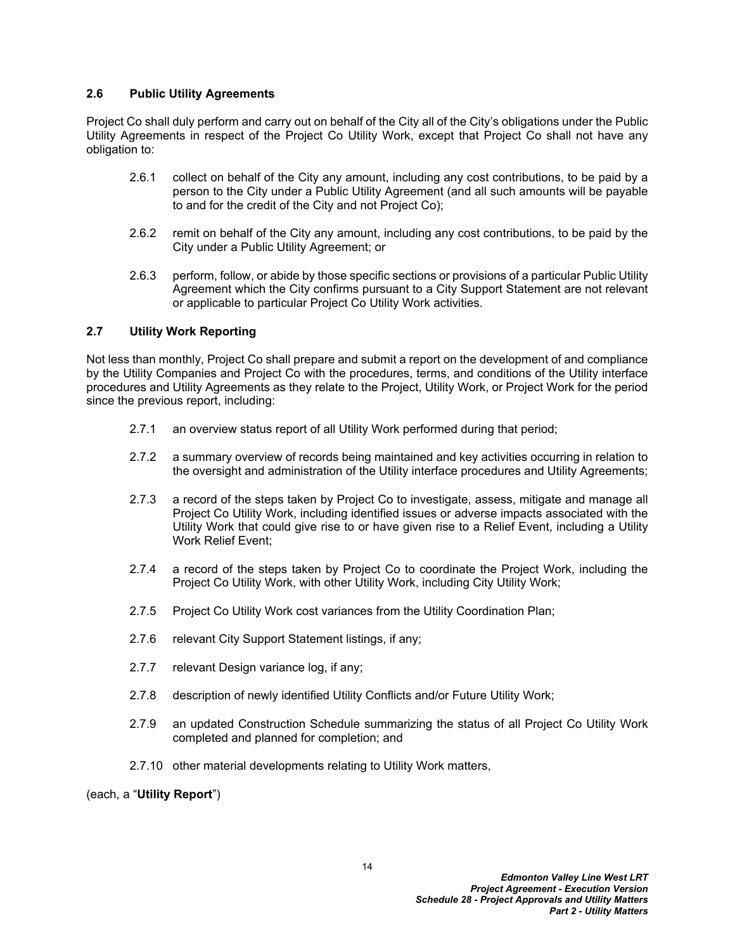#### <span id="page-16-0"></span>**2.6 Public Utility Agreements**

Project Co shall duly perform and carry out on behalf of the City all of the City's obligations under the Public Utility Agreements in respect of the Project Co Utility Work, except that Project Co shall not have any obligation to:

- 2.6.1 collect on behalf of the City any amount, including any cost contributions, to be paid by a person to the City under a Public Utility Agreement (and all such amounts will be payable to and for the credit of the City and not Project Co);
- 2.6.2 remit on behalf of the City any amount, including any cost contributions, to be paid by the City under a Public Utility Agreement; or
- 2.6.3 perform, follow, or abide by those specific sections or provisions of a particular Public Utility Agreement which the City confirms pursuant to a City Support Statement are not relevant or applicable to particular Project Co Utility Work activities.

### <span id="page-16-1"></span>**2.7 Utility Work Reporting**

Not less than monthly, Project Co shall prepare and submit a report on the development of and compliance by the Utility Companies and Project Co with the procedures, terms, and conditions of the Utility interface procedures and Utility Agreements as they relate to the Project, Utility Work, or Project Work for the period since the previous report, including:

- 2.7.1 an overview status report of all Utility Work performed during that period;
- 2.7.2 a summary overview of records being maintained and key activities occurring in relation to the oversight and administration of the Utility interface procedures and Utility Agreements;
- 2.7.3 a record of the steps taken by Project Co to investigate, assess, mitigate and manage all Project Co Utility Work, including identified issues or adverse impacts associated with the Utility Work that could give rise to or have given rise to a Relief Event, including a Utility Work Relief Event;
- 2.7.4 a record of the steps taken by Project Co to coordinate the Project Work, including the Project Co Utility Work, with other Utility Work, including City Utility Work;
- 2.7.5 Project Co Utility Work cost variances from the Utility Coordination Plan;
- 2.7.6 relevant City Support Statement listings, if any;
- 2.7.7 relevant Design variance log, if any;
- 2.7.8 description of newly identified Utility Conflicts and/or Future Utility Work;
- 2.7.9 an updated Construction Schedule summarizing the status of all Project Co Utility Work completed and planned for completion; and
- 2.7.10 other material developments relating to Utility Work matters,

(each, a "**Utility Report**")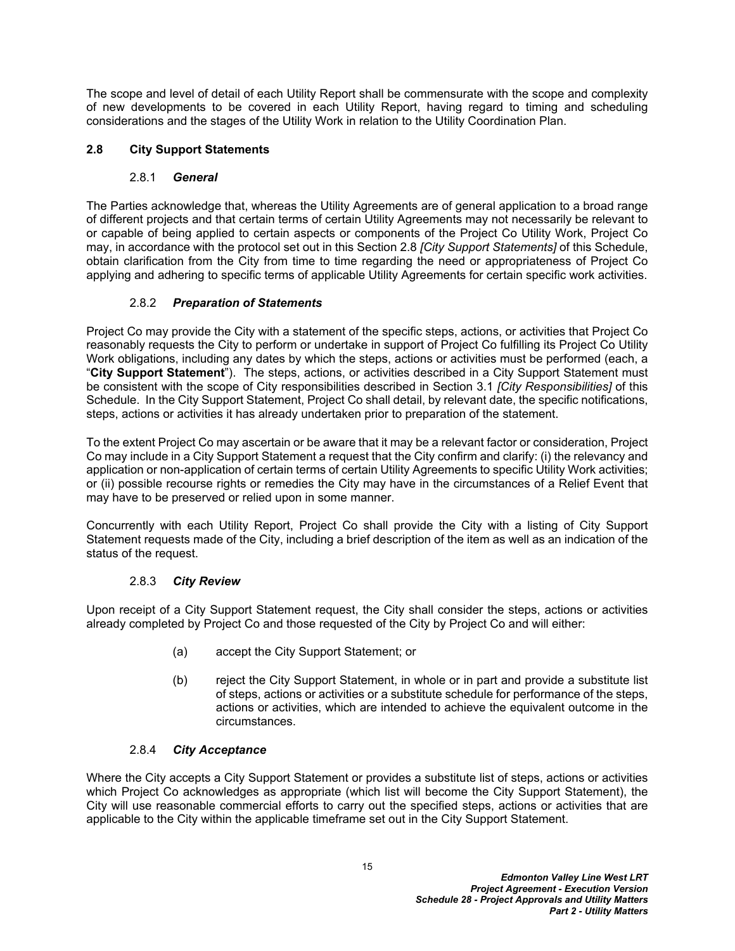The scope and level of detail of each Utility Report shall be commensurate with the scope and complexity of new developments to be covered in each Utility Report, having regard to timing and scheduling considerations and the stages of the Utility Work in relation to the Utility Coordination Plan.

## <span id="page-17-0"></span>**2.8 City Support Statements**

### 2.8.1 *General*

The Parties acknowledge that, whereas the Utility Agreements are of general application to a broad range of different projects and that certain terms of certain Utility Agreements may not necessarily be relevant to or capable of being applied to certain aspects or components of the Project Co Utility Work, Project Co may, in accordance with the protocol set out in this Section [2.8](#page-17-0) *[City Support Statements]* of this Schedule, obtain clarification from the City from time to time regarding the need or appropriateness of Project Co applying and adhering to specific terms of applicable Utility Agreements for certain specific work activities.

### 2.8.2 *Preparation of Statements*

Project Co may provide the City with a statement of the specific steps, actions, or activities that Project Co reasonably requests the City to perform or undertake in support of Project Co fulfilling its Project Co Utility Work obligations, including any dates by which the steps, actions or activities must be performed (each, a "**City Support Statement**"). The steps, actions, or activities described in a City Support Statement must be consistent with the scope of City responsibilities described in Section [3.1](#page-21-3) *[City Responsibilities]* of this Schedule. In the City Support Statement, Project Co shall detail, by relevant date, the specific notifications, steps, actions or activities it has already undertaken prior to preparation of the statement.

To the extent Project Co may ascertain or be aware that it may be a relevant factor or consideration, Project Co may include in a City Support Statement a request that the City confirm and clarify: (i) the relevancy and application or non-application of certain terms of certain Utility Agreements to specific Utility Work activities; or (ii) possible recourse rights or remedies the City may have in the circumstances of a Relief Event that may have to be preserved or relied upon in some manner.

Concurrently with each Utility Report, Project Co shall provide the City with a listing of City Support Statement requests made of the City, including a brief description of the item as well as an indication of the status of the request.

# 2.8.3 *City Review*

Upon receipt of a City Support Statement request, the City shall consider the steps, actions or activities already completed by Project Co and those requested of the City by Project Co and will either:

- (a) accept the City Support Statement; or
- <span id="page-17-1"></span>(b) reject the City Support Statement, in whole or in part and provide a substitute list of steps, actions or activities or a substitute schedule for performance of the steps, actions or activities, which are intended to achieve the equivalent outcome in the circumstances.

### 2.8.4 *City Acceptance*

Where the City accepts a City Support Statement or provides a substitute list of steps, actions or activities which Project Co acknowledges as appropriate (which list will become the City Support Statement), the City will use reasonable commercial efforts to carry out the specified steps, actions or activities that are applicable to the City within the applicable timeframe set out in the City Support Statement.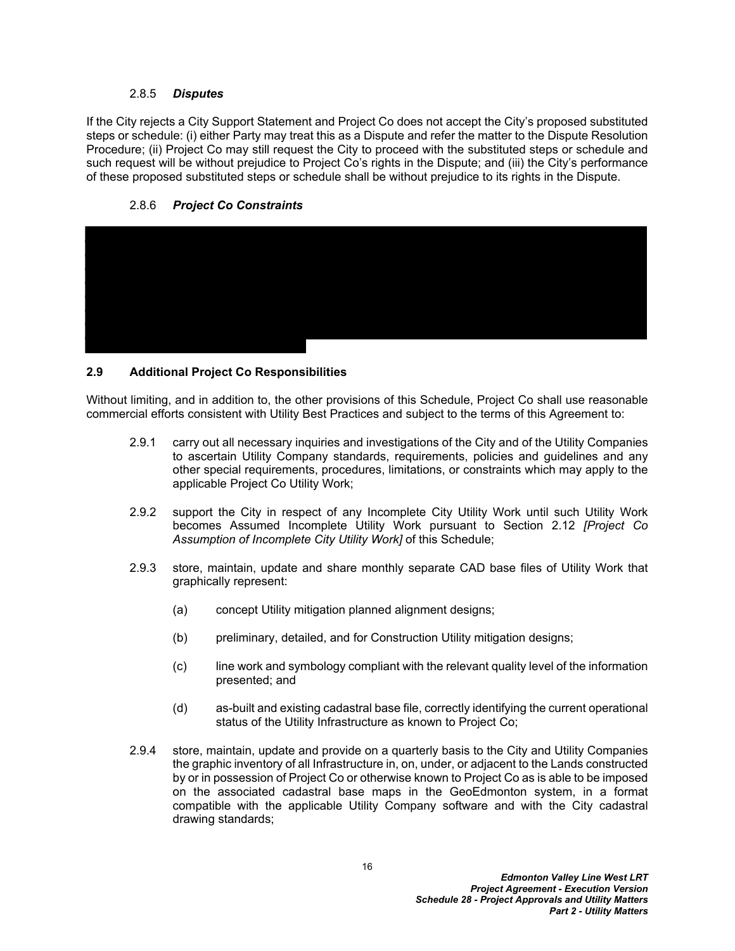#### 2.8.5 *Disputes*

If the City rejects a City Support Statement and Project Co does not accept the City's proposed substituted steps or schedule: (i) either Party may treat this as a Dispute and refer the matter to the Dispute Resolution Procedure; (ii) Project Co may still request the City to proceed with the substituted steps or schedule and such request will be without prejudice to Project Co's rights in the Dispute; and (iii) the City's performance of these proposed substituted steps or schedule shall be without prejudice to its rights in the Dispute.





### <span id="page-18-0"></span>**2.9 Additional Project Co Responsibilities**

Without limiting, and in addition to, the other provisions of this Schedule, Project Co shall use reasonable commercial efforts consistent with Utility Best Practices and subject to the terms of this Agreement to:

- 2.9.1 carry out all necessary inquiries and investigations of the City and of the Utility Companies to ascertain Utility Company standards, requirements, policies and guidelines and any other special requirements, procedures, limitations, or constraints which may apply to the applicable Project Co Utility Work;
- 2.9.2 support the City in respect of any Incomplete City Utility Work until such Utility Work becomes Assumed Incomplete Utility Work pursuant to Section [2.12](#page-20-2) *[Project Co Assumption of Incomplete City Utility Work]* of this Schedule;
- 2.9.3 store, maintain, update and share monthly separate CAD base files of Utility Work that graphically represent:
	- (a) concept Utility mitigation planned alignment designs;
	- (b) preliminary, detailed, and for Construction Utility mitigation designs;
	- (c) line work and symbology compliant with the relevant quality level of the information presented; and
	- (d) as-built and existing cadastral base file, correctly identifying the current operational status of the Utility Infrastructure as known to Project Co;
- 2.9.4 store, maintain, update and provide on a quarterly basis to the City and Utility Companies the graphic inventory of all Infrastructure in, on, under, or adjacent to the Lands constructed by or in possession of Project Co or otherwise known to Project Co as is able to be imposed on the associated cadastral base maps in the GeoEdmonton system, in a format compatible with the applicable Utility Company software and with the City cadastral drawing standards;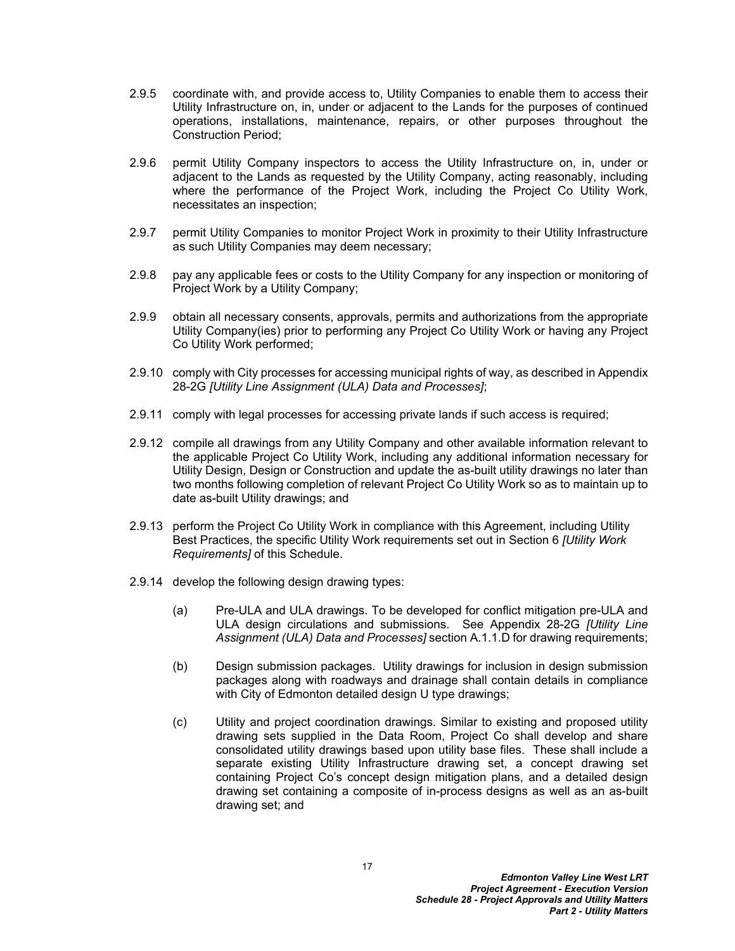- 2.9.5 coordinate with, and provide access to, Utility Companies to enable them to access their Utility Infrastructure on, in, under or adjacent to the Lands for the purposes of continued operations, installations, maintenance, repairs, or other purposes throughout the Construction Period;
- 2.9.6 permit Utility Company inspectors to access the Utility Infrastructure on, in, under or adjacent to the Lands as requested by the Utility Company, acting reasonably, including where the performance of the Project Work, including the Project Co Utility Work, necessitates an inspection;
- 2.9.7 permit Utility Companies to monitor Project Work in proximity to their Utility Infrastructure as such Utility Companies may deem necessary;
- 2.9.8 pay any applicable fees or costs to the Utility Company for any inspection or monitoring of Project Work by a Utility Company;
- 2.9.9 obtain all necessary consents, approvals, permits and authorizations from the appropriate Utility Company(ies) prior to performing any Project Co Utility Work or having any Project Co Utility Work performed;
- 2.9.10 comply with City processes for accessing municipal rights of way, as described in Appendix 28-2G *[Utility Line Assignment (ULA) Data and Processes]*;
- 2.9.11 comply with legal processes for accessing private lands if such access is required;
- 2.9.12 compile all drawings from any Utility Company and other available information relevant to the applicable Project Co Utility Work, including any additional information necessary for Utility Design, Design or Construction and update the as-built utility drawings no later than two months following completion of relevant Project Co Utility Work so as to maintain up to date as-built Utility drawings; and
- 2.9.13 perform the Project Co Utility Work in compliance with this Agreement, including Utility Best Practices, the specific Utility Work requirements set out in Section [6](#page-25-1) *[Utility Work Requirements]* of this Schedule.
- 2.9.14 develop the following design drawing types:
	- (a) Pre-ULA and ULA drawings. To be developed for conflict mitigation pre-ULA and ULA design circulations and submissions. See Appendix 28-2G *[Utility Line Assignment (ULA) Data and Processes]* section A.1.1.D for drawing requirements;
	- (b) Design submission packages. Utility drawings for inclusion in design submission packages along with roadways and drainage shall contain details in compliance with City of Edmonton detailed design U type drawings;
	- (c) Utility and project coordination drawings. Similar to existing and proposed utility drawing sets supplied in the Data Room, Project Co shall develop and share consolidated utility drawings based upon utility base files. These shall include a separate existing Utility Infrastructure drawing set, a concept drawing set containing Project Co's concept design mitigation plans, and a detailed design drawing set containing a composite of in-process designs as well as an as-built drawing set; and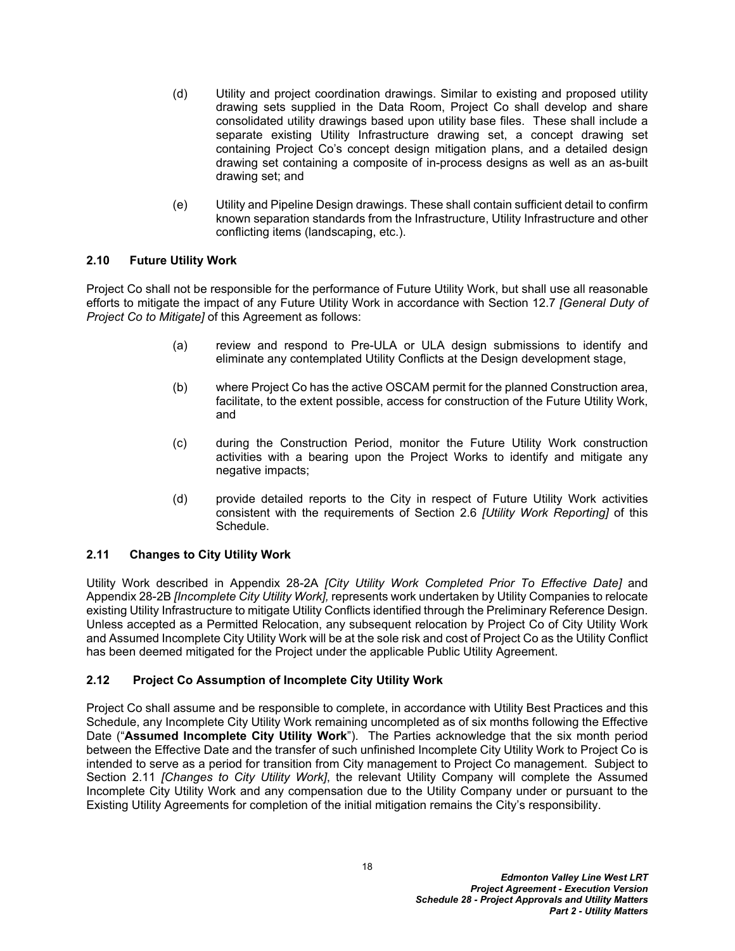- (d) Utility and project coordination drawings. Similar to existing and proposed utility drawing sets supplied in the Data Room, Project Co shall develop and share consolidated utility drawings based upon utility base files. These shall include a separate existing Utility Infrastructure drawing set, a concept drawing set containing Project Co's concept design mitigation plans, and a detailed design drawing set containing a composite of in-process designs as well as an as-built drawing set; and
- (e) Utility and Pipeline Design drawings. These shall contain sufficient detail to confirm known separation standards from the Infrastructure, Utility Infrastructure and other conflicting items (landscaping, etc.).

### <span id="page-20-0"></span>**2.10 Future Utility Work**

Project Co shall not be responsible for the performance of Future Utility Work, but shall use all reasonable efforts to mitigate the impact of any Future Utility Work in accordance with Section 12.7 *[General Duty of Project Co to Mitigate]* of this Agreement as follows:

- (a) review and respond to Pre-ULA or ULA design submissions to identify and eliminate any contemplated Utility Conflicts at the Design development stage,
- (b) where Project Co has the active OSCAM permit for the planned Construction area, facilitate, to the extent possible, access for construction of the Future Utility Work, and
- (c) during the Construction Period, monitor the Future Utility Work construction activities with a bearing upon the Project Works to identify and mitigate any negative impacts;
- (d) provide detailed reports to the City in respect of Future Utility Work activities consistent with the requirements of Section [2.6](#page-16-0) *[Utility Work Reporting]* of this Schedule.

### <span id="page-20-1"></span>**2.11 Changes to City Utility Work**

Utility Work described in Appendix 28-2A *[City Utility Work Completed Prior To Effective Date]* and Appendix 28-2B *[Incomplete City Utility Work],* represents work undertaken by Utility Companies to relocate existing Utility Infrastructure to mitigate Utility Conflicts identified through the Preliminary Reference Design. Unless accepted as a Permitted Relocation, any subsequent relocation by Project Co of City Utility Work and Assumed Incomplete City Utility Work will be at the sole risk and cost of Project Co as the Utility Conflict has been deemed mitigated for the Project under the applicable Public Utility Agreement.

### <span id="page-20-2"></span>**2.12 Project Co Assumption of Incomplete City Utility Work**

Project Co shall assume and be responsible to complete, in accordance with Utility Best Practices and this Schedule, any Incomplete City Utility Work remaining uncompleted as of six months following the Effective Date ("**Assumed Incomplete City Utility Work**"). The Parties acknowledge that the six month period between the Effective Date and the transfer of such unfinished Incomplete City Utility Work to Project Co is intended to serve as a period for transition from City management to Project Co management. Subject to Section [2.11](#page-20-1) *[Changes to City Utility Work]*, the relevant Utility Company will complete the Assumed Incomplete City Utility Work and any compensation due to the Utility Company under or pursuant to the Existing Utility Agreements for completion of the initial mitigation remains the City's responsibility.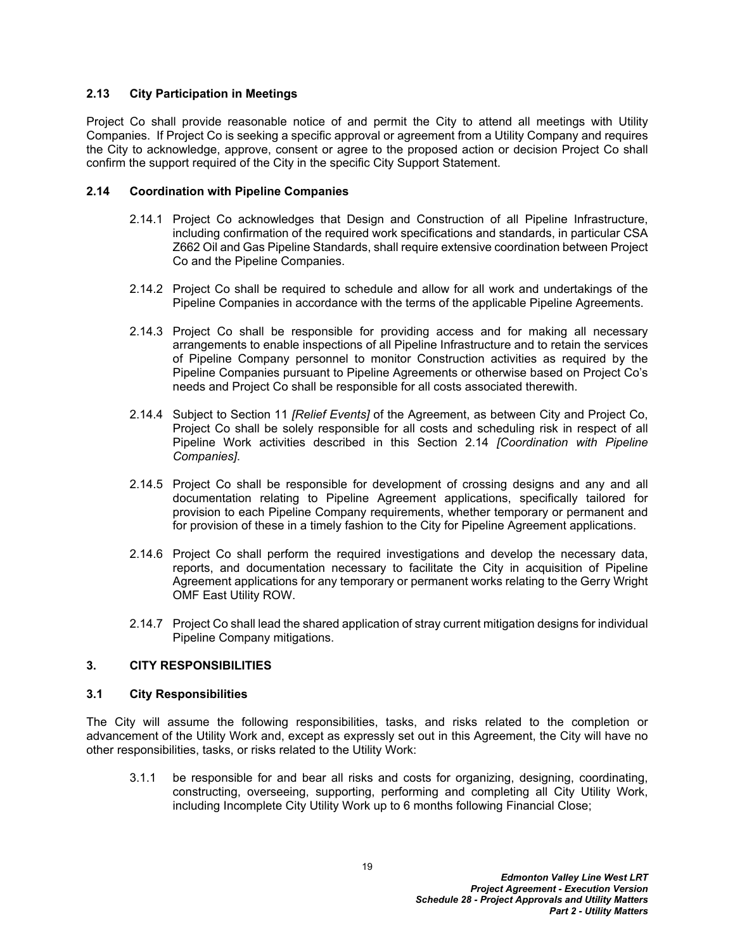### <span id="page-21-0"></span>**2.13 City Participation in Meetings**

Project Co shall provide reasonable notice of and permit the City to attend all meetings with Utility Companies. If Project Co is seeking a specific approval or agreement from a Utility Company and requires the City to acknowledge, approve, consent or agree to the proposed action or decision Project Co shall confirm the support required of the City in the specific City Support Statement.

#### <span id="page-21-1"></span>**2.14 Coordination with Pipeline Companies**

- 2.14.1 Project Co acknowledges that Design and Construction of all Pipeline Infrastructure, including confirmation of the required work specifications and standards, in particular CSA Z662 Oil and Gas Pipeline Standards, shall require extensive coordination between Project Co and the Pipeline Companies.
- 2.14.2 Project Co shall be required to schedule and allow for all work and undertakings of the Pipeline Companies in accordance with the terms of the applicable Pipeline Agreements.
- 2.14.3 Project Co shall be responsible for providing access and for making all necessary arrangements to enable inspections of all Pipeline Infrastructure and to retain the services of Pipeline Company personnel to monitor Construction activities as required by the Pipeline Companies pursuant to Pipeline Agreements or otherwise based on Project Co's needs and Project Co shall be responsible for all costs associated therewith.
- 2.14.4 Subject to Section 11 *[Relief Events]* of the Agreement, as between City and Project Co, Project Co shall be solely responsible for all costs and scheduling risk in respect of all Pipeline Work activities described in this Section [2.14](#page-21-1) *[Coordination with Pipeline Companies]*.
- 2.14.5 Project Co shall be responsible for development of crossing designs and any and all documentation relating to Pipeline Agreement applications, specifically tailored for provision to each Pipeline Company requirements, whether temporary or permanent and for provision of these in a timely fashion to the City for Pipeline Agreement applications.
- 2.14.6 Project Co shall perform the required investigations and develop the necessary data, reports, and documentation necessary to facilitate the City in acquisition of Pipeline Agreement applications for any temporary or permanent works relating to the Gerry Wright OMF East Utility ROW.
- 2.14.7 Project Co shall lead the shared application of stray current mitigation designs for individual Pipeline Company mitigations.

#### <span id="page-21-2"></span>**3. CITY RESPONSIBILITIES**

#### <span id="page-21-3"></span>**3.1 City Responsibilities**

The City will assume the following responsibilities, tasks, and risks related to the completion or advancement of the Utility Work and, except as expressly set out in this Agreement, the City will have no other responsibilities, tasks, or risks related to the Utility Work:

3.1.1 be responsible for and bear all risks and costs for organizing, designing, coordinating, constructing, overseeing, supporting, performing and completing all City Utility Work, including Incomplete City Utility Work up to 6 months following Financial Close;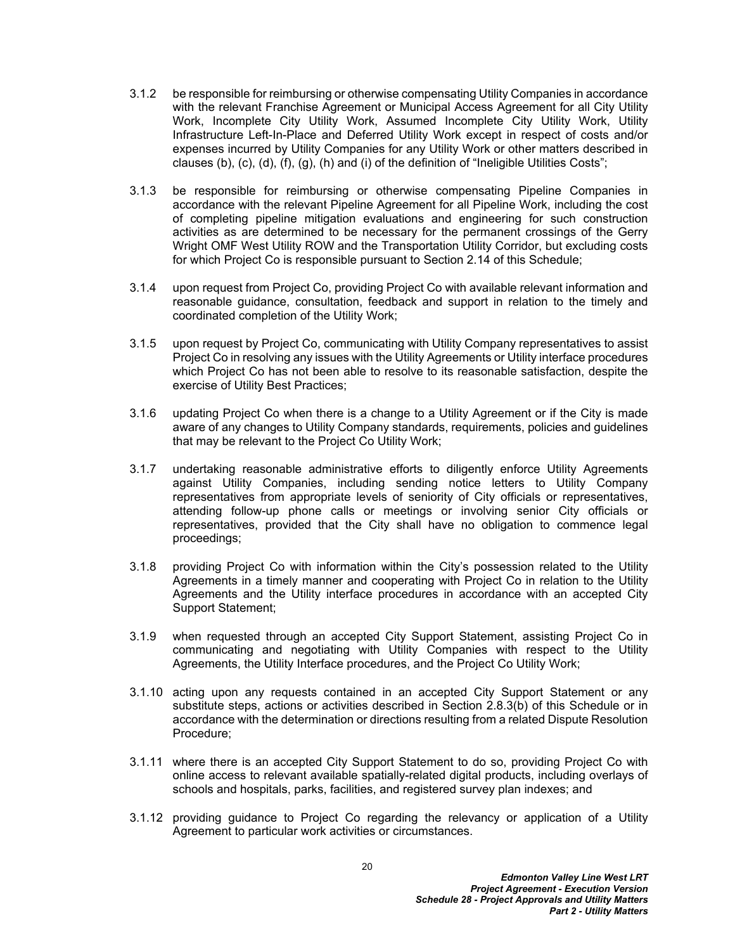- 3.1.2 be responsible for reimbursing or otherwise compensating Utility Companies in accordance with the relevant Franchise Agreement or Municipal Access Agreement for all City Utility Work, Incomplete City Utility Work, Assumed Incomplete City Utility Work, Utility Infrastructure Left-In-Place and Deferred Utility Work except in respect of costs and/or expenses incurred by Utility Companies for any Utility Work or other matters described in clauses [\(b\),](#page-4-0) [\(c\)](#page-4-1), [\(d\),](#page-4-2) [\(f\),](#page-4-3) [\(g\),](#page-4-4) [\(h\)](#page-4-5) and [\(i\)](#page-4-6) of the definition of "Ineligible Utilities Costs";
- 3.1.3 be responsible for reimbursing or otherwise compensating Pipeline Companies in accordance with the relevant Pipeline Agreement for all Pipeline Work, including the cost of completing pipeline mitigation evaluations and engineering for such construction activities as are determined to be necessary for the permanent crossings of the Gerry Wright OMF West Utility ROW and the Transportation Utility Corridor, but excluding costs for which Project Co is responsible pursuant to Section [2.14](#page-21-1) of this Schedule;
- 3.1.4 upon request from Project Co, providing Project Co with available relevant information and reasonable guidance, consultation, feedback and support in relation to the timely and coordinated completion of the Utility Work;
- 3.1.5 upon request by Project Co, communicating with Utility Company representatives to assist Project Co in resolving any issues with the Utility Agreements or Utility interface procedures which Project Co has not been able to resolve to its reasonable satisfaction, despite the exercise of Utility Best Practices;
- 3.1.6 updating Project Co when there is a change to a Utility Agreement or if the City is made aware of any changes to Utility Company standards, requirements, policies and guidelines that may be relevant to the Project Co Utility Work;
- 3.1.7 undertaking reasonable administrative efforts to diligently enforce Utility Agreements against Utility Companies, including sending notice letters to Utility Company representatives from appropriate levels of seniority of City officials or representatives, attending follow-up phone calls or meetings or involving senior City officials or representatives, provided that the City shall have no obligation to commence legal proceedings;
- 3.1.8 providing Project Co with information within the City's possession related to the Utility Agreements in a timely manner and cooperating with Project Co in relation to the Utility Agreements and the Utility interface procedures in accordance with an accepted City Support Statement;
- 3.1.9 when requested through an accepted City Support Statement, assisting Project Co in communicating and negotiating with Utility Companies with respect to the Utility Agreements, the Utility Interface procedures, and the Project Co Utility Work;
- 3.1.10 acting upon any requests contained in an accepted City Support Statement or any substitute steps, actions or activities described in Section [2.8.3\(b\)](#page-17-1) of this Schedule or in accordance with the determination or directions resulting from a related Dispute Resolution Procedure;
- 3.1.11 where there is an accepted City Support Statement to do so, providing Project Co with online access to relevant available spatially-related digital products, including overlays of schools and hospitals, parks, facilities, and registered survey plan indexes; and
- 3.1.12 providing guidance to Project Co regarding the relevancy or application of a Utility Agreement to particular work activities or circumstances.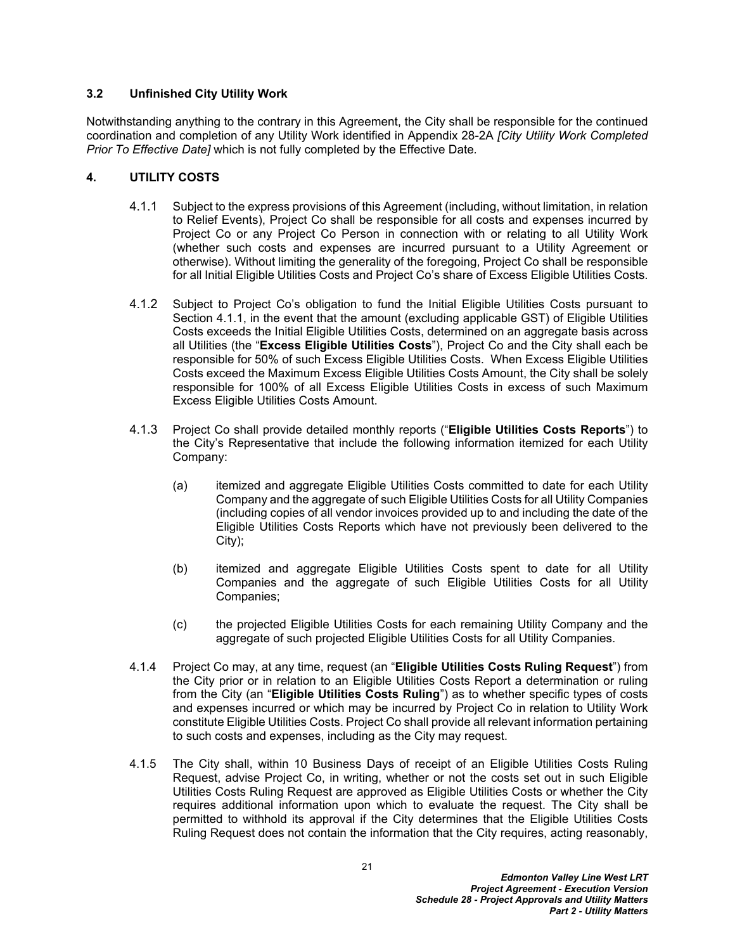#### <span id="page-23-0"></span>**3.2 Unfinished City Utility Work**

Notwithstanding anything to the contrary in this Agreement, the City shall be responsible for the continued coordination and completion of any Utility Work identified in Appendix 28-2A *[City Utility Work Completed Prior To Effective Date]* which is not fully completed by the Effective Date*.*

### <span id="page-23-1"></span>**4. UTILITY COSTS**

- <span id="page-23-5"></span>4.1.1 Subject to the express provisions of this Agreement (including, without limitation, in relation to Relief Events), Project Co shall be responsible for all costs and expenses incurred by Project Co or any Project Co Person in connection with or relating to all Utility Work (whether such costs and expenses are incurred pursuant to a Utility Agreement or otherwise). Without limiting the generality of the foregoing, Project Co shall be responsible for all Initial Eligible Utilities Costs and Project Co's share of Excess Eligible Utilities Costs.
- <span id="page-23-2"></span>4.1.2 Subject to Project Co's obligation to fund the Initial Eligible Utilities Costs pursuant to Section [4.1.1,](#page-23-5) in the event that the amount (excluding applicable GST) of Eligible Utilities Costs exceeds the Initial Eligible Utilities Costs, determined on an aggregate basis across all Utilities (the "**Excess Eligible Utilities Costs**"), Project Co and the City shall each be responsible for 50% of such Excess Eligible Utilities Costs. When Excess Eligible Utilities Costs exceed the Maximum Excess Eligible Utilities Costs Amount, the City shall be solely responsible for 100% of all Excess Eligible Utilities Costs in excess of such Maximum Excess Eligible Utilities Costs Amount.
- <span id="page-23-3"></span>4.1.3 Project Co shall provide detailed monthly reports ("**Eligible Utilities Costs Reports**") to the City's Representative that include the following information itemized for each Utility Company:
	- (a) itemized and aggregate Eligible Utilities Costs committed to date for each Utility Company and the aggregate of such Eligible Utilities Costs for all Utility Companies (including copies of all vendor invoices provided up to and including the date of the Eligible Utilities Costs Reports which have not previously been delivered to the City);
	- (b) itemized and aggregate Eligible Utilities Costs spent to date for all Utility Companies and the aggregate of such Eligible Utilities Costs for all Utility Companies;
	- (c) the projected Eligible Utilities Costs for each remaining Utility Company and the aggregate of such projected Eligible Utilities Costs for all Utility Companies.
- <span id="page-23-4"></span>4.1.4 Project Co may, at any time, request (an "**Eligible Utilities Costs Ruling Request**") from the City prior or in relation to an Eligible Utilities Costs Report a determination or ruling from the City (an "**Eligible Utilities Costs Ruling**") as to whether specific types of costs and expenses incurred or which may be incurred by Project Co in relation to Utility Work constitute Eligible Utilities Costs. Project Co shall provide all relevant information pertaining to such costs and expenses, including as the City may request.
- <span id="page-23-6"></span>4.1.5 The City shall, within 10 Business Days of receipt of an Eligible Utilities Costs Ruling Request, advise Project Co, in writing, whether or not the costs set out in such Eligible Utilities Costs Ruling Request are approved as Eligible Utilities Costs or whether the City requires additional information upon which to evaluate the request. The City shall be permitted to withhold its approval if the City determines that the Eligible Utilities Costs Ruling Request does not contain the information that the City requires, acting reasonably,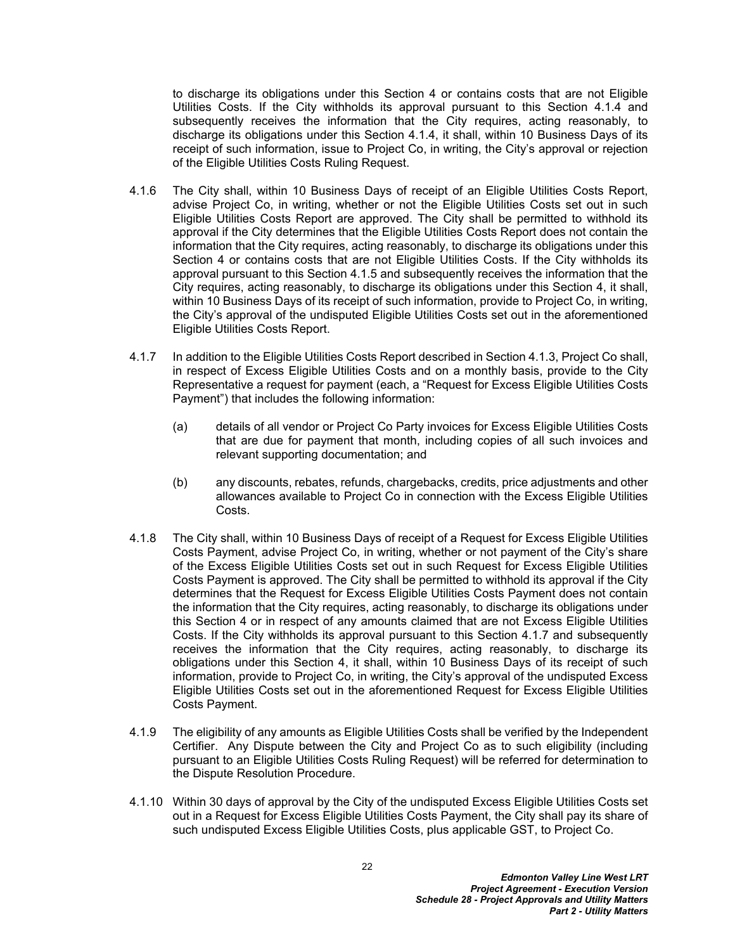to discharge its obligations under this Section [4](#page-23-1) or contains costs that are not Eligible Utilities Costs. If the City withholds its approval pursuant to this Section [4.1.4](#page-23-4) and subsequently receives the information that the City requires, acting reasonably, to discharge its obligations under this Section [4.1.4,](#page-23-4) it shall, within 10 Business Days of its receipt of such information, issue to Project Co, in writing, the City's approval or rejection of the Eligible Utilities Costs Ruling Request.

- 4.1.6 The City shall, within 10 Business Days of receipt of an Eligible Utilities Costs Report, advise Project Co, in writing, whether or not the Eligible Utilities Costs set out in such Eligible Utilities Costs Report are approved. The City shall be permitted to withhold its approval if the City determines that the Eligible Utilities Costs Report does not contain the information that the City requires, acting reasonably, to discharge its obligations under this Section [4](#page-23-1) or contains costs that are not Eligible Utilities Costs. If the City withholds its approval pursuant to this Section [4.1.5](#page-23-6) and subsequently receives the information that the City requires, acting reasonably, to discharge its obligations under this Section [4,](#page-23-1) it shall, within 10 Business Days of its receipt of such information, provide to Project Co, in writing, the City's approval of the undisputed Eligible Utilities Costs set out in the aforementioned Eligible Utilities Costs Report.
- <span id="page-24-0"></span>4.1.7 In addition to the Eligible Utilities Costs Report described in Section [4.1.3,](#page-23-3) Project Co shall, in respect of Excess Eligible Utilities Costs and on a monthly basis, provide to the City Representative a request for payment (each, a "Request for Excess Eligible Utilities Costs Payment") that includes the following information:
	- (a) details of all vendor or Project Co Party invoices for Excess Eligible Utilities Costs that are due for payment that month, including copies of all such invoices and relevant supporting documentation; and
	- (b) any discounts, rebates, refunds, chargebacks, credits, price adjustments and other allowances available to Project Co in connection with the Excess Eligible Utilities Costs.
- 4.1.8 The City shall, within 10 Business Days of receipt of a Request for Excess Eligible Utilities Costs Payment, advise Project Co, in writing, whether or not payment of the City's share of the Excess Eligible Utilities Costs set out in such Request for Excess Eligible Utilities Costs Payment is approved. The City shall be permitted to withhold its approval if the City determines that the Request for Excess Eligible Utilities Costs Payment does not contain the information that the City requires, acting reasonably, to discharge its obligations under this Section [4](#page-23-1) or in respect of any amounts claimed that are not Excess Eligible Utilities Costs. If the City withholds its approval pursuant to this Section [4.1.7](#page-24-0) and subsequently receives the information that the City requires, acting reasonably, to discharge its obligations under this Section [4,](#page-23-1) it shall, within 10 Business Days of its receipt of such information, provide to Project Co, in writing, the City's approval of the undisputed Excess Eligible Utilities Costs set out in the aforementioned Request for Excess Eligible Utilities Costs Payment.
- 4.1.9 The eligibility of any amounts as Eligible Utilities Costs shall be verified by the Independent Certifier. Any Dispute between the City and Project Co as to such eligibility (including pursuant to an Eligible Utilities Costs Ruling Request) will be referred for determination to the Dispute Resolution Procedure.
- 4.1.10 Within 30 days of approval by the City of the undisputed Excess Eligible Utilities Costs set out in a Request for Excess Eligible Utilities Costs Payment, the City shall pay its share of such undisputed Excess Eligible Utilities Costs, plus applicable GST, to Project Co.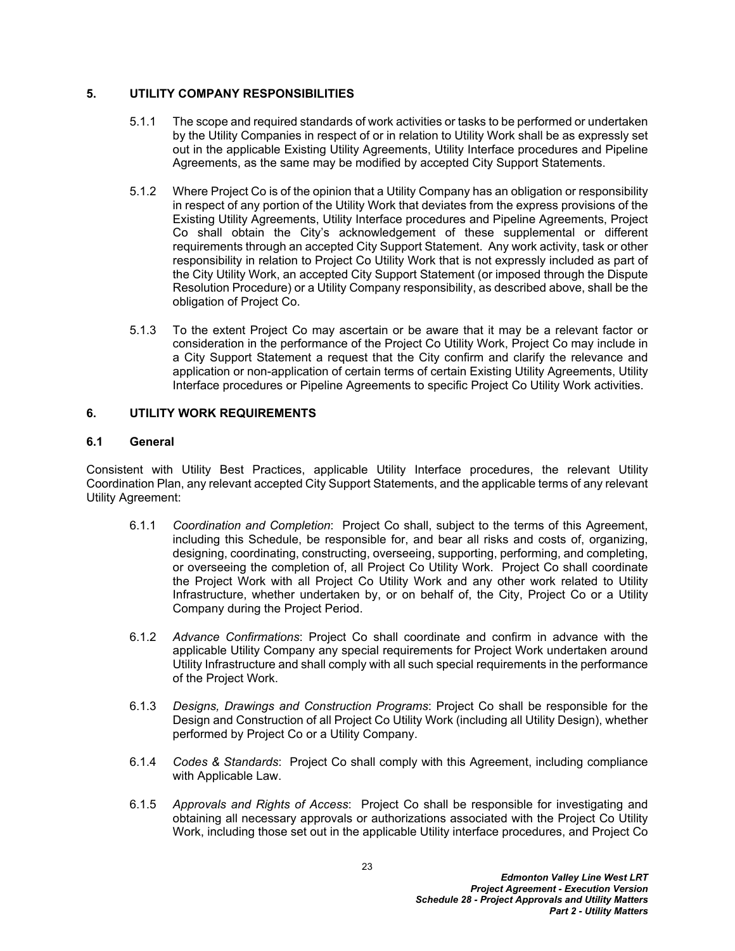### <span id="page-25-0"></span>**5. UTILITY COMPANY RESPONSIBILITIES**

- 5.1.1 The scope and required standards of work activities or tasks to be performed or undertaken by the Utility Companies in respect of or in relation to Utility Work shall be as expressly set out in the applicable Existing Utility Agreements, Utility Interface procedures and Pipeline Agreements, as the same may be modified by accepted City Support Statements.
- 5.1.2 Where Project Co is of the opinion that a Utility Company has an obligation or responsibility in respect of any portion of the Utility Work that deviates from the express provisions of the Existing Utility Agreements, Utility Interface procedures and Pipeline Agreements, Project Co shall obtain the City's acknowledgement of these supplemental or different requirements through an accepted City Support Statement. Any work activity, task or other responsibility in relation to Project Co Utility Work that is not expressly included as part of the City Utility Work, an accepted City Support Statement (or imposed through the Dispute Resolution Procedure) or a Utility Company responsibility, as described above, shall be the obligation of Project Co.
- 5.1.3 To the extent Project Co may ascertain or be aware that it may be a relevant factor or consideration in the performance of the Project Co Utility Work, Project Co may include in a City Support Statement a request that the City confirm and clarify the relevance and application or non-application of certain terms of certain Existing Utility Agreements, Utility Interface procedures or Pipeline Agreements to specific Project Co Utility Work activities.

### <span id="page-25-1"></span>**6. UTILITY WORK REQUIREMENTS**

#### <span id="page-25-2"></span>**6.1 General**

Consistent with Utility Best Practices, applicable Utility Interface procedures, the relevant Utility Coordination Plan, any relevant accepted City Support Statements, and the applicable terms of any relevant Utility Agreement:

- 6.1.1 *Coordination and Completion*: Project Co shall, subject to the terms of this Agreement, including this Schedule, be responsible for, and bear all risks and costs of, organizing, designing, coordinating, constructing, overseeing, supporting, performing, and completing, or overseeing the completion of, all Project Co Utility Work. Project Co shall coordinate the Project Work with all Project Co Utility Work and any other work related to Utility Infrastructure, whether undertaken by, or on behalf of, the City, Project Co or a Utility Company during the Project Period.
- 6.1.2 *Advance Confirmations*: Project Co shall coordinate and confirm in advance with the applicable Utility Company any special requirements for Project Work undertaken around Utility Infrastructure and shall comply with all such special requirements in the performance of the Project Work.
- 6.1.3 *Designs, Drawings and Construction Programs*: Project Co shall be responsible for the Design and Construction of all Project Co Utility Work (including all Utility Design), whether performed by Project Co or a Utility Company.
- 6.1.4 *Codes & Standards*: Project Co shall comply with this Agreement, including compliance with Applicable Law.
- <span id="page-25-3"></span>6.1.5 *Approvals and Rights of Access*: Project Co shall be responsible for investigating and obtaining all necessary approvals or authorizations associated with the Project Co Utility Work, including those set out in the applicable Utility interface procedures, and Project Co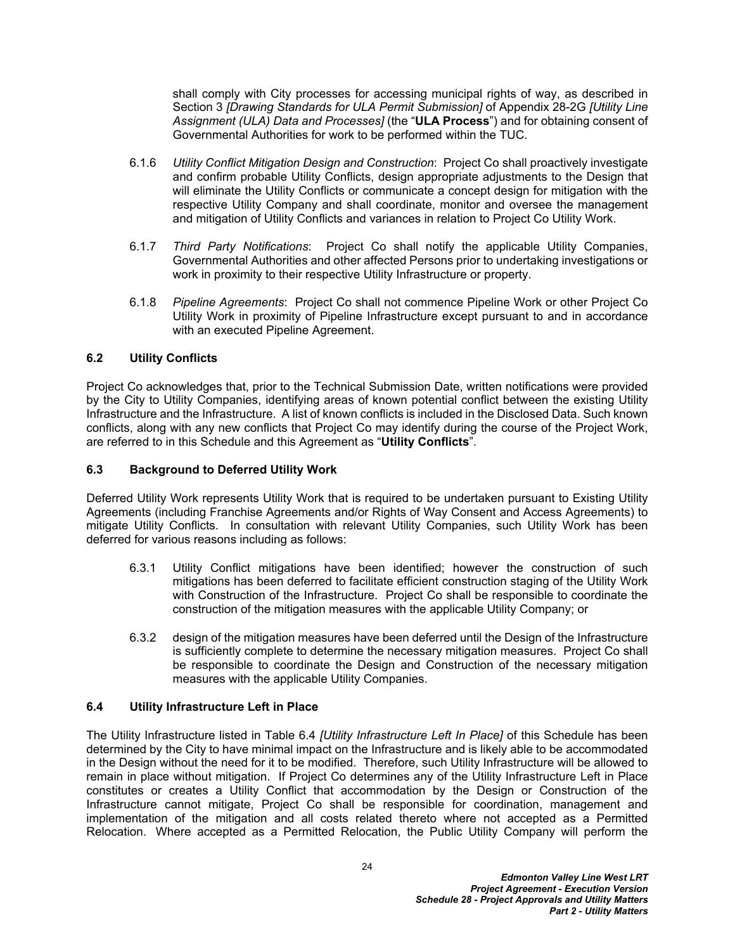shall comply with City processes for accessing municipal rights of way, as described in Section 3 *[Drawing Standards for ULA Permit Submission]* of Appendix 28-2G *[Utility Line Assignment (ULA) Data and Processes]* (the "**ULA Process**") and for obtaining consent of Governmental Authorities for work to be performed within the TUC.

- 6.1.6 *Utility Conflict Mitigation Design and Construction*: Project Co shall proactively investigate and confirm probable Utility Conflicts, design appropriate adjustments to the Design that will eliminate the Utility Conflicts or communicate a concept design for mitigation with the respective Utility Company and shall coordinate, monitor and oversee the management and mitigation of Utility Conflicts and variances in relation to Project Co Utility Work.
- 6.1.7 *Third Party Notifications*: Project Co shall notify the applicable Utility Companies, Governmental Authorities and other affected Persons prior to undertaking investigations or work in proximity to their respective Utility Infrastructure or property.
- 6.1.8 *Pipeline Agreements*: Project Co shall not commence Pipeline Work or other Project Co Utility Work in proximity of Pipeline Infrastructure except pursuant to and in accordance with an executed Pipeline Agreement.

### <span id="page-26-0"></span>**6.2 Utility Conflicts**

Project Co acknowledges that, prior to the Technical Submission Date, written notifications were provided by the City to Utility Companies, identifying areas of known potential conflict between the existing Utility Infrastructure and the Infrastructure. A list of known conflicts is included in the Disclosed Data. Such known conflicts, along with any new conflicts that Project Co may identify during the course of the Project Work, are referred to in this Schedule and this Agreement as "**Utility Conflicts**".

#### <span id="page-26-1"></span>**6.3 Background to Deferred Utility Work**

Deferred Utility Work represents Utility Work that is required to be undertaken pursuant to Existing Utility Agreements (including Franchise Agreements and/or Rights of Way Consent and Access Agreements) to mitigate Utility Conflicts. In consultation with relevant Utility Companies, such Utility Work has been deferred for various reasons including as follows:

- 6.3.1 Utility Conflict mitigations have been identified; however the construction of such mitigations has been deferred to facilitate efficient construction staging of the Utility Work with Construction of the Infrastructure. Project Co shall be responsible to coordinate the construction of the mitigation measures with the applicable Utility Company; or
- 6.3.2 design of the mitigation measures have been deferred until the Design of the Infrastructure is sufficiently complete to determine the necessary mitigation measures. Project Co shall be responsible to coordinate the Design and Construction of the necessary mitigation measures with the applicable Utility Companies.

#### <span id="page-26-2"></span>**6.4 Utility Infrastructure Left in Place**

The Utility Infrastructure listed in Table 6.4 *[Utility Infrastructure Left In Place]* of this Schedule has been determined by the City to have minimal impact on the Infrastructure and is likely able to be accommodated in the Design without the need for it to be modified. Therefore, such Utility Infrastructure will be allowed to remain in place without mitigation. If Project Co determines any of the Utility Infrastructure Left in Place constitutes or creates a Utility Conflict that accommodation by the Design or Construction of the Infrastructure cannot mitigate, Project Co shall be responsible for coordination, management and implementation of the mitigation and all costs related thereto where not accepted as a Permitted Relocation. Where accepted as a Permitted Relocation, the Public Utility Company will perform the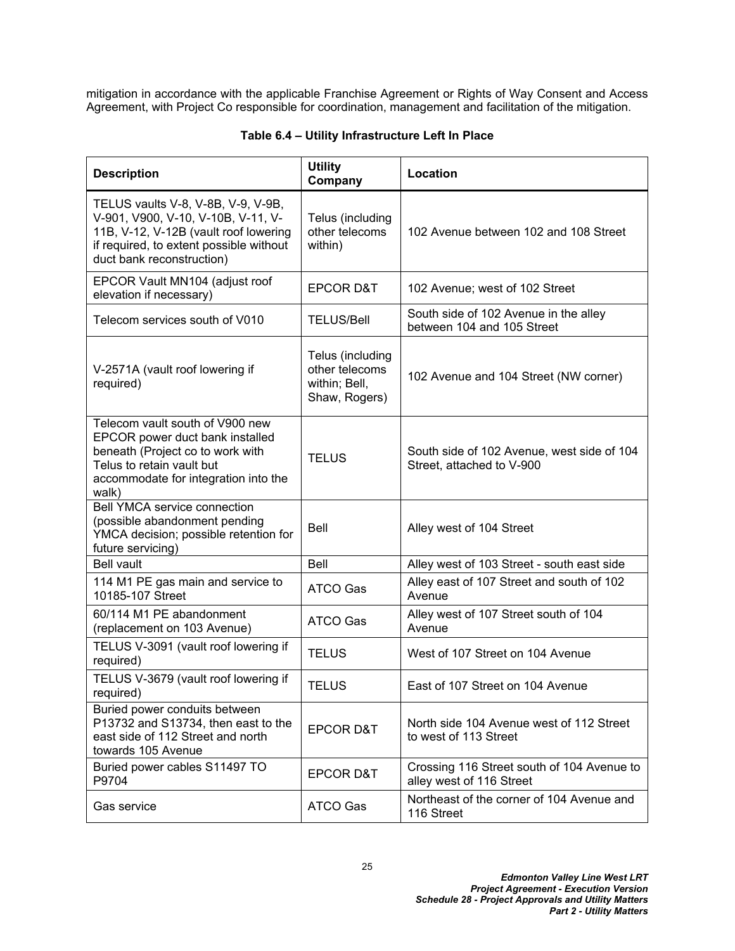mitigation in accordance with the applicable Franchise Agreement or Rights of Way Consent and Access Agreement, with Project Co responsible for coordination, management and facilitation of the mitigation.

| <b>Description</b>                                                                                                                                                                        | <b>Utility</b><br>Company                                            | Location                                                                |
|-------------------------------------------------------------------------------------------------------------------------------------------------------------------------------------------|----------------------------------------------------------------------|-------------------------------------------------------------------------|
| TELUS vaults V-8, V-8B, V-9, V-9B,<br>V-901, V900, V-10, V-10B, V-11, V-<br>11B, V-12, V-12B (vault roof lowering<br>if required, to extent possible without<br>duct bank reconstruction) | Telus (including<br>other telecoms<br>within)                        | 102 Avenue between 102 and 108 Street                                   |
| EPCOR Vault MN104 (adjust roof<br>elevation if necessary)                                                                                                                                 | <b>EPCOR D&amp;T</b>                                                 | 102 Avenue; west of 102 Street                                          |
| Telecom services south of V010                                                                                                                                                            | <b>TELUS/Bell</b>                                                    | South side of 102 Avenue in the alley<br>between 104 and 105 Street     |
| V-2571A (vault roof lowering if<br>required)                                                                                                                                              | Telus (including<br>other telecoms<br>within; Bell,<br>Shaw, Rogers) | 102 Avenue and 104 Street (NW corner)                                   |
| Telecom vault south of V900 new<br>EPCOR power duct bank installed<br>beneath (Project co to work with<br>Telus to retain vault but<br>accommodate for integration into the<br>walk)      | <b>TELUS</b>                                                         | South side of 102 Avenue, west side of 104<br>Street, attached to V-900 |
| <b>Bell YMCA service connection</b><br>(possible abandonment pending<br>YMCA decision; possible retention for<br>future servicing)                                                        | <b>Bell</b>                                                          | Alley west of 104 Street                                                |
| <b>Bell vault</b>                                                                                                                                                                         | <b>Bell</b>                                                          | Alley west of 103 Street - south east side                              |
| 114 M1 PE gas main and service to<br>10185-107 Street                                                                                                                                     | <b>ATCO Gas</b>                                                      | Alley east of 107 Street and south of 102<br>Avenue                     |
| 60/114 M1 PE abandonment<br>(replacement on 103 Avenue)                                                                                                                                   | <b>ATCO Gas</b>                                                      | Alley west of 107 Street south of 104<br>Avenue                         |
| TELUS V-3091 (vault roof lowering if<br>required)                                                                                                                                         | <b>TELUS</b>                                                         | West of 107 Street on 104 Avenue                                        |
| TELUS V-3679 (vault roof lowering if<br>required)                                                                                                                                         | <b>TELUS</b>                                                         | East of 107 Street on 104 Avenue                                        |
| Buried power conduits between<br>P13732 and S13734, then east to the<br>east side of 112 Street and north<br>towards 105 Avenue                                                           | <b>EPCOR D&amp;T</b>                                                 | North side 104 Avenue west of 112 Street<br>to west of 113 Street       |
| Buried power cables S11497 TO<br>P9704                                                                                                                                                    | <b>EPCOR D&amp;T</b>                                                 | Crossing 116 Street south of 104 Avenue to<br>alley west of 116 Street  |
| Gas service                                                                                                                                                                               | ATCO Gas                                                             | Northeast of the corner of 104 Avenue and<br>116 Street                 |

# **Table 6.4 – Utility Infrastructure Left In Place**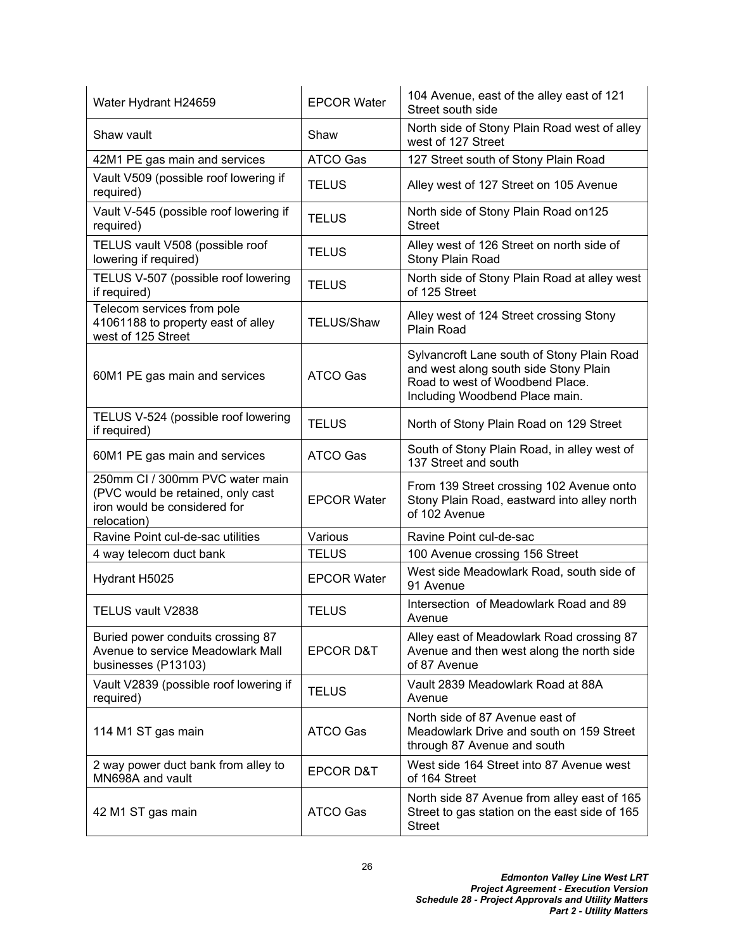| Water Hydrant H24659                                                                                                | <b>EPCOR Water</b>   | 104 Avenue, east of the alley east of 121<br>Street south side                                                                                           |
|---------------------------------------------------------------------------------------------------------------------|----------------------|----------------------------------------------------------------------------------------------------------------------------------------------------------|
| Shaw vault                                                                                                          | Shaw                 | North side of Stony Plain Road west of alley<br>west of 127 Street                                                                                       |
| 42M1 PE gas main and services                                                                                       | <b>ATCO Gas</b>      | 127 Street south of Stony Plain Road                                                                                                                     |
| Vault V509 (possible roof lowering if<br>required)                                                                  | <b>TELUS</b>         | Alley west of 127 Street on 105 Avenue                                                                                                                   |
| Vault V-545 (possible roof lowering if<br>required)                                                                 | <b>TELUS</b>         | North side of Stony Plain Road on 125<br><b>Street</b>                                                                                                   |
| TELUS vault V508 (possible roof<br>lowering if required)                                                            | <b>TELUS</b>         | Alley west of 126 Street on north side of<br>Stony Plain Road                                                                                            |
| TELUS V-507 (possible roof lowering<br>if required)                                                                 | <b>TELUS</b>         | North side of Stony Plain Road at alley west<br>of 125 Street                                                                                            |
| Telecom services from pole<br>41061188 to property east of alley<br>west of 125 Street                              | <b>TELUS/Shaw</b>    | Alley west of 124 Street crossing Stony<br>Plain Road                                                                                                    |
| 60M1 PE gas main and services                                                                                       | ATCO Gas             | Sylvancroft Lane south of Stony Plain Road<br>and west along south side Stony Plain<br>Road to west of Woodbend Place.<br>Including Woodbend Place main. |
| TELUS V-524 (possible roof lowering<br>if required)                                                                 | <b>TELUS</b>         | North of Stony Plain Road on 129 Street                                                                                                                  |
| 60M1 PE gas main and services                                                                                       | ATCO Gas             | South of Stony Plain Road, in alley west of<br>137 Street and south                                                                                      |
| 250mm CI / 300mm PVC water main<br>(PVC would be retained, only cast<br>iron would be considered for<br>relocation) | <b>EPCOR Water</b>   | From 139 Street crossing 102 Avenue onto<br>Stony Plain Road, eastward into alley north<br>of 102 Avenue                                                 |
| Ravine Point cul-de-sac utilities                                                                                   | Various              | Ravine Point cul-de-sac                                                                                                                                  |
| 4 way telecom duct bank                                                                                             | <b>TELUS</b>         | 100 Avenue crossing 156 Street                                                                                                                           |
| Hydrant H5025                                                                                                       | <b>EPCOR Water</b>   | West side Meadowlark Road, south side of<br>91 Avenue                                                                                                    |
| TELUS vault V2838                                                                                                   | <b>TELUS</b>         | Intersection of Meadowlark Road and 89<br>Avenue                                                                                                         |
| Buried power conduits crossing 87<br>Avenue to service Meadowlark Mall<br>businesses (P13103)                       | <b>EPCOR D&amp;T</b> | Alley east of Meadowlark Road crossing 87<br>Avenue and then west along the north side<br>of 87 Avenue                                                   |
| Vault V2839 (possible roof lowering if<br>required)                                                                 | <b>TELUS</b>         | Vault 2839 Meadowlark Road at 88A<br>Avenue                                                                                                              |
| 114 M1 ST gas main                                                                                                  | ATCO Gas             | North side of 87 Avenue east of<br>Meadowlark Drive and south on 159 Street<br>through 87 Avenue and south                                               |
| 2 way power duct bank from alley to<br>MN698A and vault                                                             | <b>EPCOR D&amp;T</b> | West side 164 Street into 87 Avenue west<br>of 164 Street                                                                                                |
| 42 M1 ST gas main                                                                                                   | ATCO Gas             | North side 87 Avenue from alley east of 165<br>Street to gas station on the east side of 165<br><b>Street</b>                                            |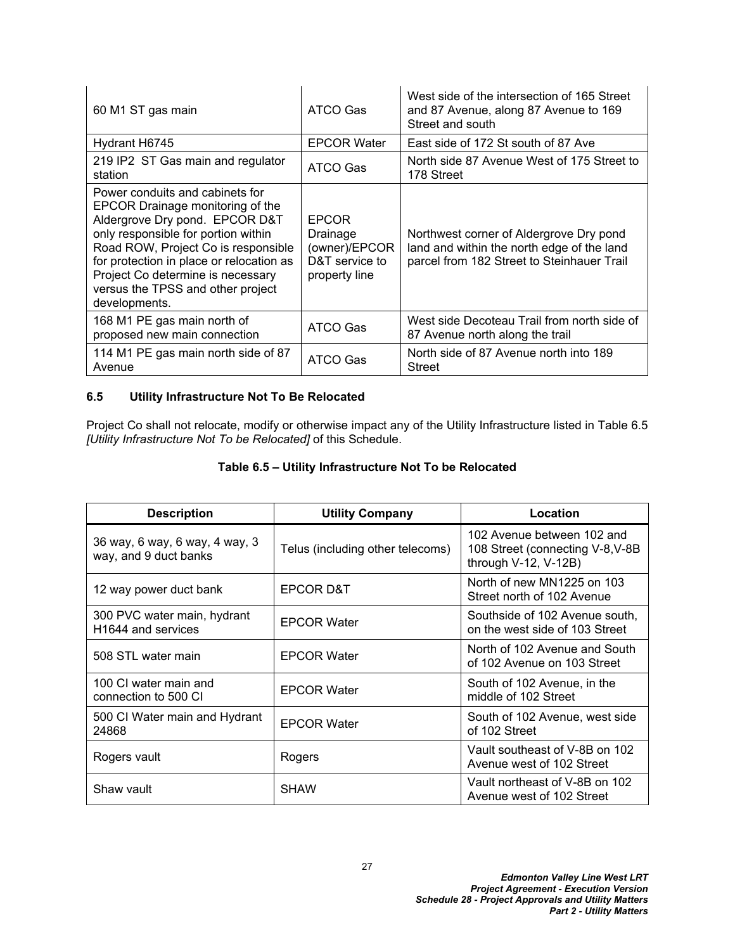| 60 M1 ST gas main                                                                                                                                                                                                                                                                                                          | ATCO Gas                                                                     | West side of the intersection of 165 Street<br>and 87 Avenue, along 87 Avenue to 169<br>Street and south                            |
|----------------------------------------------------------------------------------------------------------------------------------------------------------------------------------------------------------------------------------------------------------------------------------------------------------------------------|------------------------------------------------------------------------------|-------------------------------------------------------------------------------------------------------------------------------------|
| Hydrant H6745                                                                                                                                                                                                                                                                                                              | <b>EPCOR Water</b>                                                           | East side of 172 St south of 87 Ave                                                                                                 |
| 219 IP2 ST Gas main and regulator<br>station                                                                                                                                                                                                                                                                               | ATCO Gas                                                                     | North side 87 Avenue West of 175 Street to<br>178 Street                                                                            |
| Power conduits and cabinets for<br>EPCOR Drainage monitoring of the<br>Aldergrove Dry pond. EPCOR D&T<br>only responsible for portion within<br>Road ROW, Project Co is responsible<br>for protection in place or relocation as<br>Project Co determine is necessary<br>versus the TPSS and other project<br>developments. | <b>EPCOR</b><br>Drainage<br>(owner)/EPCOR<br>D&T service to<br>property line | Northwest corner of Aldergrove Dry pond<br>land and within the north edge of the land<br>parcel from 182 Street to Steinhauer Trail |
| 168 M1 PE gas main north of<br>proposed new main connection                                                                                                                                                                                                                                                                | ATCO Gas                                                                     | West side Decoteau Trail from north side of<br>87 Avenue north along the trail                                                      |
| 114 M1 PE gas main north side of 87<br>Avenue                                                                                                                                                                                                                                                                              | ATCO Gas                                                                     | North side of 87 Avenue north into 189<br><b>Street</b>                                                                             |

### <span id="page-29-0"></span>**6.5 Utility Infrastructure Not To Be Relocated**

Project Co shall not relocate, modify or otherwise impact any of the Utility Infrastructure listed in Table 6.5 *[Utility Infrastructure Not To be Relocated]* of this Schedule.

| <b>Description</b>                                      | <b>Utility Company</b>           | Location                                                                                |
|---------------------------------------------------------|----------------------------------|-----------------------------------------------------------------------------------------|
| 36 way, 6 way, 6 way, 4 way, 3<br>way, and 9 duct banks | Telus (including other telecoms) | 102 Avenue between 102 and<br>108 Street (connecting V-8, V-8B)<br>through V-12, V-12B) |
| 12 way power duct bank                                  | EPCOR D&T                        | North of new MN1225 on 103<br>Street north of 102 Avenue                                |
| 300 PVC water main, hydrant<br>H1644 and services       | <b>EPCOR Water</b>               | Southside of 102 Avenue south,<br>on the west side of 103 Street                        |
| 508 STL water main                                      | <b>EPCOR Water</b>               | North of 102 Avenue and South<br>of 102 Avenue on 103 Street                            |
| 100 CI water main and<br>connection to 500 CI           | <b>EPCOR Water</b>               | South of 102 Avenue, in the<br>middle of 102 Street                                     |
| 500 CI Water main and Hydrant<br>24868                  | <b>EPCOR Water</b>               | South of 102 Avenue, west side<br>of 102 Street                                         |
| Rogers vault                                            | Rogers                           | Vault southeast of V-8B on 102<br>Avenue west of 102 Street                             |
| Shaw vault                                              | <b>SHAW</b>                      | Vault northeast of V-8B on 102<br>Avenue west of 102 Street                             |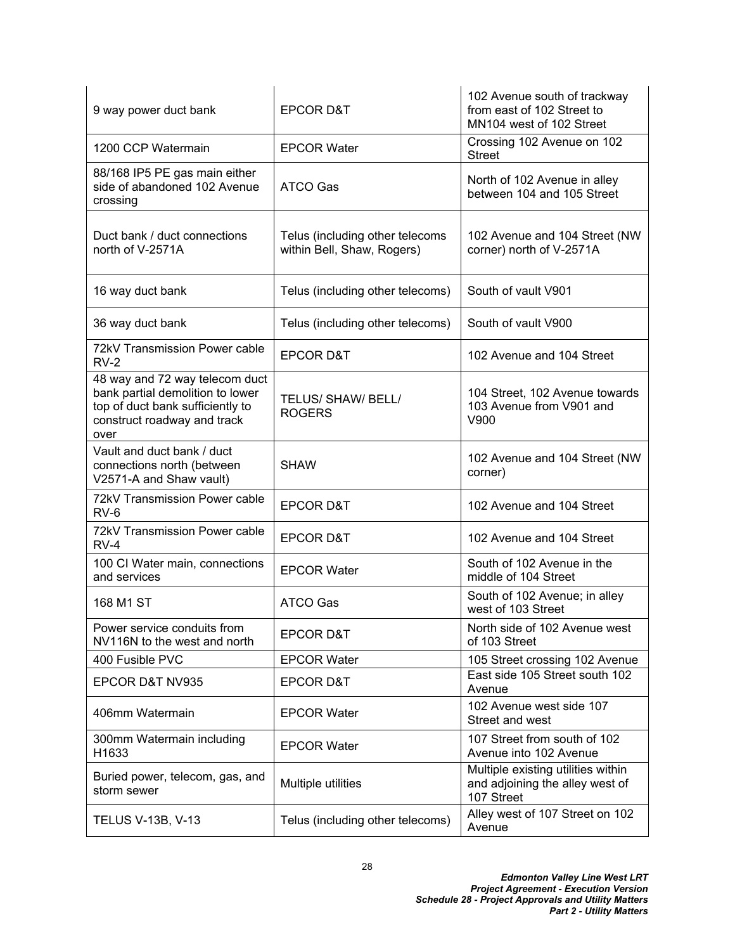| 9 way power duct bank                                                                                                                         | EPCOR D&T                                                     | 102 Avenue south of trackway<br>from east of 102 Street to<br>MN104 west of 102 Street |
|-----------------------------------------------------------------------------------------------------------------------------------------------|---------------------------------------------------------------|----------------------------------------------------------------------------------------|
| 1200 CCP Watermain                                                                                                                            | <b>EPCOR Water</b>                                            | Crossing 102 Avenue on 102<br><b>Street</b>                                            |
| 88/168 IP5 PE gas main either<br>side of abandoned 102 Avenue<br>crossing                                                                     | ATCO Gas                                                      | North of 102 Avenue in alley<br>between 104 and 105 Street                             |
| Duct bank / duct connections<br>north of V-2571A                                                                                              | Telus (including other telecoms<br>within Bell, Shaw, Rogers) | 102 Avenue and 104 Street (NW<br>corner) north of V-2571A                              |
| 16 way duct bank                                                                                                                              | Telus (including other telecoms)                              | South of vault V901                                                                    |
| 36 way duct bank                                                                                                                              | Telus (including other telecoms)                              | South of vault V900                                                                    |
| 72kV Transmission Power cable<br>$RV-2$                                                                                                       | <b>EPCOR D&amp;T</b>                                          | 102 Avenue and 104 Street                                                              |
| 48 way and 72 way telecom duct<br>bank partial demolition to lower<br>top of duct bank sufficiently to<br>construct roadway and track<br>over | <b>TELUS/ SHAW/ BELL/</b><br><b>ROGERS</b>                    | 104 Street, 102 Avenue towards<br>103 Avenue from V901 and<br>V900                     |
| Vault and duct bank / duct<br>connections north (between<br>V2571-A and Shaw vault)                                                           | <b>SHAW</b>                                                   | 102 Avenue and 104 Street (NW<br>corner)                                               |
| 72kV Transmission Power cable<br>$RV-6$                                                                                                       | <b>EPCOR D&amp;T</b>                                          | 102 Avenue and 104 Street                                                              |
| 72kV Transmission Power cable<br>$RV-4$                                                                                                       | <b>EPCOR D&amp;T</b>                                          | 102 Avenue and 104 Street                                                              |
| 100 CI Water main, connections<br>and services                                                                                                | <b>EPCOR Water</b>                                            | South of 102 Avenue in the<br>middle of 104 Street                                     |
| 168 M1 ST                                                                                                                                     | ATCO Gas                                                      | South of 102 Avenue; in alley<br>west of 103 Street                                    |
| Power service conduits from<br>NV116N to the west and north                                                                                   | <b>EPCOR D&amp;T</b>                                          | North side of 102 Avenue west<br>of 103 Street                                         |
| 400 Fusible PVC                                                                                                                               | <b>EPCOR Water</b>                                            | 105 Street crossing 102 Avenue                                                         |
| EPCOR D&T NV935                                                                                                                               | EPCOR D&T                                                     | East side 105 Street south 102<br>Avenue                                               |
| 406mm Watermain                                                                                                                               | <b>EPCOR Water</b>                                            | 102 Avenue west side 107<br>Street and west                                            |
| 300mm Watermain including<br>H1633                                                                                                            | <b>EPCOR Water</b>                                            | 107 Street from south of 102<br>Avenue into 102 Avenue                                 |
| Buried power, telecom, gas, and<br>storm sewer                                                                                                | Multiple utilities                                            | Multiple existing utilities within<br>and adjoining the alley west of<br>107 Street    |
| <b>TELUS V-13B, V-13</b>                                                                                                                      | Telus (including other telecoms)                              | Alley west of 107 Street on 102<br>Avenue                                              |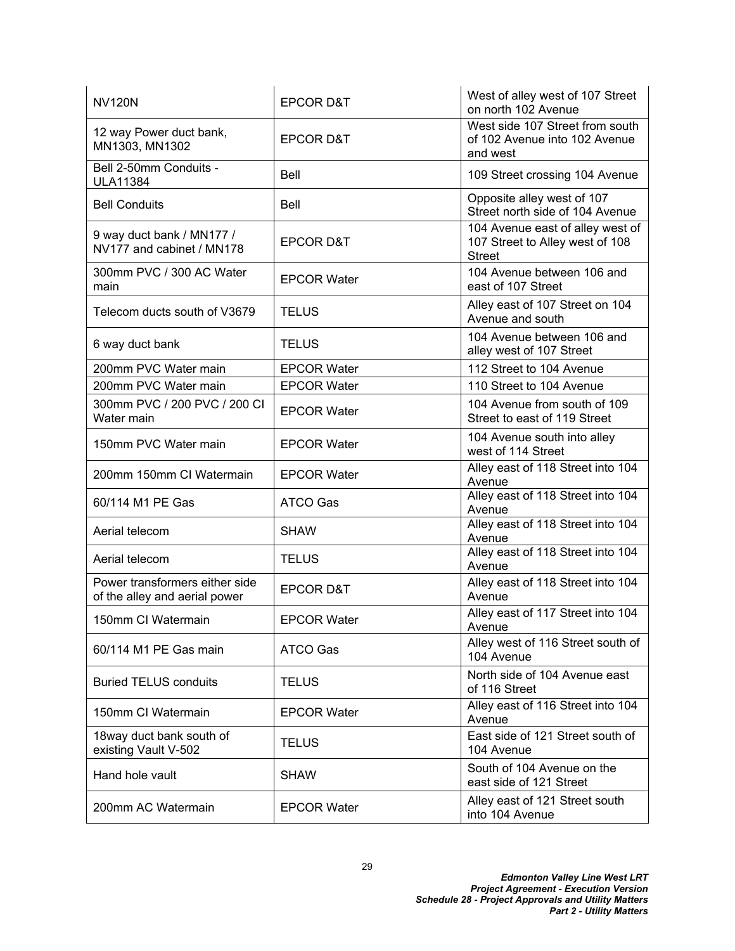| <b>NV120N</b>                                                   | <b>EPCOR D&amp;T</b> | West of alley west of 107 Street<br>on north 102 Avenue                              |
|-----------------------------------------------------------------|----------------------|--------------------------------------------------------------------------------------|
| 12 way Power duct bank,<br>MN1303, MN1302                       | <b>EPCOR D&amp;T</b> | West side 107 Street from south<br>of 102 Avenue into 102 Avenue<br>and west         |
| Bell 2-50mm Conduits -<br><b>ULA11384</b>                       | Bell                 | 109 Street crossing 104 Avenue                                                       |
| <b>Bell Conduits</b>                                            | Bell                 | Opposite alley west of 107<br>Street north side of 104 Avenue                        |
| 9 way duct bank / MN177 /<br>NV177 and cabinet / MN178          | <b>EPCOR D&amp;T</b> | 104 Avenue east of alley west of<br>107 Street to Alley west of 108<br><b>Street</b> |
| 300mm PVC / 300 AC Water<br>main                                | <b>EPCOR Water</b>   | 104 Avenue between 106 and<br>east of 107 Street                                     |
| Telecom ducts south of V3679                                    | TELUS                | Alley east of 107 Street on 104<br>Avenue and south                                  |
| 6 way duct bank                                                 | <b>TELUS</b>         | 104 Avenue between 106 and<br>alley west of 107 Street                               |
| 200mm PVC Water main                                            | <b>EPCOR Water</b>   | 112 Street to 104 Avenue                                                             |
| 200mm PVC Water main                                            | <b>EPCOR Water</b>   | 110 Street to 104 Avenue                                                             |
| 300mm PVC / 200 PVC / 200 CI<br>Water main                      | <b>EPCOR Water</b>   | 104 Avenue from south of 109<br>Street to east of 119 Street                         |
| 150mm PVC Water main                                            | <b>EPCOR Water</b>   | 104 Avenue south into alley<br>west of 114 Street                                    |
| 200mm 150mm CI Watermain                                        | <b>EPCOR Water</b>   | Alley east of 118 Street into 104<br>Avenue                                          |
| 60/114 M1 PE Gas                                                | <b>ATCO Gas</b>      | Alley east of 118 Street into 104<br>Avenue                                          |
| Aerial telecom                                                  | <b>SHAW</b>          | Alley east of 118 Street into 104<br>Avenue                                          |
| Aerial telecom                                                  | <b>TELUS</b>         | Alley east of 118 Street into 104<br>Avenue                                          |
| Power transformers either side<br>of the alley and aerial power | <b>EPCOR D&amp;T</b> | Alley east of 118 Street into 104<br>Avenue                                          |
| 150mm CI Watermain                                              | <b>EPCOR Water</b>   | Alley east of 117 Street into 104<br>Avenue                                          |
| 60/114 M1 PE Gas main                                           | ATCO Gas             | Alley west of 116 Street south of<br>104 Avenue                                      |
| <b>Buried TELUS conduits</b>                                    | <b>TELUS</b>         | North side of 104 Avenue east<br>of 116 Street                                       |
| 150mm CI Watermain                                              | <b>EPCOR Water</b>   | Alley east of 116 Street into 104<br>Avenue                                          |
| 18way duct bank south of<br>existing Vault V-502                | TELUS                | East side of 121 Street south of<br>104 Avenue                                       |
| Hand hole vault                                                 | <b>SHAW</b>          | South of 104 Avenue on the<br>east side of 121 Street                                |
| 200mm AC Watermain                                              | <b>EPCOR Water</b>   | Alley east of 121 Street south<br>into 104 Avenue                                    |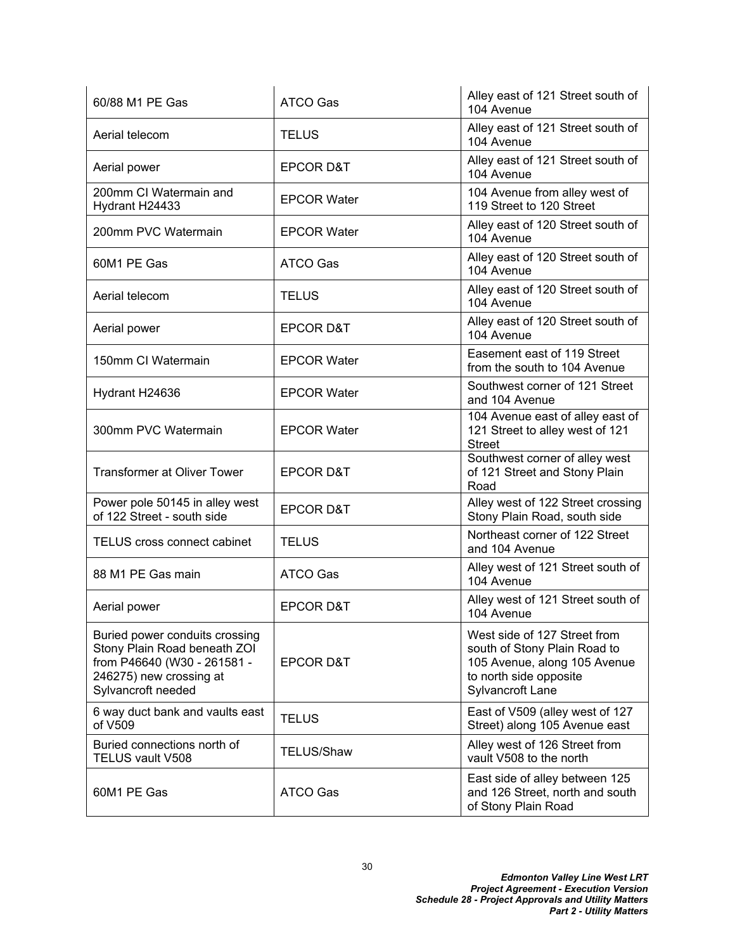| 60/88 M1 PE Gas                                                                                                                                | <b>ATCO Gas</b>      | Alley east of 121 Street south of<br>104 Avenue                                                                                            |
|------------------------------------------------------------------------------------------------------------------------------------------------|----------------------|--------------------------------------------------------------------------------------------------------------------------------------------|
| Aerial telecom                                                                                                                                 | <b>TELUS</b>         | Alley east of 121 Street south of<br>104 Avenue                                                                                            |
| Aerial power                                                                                                                                   | EPCOR D&T            | Alley east of 121 Street south of<br>104 Avenue                                                                                            |
| 200mm CI Watermain and<br>Hydrant H24433                                                                                                       | <b>EPCOR Water</b>   | 104 Avenue from alley west of<br>119 Street to 120 Street                                                                                  |
| 200mm PVC Watermain                                                                                                                            | <b>EPCOR Water</b>   | Alley east of 120 Street south of<br>104 Avenue                                                                                            |
| 60M1 PE Gas                                                                                                                                    | <b>ATCO Gas</b>      | Alley east of 120 Street south of<br>104 Avenue                                                                                            |
| Aerial telecom                                                                                                                                 | <b>TELUS</b>         | Alley east of 120 Street south of<br>104 Avenue                                                                                            |
| Aerial power                                                                                                                                   | <b>EPCOR D&amp;T</b> | Alley east of 120 Street south of<br>104 Avenue                                                                                            |
| 150mm CI Watermain                                                                                                                             | <b>EPCOR Water</b>   | Easement east of 119 Street<br>from the south to 104 Avenue                                                                                |
| Hydrant H24636                                                                                                                                 | <b>EPCOR Water</b>   | Southwest corner of 121 Street<br>and 104 Avenue                                                                                           |
| 300mm PVC Watermain                                                                                                                            | <b>EPCOR Water</b>   | 104 Avenue east of alley east of<br>121 Street to alley west of 121<br><b>Street</b>                                                       |
| <b>Transformer at Oliver Tower</b>                                                                                                             | <b>EPCOR D&amp;T</b> | Southwest corner of alley west<br>of 121 Street and Stony Plain<br>Road                                                                    |
| Power pole 50145 in alley west<br>of 122 Street - south side                                                                                   | <b>EPCOR D&amp;T</b> | Alley west of 122 Street crossing<br>Stony Plain Road, south side                                                                          |
| <b>TELUS cross connect cabinet</b>                                                                                                             | <b>TELUS</b>         | Northeast corner of 122 Street<br>and 104 Avenue                                                                                           |
| 88 M1 PE Gas main                                                                                                                              | <b>ATCO Gas</b>      | Alley west of 121 Street south of<br>104 Avenue                                                                                            |
| Aerial power                                                                                                                                   | <b>EPCOR D&amp;T</b> | Alley west of 121 Street south of<br>104 Avenue                                                                                            |
| Buried power conduits crossing<br>Stony Plain Road beneath ZOI<br>from P46640 (W30 - 261581 -<br>246275) new crossing at<br>Sylvancroft needed | <b>EPCOR D&amp;T</b> | West side of 127 Street from<br>south of Stony Plain Road to<br>105 Avenue, along 105 Avenue<br>to north side opposite<br>Sylvancroft Lane |
| 6 way duct bank and vaults east<br>of V509                                                                                                     | <b>TELUS</b>         | East of V509 (alley west of 127<br>Street) along 105 Avenue east                                                                           |
| Buried connections north of<br><b>TELUS vault V508</b>                                                                                         | <b>TELUS/Shaw</b>    | Alley west of 126 Street from<br>vault V508 to the north                                                                                   |
| 60M1 PE Gas                                                                                                                                    | <b>ATCO Gas</b>      | East side of alley between 125<br>and 126 Street, north and south<br>of Stony Plain Road                                                   |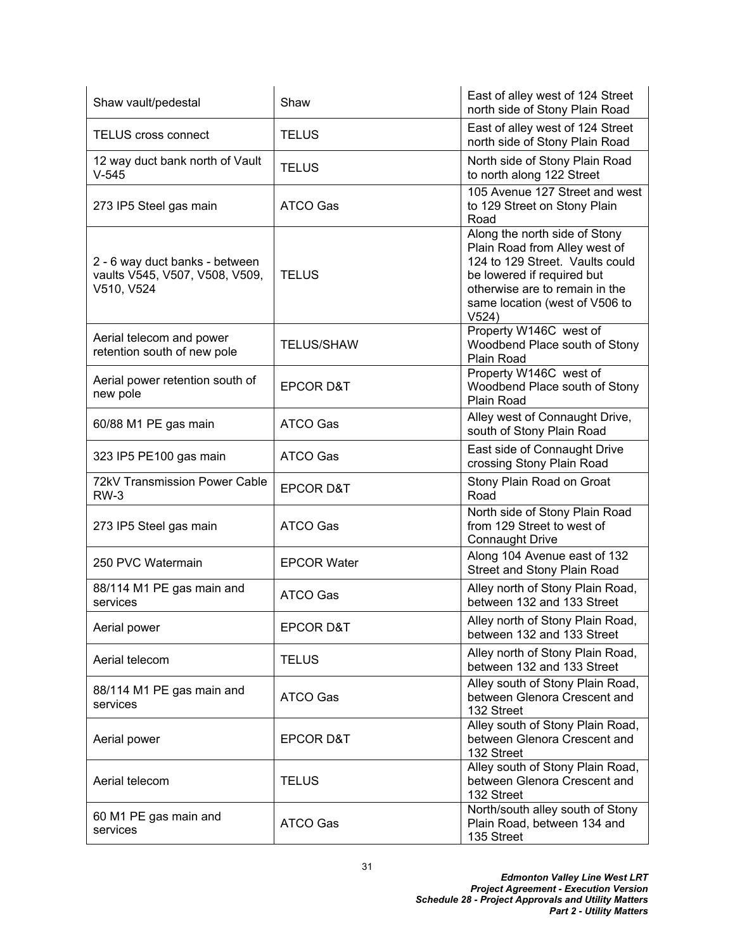| Shaw vault/pedestal                                                            | Shaw                 | East of alley west of 124 Street<br>north side of Stony Plain Road                                                                                                                                           |
|--------------------------------------------------------------------------------|----------------------|--------------------------------------------------------------------------------------------------------------------------------------------------------------------------------------------------------------|
| <b>TELUS cross connect</b>                                                     | <b>TELUS</b>         | East of alley west of 124 Street<br>north side of Stony Plain Road                                                                                                                                           |
| 12 way duct bank north of Vault<br>$V-545$                                     | <b>TELUS</b>         | North side of Stony Plain Road<br>to north along 122 Street                                                                                                                                                  |
| 273 IP5 Steel gas main                                                         | <b>ATCO Gas</b>      | 105 Avenue 127 Street and west<br>to 129 Street on Stony Plain<br>Road                                                                                                                                       |
| 2 - 6 way duct banks - between<br>vaults V545, V507, V508, V509,<br>V510, V524 | <b>TELUS</b>         | Along the north side of Stony<br>Plain Road from Alley west of<br>124 to 129 Street. Vaults could<br>be lowered if required but<br>otherwise are to remain in the<br>same location (west of V506 to<br>V524) |
| Aerial telecom and power<br>retention south of new pole                        | <b>TELUS/SHAW</b>    | Property W146C west of<br>Woodbend Place south of Stony<br>Plain Road                                                                                                                                        |
| Aerial power retention south of<br>new pole                                    | <b>EPCOR D&amp;T</b> | Property W146C west of<br>Woodbend Place south of Stony<br>Plain Road                                                                                                                                        |
| 60/88 M1 PE gas main                                                           | ATCO Gas             | Alley west of Connaught Drive,<br>south of Stony Plain Road                                                                                                                                                  |
| 323 IP5 PE100 gas main                                                         | ATCO Gas             | East side of Connaught Drive<br>crossing Stony Plain Road                                                                                                                                                    |
| <b>72kV Transmission Power Cable</b><br>$RW-3$                                 | <b>EPCOR D&amp;T</b> | Stony Plain Road on Groat<br>Road                                                                                                                                                                            |
| 273 IP5 Steel gas main                                                         | ATCO Gas             | North side of Stony Plain Road<br>from 129 Street to west of<br><b>Connaught Drive</b>                                                                                                                       |
| 250 PVC Watermain                                                              | <b>EPCOR Water</b>   | Along 104 Avenue east of 132<br><b>Street and Stony Plain Road</b>                                                                                                                                           |
| 88/114 M1 PE gas main and<br>services                                          | <b>ATCO Gas</b>      | Alley north of Stony Plain Road,<br>between 132 and 133 Street                                                                                                                                               |
| Aerial power                                                                   | <b>EPCOR D&amp;T</b> | Alley north of Stony Plain Road,<br>between 132 and 133 Street                                                                                                                                               |
| Aerial telecom                                                                 | <b>TELUS</b>         | Alley north of Stony Plain Road,<br>between 132 and 133 Street                                                                                                                                               |
| 88/114 M1 PE gas main and<br>services                                          | <b>ATCO Gas</b>      | Alley south of Stony Plain Road,<br>between Glenora Crescent and<br>132 Street                                                                                                                               |
| Aerial power                                                                   | <b>EPCOR D&amp;T</b> | Alley south of Stony Plain Road,<br>between Glenora Crescent and<br>132 Street                                                                                                                               |
| Aerial telecom                                                                 | <b>TELUS</b>         | Alley south of Stony Plain Road,<br>between Glenora Crescent and<br>132 Street                                                                                                                               |
| 60 M1 PE gas main and<br>services                                              | <b>ATCO Gas</b>      | North/south alley south of Stony<br>Plain Road, between 134 and<br>135 Street                                                                                                                                |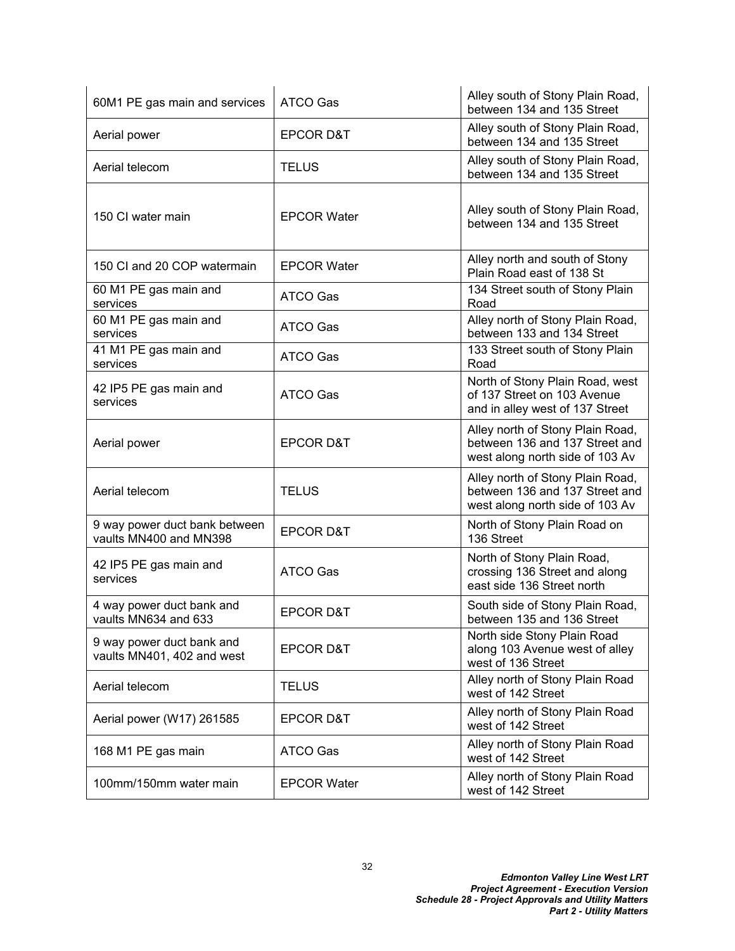| 60M1 PE gas main and services                           | <b>ATCO Gas</b>      | Alley south of Stony Plain Road,<br>between 134 and 135 Street                                        |
|---------------------------------------------------------|----------------------|-------------------------------------------------------------------------------------------------------|
| Aerial power                                            | <b>EPCOR D&amp;T</b> | Alley south of Stony Plain Road,<br>between 134 and 135 Street                                        |
| Aerial telecom                                          | TELUS                | Alley south of Stony Plain Road,<br>between 134 and 135 Street                                        |
| 150 CI water main                                       | <b>EPCOR Water</b>   | Alley south of Stony Plain Road,<br>between 134 and 135 Street                                        |
| 150 CI and 20 COP watermain                             | <b>EPCOR Water</b>   | Alley north and south of Stony<br>Plain Road east of 138 St                                           |
| 60 M1 PE gas main and<br>services                       | ATCO Gas             | 134 Street south of Stony Plain<br>Road                                                               |
| 60 M1 PE gas main and<br>services                       | ATCO Gas             | Alley north of Stony Plain Road,<br>between 133 and 134 Street                                        |
| 41 M1 PE gas main and<br>services                       | ATCO Gas             | 133 Street south of Stony Plain<br>Road                                                               |
| 42 IP5 PE gas main and<br>services                      | ATCO Gas             | North of Stony Plain Road, west<br>of 137 Street on 103 Avenue<br>and in alley west of 137 Street     |
| Aerial power                                            | <b>EPCOR D&amp;T</b> | Alley north of Stony Plain Road,<br>between 136 and 137 Street and<br>west along north side of 103 Av |
| Aerial telecom                                          | <b>TELUS</b>         | Alley north of Stony Plain Road,<br>between 136 and 137 Street and<br>west along north side of 103 Av |
| 9 way power duct bank between<br>vaults MN400 and MN398 | <b>EPCOR D&amp;T</b> | North of Stony Plain Road on<br>136 Street                                                            |
| 42 IP5 PE gas main and<br>services                      | <b>ATCO Gas</b>      | North of Stony Plain Road,<br>crossing 136 Street and along<br>east side 136 Street north             |
| 4 way power duct bank and<br>vaults MN634 and 633       | <b>EPCOR D&amp;T</b> | South side of Stony Plain Road,<br>between 135 and 136 Street                                         |
| 9 way power duct bank and<br>vaults MN401, 402 and west | <b>EPCOR D&amp;T</b> | North side Stony Plain Road<br>along 103 Avenue west of alley<br>west of 136 Street                   |
| Aerial telecom                                          | <b>TELUS</b>         | Alley north of Stony Plain Road<br>west of 142 Street                                                 |
| Aerial power (W17) 261585                               | <b>EPCOR D&amp;T</b> | Alley north of Stony Plain Road<br>west of 142 Street                                                 |
| 168 M1 PE gas main                                      | <b>ATCO Gas</b>      | Alley north of Stony Plain Road<br>west of 142 Street                                                 |
| 100mm/150mm water main                                  | <b>EPCOR Water</b>   | Alley north of Stony Plain Road<br>west of 142 Street                                                 |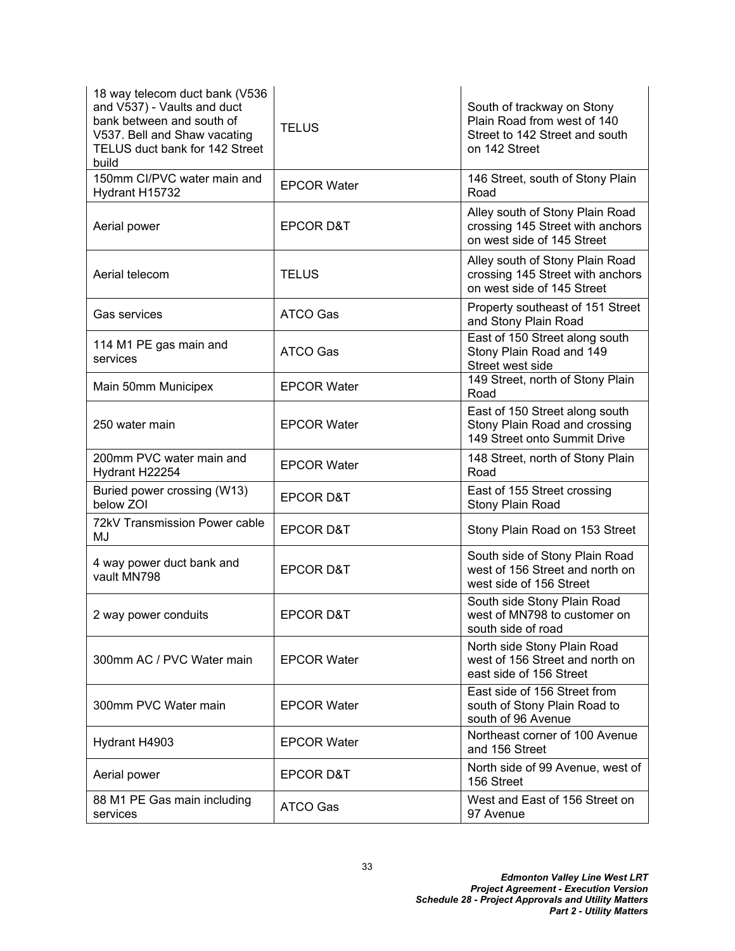| 18 way telecom duct bank (V536<br>and V537) - Vaults and duct<br>bank between and south of<br>V537. Bell and Shaw vacating<br>TELUS duct bank for 142 Street<br>build | <b>TELUS</b>         | South of trackway on Stony<br>Plain Road from west of 140<br>Street to 142 Street and south<br>on 142 Street |
|-----------------------------------------------------------------------------------------------------------------------------------------------------------------------|----------------------|--------------------------------------------------------------------------------------------------------------|
| 150mm CI/PVC water main and<br>Hydrant H15732                                                                                                                         | <b>EPCOR Water</b>   | 146 Street, south of Stony Plain<br>Road                                                                     |
| Aerial power                                                                                                                                                          | <b>EPCOR D&amp;T</b> | Alley south of Stony Plain Road<br>crossing 145 Street with anchors<br>on west side of 145 Street            |
| Aerial telecom                                                                                                                                                        | <b>TELUS</b>         | Alley south of Stony Plain Road<br>crossing 145 Street with anchors<br>on west side of 145 Street            |
| <b>Gas services</b>                                                                                                                                                   | <b>ATCO Gas</b>      | Property southeast of 151 Street<br>and Stony Plain Road                                                     |
| 114 M1 PE gas main and<br>services                                                                                                                                    | ATCO Gas             | East of 150 Street along south<br>Stony Plain Road and 149<br>Street west side                               |
| Main 50mm Municipex                                                                                                                                                   | <b>EPCOR Water</b>   | 149 Street, north of Stony Plain<br>Road                                                                     |
| 250 water main                                                                                                                                                        | <b>EPCOR Water</b>   | East of 150 Street along south<br>Stony Plain Road and crossing<br>149 Street onto Summit Drive              |
| 200mm PVC water main and<br>Hydrant H22254                                                                                                                            | <b>EPCOR Water</b>   | 148 Street, north of Stony Plain<br>Road                                                                     |
| Buried power crossing (W13)<br>below ZOI                                                                                                                              | <b>EPCOR D&amp;T</b> | East of 155 Street crossing<br>Stony Plain Road                                                              |
| 72kV Transmission Power cable<br>MJ                                                                                                                                   | <b>EPCOR D&amp;T</b> | Stony Plain Road on 153 Street                                                                               |
| 4 way power duct bank and<br>vault MN798                                                                                                                              | <b>EPCOR D&amp;T</b> | South side of Stony Plain Road<br>west of 156 Street and north on<br>west side of 156 Street                 |
| 2 way power conduits                                                                                                                                                  | <b>EPCOR D&amp;T</b> | South side Stony Plain Road<br>west of MN798 to customer on<br>south side of road                            |
| 300mm AC / PVC Water main                                                                                                                                             | <b>EPCOR Water</b>   | North side Stony Plain Road<br>west of 156 Street and north on<br>east side of 156 Street                    |
| 300mm PVC Water main                                                                                                                                                  | <b>EPCOR Water</b>   | East side of 156 Street from<br>south of Stony Plain Road to<br>south of 96 Avenue                           |
| Hydrant H4903                                                                                                                                                         | <b>EPCOR Water</b>   | Northeast corner of 100 Avenue<br>and 156 Street                                                             |
| Aerial power                                                                                                                                                          | <b>EPCOR D&amp;T</b> | North side of 99 Avenue, west of<br>156 Street                                                               |
| 88 M1 PE Gas main including<br>services                                                                                                                               | ATCO Gas             | West and East of 156 Street on<br>97 Avenue                                                                  |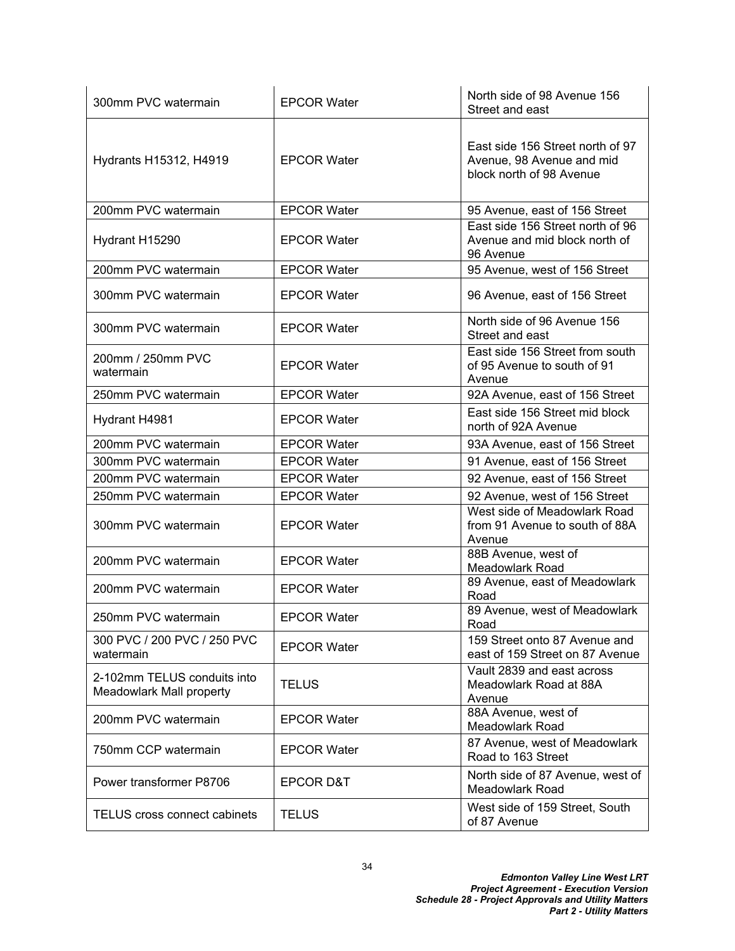| 300mm PVC watermain                                     | <b>EPCOR Water</b>   | North side of 98 Avenue 156<br>Street and east                                            |
|---------------------------------------------------------|----------------------|-------------------------------------------------------------------------------------------|
| Hydrants H15312, H4919                                  | <b>EPCOR Water</b>   | East side 156 Street north of 97<br>Avenue, 98 Avenue and mid<br>block north of 98 Avenue |
| 200mm PVC watermain                                     | <b>EPCOR Water</b>   | 95 Avenue, east of 156 Street                                                             |
| Hydrant H15290                                          | <b>EPCOR Water</b>   | East side 156 Street north of 96<br>Avenue and mid block north of<br>96 Avenue            |
| 200mm PVC watermain                                     | <b>EPCOR Water</b>   | 95 Avenue, west of 156 Street                                                             |
| 300mm PVC watermain                                     | <b>EPCOR Water</b>   | 96 Avenue, east of 156 Street                                                             |
| 300mm PVC watermain                                     | <b>EPCOR Water</b>   | North side of 96 Avenue 156<br>Street and east                                            |
| 200mm / 250mm PVC<br>watermain                          | <b>EPCOR Water</b>   | East side 156 Street from south<br>of 95 Avenue to south of 91<br>Avenue                  |
| 250mm PVC watermain                                     | <b>EPCOR Water</b>   | 92A Avenue, east of 156 Street                                                            |
| Hydrant H4981                                           | <b>EPCOR Water</b>   | East side 156 Street mid block<br>north of 92A Avenue                                     |
| 200mm PVC watermain                                     | <b>EPCOR Water</b>   | 93A Avenue, east of 156 Street                                                            |
| 300mm PVC watermain                                     | <b>EPCOR Water</b>   | 91 Avenue, east of 156 Street                                                             |
| 200mm PVC watermain                                     | <b>EPCOR Water</b>   | 92 Avenue, east of 156 Street                                                             |
| 250mm PVC watermain                                     | <b>EPCOR Water</b>   | 92 Avenue, west of 156 Street                                                             |
| 300mm PVC watermain                                     | <b>EPCOR Water</b>   | West side of Meadowlark Road<br>from 91 Avenue to south of 88A<br>Avenue                  |
| 200mm PVC watermain                                     | <b>EPCOR Water</b>   | 88B Avenue, west of<br><b>Meadowlark Road</b>                                             |
| 200mm PVC watermain                                     | <b>EPCOR Water</b>   | 89 Avenue, east of Meadowlark<br>Road                                                     |
| 250mm PVC watermain                                     | <b>EPCOR Water</b>   | 89 Avenue, west of Meadowlark<br>Road                                                     |
| 300 PVC / 200 PVC / 250 PVC<br>watermain                | <b>EPCOR Water</b>   | 159 Street onto 87 Avenue and<br>east of 159 Street on 87 Avenue                          |
| 2-102mm TELUS conduits into<br>Meadowlark Mall property | <b>TELUS</b>         | Vault 2839 and east across<br>Meadowlark Road at 88A<br>Avenue                            |
| 200mm PVC watermain                                     | <b>EPCOR Water</b>   | 88A Avenue, west of<br><b>Meadowlark Road</b>                                             |
| 750mm CCP watermain                                     | <b>EPCOR Water</b>   | 87 Avenue, west of Meadowlark<br>Road to 163 Street                                       |
| Power transformer P8706                                 | <b>EPCOR D&amp;T</b> | North side of 87 Avenue, west of<br><b>Meadowlark Road</b>                                |
| <b>TELUS</b> cross connect cabinets                     | <b>TELUS</b>         | West side of 159 Street, South<br>of 87 Avenue                                            |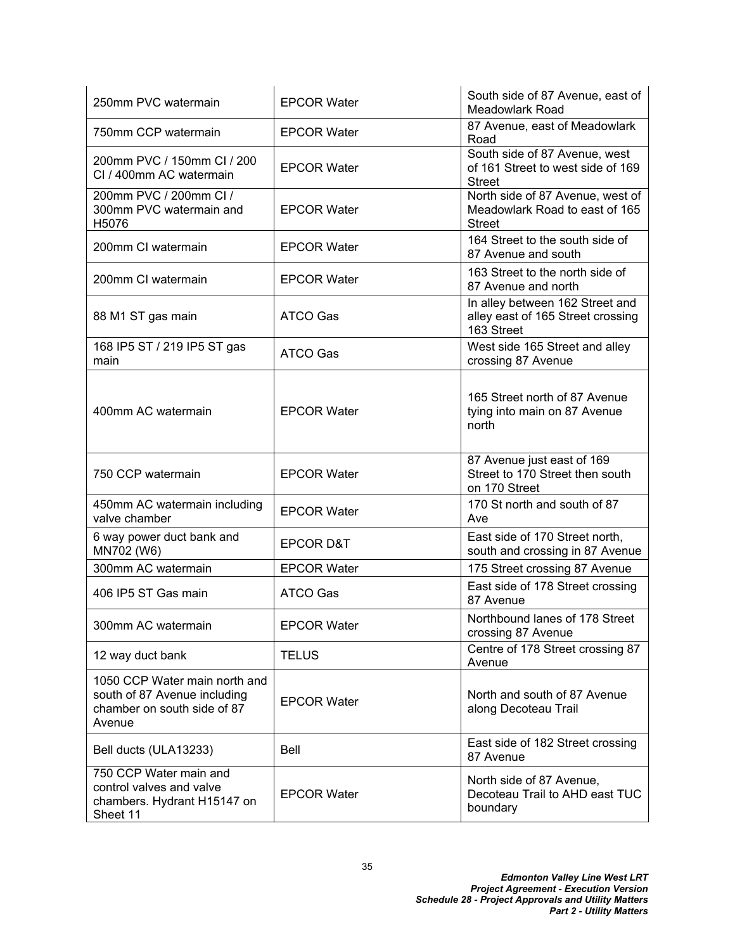| 250mm PVC watermain                                                                                    | <b>EPCOR Water</b>   | South side of 87 Avenue, east of<br>Meadowlark Road                                 |
|--------------------------------------------------------------------------------------------------------|----------------------|-------------------------------------------------------------------------------------|
| 750mm CCP watermain                                                                                    | <b>EPCOR Water</b>   | 87 Avenue, east of Meadowlark<br>Road                                               |
| 200mm PVC / 150mm CI / 200<br>CI / 400mm AC watermain                                                  | <b>EPCOR Water</b>   | South side of 87 Avenue, west<br>of 161 Street to west side of 169<br><b>Street</b> |
| 200mm PVC / 200mm Cl /<br>300mm PVC watermain and<br>H5076                                             | <b>EPCOR Water</b>   | North side of 87 Avenue, west of<br>Meadowlark Road to east of 165<br><b>Street</b> |
| 200mm CI watermain                                                                                     | <b>EPCOR Water</b>   | 164 Street to the south side of<br>87 Avenue and south                              |
| 200mm CI watermain                                                                                     | <b>EPCOR Water</b>   | 163 Street to the north side of<br>87 Avenue and north                              |
| 88 M1 ST gas main                                                                                      | ATCO Gas             | In alley between 162 Street and<br>alley east of 165 Street crossing<br>163 Street  |
| 168 IP5 ST / 219 IP5 ST gas<br>main                                                                    | ATCO Gas             | West side 165 Street and alley<br>crossing 87 Avenue                                |
| 400mm AC watermain                                                                                     | <b>EPCOR Water</b>   | 165 Street north of 87 Avenue<br>tying into main on 87 Avenue<br>north              |
| 750 CCP watermain                                                                                      | <b>EPCOR Water</b>   | 87 Avenue just east of 169<br>Street to 170 Street then south<br>on 170 Street      |
| 450mm AC watermain including<br>valve chamber                                                          | <b>EPCOR Water</b>   | 170 St north and south of 87<br>Ave                                                 |
| 6 way power duct bank and<br>MN702 (W6)                                                                | <b>EPCOR D&amp;T</b> | East side of 170 Street north,<br>south and crossing in 87 Avenue                   |
| 300mm AC watermain                                                                                     | <b>EPCOR Water</b>   | 175 Street crossing 87 Avenue                                                       |
| 406 IP5 ST Gas main                                                                                    | ATCO Gas             | East side of 178 Street crossing<br>87 Avenue                                       |
| 300mm AC watermain                                                                                     | <b>EPCOR Water</b>   | Northbound lanes of 178 Street<br>crossing 87 Avenue                                |
| 12 way duct bank                                                                                       | <b>TELUS</b>         | Centre of 178 Street crossing 87<br>Avenue                                          |
| 1050 CCP Water main north and<br>south of 87 Avenue including<br>chamber on south side of 87<br>Avenue | <b>EPCOR Water</b>   | North and south of 87 Avenue<br>along Decoteau Trail                                |
| Bell ducts (ULA13233)                                                                                  | Bell                 | East side of 182 Street crossing<br>87 Avenue                                       |
| 750 CCP Water main and<br>control valves and valve<br>chambers. Hydrant H15147 on<br>Sheet 11          | <b>EPCOR Water</b>   | North side of 87 Avenue,<br>Decoteau Trail to AHD east TUC<br>boundary              |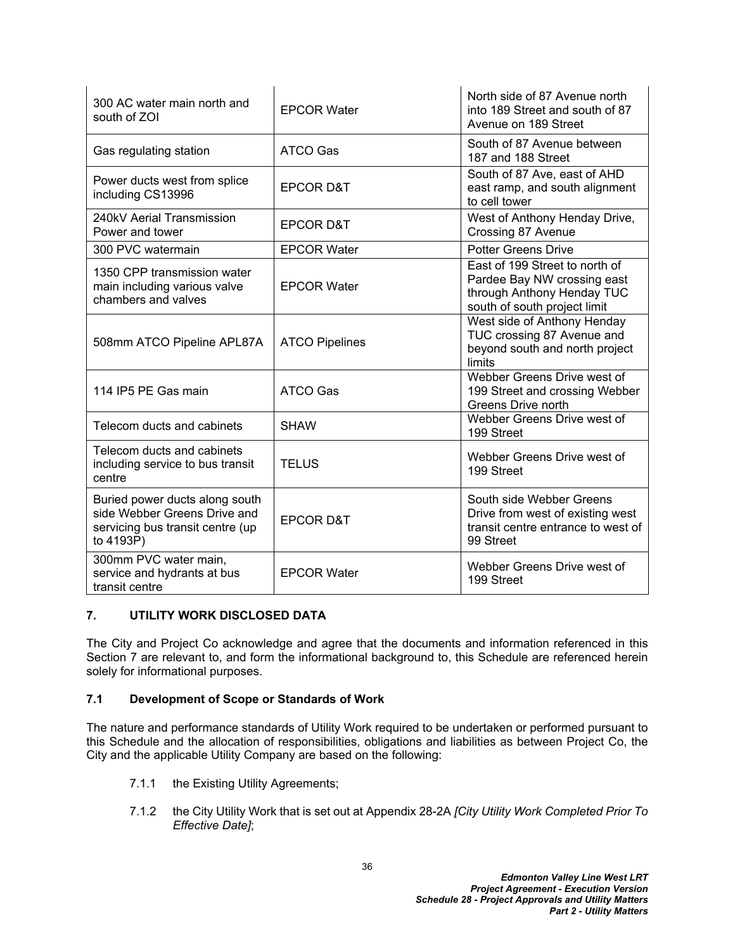| 300 AC water main north and<br>south of ZOI                                                                     | <b>EPCOR Water</b>    | North side of 87 Avenue north<br>into 189 Street and south of 87<br>Avenue on 189 Street                                    |
|-----------------------------------------------------------------------------------------------------------------|-----------------------|-----------------------------------------------------------------------------------------------------------------------------|
| Gas regulating station                                                                                          | ATCO Gas              | South of 87 Avenue between<br>187 and 188 Street                                                                            |
| Power ducts west from splice<br>including CS13996                                                               | <b>EPCOR D&amp;T</b>  | South of 87 Ave, east of AHD<br>east ramp, and south alignment<br>to cell tower                                             |
| 240kV Aerial Transmission<br>Power and tower                                                                    | <b>EPCOR D&amp;T</b>  | West of Anthony Henday Drive,<br>Crossing 87 Avenue                                                                         |
| 300 PVC watermain                                                                                               | <b>EPCOR Water</b>    | <b>Potter Greens Drive</b>                                                                                                  |
| 1350 CPP transmission water<br>main including various valve<br>chambers and valves                              | <b>EPCOR Water</b>    | East of 199 Street to north of<br>Pardee Bay NW crossing east<br>through Anthony Henday TUC<br>south of south project limit |
| 508mm ATCO Pipeline APL87A                                                                                      | <b>ATCO Pipelines</b> | West side of Anthony Henday<br>TUC crossing 87 Avenue and<br>beyond south and north project<br>limits                       |
| 114 IP5 PE Gas main                                                                                             | <b>ATCO Gas</b>       | Webber Greens Drive west of<br>199 Street and crossing Webber<br>Greens Drive north                                         |
| Telecom ducts and cabinets                                                                                      | <b>SHAW</b>           | Webber Greens Drive west of<br>199 Street                                                                                   |
| Telecom ducts and cabinets<br>including service to bus transit<br>centre                                        | <b>TELUS</b>          | Webber Greens Drive west of<br>199 Street                                                                                   |
| Buried power ducts along south<br>side Webber Greens Drive and<br>servicing bus transit centre (up<br>to 4193P) | <b>EPCOR D&amp;T</b>  | South side Webber Greens<br>Drive from west of existing west<br>transit centre entrance to west of<br>99 Street             |
| 300mm PVC water main,<br>service and hydrants at bus<br>transit centre                                          | <b>EPCOR Water</b>    | Webber Greens Drive west of<br>199 Street                                                                                   |

## **7. UTILITY WORK DISCLOSED DATA**

The City and Project Co acknowledge and agree that the documents and information referenced in this Section 7 are relevant to, and form the informational background to, this Schedule are referenced herein solely for informational purposes.

### **7.1 Development of Scope or Standards of Work**

The nature and performance standards of Utility Work required to be undertaken or performed pursuant to this Schedule and the allocation of responsibilities, obligations and liabilities as between Project Co, the City and the applicable Utility Company are based on the following:

- 7.1.1 the Existing Utility Agreements;
- 7.1.2 the City Utility Work that is set out at Appendix 28-2A *[City Utility Work Completed Prior To Effective Date]*;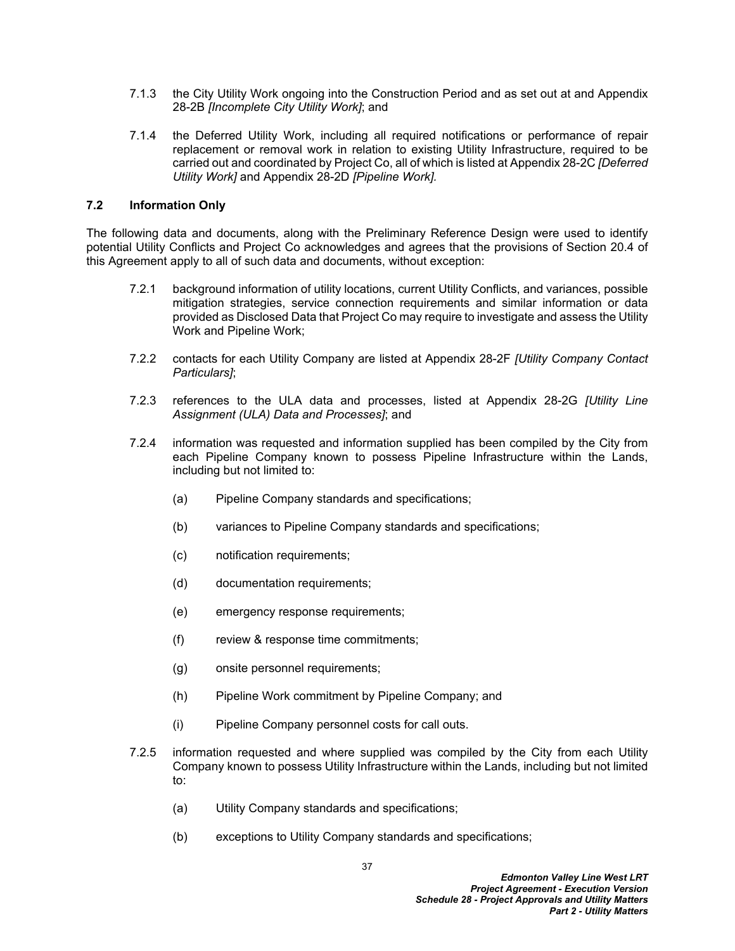- 7.1.3 the City Utility Work ongoing into the Construction Period and as set out at and Appendix 28-2B *[Incomplete City Utility Work]*; and
- 7.1.4 the Deferred Utility Work, including all required notifications or performance of repair replacement or removal work in relation to existing Utility Infrastructure, required to be carried out and coordinated by Project Co, all of which is listed at Appendix 28-2C *[Deferred Utility Work]* and Appendix 28-2D *[Pipeline Work].*

#### **7.2 Information Only**

The following data and documents, along with the Preliminary Reference Design were used to identify potential Utility Conflicts and Project Co acknowledges and agrees that the provisions of Section 20.4 of this Agreement apply to all of such data and documents, without exception:

- 7.2.1 background information of utility locations, current Utility Conflicts, and variances, possible mitigation strategies, service connection requirements and similar information or data provided as Disclosed Data that Project Co may require to investigate and assess the Utility Work and Pipeline Work;
- 7.2.2 contacts for each Utility Company are listed at Appendix 28-2F *[Utility Company Contact Particulars]*;
- 7.2.3 references to the ULA data and processes, listed at Appendix 28-2G *[Utility Line Assignment (ULA) Data and Processes]*; and
- 7.2.4 information was requested and information supplied has been compiled by the City from each Pipeline Company known to possess Pipeline Infrastructure within the Lands, including but not limited to:
	- (a) Pipeline Company standards and specifications;
	- (b) variances to Pipeline Company standards and specifications;
	- (c) notification requirements;
	- (d) documentation requirements;
	- (e) emergency response requirements;
	- (f) review & response time commitments;
	- (g) onsite personnel requirements;
	- (h) Pipeline Work commitment by Pipeline Company; and
	- (i) Pipeline Company personnel costs for call outs.
- 7.2.5 information requested and where supplied was compiled by the City from each Utility Company known to possess Utility Infrastructure within the Lands, including but not limited to:
	- (a) Utility Company standards and specifications;
	- (b) exceptions to Utility Company standards and specifications;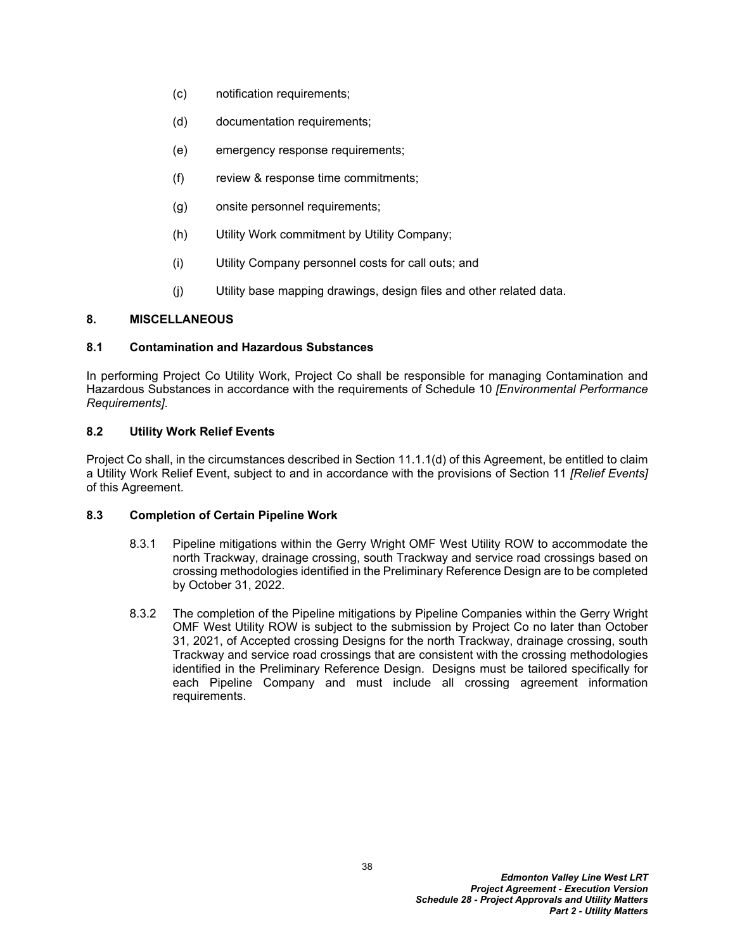- (c) notification requirements;
- (d) documentation requirements;
- (e) emergency response requirements;
- (f) review & response time commitments;
- (g) onsite personnel requirements;
- (h) Utility Work commitment by Utility Company;
- (i) Utility Company personnel costs for call outs; and
- (j) Utility base mapping drawings, design files and other related data.

#### **8. MISCELLANEOUS**

#### **8.1 Contamination and Hazardous Substances**

In performing Project Co Utility Work, Project Co shall be responsible for managing Contamination and Hazardous Substances in accordance with the requirements of Schedule 10 *[Environmental Performance Requirements]*.

#### **8.2 Utility Work Relief Events**

Project Co shall, in the circumstances described in Section 11.1.1(d) of this Agreement, be entitled to claim a Utility Work Relief Event, subject to and in accordance with the provisions of Section 11 *[Relief Events]* of this Agreement.

#### **8.3 Completion of Certain Pipeline Work**

- 8.3.1 Pipeline mitigations within the Gerry Wright OMF West Utility ROW to accommodate the north Trackway, drainage crossing, south Trackway and service road crossings based on crossing methodologies identified in the Preliminary Reference Design are to be completed by October 31, 2022.
- 8.3.2 The completion of the Pipeline mitigations by Pipeline Companies within the Gerry Wright OMF West Utility ROW is subject to the submission by Project Co no later than October 31, 2021, of Accepted crossing Designs for the north Trackway, drainage crossing, south Trackway and service road crossings that are consistent with the crossing methodologies identified in the Preliminary Reference Design. Designs must be tailored specifically for each Pipeline Company and must include all crossing agreement information requirements.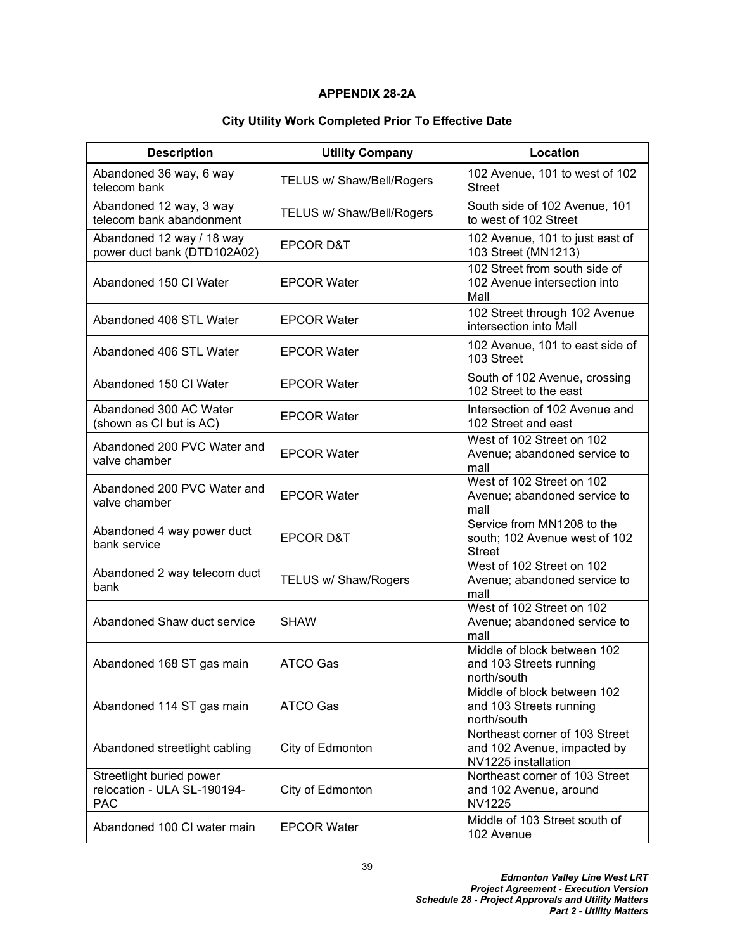### **APPENDIX 28-2A**

# **City Utility Work Completed Prior To Effective Date**

| <b>Description</b>                                                    | <b>Utility Company</b>    | Location                                                                             |
|-----------------------------------------------------------------------|---------------------------|--------------------------------------------------------------------------------------|
| Abandoned 36 way, 6 way<br>telecom bank                               | TELUS w/ Shaw/Bell/Rogers | 102 Avenue, 101 to west of 102<br><b>Street</b>                                      |
| Abandoned 12 way, 3 way<br>telecom bank abandonment                   | TELUS w/ Shaw/Bell/Rogers | South side of 102 Avenue, 101<br>to west of 102 Street                               |
| Abandoned 12 way / 18 way<br>power duct bank (DTD102A02)              | <b>EPCOR D&amp;T</b>      | 102 Avenue, 101 to just east of<br>103 Street (MN1213)                               |
| Abandoned 150 CI Water                                                | <b>EPCOR Water</b>        | 102 Street from south side of<br>102 Avenue intersection into<br>Mall                |
| Abandoned 406 STL Water                                               | <b>EPCOR Water</b>        | 102 Street through 102 Avenue<br>intersection into Mall                              |
| Abandoned 406 STL Water                                               | <b>EPCOR Water</b>        | 102 Avenue, 101 to east side of<br>103 Street                                        |
| Abandoned 150 CI Water                                                | <b>EPCOR Water</b>        | South of 102 Avenue, crossing<br>102 Street to the east                              |
| Abandoned 300 AC Water<br>(shown as CI but is AC)                     | <b>EPCOR Water</b>        | Intersection of 102 Avenue and<br>102 Street and east                                |
| Abandoned 200 PVC Water and<br>valve chamber                          | <b>EPCOR Water</b>        | West of 102 Street on 102<br>Avenue; abandoned service to<br>mall                    |
| Abandoned 200 PVC Water and<br>valve chamber                          | <b>EPCOR Water</b>        | West of 102 Street on 102<br>Avenue; abandoned service to<br>mall                    |
| Abandoned 4 way power duct<br>bank service                            | <b>EPCOR D&amp;T</b>      | Service from MN1208 to the<br>south; 102 Avenue west of 102<br><b>Street</b>         |
| Abandoned 2 way telecom duct<br>bank                                  | TELUS w/ Shaw/Rogers      | West of 102 Street on 102<br>Avenue; abandoned service to<br>mall                    |
| Abandoned Shaw duct service                                           | <b>SHAW</b>               | West of 102 Street on 102<br>Avenue; abandoned service to<br>mall                    |
| Abandoned 168 ST gas main                                             | <b>ATCO Gas</b>           | Middle of block between 102<br>and 103 Streets running<br>north/south                |
| Abandoned 114 ST gas main                                             | <b>ATCO Gas</b>           | Middle of block between 102<br>and 103 Streets running<br>north/south                |
| Abandoned streetlight cabling                                         | City of Edmonton          | Northeast corner of 103 Street<br>and 102 Avenue, impacted by<br>NV1225 installation |
| Streetlight buried power<br>relocation - ULA SL-190194-<br><b>PAC</b> | City of Edmonton          | Northeast corner of 103 Street<br>and 102 Avenue, around<br><b>NV1225</b>            |
| Abandoned 100 CI water main                                           | <b>EPCOR Water</b>        | Middle of 103 Street south of<br>102 Avenue                                          |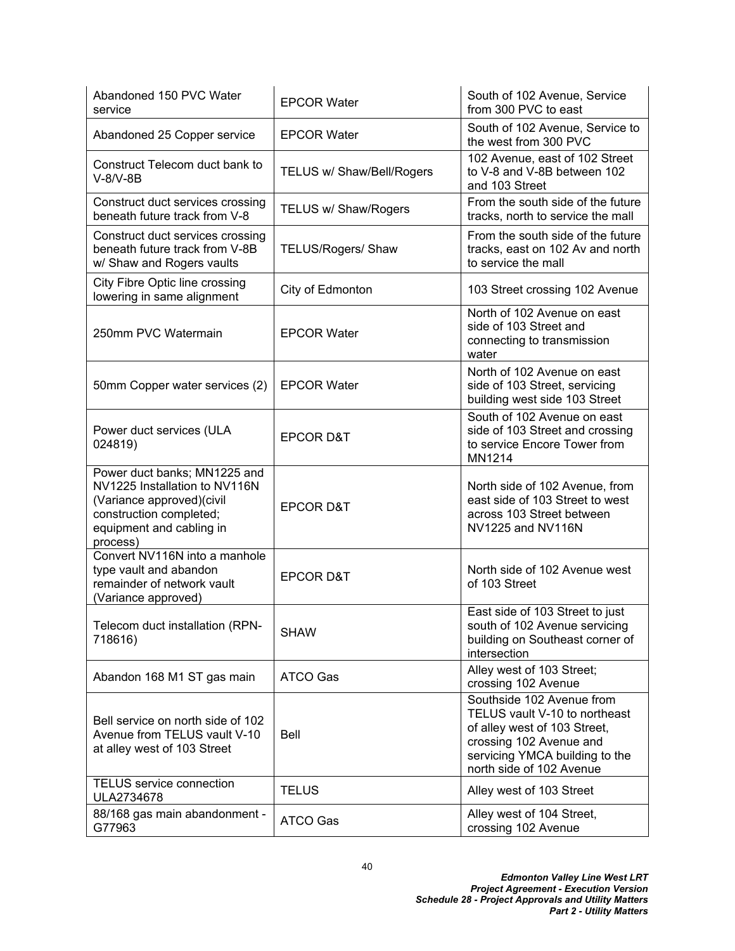| Abandoned 150 PVC Water<br>service                                                                                                                             | <b>EPCOR Water</b>        | South of 102 Avenue, Service<br>from 300 PVC to east                                                                                                                                |
|----------------------------------------------------------------------------------------------------------------------------------------------------------------|---------------------------|-------------------------------------------------------------------------------------------------------------------------------------------------------------------------------------|
| Abandoned 25 Copper service                                                                                                                                    | <b>EPCOR Water</b>        | South of 102 Avenue, Service to<br>the west from 300 PVC                                                                                                                            |
| Construct Telecom duct bank to<br>$V-8/V-8B$                                                                                                                   | TELUS w/ Shaw/Bell/Rogers | 102 Avenue, east of 102 Street<br>to V-8 and V-8B between 102<br>and 103 Street                                                                                                     |
| Construct duct services crossing<br>beneath future track from V-8                                                                                              | TELUS w/ Shaw/Rogers      | From the south side of the future<br>tracks, north to service the mall                                                                                                              |
| Construct duct services crossing<br>beneath future track from V-8B<br>w/ Shaw and Rogers vaults                                                                | TELUS/Rogers/ Shaw        | From the south side of the future<br>tracks, east on 102 Av and north<br>to service the mall                                                                                        |
| City Fibre Optic line crossing<br>lowering in same alignment                                                                                                   | City of Edmonton          | 103 Street crossing 102 Avenue                                                                                                                                                      |
| 250mm PVC Watermain                                                                                                                                            | <b>EPCOR Water</b>        | North of 102 Avenue on east<br>side of 103 Street and<br>connecting to transmission<br>water                                                                                        |
| 50mm Copper water services (2)                                                                                                                                 | <b>EPCOR Water</b>        | North of 102 Avenue on east<br>side of 103 Street, servicing<br>building west side 103 Street                                                                                       |
| Power duct services (ULA<br>024819)                                                                                                                            | <b>EPCOR D&amp;T</b>      | South of 102 Avenue on east<br>side of 103 Street and crossing<br>to service Encore Tower from<br>MN1214                                                                            |
| Power duct banks; MN1225 and<br>NV1225 Installation to NV116N<br>(Variance approved) (civil<br>construction completed;<br>equipment and cabling in<br>process) | <b>EPCOR D&amp;T</b>      | North side of 102 Avenue, from<br>east side of 103 Street to west<br>across 103 Street between<br>NV1225 and NV116N                                                                 |
| Convert NV116N into a manhole<br>type vault and abandon<br>remainder of network vault<br>(Variance approved)                                                   | <b>EPCOR D&amp;T</b>      | North side of 102 Avenue west<br>of 103 Street                                                                                                                                      |
| Telecom duct installation (RPN-<br>718616)                                                                                                                     | <b>SHAW</b>               | East side of 103 Street to just<br>south of 102 Avenue servicing<br>building on Southeast corner of<br>intersection                                                                 |
| Abandon 168 M1 ST gas main                                                                                                                                     | <b>ATCO Gas</b>           | Alley west of 103 Street;<br>crossing 102 Avenue                                                                                                                                    |
| Bell service on north side of 102<br>Avenue from TELUS vault V-10<br>at alley west of 103 Street                                                               | <b>Bell</b>               | Southside 102 Avenue from<br>TELUS vault V-10 to northeast<br>of alley west of 103 Street,<br>crossing 102 Avenue and<br>servicing YMCA building to the<br>north side of 102 Avenue |
| <b>TELUS</b> service connection<br>ULA2734678                                                                                                                  | <b>TELUS</b>              | Alley west of 103 Street                                                                                                                                                            |
| 88/168 gas main abandonment -<br>G77963                                                                                                                        | ATCO Gas                  | Alley west of 104 Street,<br>crossing 102 Avenue                                                                                                                                    |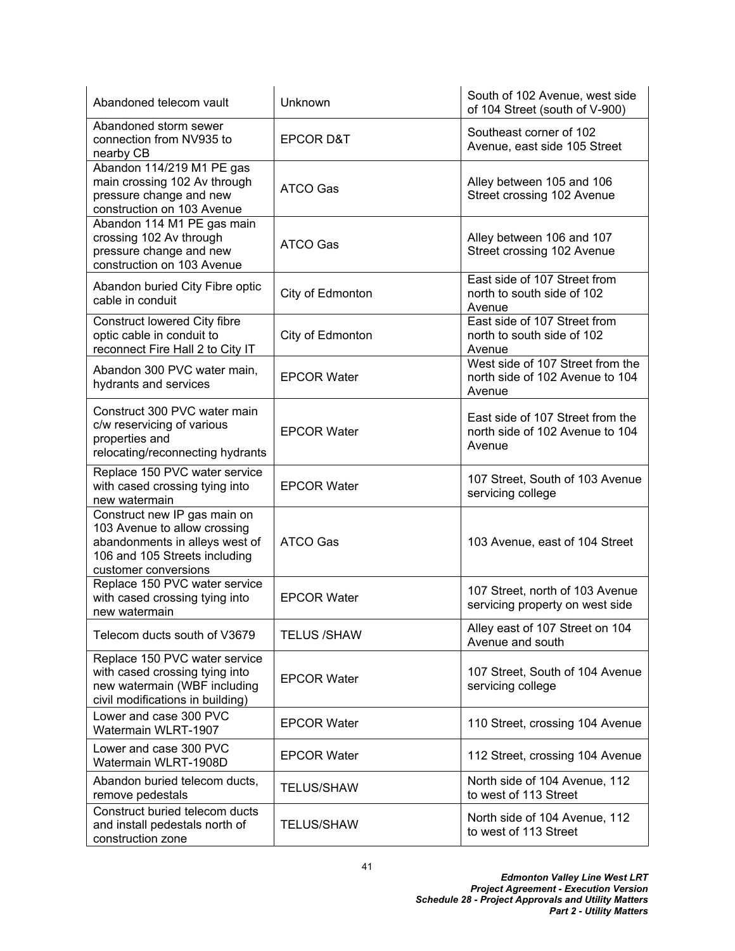| Abandoned telecom vault                                                                                                                                 | Unknown              | South of 102 Avenue, west side<br>of 104 Street (south of V-900)              |
|---------------------------------------------------------------------------------------------------------------------------------------------------------|----------------------|-------------------------------------------------------------------------------|
| Abandoned storm sewer<br>connection from NV935 to<br>nearby CB                                                                                          | <b>EPCOR D&amp;T</b> | Southeast corner of 102<br>Avenue, east side 105 Street                       |
| Abandon 114/219 M1 PE gas<br>main crossing 102 Av through<br>pressure change and new<br>construction on 103 Avenue                                      | <b>ATCO Gas</b>      | Alley between 105 and 106<br>Street crossing 102 Avenue                       |
| Abandon 114 M1 PE gas main<br>crossing 102 Av through<br>pressure change and new<br>construction on 103 Avenue                                          | ATCO Gas             | Alley between 106 and 107<br>Street crossing 102 Avenue                       |
| Abandon buried City Fibre optic<br>cable in conduit                                                                                                     | City of Edmonton     | East side of 107 Street from<br>north to south side of 102<br>Avenue          |
| Construct lowered City fibre<br>optic cable in conduit to<br>reconnect Fire Hall 2 to City IT                                                           | City of Edmonton     | East side of 107 Street from<br>north to south side of 102<br>Avenue          |
| Abandon 300 PVC water main,<br>hydrants and services                                                                                                    | <b>EPCOR Water</b>   | West side of 107 Street from the<br>north side of 102 Avenue to 104<br>Avenue |
| Construct 300 PVC water main<br>c/w reservicing of various<br>properties and<br>relocating/reconnecting hydrants                                        | <b>EPCOR Water</b>   | East side of 107 Street from the<br>north side of 102 Avenue to 104<br>Avenue |
| Replace 150 PVC water service<br>with cased crossing tying into<br>new watermain                                                                        | <b>EPCOR Water</b>   | 107 Street, South of 103 Avenue<br>servicing college                          |
| Construct new IP gas main on<br>103 Avenue to allow crossing<br>abandonments in alleys west of<br>106 and 105 Streets including<br>customer conversions | <b>ATCO Gas</b>      | 103 Avenue, east of 104 Street                                                |
| Replace 150 PVC water service<br>with cased crossing tying into<br>new watermain                                                                        | <b>EPCOR Water</b>   | 107 Street, north of 103 Avenue<br>servicing property on west side            |
| Telecom ducts south of V3679                                                                                                                            | <b>TELUS /SHAW</b>   | Alley east of 107 Street on 104<br>Avenue and south                           |
| Replace 150 PVC water service<br>with cased crossing tying into<br>new watermain (WBF including<br>civil modifications in building)                     | <b>EPCOR Water</b>   | 107 Street, South of 104 Avenue<br>servicing college                          |
| Lower and case 300 PVC<br>Watermain WLRT-1907                                                                                                           | <b>EPCOR Water</b>   | 110 Street, crossing 104 Avenue                                               |
| Lower and case 300 PVC<br>Watermain WLRT-1908D                                                                                                          | <b>EPCOR Water</b>   | 112 Street, crossing 104 Avenue                                               |
| Abandon buried telecom ducts,<br>remove pedestals                                                                                                       | <b>TELUS/SHAW</b>    | North side of 104 Avenue, 112<br>to west of 113 Street                        |
| Construct buried telecom ducts<br>and install pedestals north of<br>construction zone                                                                   | <b>TELUS/SHAW</b>    | North side of 104 Avenue, 112<br>to west of 113 Street                        |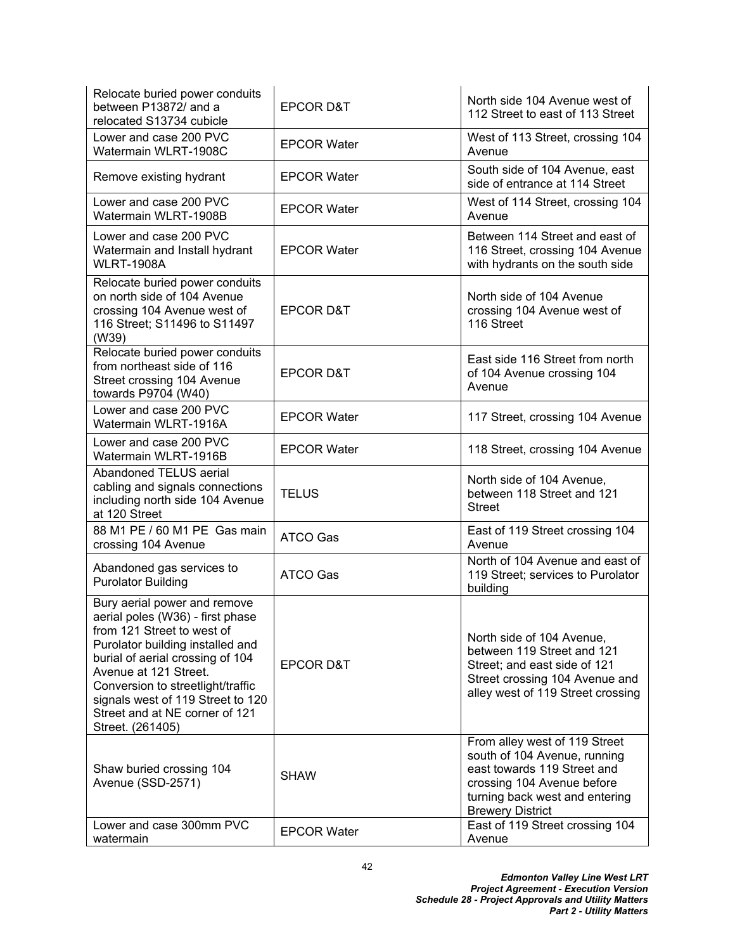| Relocate buried power conduits<br>between P13872/ and a<br>relocated S13734 cubicle                                                                                                                                                                                                                                             | <b>EPCOR D&amp;T</b> | North side 104 Avenue west of<br>112 Street to east of 113 Street                                                                                                                       |
|---------------------------------------------------------------------------------------------------------------------------------------------------------------------------------------------------------------------------------------------------------------------------------------------------------------------------------|----------------------|-----------------------------------------------------------------------------------------------------------------------------------------------------------------------------------------|
| Lower and case 200 PVC<br>Watermain WLRT-1908C                                                                                                                                                                                                                                                                                  | <b>EPCOR Water</b>   | West of 113 Street, crossing 104<br>Avenue                                                                                                                                              |
| Remove existing hydrant                                                                                                                                                                                                                                                                                                         | <b>EPCOR Water</b>   | South side of 104 Avenue, east<br>side of entrance at 114 Street                                                                                                                        |
| Lower and case 200 PVC<br>Watermain WLRT-1908B                                                                                                                                                                                                                                                                                  | <b>EPCOR Water</b>   | West of 114 Street, crossing 104<br>Avenue                                                                                                                                              |
| Lower and case 200 PVC<br>Watermain and Install hydrant<br><b>WLRT-1908A</b>                                                                                                                                                                                                                                                    | <b>EPCOR Water</b>   | Between 114 Street and east of<br>116 Street, crossing 104 Avenue<br>with hydrants on the south side                                                                                    |
| Relocate buried power conduits<br>on north side of 104 Avenue<br>crossing 104 Avenue west of<br>116 Street; S11496 to S11497<br>(W39)                                                                                                                                                                                           | <b>EPCOR D&amp;T</b> | North side of 104 Avenue<br>crossing 104 Avenue west of<br>116 Street                                                                                                                   |
| Relocate buried power conduits<br>from northeast side of 116<br>Street crossing 104 Avenue<br>towards P9704 (W40)                                                                                                                                                                                                               | <b>EPCOR D&amp;T</b> | East side 116 Street from north<br>of 104 Avenue crossing 104<br>Avenue                                                                                                                 |
| Lower and case 200 PVC<br>Watermain WLRT-1916A                                                                                                                                                                                                                                                                                  | <b>EPCOR Water</b>   | 117 Street, crossing 104 Avenue                                                                                                                                                         |
| Lower and case 200 PVC<br>Watermain WLRT-1916B                                                                                                                                                                                                                                                                                  | <b>EPCOR Water</b>   | 118 Street, crossing 104 Avenue                                                                                                                                                         |
| Abandoned TELUS aerial<br>cabling and signals connections<br>including north side 104 Avenue<br>at 120 Street                                                                                                                                                                                                                   | <b>TELUS</b>         | North side of 104 Avenue,<br>between 118 Street and 121<br><b>Street</b>                                                                                                                |
| 88 M1 PE / 60 M1 PE Gas main<br>crossing 104 Avenue                                                                                                                                                                                                                                                                             | <b>ATCO Gas</b>      | East of 119 Street crossing 104<br>Avenue                                                                                                                                               |
| Abandoned gas services to<br><b>Purolator Building</b>                                                                                                                                                                                                                                                                          | <b>ATCO Gas</b>      | North of 104 Avenue and east of<br>119 Street; services to Purolator<br>building                                                                                                        |
| Bury aerial power and remove<br>aerial poles (W36) - first phase<br>from 121 Street to west of<br>Purolator building installed and<br>burial of aerial crossing of 104<br>Avenue at 121 Street.<br>Conversion to streetlight/traffic<br>signals west of 119 Street to 120<br>Street and at NE corner of 121<br>Street. (261405) | <b>EPCOR D&amp;T</b> | North side of 104 Avenue,<br>between 119 Street and 121<br>Street; and east side of 121<br>Street crossing 104 Avenue and<br>alley west of 119 Street crossing                          |
| Shaw buried crossing 104<br>Avenue (SSD-2571)                                                                                                                                                                                                                                                                                   | <b>SHAW</b>          | From alley west of 119 Street<br>south of 104 Avenue, running<br>east towards 119 Street and<br>crossing 104 Avenue before<br>turning back west and entering<br><b>Brewery District</b> |
| Lower and case 300mm PVC<br>watermain                                                                                                                                                                                                                                                                                           | <b>EPCOR Water</b>   | East of 119 Street crossing 104<br>Avenue                                                                                                                                               |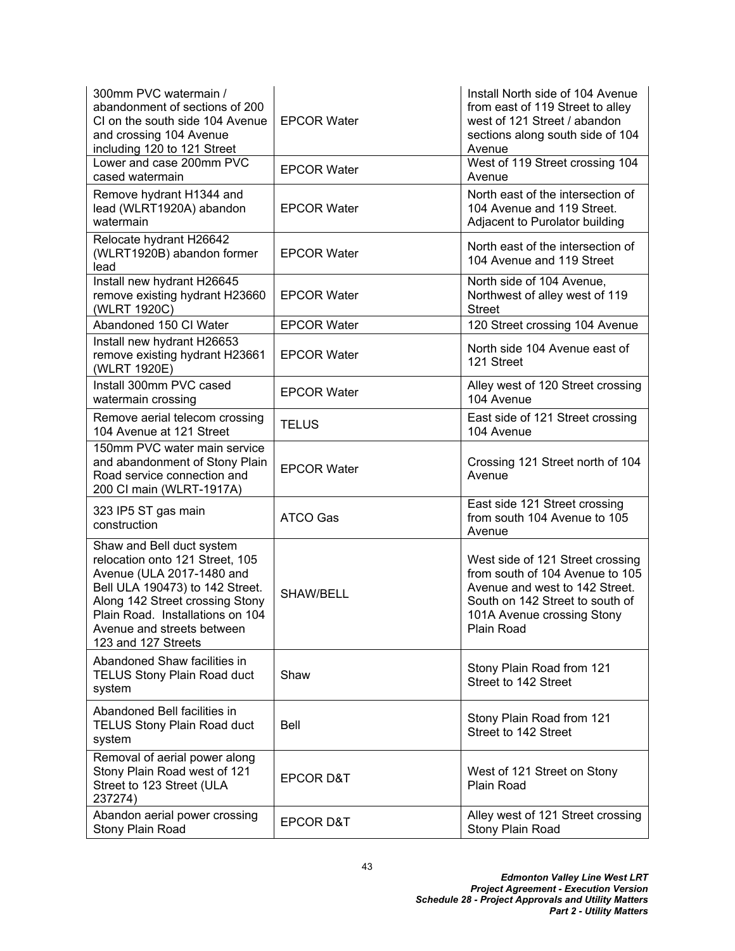| 300mm PVC watermain /<br>abandonment of sections of 200<br>CI on the south side 104 Avenue<br>and crossing 104 Avenue<br>including 120 to 121 Street                                                                                                     | <b>EPCOR Water</b>   | Install North side of 104 Avenue<br>from east of 119 Street to alley<br>west of 121 Street / abandon<br>sections along south side of 104<br>Avenue                                   |
|----------------------------------------------------------------------------------------------------------------------------------------------------------------------------------------------------------------------------------------------------------|----------------------|--------------------------------------------------------------------------------------------------------------------------------------------------------------------------------------|
| Lower and case 200mm PVC<br>cased watermain                                                                                                                                                                                                              | <b>EPCOR Water</b>   | West of 119 Street crossing 104<br>Avenue                                                                                                                                            |
| Remove hydrant H1344 and<br>lead (WLRT1920A) abandon<br>watermain                                                                                                                                                                                        | <b>EPCOR Water</b>   | North east of the intersection of<br>104 Avenue and 119 Street.<br>Adjacent to Purolator building                                                                                    |
| Relocate hydrant H26642<br>(WLRT1920B) abandon former<br>lead                                                                                                                                                                                            | <b>EPCOR Water</b>   | North east of the intersection of<br>104 Avenue and 119 Street                                                                                                                       |
| Install new hydrant H26645<br>remove existing hydrant H23660<br>(WLRT 1920C)                                                                                                                                                                             | <b>EPCOR Water</b>   | North side of 104 Avenue,<br>Northwest of alley west of 119<br><b>Street</b>                                                                                                         |
| Abandoned 150 CI Water                                                                                                                                                                                                                                   | <b>EPCOR Water</b>   | 120 Street crossing 104 Avenue                                                                                                                                                       |
| Install new hydrant H26653<br>remove existing hydrant H23661<br>(WLRT 1920E)                                                                                                                                                                             | <b>EPCOR Water</b>   | North side 104 Avenue east of<br>121 Street                                                                                                                                          |
| Install 300mm PVC cased<br>watermain crossing                                                                                                                                                                                                            | <b>EPCOR Water</b>   | Alley west of 120 Street crossing<br>104 Avenue                                                                                                                                      |
| Remove aerial telecom crossing<br>104 Avenue at 121 Street                                                                                                                                                                                               | <b>TELUS</b>         | East side of 121 Street crossing<br>104 Avenue                                                                                                                                       |
| 150mm PVC water main service<br>and abandonment of Stony Plain<br>Road service connection and<br>200 CI main (WLRT-1917A)                                                                                                                                | <b>EPCOR Water</b>   | Crossing 121 Street north of 104<br>Avenue                                                                                                                                           |
| 323 IP5 ST gas main<br>construction                                                                                                                                                                                                                      | <b>ATCO Gas</b>      | East side 121 Street crossing<br>from south 104 Avenue to 105<br>Avenue                                                                                                              |
| Shaw and Bell duct system<br>relocation onto 121 Street, 105<br>Avenue (ULA 2017-1480 and<br>Bell ULA 190473) to 142 Street.<br>Along 142 Street crossing Stony<br>Plain Road. Installations on 104<br>Avenue and streets between<br>123 and 127 Streets | SHAW/BELL            | West side of 121 Street crossing<br>from south of 104 Avenue to 105<br>Avenue and west to 142 Street.<br>South on 142 Street to south of<br>101A Avenue crossing Stony<br>Plain Road |
| Abandoned Shaw facilities in<br><b>TELUS Stony Plain Road duct</b><br>system                                                                                                                                                                             | Shaw                 | Stony Plain Road from 121<br>Street to 142 Street                                                                                                                                    |
| Abandoned Bell facilities in<br><b>TELUS Stony Plain Road duct</b><br>system                                                                                                                                                                             | Bell                 | Stony Plain Road from 121<br>Street to 142 Street                                                                                                                                    |
| Removal of aerial power along<br>Stony Plain Road west of 121<br>Street to 123 Street (ULA<br>237274)                                                                                                                                                    | <b>EPCOR D&amp;T</b> | West of 121 Street on Stony<br>Plain Road                                                                                                                                            |
| Abandon aerial power crossing<br>Stony Plain Road                                                                                                                                                                                                        | EPCOR D&T            | Alley west of 121 Street crossing<br>Stony Plain Road                                                                                                                                |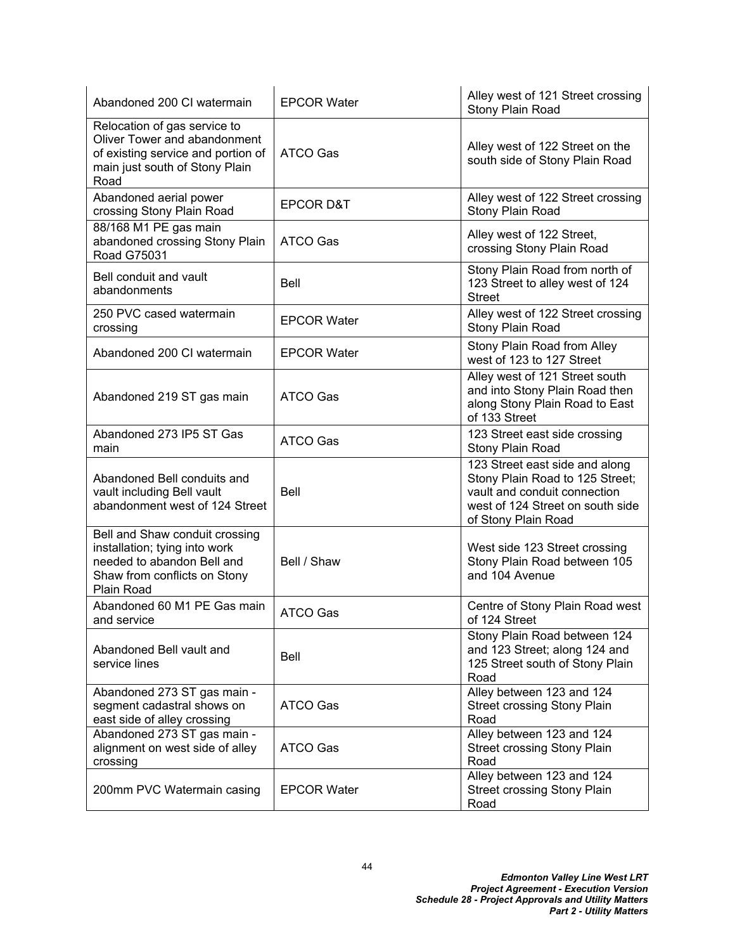| Abandoned 200 CI watermain                                                                                                                   | <b>EPCOR Water</b>   | Alley west of 121 Street crossing<br>Stony Plain Road                                                                                                        |
|----------------------------------------------------------------------------------------------------------------------------------------------|----------------------|--------------------------------------------------------------------------------------------------------------------------------------------------------------|
| Relocation of gas service to<br>Oliver Tower and abandonment<br>of existing service and portion of<br>main just south of Stony Plain<br>Road | <b>ATCO Gas</b>      | Alley west of 122 Street on the<br>south side of Stony Plain Road                                                                                            |
| Abandoned aerial power<br>crossing Stony Plain Road                                                                                          | <b>EPCOR D&amp;T</b> | Alley west of 122 Street crossing<br>Stony Plain Road                                                                                                        |
| 88/168 M1 PE gas main<br>abandoned crossing Stony Plain<br><b>Road G75031</b>                                                                | <b>ATCO Gas</b>      | Alley west of 122 Street,<br>crossing Stony Plain Road                                                                                                       |
| Bell conduit and vault<br>abandonments                                                                                                       | Bell                 | Stony Plain Road from north of<br>123 Street to alley west of 124<br><b>Street</b>                                                                           |
| 250 PVC cased watermain<br>crossing                                                                                                          | <b>EPCOR Water</b>   | Alley west of 122 Street crossing<br>Stony Plain Road                                                                                                        |
| Abandoned 200 CI watermain                                                                                                                   | <b>EPCOR Water</b>   | Stony Plain Road from Alley<br>west of 123 to 127 Street                                                                                                     |
| Abandoned 219 ST gas main                                                                                                                    | <b>ATCO Gas</b>      | Alley west of 121 Street south<br>and into Stony Plain Road then<br>along Stony Plain Road to East<br>of 133 Street                                          |
| Abandoned 273 IP5 ST Gas<br>main                                                                                                             | ATCO Gas             | 123 Street east side crossing<br>Stony Plain Road                                                                                                            |
| Abandoned Bell conduits and<br>vault including Bell vault<br>abandonment west of 124 Street                                                  | <b>Bell</b>          | 123 Street east side and along<br>Stony Plain Road to 125 Street;<br>vault and conduit connection<br>west of 124 Street on south side<br>of Stony Plain Road |
| Bell and Shaw conduit crossing<br>installation; tying into work<br>needed to abandon Bell and<br>Shaw from conflicts on Stony<br>Plain Road  | Bell / Shaw          | West side 123 Street crossing<br>Stony Plain Road between 105<br>and 104 Avenue                                                                              |
| Abandoned 60 M1 PE Gas main<br>and service                                                                                                   | <b>ATCO Gas</b>      | Centre of Stony Plain Road west<br>of 124 Street                                                                                                             |
| Abandoned Bell vault and<br>service lines                                                                                                    | Bell                 | Stony Plain Road between 124<br>and 123 Street; along 124 and<br>125 Street south of Stony Plain<br>Road                                                     |
| Abandoned 273 ST gas main -<br>segment cadastral shows on<br>east side of alley crossing                                                     | <b>ATCO Gas</b>      | Alley between 123 and 124<br><b>Street crossing Stony Plain</b><br>Road                                                                                      |
| Abandoned 273 ST gas main -<br>alignment on west side of alley<br>crossing                                                                   | ATCO Gas             | Alley between 123 and 124<br><b>Street crossing Stony Plain</b><br>Road                                                                                      |
| 200mm PVC Watermain casing                                                                                                                   | <b>EPCOR Water</b>   | Alley between 123 and 124<br><b>Street crossing Stony Plain</b><br>Road                                                                                      |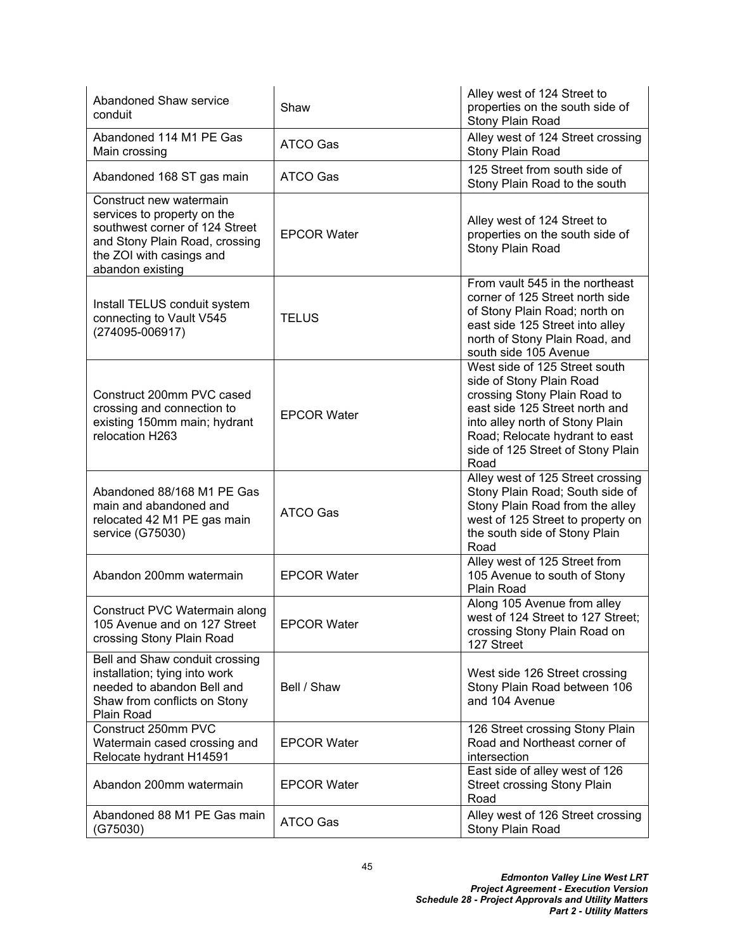| Abandoned Shaw service<br>conduit                                                                                                                                          | Shaw               | Alley west of 124 Street to<br>properties on the south side of<br>Stony Plain Road                                                                                                                                                            |
|----------------------------------------------------------------------------------------------------------------------------------------------------------------------------|--------------------|-----------------------------------------------------------------------------------------------------------------------------------------------------------------------------------------------------------------------------------------------|
| Abandoned 114 M1 PE Gas<br>Main crossing                                                                                                                                   | <b>ATCO Gas</b>    | Alley west of 124 Street crossing<br>Stony Plain Road                                                                                                                                                                                         |
| Abandoned 168 ST gas main                                                                                                                                                  | <b>ATCO Gas</b>    | 125 Street from south side of<br>Stony Plain Road to the south                                                                                                                                                                                |
| Construct new watermain<br>services to property on the<br>southwest corner of 124 Street<br>and Stony Plain Road, crossing<br>the ZOI with casings and<br>abandon existing | <b>EPCOR Water</b> | Alley west of 124 Street to<br>properties on the south side of<br>Stony Plain Road                                                                                                                                                            |
| Install TELUS conduit system<br>connecting to Vault V545<br>(274095-006917)                                                                                                | <b>TELUS</b>       | From vault 545 in the northeast<br>corner of 125 Street north side<br>of Stony Plain Road; north on<br>east side 125 Street into alley<br>north of Stony Plain Road, and<br>south side 105 Avenue                                             |
| Construct 200mm PVC cased<br>crossing and connection to<br>existing 150mm main; hydrant<br>relocation H263                                                                 | <b>EPCOR Water</b> | West side of 125 Street south<br>side of Stony Plain Road<br>crossing Stony Plain Road to<br>east side 125 Street north and<br>into alley north of Stony Plain<br>Road; Relocate hydrant to east<br>side of 125 Street of Stony Plain<br>Road |
| Abandoned 88/168 M1 PE Gas<br>main and abandoned and<br>relocated 42 M1 PE gas main<br>service (G75030)                                                                    | <b>ATCO Gas</b>    | Alley west of 125 Street crossing<br>Stony Plain Road; South side of<br>Stony Plain Road from the alley<br>west of 125 Street to property on<br>the south side of Stony Plain<br>Road                                                         |
| Abandon 200mm watermain                                                                                                                                                    | <b>EPCOR Water</b> | Alley west of 125 Street from<br>105 Avenue to south of Stony<br>Plain Road                                                                                                                                                                   |
| Construct PVC Watermain along<br>105 Avenue and on 127 Street<br>crossing Stony Plain Road                                                                                 | <b>EPCOR Water</b> | Along 105 Avenue from alley<br>west of 124 Street to 127 Street;<br>crossing Stony Plain Road on<br>127 Street                                                                                                                                |
| Bell and Shaw conduit crossing<br>installation; tying into work<br>needed to abandon Bell and<br>Shaw from conflicts on Stony<br>Plain Road                                | Bell / Shaw        | West side 126 Street crossing<br>Stony Plain Road between 106<br>and 104 Avenue                                                                                                                                                               |
| Construct 250mm PVC<br>Watermain cased crossing and<br>Relocate hydrant H14591                                                                                             | <b>EPCOR Water</b> | 126 Street crossing Stony Plain<br>Road and Northeast corner of<br>intersection                                                                                                                                                               |
| Abandon 200mm watermain                                                                                                                                                    | <b>EPCOR Water</b> | East side of alley west of 126<br><b>Street crossing Stony Plain</b><br>Road                                                                                                                                                                  |
| Abandoned 88 M1 PE Gas main<br>(G75030)                                                                                                                                    | ATCO Gas           | Alley west of 126 Street crossing<br>Stony Plain Road                                                                                                                                                                                         |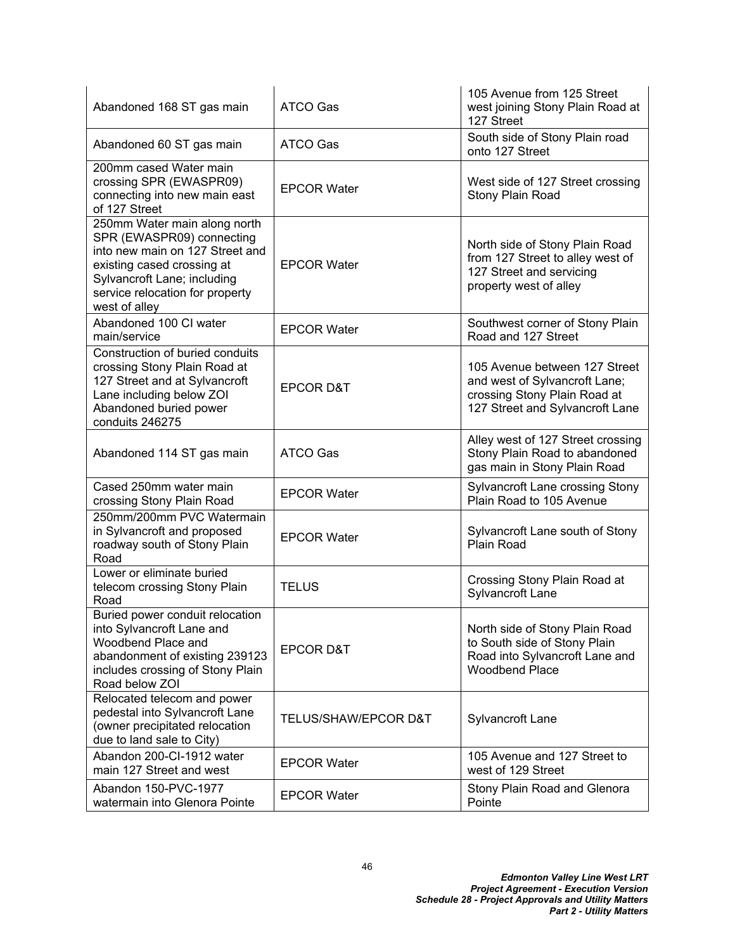| Abandoned 168 ST gas main                                                                                                                                                                                     | <b>ATCO Gas</b>      | 105 Avenue from 125 Street<br>west joining Stony Plain Road at<br>127 Street                                                      |
|---------------------------------------------------------------------------------------------------------------------------------------------------------------------------------------------------------------|----------------------|-----------------------------------------------------------------------------------------------------------------------------------|
| Abandoned 60 ST gas main                                                                                                                                                                                      | <b>ATCO Gas</b>      | South side of Stony Plain road<br>onto 127 Street                                                                                 |
| 200mm cased Water main<br>crossing SPR (EWASPR09)<br>connecting into new main east<br>of 127 Street                                                                                                           | <b>EPCOR Water</b>   | West side of 127 Street crossing<br>Stony Plain Road                                                                              |
| 250mm Water main along north<br>SPR (EWASPR09) connecting<br>into new main on 127 Street and<br>existing cased crossing at<br>Sylvancroft Lane; including<br>service relocation for property<br>west of alley | <b>EPCOR Water</b>   | North side of Stony Plain Road<br>from 127 Street to alley west of<br>127 Street and servicing<br>property west of alley          |
| Abandoned 100 CI water<br>main/service                                                                                                                                                                        | <b>EPCOR Water</b>   | Southwest corner of Stony Plain<br>Road and 127 Street                                                                            |
| Construction of buried conduits<br>crossing Stony Plain Road at<br>127 Street and at Sylvancroft<br>Lane including below ZOI<br>Abandoned buried power<br>conduits 246275                                     | <b>EPCOR D&amp;T</b> | 105 Avenue between 127 Street<br>and west of Sylvancroft Lane;<br>crossing Stony Plain Road at<br>127 Street and Sylvancroft Lane |
| Abandoned 114 ST gas main                                                                                                                                                                                     | <b>ATCO Gas</b>      | Alley west of 127 Street crossing<br>Stony Plain Road to abandoned<br>gas main in Stony Plain Road                                |
| Cased 250mm water main<br>crossing Stony Plain Road                                                                                                                                                           | <b>EPCOR Water</b>   | Sylvancroft Lane crossing Stony<br>Plain Road to 105 Avenue                                                                       |
| 250mm/200mm PVC Watermain<br>in Sylvancroft and proposed<br>roadway south of Stony Plain<br>Road                                                                                                              | <b>EPCOR Water</b>   | Sylvancroft Lane south of Stony<br><b>Plain Road</b>                                                                              |
| Lower or eliminate buried<br>telecom crossing Stony Plain<br>Road                                                                                                                                             | <b>TELUS</b>         | Crossing Stony Plain Road at<br>Sylvancroft Lane                                                                                  |
| Buried power conduit relocation<br>into Sylvancroft Lane and<br>Woodbend Place and<br>abandonment of existing 239123<br>includes crossing of Stony Plain<br>Road below ZOI                                    | <b>EPCOR D&amp;T</b> | North side of Stony Plain Road<br>to South side of Stony Plain<br>Road into Sylvancroft Lane and<br><b>Woodbend Place</b>         |
| Relocated telecom and power<br>pedestal into Sylvancroft Lane<br>(owner precipitated relocation<br>due to land sale to City)                                                                                  | TELUS/SHAW/EPCOR D&T | Sylvancroft Lane                                                                                                                  |
| Abandon 200-CI-1912 water<br>main 127 Street and west                                                                                                                                                         | <b>EPCOR Water</b>   | 105 Avenue and 127 Street to<br>west of 129 Street                                                                                |
| Abandon 150-PVC-1977<br>watermain into Glenora Pointe                                                                                                                                                         | <b>EPCOR Water</b>   | Stony Plain Road and Glenora<br>Pointe                                                                                            |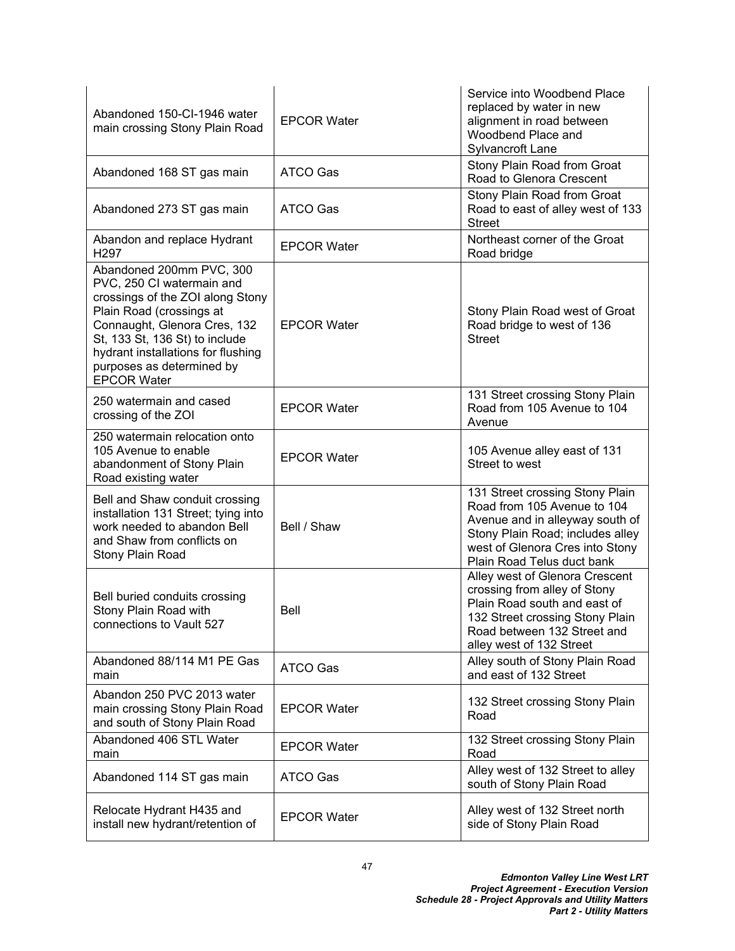| Abandoned 150-CI-1946 water<br>main crossing Stony Plain Road                                                                                                                                                                                                                    | <b>EPCOR Water</b> | Service into Woodbend Place<br>replaced by water in new<br>alignment in road between<br>Woodbend Place and<br>Sylvancroft Lane                                                                         |
|----------------------------------------------------------------------------------------------------------------------------------------------------------------------------------------------------------------------------------------------------------------------------------|--------------------|--------------------------------------------------------------------------------------------------------------------------------------------------------------------------------------------------------|
| Abandoned 168 ST gas main                                                                                                                                                                                                                                                        | <b>ATCO Gas</b>    | Stony Plain Road from Groat<br>Road to Glenora Crescent                                                                                                                                                |
| Abandoned 273 ST gas main                                                                                                                                                                                                                                                        | ATCO Gas           | Stony Plain Road from Groat<br>Road to east of alley west of 133<br><b>Street</b>                                                                                                                      |
| Abandon and replace Hydrant<br>H <sub>297</sub>                                                                                                                                                                                                                                  | <b>EPCOR Water</b> | Northeast corner of the Groat<br>Road bridge                                                                                                                                                           |
| Abandoned 200mm PVC, 300<br>PVC, 250 CI watermain and<br>crossings of the ZOI along Stony<br>Plain Road (crossings at<br>Connaught, Glenora Cres, 132<br>St, 133 St, 136 St) to include<br>hydrant installations for flushing<br>purposes as determined by<br><b>EPCOR Water</b> | <b>EPCOR Water</b> | Stony Plain Road west of Groat<br>Road bridge to west of 136<br><b>Street</b>                                                                                                                          |
| 250 watermain and cased<br>crossing of the ZOI                                                                                                                                                                                                                                   | <b>EPCOR Water</b> | 131 Street crossing Stony Plain<br>Road from 105 Avenue to 104<br>Avenue                                                                                                                               |
| 250 watermain relocation onto<br>105 Avenue to enable<br>abandonment of Stony Plain<br>Road existing water                                                                                                                                                                       | <b>EPCOR Water</b> | 105 Avenue alley east of 131<br>Street to west                                                                                                                                                         |
| Bell and Shaw conduit crossing<br>installation 131 Street; tying into<br>work needed to abandon Bell<br>and Shaw from conflicts on<br>Stony Plain Road                                                                                                                           | Bell / Shaw        | 131 Street crossing Stony Plain<br>Road from 105 Avenue to 104<br>Avenue and in alleyway south of<br>Stony Plain Road; includes alley<br>west of Glenora Cres into Stony<br>Plain Road Telus duct bank |
| Bell buried conduits crossing<br>Stony Plain Road with<br>connections to Vault 527                                                                                                                                                                                               | Bell               | Alley west of Glenora Crescent<br>crossing from alley of Stony<br>Plain Road south and east of<br>132 Street crossing Stony Plain<br>Road between 132 Street and<br>alley west of 132 Street           |
| Abandoned 88/114 M1 PE Gas<br>main                                                                                                                                                                                                                                               | <b>ATCO Gas</b>    | Alley south of Stony Plain Road<br>and east of 132 Street                                                                                                                                              |
| Abandon 250 PVC 2013 water<br>main crossing Stony Plain Road<br>and south of Stony Plain Road                                                                                                                                                                                    | <b>EPCOR Water</b> | 132 Street crossing Stony Plain<br>Road                                                                                                                                                                |
| Abandoned 406 STL Water<br>main                                                                                                                                                                                                                                                  | <b>EPCOR Water</b> | 132 Street crossing Stony Plain<br>Road                                                                                                                                                                |
| Abandoned 114 ST gas main                                                                                                                                                                                                                                                        | <b>ATCO Gas</b>    | Alley west of 132 Street to alley<br>south of Stony Plain Road                                                                                                                                         |
| Relocate Hydrant H435 and<br>install new hydrant/retention of                                                                                                                                                                                                                    | <b>EPCOR Water</b> | Alley west of 132 Street north<br>side of Stony Plain Road                                                                                                                                             |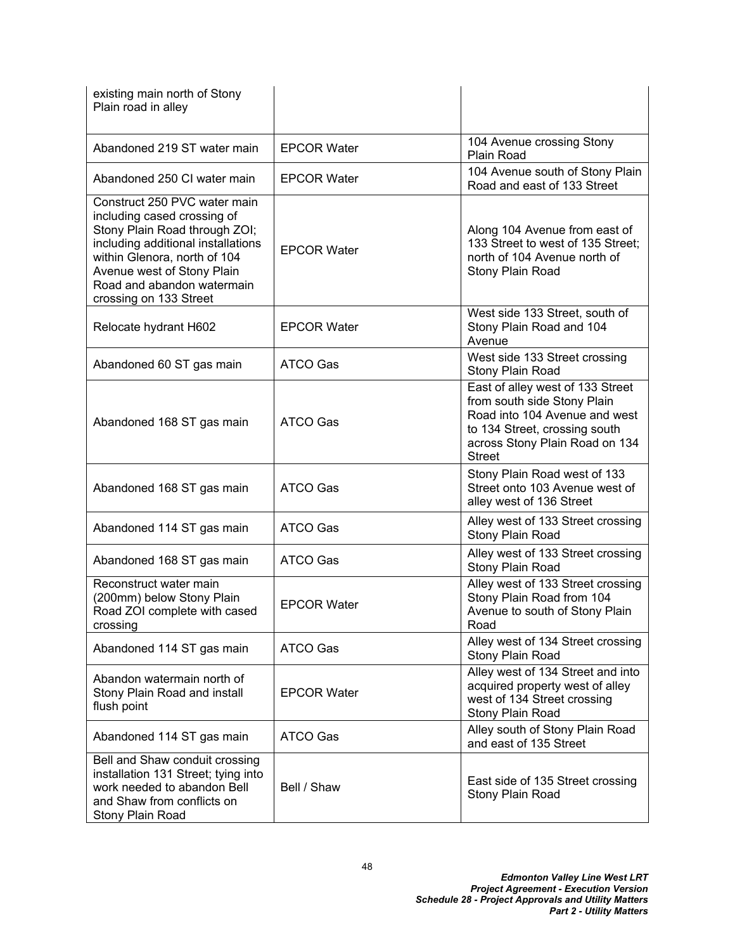| existing main north of Stony<br>Plain road in alley                                                                                                                                                                                                      |                    |                                                                                                                                                                                      |
|----------------------------------------------------------------------------------------------------------------------------------------------------------------------------------------------------------------------------------------------------------|--------------------|--------------------------------------------------------------------------------------------------------------------------------------------------------------------------------------|
| Abandoned 219 ST water main                                                                                                                                                                                                                              | <b>EPCOR Water</b> | 104 Avenue crossing Stony<br>Plain Road                                                                                                                                              |
| Abandoned 250 CI water main                                                                                                                                                                                                                              | <b>EPCOR Water</b> | 104 Avenue south of Stony Plain<br>Road and east of 133 Street                                                                                                                       |
| Construct 250 PVC water main<br>including cased crossing of<br>Stony Plain Road through ZOI;<br>including additional installations<br>within Glenora, north of 104<br>Avenue west of Stony Plain<br>Road and abandon watermain<br>crossing on 133 Street | <b>EPCOR Water</b> | Along 104 Avenue from east of<br>133 Street to west of 135 Street:<br>north of 104 Avenue north of<br>Stony Plain Road                                                               |
| Relocate hydrant H602                                                                                                                                                                                                                                    | <b>EPCOR Water</b> | West side 133 Street, south of<br>Stony Plain Road and 104<br>Avenue                                                                                                                 |
| Abandoned 60 ST gas main                                                                                                                                                                                                                                 | ATCO Gas           | West side 133 Street crossing<br>Stony Plain Road                                                                                                                                    |
| Abandoned 168 ST gas main                                                                                                                                                                                                                                | <b>ATCO Gas</b>    | East of alley west of 133 Street<br>from south side Stony Plain<br>Road into 104 Avenue and west<br>to 134 Street, crossing south<br>across Stony Plain Road on 134<br><b>Street</b> |
| Abandoned 168 ST gas main                                                                                                                                                                                                                                | <b>ATCO Gas</b>    | Stony Plain Road west of 133<br>Street onto 103 Avenue west of<br>alley west of 136 Street                                                                                           |
| Abandoned 114 ST gas main                                                                                                                                                                                                                                | <b>ATCO Gas</b>    | Alley west of 133 Street crossing<br>Stony Plain Road                                                                                                                                |
| Abandoned 168 ST gas main                                                                                                                                                                                                                                | ATCO Gas           | Alley west of 133 Street crossing<br>Stony Plain Road                                                                                                                                |
| Reconstruct water main<br>(200mm) below Stony Plain<br>Road ZOI complete with cased<br>crossing                                                                                                                                                          | <b>EPCOR Water</b> | Alley west of 133 Street crossing<br>Stony Plain Road from 104<br>Avenue to south of Stony Plain<br>Road                                                                             |
| Abandoned 114 ST gas main                                                                                                                                                                                                                                | <b>ATCO Gas</b>    | Alley west of 134 Street crossing<br>Stony Plain Road                                                                                                                                |
| Abandon watermain north of<br>Stony Plain Road and install<br>flush point                                                                                                                                                                                | <b>EPCOR Water</b> | Alley west of 134 Street and into<br>acquired property west of alley<br>west of 134 Street crossing<br>Stony Plain Road                                                              |
| Abandoned 114 ST gas main                                                                                                                                                                                                                                | ATCO Gas           | Alley south of Stony Plain Road<br>and east of 135 Street                                                                                                                            |
| Bell and Shaw conduit crossing<br>installation 131 Street; tying into<br>work needed to abandon Bell<br>and Shaw from conflicts on<br>Stony Plain Road                                                                                                   | Bell / Shaw        | East side of 135 Street crossing<br>Stony Plain Road                                                                                                                                 |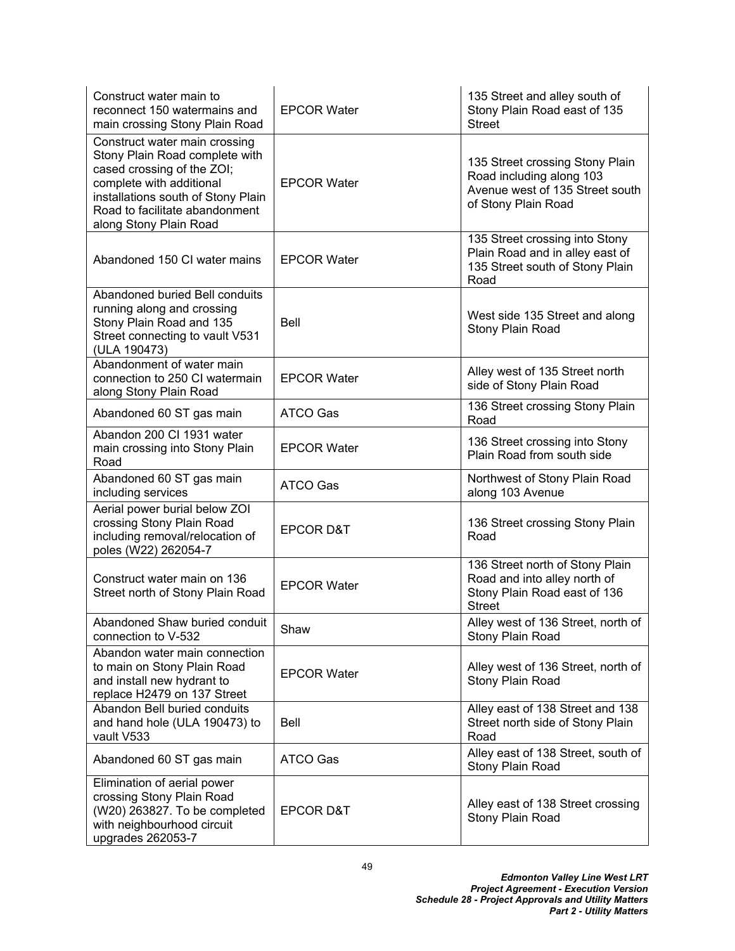| Construct water main to<br>reconnect 150 watermains and<br>main crossing Stony Plain Road                                                                                                                                   | <b>EPCOR Water</b>   | 135 Street and alley south of<br>Stony Plain Road east of 135<br><b>Street</b>                                        |
|-----------------------------------------------------------------------------------------------------------------------------------------------------------------------------------------------------------------------------|----------------------|-----------------------------------------------------------------------------------------------------------------------|
| Construct water main crossing<br>Stony Plain Road complete with<br>cased crossing of the ZOI;<br>complete with additional<br>installations south of Stony Plain<br>Road to facilitate abandonment<br>along Stony Plain Road | <b>EPCOR Water</b>   | 135 Street crossing Stony Plain<br>Road including along 103<br>Avenue west of 135 Street south<br>of Stony Plain Road |
| Abandoned 150 CI water mains                                                                                                                                                                                                | <b>EPCOR Water</b>   | 135 Street crossing into Stony<br>Plain Road and in alley east of<br>135 Street south of Stony Plain<br>Road          |
| Abandoned buried Bell conduits<br>running along and crossing<br>Stony Plain Road and 135<br>Street connecting to vault V531<br>(ULA 190473)                                                                                 | Bell                 | West side 135 Street and along<br>Stony Plain Road                                                                    |
| Abandonment of water main<br>connection to 250 CI watermain<br>along Stony Plain Road                                                                                                                                       | <b>EPCOR Water</b>   | Alley west of 135 Street north<br>side of Stony Plain Road                                                            |
| Abandoned 60 ST gas main                                                                                                                                                                                                    | ATCO Gas             | 136 Street crossing Stony Plain<br>Road                                                                               |
| Abandon 200 Cl 1931 water<br>main crossing into Stony Plain<br>Road                                                                                                                                                         | <b>EPCOR Water</b>   | 136 Street crossing into Stony<br>Plain Road from south side                                                          |
| Abandoned 60 ST gas main<br>including services                                                                                                                                                                              | <b>ATCO Gas</b>      | Northwest of Stony Plain Road<br>along 103 Avenue                                                                     |
| Aerial power burial below ZOI<br>crossing Stony Plain Road<br>including removal/relocation of<br>poles (W22) 262054-7                                                                                                       | <b>EPCOR D&amp;T</b> | 136 Street crossing Stony Plain<br>Road                                                                               |
| Construct water main on 136<br>Street north of Stony Plain Road                                                                                                                                                             | <b>EPCOR Water</b>   | 136 Street north of Stony Plain<br>Road and into alley north of<br>Stony Plain Road east of 136<br><b>Street</b>      |
| Abandoned Shaw buried conduit<br>connection to V-532                                                                                                                                                                        | Shaw                 | Alley west of 136 Street, north of<br>Stony Plain Road                                                                |
| Abandon water main connection<br>to main on Stony Plain Road<br>and install new hydrant to<br>replace H2479 on 137 Street                                                                                                   | <b>EPCOR Water</b>   | Alley west of 136 Street, north of<br>Stony Plain Road                                                                |
| Abandon Bell buried conduits<br>and hand hole (ULA 190473) to<br>vault V533                                                                                                                                                 | Bell                 | Alley east of 138 Street and 138<br>Street north side of Stony Plain<br>Road                                          |
| Abandoned 60 ST gas main                                                                                                                                                                                                    | ATCO Gas             | Alley east of 138 Street, south of<br>Stony Plain Road                                                                |
| Elimination of aerial power<br>crossing Stony Plain Road<br>(W20) 263827. To be completed<br>with neighbourhood circuit<br>upgrades 262053-7                                                                                | <b>EPCOR D&amp;T</b> | Alley east of 138 Street crossing<br>Stony Plain Road                                                                 |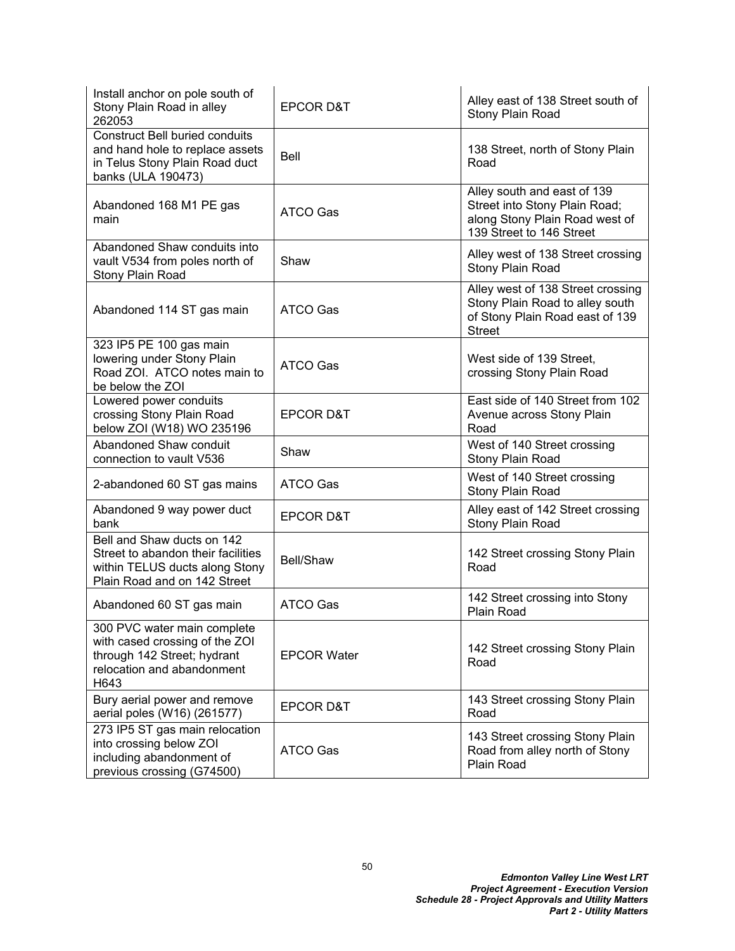| Install anchor on pole south of<br>Stony Plain Road in alley<br>262053                                                             | <b>EPCOR D&amp;T</b> | Alley east of 138 Street south of<br>Stony Plain Road                                                                      |
|------------------------------------------------------------------------------------------------------------------------------------|----------------------|----------------------------------------------------------------------------------------------------------------------------|
| <b>Construct Bell buried conduits</b><br>and hand hole to replace assets<br>in Telus Stony Plain Road duct<br>banks (ULA 190473)   | <b>Bell</b>          | 138 Street, north of Stony Plain<br>Road                                                                                   |
| Abandoned 168 M1 PE gas<br>main                                                                                                    | <b>ATCO Gas</b>      | Alley south and east of 139<br>Street into Stony Plain Road;<br>along Stony Plain Road west of<br>139 Street to 146 Street |
| Abandoned Shaw conduits into<br>vault V534 from poles north of<br>Stony Plain Road                                                 | Shaw                 | Alley west of 138 Street crossing<br>Stony Plain Road                                                                      |
| Abandoned 114 ST gas main                                                                                                          | <b>ATCO Gas</b>      | Alley west of 138 Street crossing<br>Stony Plain Road to alley south<br>of Stony Plain Road east of 139<br><b>Street</b>   |
| 323 IP5 PE 100 gas main<br>lowering under Stony Plain<br>Road ZOI. ATCO notes main to<br>be below the ZOI                          | ATCO Gas             | West side of 139 Street,<br>crossing Stony Plain Road                                                                      |
| Lowered power conduits<br>crossing Stony Plain Road<br>below ZOI (W18) WO 235196                                                   | <b>EPCOR D&amp;T</b> | East side of 140 Street from 102<br>Avenue across Stony Plain<br>Road                                                      |
| Abandoned Shaw conduit<br>connection to vault V536                                                                                 | Shaw                 | West of 140 Street crossing<br>Stony Plain Road                                                                            |
| 2-abandoned 60 ST gas mains                                                                                                        | ATCO Gas             | West of 140 Street crossing<br>Stony Plain Road                                                                            |
| Abandoned 9 way power duct<br>bank                                                                                                 | <b>EPCOR D&amp;T</b> | Alley east of 142 Street crossing<br>Stony Plain Road                                                                      |
| Bell and Shaw ducts on 142<br>Street to abandon their facilities<br>within TELUS ducts along Stony<br>Plain Road and on 142 Street | Bell/Shaw            | 142 Street crossing Stony Plain<br>Road                                                                                    |
| Abandoned 60 ST gas main                                                                                                           | <b>ATCO Gas</b>      | 142 Street crossing into Stony<br>Plain Road                                                                               |
| 300 PVC water main complete<br>with cased crossing of the ZOI<br>through 142 Street; hydrant<br>relocation and abandonment<br>H643 | <b>EPCOR Water</b>   | 142 Street crossing Stony Plain<br>Road                                                                                    |
| Bury aerial power and remove<br>aerial poles (W16) (261577)                                                                        | <b>EPCOR D&amp;T</b> | 143 Street crossing Stony Plain<br>Road                                                                                    |
| 273 IP5 ST gas main relocation<br>into crossing below ZOI<br>including abandonment of<br>previous crossing (G74500)                | ATCO Gas             | 143 Street crossing Stony Plain<br>Road from alley north of Stony<br>Plain Road                                            |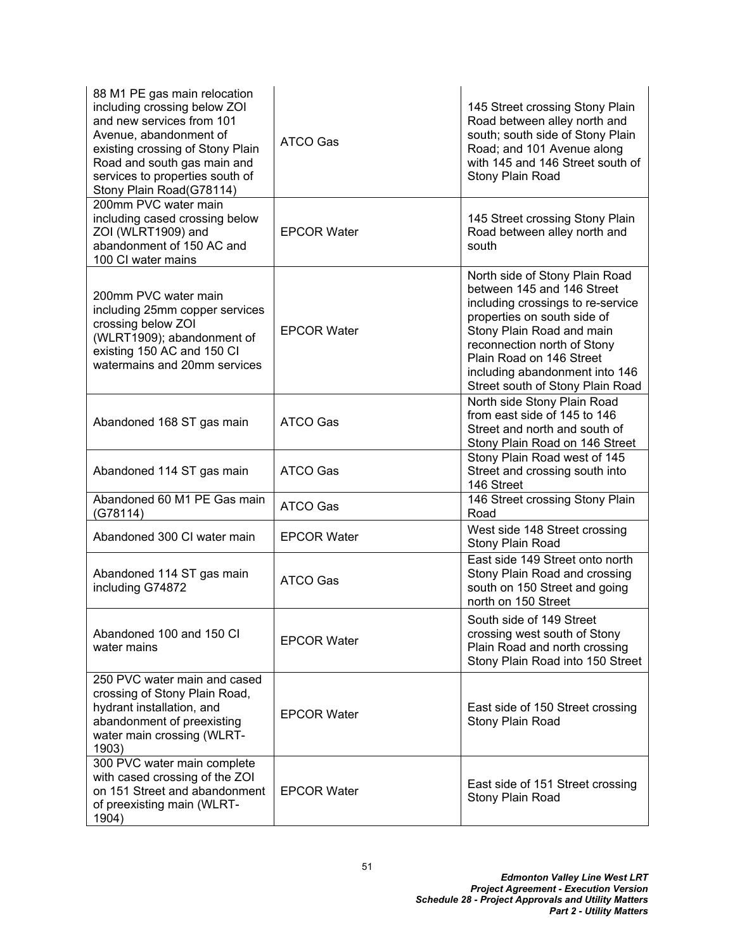| 88 M1 PE gas main relocation<br>including crossing below ZOI<br>and new services from 101<br>Avenue, abandonment of<br>existing crossing of Stony Plain<br>Road and south gas main and<br>services to properties south of<br>Stony Plain Road(G78114) | ATCO Gas           | 145 Street crossing Stony Plain<br>Road between alley north and<br>south; south side of Stony Plain<br>Road; and 101 Avenue along<br>with 145 and 146 Street south of<br>Stony Plain Road                                                                                                      |
|-------------------------------------------------------------------------------------------------------------------------------------------------------------------------------------------------------------------------------------------------------|--------------------|------------------------------------------------------------------------------------------------------------------------------------------------------------------------------------------------------------------------------------------------------------------------------------------------|
| 200mm PVC water main<br>including cased crossing below<br>ZOI (WLRT1909) and<br>abandonment of 150 AC and<br>100 CI water mains                                                                                                                       | <b>EPCOR Water</b> | 145 Street crossing Stony Plain<br>Road between alley north and<br>south                                                                                                                                                                                                                       |
| 200mm PVC water main<br>including 25mm copper services<br>crossing below ZOI<br>(WLRT1909); abandonment of<br>existing 150 AC and 150 CI<br>watermains and 20mm services                                                                              | <b>EPCOR Water</b> | North side of Stony Plain Road<br>between 145 and 146 Street<br>including crossings to re-service<br>properties on south side of<br>Stony Plain Road and main<br>reconnection north of Stony<br>Plain Road on 146 Street<br>including abandonment into 146<br>Street south of Stony Plain Road |
| Abandoned 168 ST gas main                                                                                                                                                                                                                             | <b>ATCO Gas</b>    | North side Stony Plain Road<br>from east side of 145 to 146<br>Street and north and south of<br>Stony Plain Road on 146 Street                                                                                                                                                                 |
| Abandoned 114 ST gas main                                                                                                                                                                                                                             | <b>ATCO Gas</b>    | Stony Plain Road west of 145<br>Street and crossing south into<br>146 Street                                                                                                                                                                                                                   |
| Abandoned 60 M1 PE Gas main<br>(G78114)                                                                                                                                                                                                               | ATCO Gas           | 146 Street crossing Stony Plain<br>Road                                                                                                                                                                                                                                                        |
| Abandoned 300 CI water main                                                                                                                                                                                                                           | <b>EPCOR Water</b> | West side 148 Street crossing<br>Stony Plain Road                                                                                                                                                                                                                                              |
| Abandoned 114 ST gas main<br>including G74872                                                                                                                                                                                                         | ATCO Gas           | East side 149 Street onto north<br>Stony Plain Road and crossing<br>south on 150 Street and going<br>north on 150 Street                                                                                                                                                                       |
| Abandoned 100 and 150 CI<br>water mains                                                                                                                                                                                                               | <b>EPCOR Water</b> | South side of 149 Street<br>crossing west south of Stony<br>Plain Road and north crossing<br>Stony Plain Road into 150 Street                                                                                                                                                                  |
| 250 PVC water main and cased<br>crossing of Stony Plain Road,<br>hydrant installation, and<br>abandonment of preexisting<br>water main crossing (WLRT-<br>1903)                                                                                       | <b>EPCOR Water</b> | East side of 150 Street crossing<br>Stony Plain Road                                                                                                                                                                                                                                           |
| 300 PVC water main complete<br>with cased crossing of the ZOI<br>on 151 Street and abandonment<br>of preexisting main (WLRT-<br>1904)                                                                                                                 | <b>EPCOR Water</b> | East side of 151 Street crossing<br>Stony Plain Road                                                                                                                                                                                                                                           |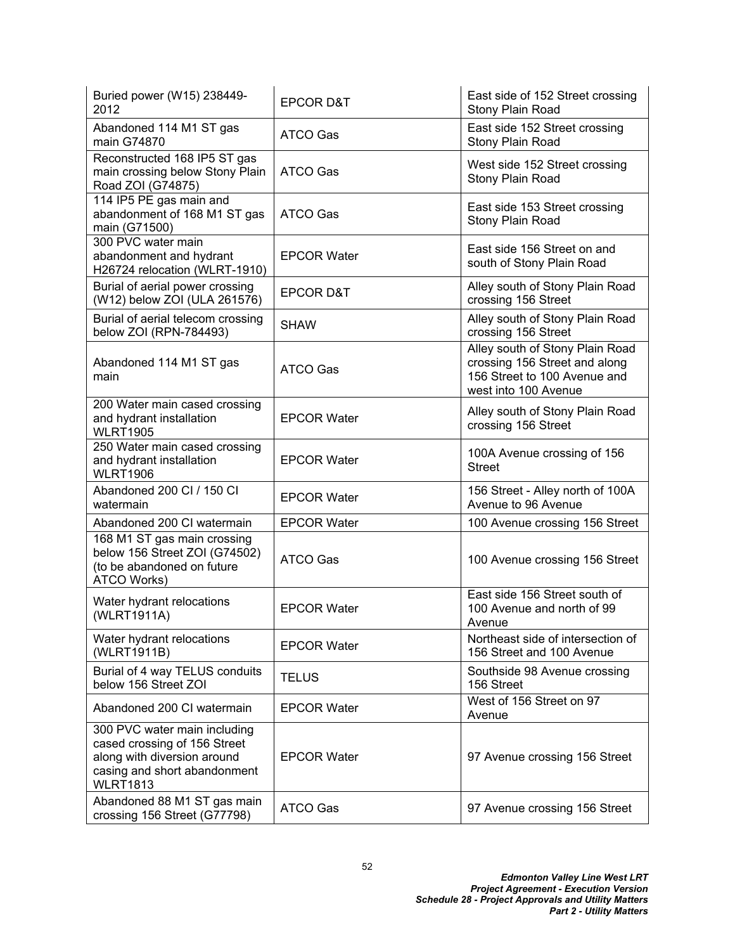| Buried power (W15) 238449-<br>2012                                                                                                             | <b>EPCOR D&amp;T</b> | East side of 152 Street crossing<br>Stony Plain Road                                                                     |
|------------------------------------------------------------------------------------------------------------------------------------------------|----------------------|--------------------------------------------------------------------------------------------------------------------------|
| Abandoned 114 M1 ST gas<br>main G74870                                                                                                         | ATCO Gas             | East side 152 Street crossing<br>Stony Plain Road                                                                        |
| Reconstructed 168 IP5 ST gas<br>main crossing below Stony Plain<br>Road ZOI (G74875)                                                           | ATCO Gas             | West side 152 Street crossing<br>Stony Plain Road                                                                        |
| 114 IP5 PE gas main and<br>abandonment of 168 M1 ST gas<br>main (G71500)                                                                       | ATCO Gas             | East side 153 Street crossing<br>Stony Plain Road                                                                        |
| 300 PVC water main<br>abandonment and hydrant<br>H26724 relocation (WLRT-1910)                                                                 | <b>EPCOR Water</b>   | East side 156 Street on and<br>south of Stony Plain Road                                                                 |
| Burial of aerial power crossing<br>(W12) below ZOI (ULA 261576)                                                                                | <b>EPCOR D&amp;T</b> | Alley south of Stony Plain Road<br>crossing 156 Street                                                                   |
| Burial of aerial telecom crossing<br>below ZOI (RPN-784493)                                                                                    | <b>SHAW</b>          | Alley south of Stony Plain Road<br>crossing 156 Street                                                                   |
| Abandoned 114 M1 ST gas<br>main                                                                                                                | <b>ATCO Gas</b>      | Alley south of Stony Plain Road<br>crossing 156 Street and along<br>156 Street to 100 Avenue and<br>west into 100 Avenue |
| 200 Water main cased crossing<br>and hydrant installation<br><b>WLRT1905</b>                                                                   | <b>EPCOR Water</b>   | Alley south of Stony Plain Road<br>crossing 156 Street                                                                   |
| 250 Water main cased crossing<br>and hydrant installation<br><b>WLRT1906</b>                                                                   | <b>EPCOR Water</b>   | 100A Avenue crossing of 156<br><b>Street</b>                                                                             |
| Abandoned 200 CI / 150 CI<br>watermain                                                                                                         | <b>EPCOR Water</b>   | 156 Street - Alley north of 100A<br>Avenue to 96 Avenue                                                                  |
| Abandoned 200 CI watermain                                                                                                                     | <b>EPCOR Water</b>   | 100 Avenue crossing 156 Street                                                                                           |
| 168 M1 ST gas main crossing<br>below 156 Street ZOI (G74502)<br>(to be abandoned on future<br>ATCO Works)                                      | <b>ATCO Gas</b>      | 100 Avenue crossing 156 Street                                                                                           |
| Water hydrant relocations<br>(WLRT1911A)                                                                                                       | <b>EPCOR Water</b>   | East side 156 Street south of<br>100 Avenue and north of 99<br>Avenue                                                    |
| Water hydrant relocations<br>(WLRT1911B)                                                                                                       | <b>EPCOR Water</b>   | Northeast side of intersection of<br>156 Street and 100 Avenue                                                           |
| Burial of 4 way TELUS conduits<br>below 156 Street ZOI                                                                                         | <b>TELUS</b>         | Southside 98 Avenue crossing<br>156 Street                                                                               |
| Abandoned 200 CI watermain                                                                                                                     | <b>EPCOR Water</b>   | West of 156 Street on 97<br>Avenue                                                                                       |
| 300 PVC water main including<br>cased crossing of 156 Street<br>along with diversion around<br>casing and short abandonment<br><b>WLRT1813</b> | <b>EPCOR Water</b>   | 97 Avenue crossing 156 Street                                                                                            |
| Abandoned 88 M1 ST gas main<br>crossing 156 Street (G77798)                                                                                    | ATCO Gas             | 97 Avenue crossing 156 Street                                                                                            |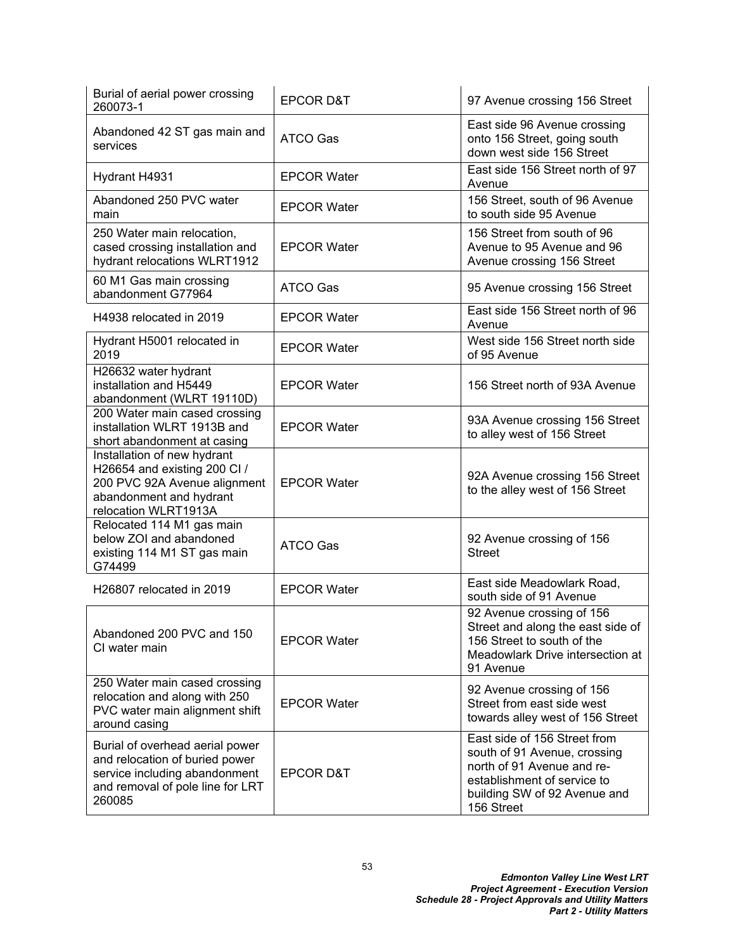| Burial of aerial power crossing<br>260073-1                                                                                                      | <b>EPCOR D&amp;T</b> | 97 Avenue crossing 156 Street                                                                                                                                           |  |
|--------------------------------------------------------------------------------------------------------------------------------------------------|----------------------|-------------------------------------------------------------------------------------------------------------------------------------------------------------------------|--|
| Abandoned 42 ST gas main and<br>services                                                                                                         | <b>ATCO Gas</b>      | East side 96 Avenue crossing<br>onto 156 Street, going south<br>down west side 156 Street                                                                               |  |
| Hydrant H4931                                                                                                                                    | <b>EPCOR Water</b>   | East side 156 Street north of 97<br>Avenue                                                                                                                              |  |
| Abandoned 250 PVC water<br>main                                                                                                                  | <b>EPCOR Water</b>   | 156 Street, south of 96 Avenue<br>to south side 95 Avenue                                                                                                               |  |
| 250 Water main relocation,<br>cased crossing installation and<br>hydrant relocations WLRT1912                                                    | <b>EPCOR Water</b>   | 156 Street from south of 96<br>Avenue to 95 Avenue and 96<br>Avenue crossing 156 Street                                                                                 |  |
| 60 M1 Gas main crossing<br>abandonment G77964                                                                                                    | <b>ATCO Gas</b>      | 95 Avenue crossing 156 Street                                                                                                                                           |  |
| H4938 relocated in 2019                                                                                                                          | <b>EPCOR Water</b>   | East side 156 Street north of 96<br>Avenue                                                                                                                              |  |
| Hydrant H5001 relocated in<br>2019                                                                                                               | <b>EPCOR Water</b>   | West side 156 Street north side<br>of 95 Avenue                                                                                                                         |  |
| H26632 water hydrant<br>installation and H5449<br>abandonment (WLRT 19110D)                                                                      | <b>EPCOR Water</b>   | 156 Street north of 93A Avenue                                                                                                                                          |  |
| 200 Water main cased crossing<br>installation WLRT 1913B and<br>short abandonment at casing                                                      | <b>EPCOR Water</b>   | 93A Avenue crossing 156 Street<br>to alley west of 156 Street                                                                                                           |  |
| Installation of new hydrant<br>H26654 and existing 200 Cl /<br>200 PVC 92A Avenue alignment<br>abandonment and hydrant<br>relocation WLRT1913A   | <b>EPCOR Water</b>   | 92A Avenue crossing 156 Street<br>to the alley west of 156 Street                                                                                                       |  |
| Relocated 114 M1 gas main<br>below ZOI and abandoned<br>existing 114 M1 ST gas main<br>G74499                                                    | <b>ATCO Gas</b>      | 92 Avenue crossing of 156<br><b>Street</b>                                                                                                                              |  |
| H26807 relocated in 2019                                                                                                                         | <b>EPCOR Water</b>   | East side Meadowlark Road,<br>south side of 91 Avenue                                                                                                                   |  |
| Abandoned 200 PVC and 150<br>CI water main                                                                                                       | <b>EPCOR Water</b>   | 92 Avenue crossing of 156<br>Street and along the east side of<br>156 Street to south of the<br>Meadowlark Drive intersection at<br>91 Avenue                           |  |
| 250 Water main cased crossing<br>relocation and along with 250<br>PVC water main alignment shift<br>around casing                                | <b>EPCOR Water</b>   | 92 Avenue crossing of 156<br>Street from east side west<br>towards alley west of 156 Street                                                                             |  |
| Burial of overhead aerial power<br>and relocation of buried power<br>service including abandonment<br>and removal of pole line for LRT<br>260085 | <b>EPCOR D&amp;T</b> | East side of 156 Street from<br>south of 91 Avenue, crossing<br>north of 91 Avenue and re-<br>establishment of service to<br>building SW of 92 Avenue and<br>156 Street |  |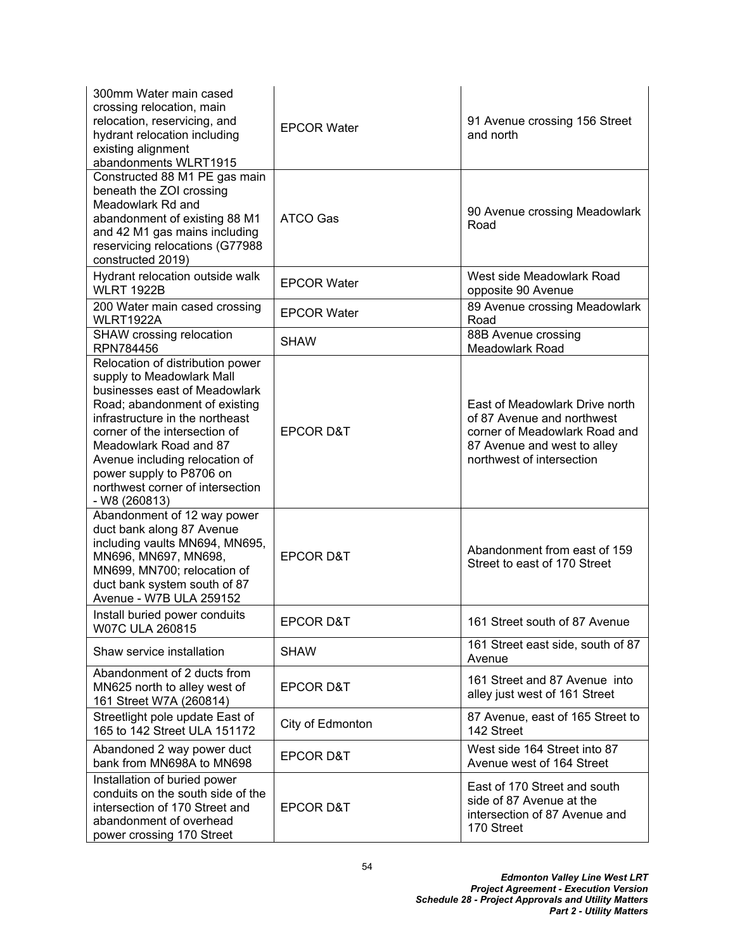| 300mm Water main cased<br>crossing relocation, main<br>relocation, reservicing, and<br>hydrant relocation including<br>existing alignment<br>abandonments WLRT1915                                                                                                                                                                               | <b>EPCOR Water</b>   | 91 Avenue crossing 156 Street<br>and north                                                                                                                |
|--------------------------------------------------------------------------------------------------------------------------------------------------------------------------------------------------------------------------------------------------------------------------------------------------------------------------------------------------|----------------------|-----------------------------------------------------------------------------------------------------------------------------------------------------------|
| Constructed 88 M1 PE gas main<br>beneath the ZOI crossing<br>Meadowlark Rd and<br>abandonment of existing 88 M1<br>and 42 M1 gas mains including<br>reservicing relocations (G77988<br>constructed 2019)                                                                                                                                         | <b>ATCO Gas</b>      | 90 Avenue crossing Meadowlark<br>Road                                                                                                                     |
| Hydrant relocation outside walk<br><b>WLRT 1922B</b>                                                                                                                                                                                                                                                                                             | <b>EPCOR Water</b>   | West side Meadowlark Road<br>opposite 90 Avenue                                                                                                           |
| 200 Water main cased crossing<br><b>WLRT1922A</b>                                                                                                                                                                                                                                                                                                | <b>EPCOR Water</b>   | 89 Avenue crossing Meadowlark<br>Road                                                                                                                     |
| SHAW crossing relocation<br>RPN784456                                                                                                                                                                                                                                                                                                            | <b>SHAW</b>          | 88B Avenue crossing<br><b>Meadowlark Road</b>                                                                                                             |
| Relocation of distribution power<br>supply to Meadowlark Mall<br>businesses east of Meadowlark<br>Road; abandonment of existing<br>infrastructure in the northeast<br>corner of the intersection of<br>Meadowlark Road and 87<br>Avenue including relocation of<br>power supply to P8706 on<br>northwest corner of intersection<br>- W8 (260813) | <b>EPCOR D&amp;T</b> | East of Meadowlark Drive north<br>of 87 Avenue and northwest<br>corner of Meadowlark Road and<br>87 Avenue and west to alley<br>northwest of intersection |
| Abandonment of 12 way power<br>duct bank along 87 Avenue<br>including vaults MN694, MN695,<br>MN696, MN697, MN698,<br>MN699, MN700; relocation of<br>duct bank system south of 87<br>Avenue - W7B ULA 259152                                                                                                                                     | <b>EPCOR D&amp;T</b> | Abandonment from east of 159<br>Street to east of 170 Street                                                                                              |
| Install buried power conduits<br><b>W07C ULA 260815</b>                                                                                                                                                                                                                                                                                          | EPCOR D&T            | 161 Street south of 87 Avenue                                                                                                                             |
| Shaw service installation                                                                                                                                                                                                                                                                                                                        | <b>SHAW</b>          | 161 Street east side, south of 87<br>Avenue                                                                                                               |
| Abandonment of 2 ducts from<br>MN625 north to alley west of<br>161 Street W7A (260814)                                                                                                                                                                                                                                                           | <b>EPCOR D&amp;T</b> | 161 Street and 87 Avenue into<br>alley just west of 161 Street                                                                                            |
| Streetlight pole update East of<br>165 to 142 Street ULA 151172                                                                                                                                                                                                                                                                                  | City of Edmonton     | 87 Avenue, east of 165 Street to<br>142 Street                                                                                                            |
| Abandoned 2 way power duct<br>bank from MN698A to MN698                                                                                                                                                                                                                                                                                          | <b>EPCOR D&amp;T</b> | West side 164 Street into 87<br>Avenue west of 164 Street                                                                                                 |
| Installation of buried power<br>conduits on the south side of the<br>intersection of 170 Street and<br>abandonment of overhead<br>power crossing 170 Street                                                                                                                                                                                      | <b>EPCOR D&amp;T</b> | East of 170 Street and south<br>side of 87 Avenue at the<br>intersection of 87 Avenue and<br>170 Street                                                   |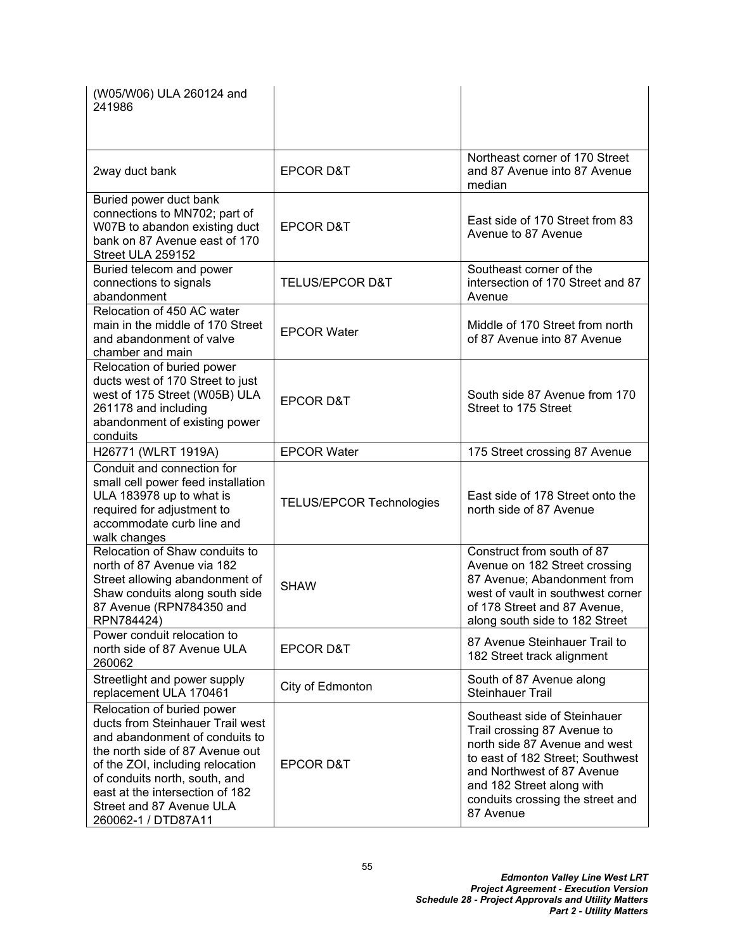| (W05/W06) ULA 260124 and<br>241986                                                                                                                                                                                                                                                             |                                 |                                                                                                                                                                                                                                              |
|------------------------------------------------------------------------------------------------------------------------------------------------------------------------------------------------------------------------------------------------------------------------------------------------|---------------------------------|----------------------------------------------------------------------------------------------------------------------------------------------------------------------------------------------------------------------------------------------|
| 2way duct bank                                                                                                                                                                                                                                                                                 | <b>EPCOR D&amp;T</b>            | Northeast corner of 170 Street<br>and 87 Avenue into 87 Avenue<br>median                                                                                                                                                                     |
| Buried power duct bank<br>connections to MN702; part of<br>W07B to abandon existing duct<br>bank on 87 Avenue east of 170<br>Street ULA 259152                                                                                                                                                 | <b>EPCOR D&amp;T</b>            | East side of 170 Street from 83<br>Avenue to 87 Avenue                                                                                                                                                                                       |
| Buried telecom and power<br>connections to signals<br>abandonment                                                                                                                                                                                                                              | <b>TELUS/EPCOR D&amp;T</b>      | Southeast corner of the<br>intersection of 170 Street and 87<br>Avenue                                                                                                                                                                       |
| Relocation of 450 AC water<br>main in the middle of 170 Street<br>and abandonment of valve<br>chamber and main                                                                                                                                                                                 | <b>EPCOR Water</b>              | Middle of 170 Street from north<br>of 87 Avenue into 87 Avenue                                                                                                                                                                               |
| Relocation of buried power<br>ducts west of 170 Street to just<br>west of 175 Street (W05B) ULA<br>261178 and including<br>abandonment of existing power<br>conduits                                                                                                                           | <b>EPCOR D&amp;T</b>            | South side 87 Avenue from 170<br>Street to 175 Street                                                                                                                                                                                        |
| H26771 (WLRT 1919A)                                                                                                                                                                                                                                                                            | <b>EPCOR Water</b>              | 175 Street crossing 87 Avenue                                                                                                                                                                                                                |
| Conduit and connection for<br>small cell power feed installation<br>ULA 183978 up to what is<br>required for adjustment to<br>accommodate curb line and<br>walk changes                                                                                                                        | <b>TELUS/EPCOR Technologies</b> | East side of 178 Street onto the<br>north side of 87 Avenue                                                                                                                                                                                  |
| Relocation of Shaw conduits to<br>north of 87 Avenue via 182<br>Street allowing abandonment of<br>Shaw conduits along south side<br>87 Avenue (RPN784350 and<br>RPN784424)                                                                                                                     | <b>SHAW</b>                     | Construct from south of 87<br>Avenue on 182 Street crossing<br>87 Avenue; Abandonment from<br>west of vault in southwest corner<br>of 178 Street and 87 Avenue,<br>along south side to 182 Street                                            |
| Power conduit relocation to<br>north side of 87 Avenue ULA<br>260062                                                                                                                                                                                                                           | <b>EPCOR D&amp;T</b>            | 87 Avenue Steinhauer Trail to<br>182 Street track alignment                                                                                                                                                                                  |
| Streetlight and power supply<br>replacement ULA 170461                                                                                                                                                                                                                                         | City of Edmonton                | South of 87 Avenue along<br><b>Steinhauer Trail</b>                                                                                                                                                                                          |
| Relocation of buried power<br>ducts from Steinhauer Trail west<br>and abandonment of conduits to<br>the north side of 87 Avenue out<br>of the ZOI, including relocation<br>of conduits north, south, and<br>east at the intersection of 182<br>Street and 87 Avenue ULA<br>260062-1 / DTD87A11 | <b>EPCOR D&amp;T</b>            | Southeast side of Steinhauer<br>Trail crossing 87 Avenue to<br>north side 87 Avenue and west<br>to east of 182 Street; Southwest<br>and Northwest of 87 Avenue<br>and 182 Street along with<br>conduits crossing the street and<br>87 Avenue |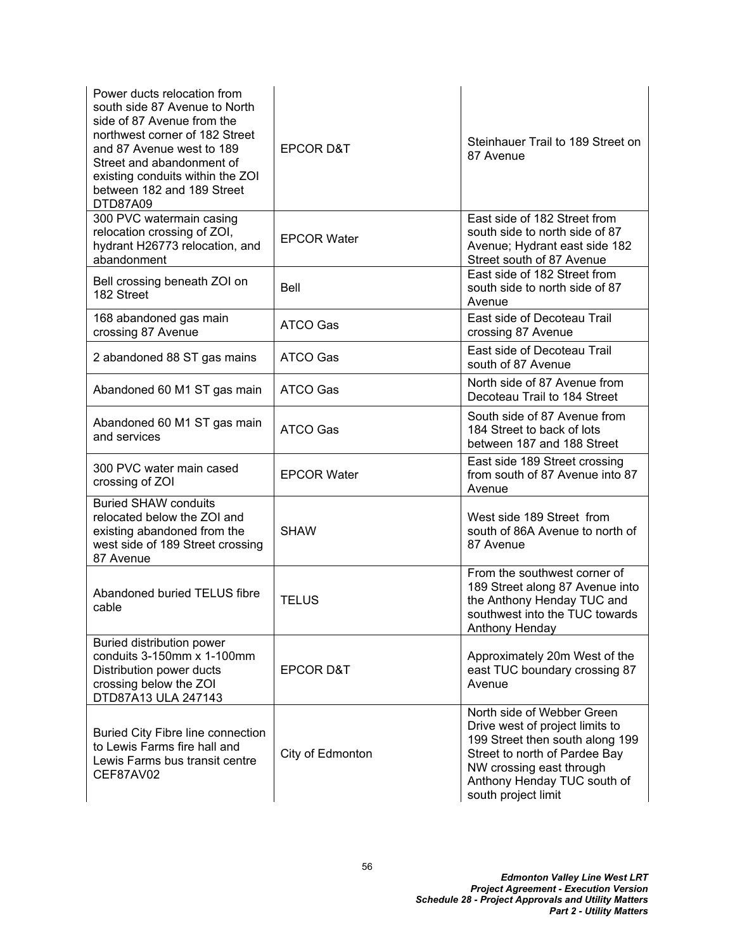| Power ducts relocation from<br>south side 87 Avenue to North<br>side of 87 Avenue from the<br>northwest corner of 182 Street<br>and 87 Avenue west to 189<br>Street and abandonment of<br>existing conduits within the ZOI<br>between 182 and 189 Street<br>DTD87A09 | <b>EPCOR D&amp;T</b> | Steinhauer Trail to 189 Street on<br>87 Avenue                                                                                                                                                                      |
|----------------------------------------------------------------------------------------------------------------------------------------------------------------------------------------------------------------------------------------------------------------------|----------------------|---------------------------------------------------------------------------------------------------------------------------------------------------------------------------------------------------------------------|
| 300 PVC watermain casing<br>relocation crossing of ZOI,<br>hydrant H26773 relocation, and<br>abandonment                                                                                                                                                             | <b>EPCOR Water</b>   | East side of 182 Street from<br>south side to north side of 87<br>Avenue; Hydrant east side 182<br>Street south of 87 Avenue                                                                                        |
| Bell crossing beneath ZOI on<br>182 Street                                                                                                                                                                                                                           | Bell                 | East side of 182 Street from<br>south side to north side of 87<br>Avenue                                                                                                                                            |
| 168 abandoned gas main<br>crossing 87 Avenue                                                                                                                                                                                                                         | ATCO Gas             | East side of Decoteau Trail<br>crossing 87 Avenue                                                                                                                                                                   |
| 2 abandoned 88 ST gas mains                                                                                                                                                                                                                                          | ATCO Gas             | East side of Decoteau Trail<br>south of 87 Avenue                                                                                                                                                                   |
| Abandoned 60 M1 ST gas main                                                                                                                                                                                                                                          | ATCO Gas             | North side of 87 Avenue from<br>Decoteau Trail to 184 Street                                                                                                                                                        |
| Abandoned 60 M1 ST gas main<br>and services                                                                                                                                                                                                                          | <b>ATCO Gas</b>      | South side of 87 Avenue from<br>184 Street to back of lots<br>between 187 and 188 Street                                                                                                                            |
| 300 PVC water main cased<br>crossing of ZOI                                                                                                                                                                                                                          | <b>EPCOR Water</b>   | East side 189 Street crossing<br>from south of 87 Avenue into 87<br>Avenue                                                                                                                                          |
| <b>Buried SHAW conduits</b><br>relocated below the ZOI and<br>existing abandoned from the<br>west side of 189 Street crossing<br>87 Avenue                                                                                                                           | <b>SHAW</b>          | West side 189 Street from<br>south of 86A Avenue to north of<br>87 Avenue                                                                                                                                           |
| Abandoned buried TELUS fibre<br>cable                                                                                                                                                                                                                                | <b>TELUS</b>         | From the southwest corner of<br>189 Street along 87 Avenue into<br>the Anthony Henday TUC and<br>southwest into the TUC towards<br>Anthony Henday                                                                   |
| Buried distribution power<br>conduits 3-150mm x 1-100mm<br>Distribution power ducts<br>crossing below the ZOI<br>DTD87A13 ULA 247143                                                                                                                                 | <b>EPCOR D&amp;T</b> | Approximately 20m West of the<br>east TUC boundary crossing 87<br>Avenue                                                                                                                                            |
| <b>Buried City Fibre line connection</b><br>to Lewis Farms fire hall and<br>Lewis Farms bus transit centre<br>CEF87AV02                                                                                                                                              | City of Edmonton     | North side of Webber Green<br>Drive west of project limits to<br>199 Street then south along 199<br>Street to north of Pardee Bay<br>NW crossing east through<br>Anthony Henday TUC south of<br>south project limit |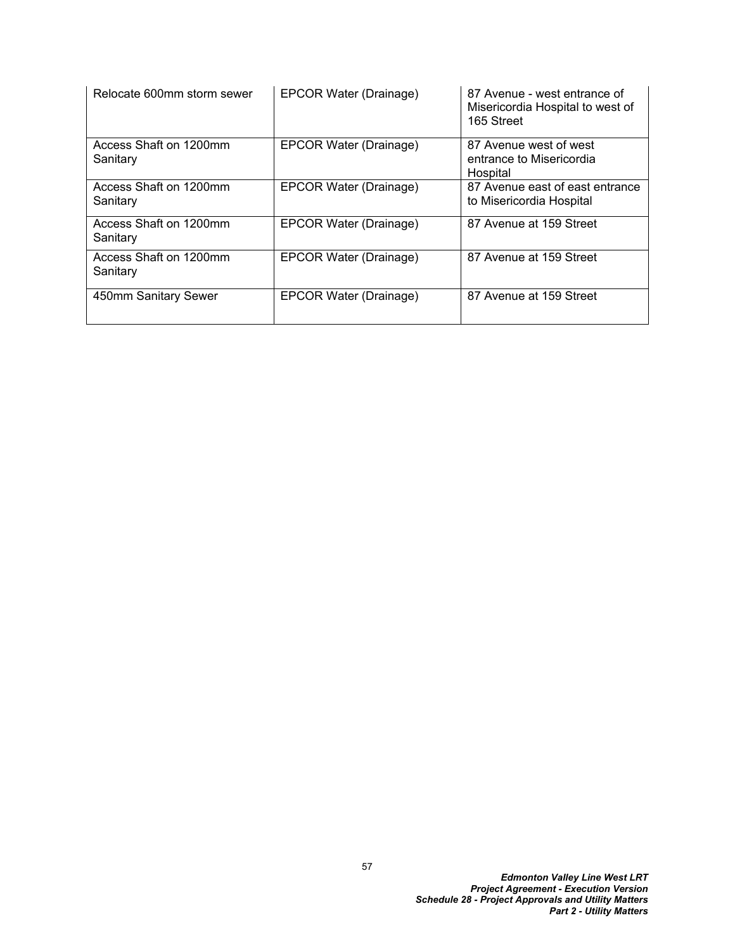| Relocate 600mm storm sewer         | EPCOR Water (Drainage) | 87 Avenue - west entrance of<br>Misericordia Hospital to west of<br>165 Street |
|------------------------------------|------------------------|--------------------------------------------------------------------------------|
| Access Shaft on 1200mm<br>Sanitary | EPCOR Water (Drainage) | 87 Avenue west of west<br>entrance to Misericordia<br>Hospital                 |
| Access Shaft on 1200mm<br>Sanitary | EPCOR Water (Drainage) | 87 Avenue east of east entrance<br>to Misericordia Hospital                    |
| Access Shaft on 1200mm<br>Sanitary | EPCOR Water (Drainage) | 87 Avenue at 159 Street                                                        |
| Access Shaft on 1200mm<br>Sanitary | EPCOR Water (Drainage) | 87 Avenue at 159 Street                                                        |
| 450mm Sanitary Sewer               | EPCOR Water (Drainage) | 87 Avenue at 159 Street                                                        |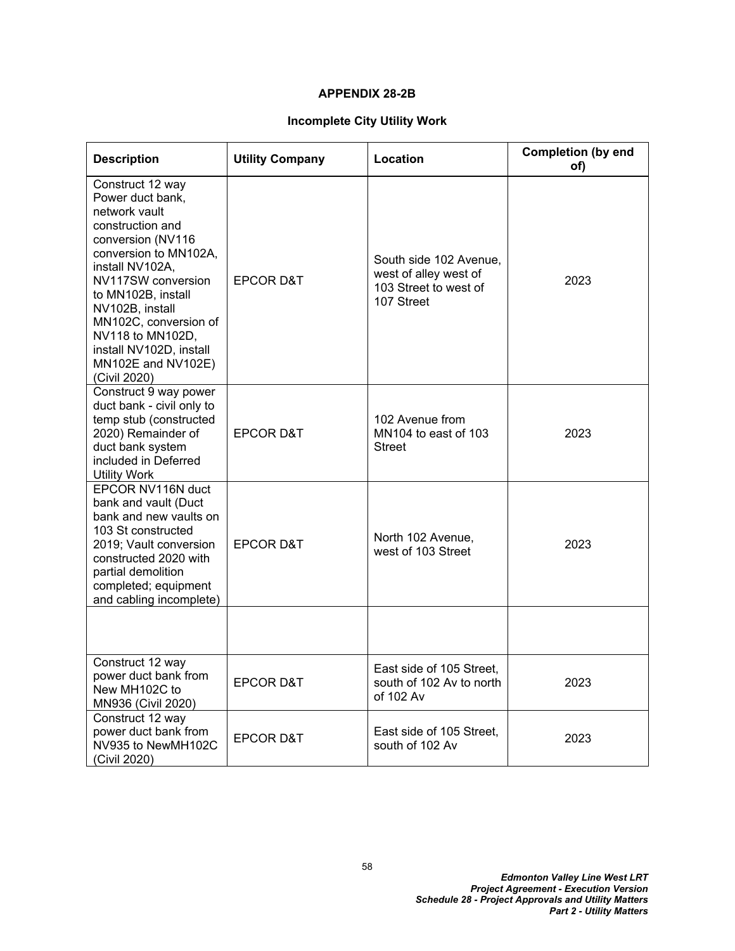#### **APPENDIX 28-2B**

# **Incomplete City Utility Work**

| <b>Description</b>                                                                                                                                                                                                                                                                                                      | <b>Utility Company</b> | Location                                                                               | <b>Completion (by end</b><br>of) |
|-------------------------------------------------------------------------------------------------------------------------------------------------------------------------------------------------------------------------------------------------------------------------------------------------------------------------|------------------------|----------------------------------------------------------------------------------------|----------------------------------|
| Construct 12 way<br>Power duct bank,<br>network vault<br>construction and<br>conversion (NV116<br>conversion to MN102A,<br>install NV102A,<br>NV117SW conversion<br>to MN102B, install<br>NV102B, install<br>MN102C, conversion of<br>NV118 to MN102D,<br>install NV102D, install<br>MN102E and NV102E)<br>(Civil 2020) | <b>EPCOR D&amp;T</b>   | South side 102 Avenue,<br>west of alley west of<br>103 Street to west of<br>107 Street | 2023                             |
| Construct 9 way power<br>duct bank - civil only to<br>temp stub (constructed<br>2020) Remainder of<br>duct bank system<br>included in Deferred<br><b>Utility Work</b>                                                                                                                                                   | <b>EPCOR D&amp;T</b>   | 102 Avenue from<br>MN104 to east of 103<br><b>Street</b>                               | 2023                             |
| EPCOR NV116N duct<br>bank and vault (Duct<br>bank and new vaults on<br>103 St constructed<br>2019; Vault conversion<br>constructed 2020 with<br>partial demolition<br>completed; equipment<br>and cabling incomplete)                                                                                                   | <b>EPCOR D&amp;T</b>   | North 102 Avenue,<br>west of 103 Street                                                | 2023                             |
|                                                                                                                                                                                                                                                                                                                         |                        |                                                                                        |                                  |
| Construct 12 way<br>power duct bank from<br>New MH102C to<br>MN936 (Civil 2020)                                                                                                                                                                                                                                         | <b>EPCOR D&amp;T</b>   | East side of 105 Street.<br>south of 102 Av to north<br>of 102 Av                      | 2023                             |
| Construct 12 way<br>power duct bank from<br>NV935 to NewMH102C<br>(Civil 2020)                                                                                                                                                                                                                                          | <b>EPCOR D&amp;T</b>   | East side of 105 Street,<br>south of 102 Av                                            | 2023                             |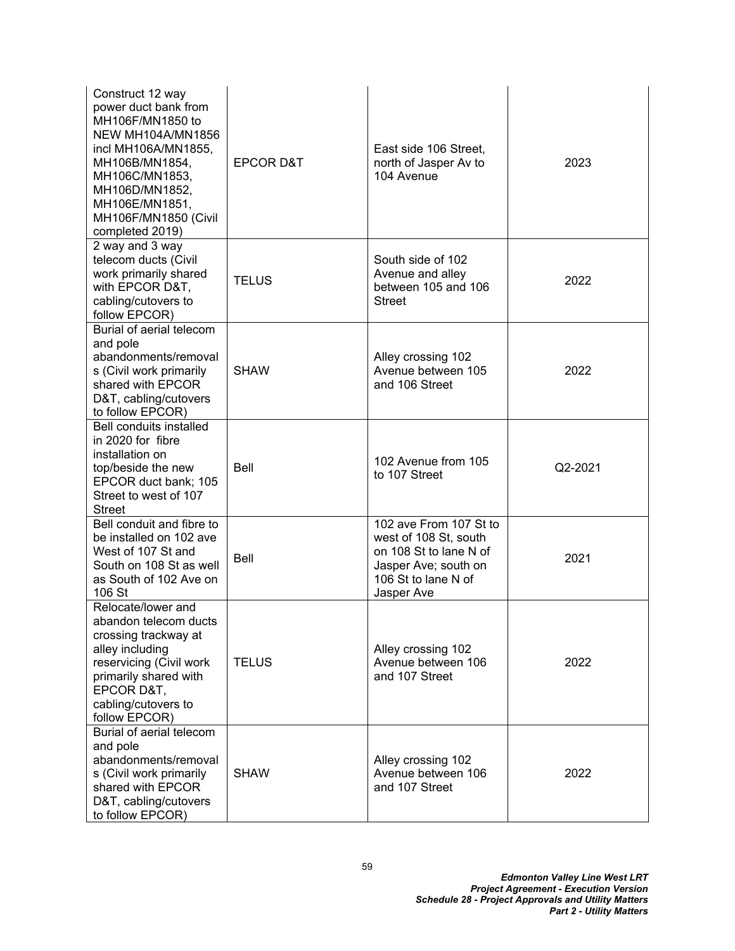| Construct 12 way<br>power duct bank from<br>MH106F/MN1850 to<br><b>NEW MH104A/MN1856</b><br>incl MH106A/MN1855,<br>MH106B/MN1854,<br>MH106C/MN1853,<br>MH106D/MN1852,<br>MH106E/MN1851,<br>MH106F/MN1850 (Civil<br>completed 2019) | <b>EPCOR D&amp;T</b> | East side 106 Street,<br>north of Jasper Av to<br>104 Avenue                                                                           | 2023    |
|------------------------------------------------------------------------------------------------------------------------------------------------------------------------------------------------------------------------------------|----------------------|----------------------------------------------------------------------------------------------------------------------------------------|---------|
| 2 way and 3 way<br>telecom ducts (Civil<br>work primarily shared<br>with EPCOR D&T,<br>cabling/cutovers to<br>follow EPCOR)                                                                                                        | <b>TELUS</b>         | South side of 102<br>Avenue and alley<br>between 105 and 106<br><b>Street</b>                                                          | 2022    |
| Burial of aerial telecom<br>and pole<br>abandonments/removal<br>s (Civil work primarily<br>shared with EPCOR<br>D&T, cabling/cutovers<br>to follow EPCOR)                                                                          | <b>SHAW</b>          | Alley crossing 102<br>Avenue between 105<br>and 106 Street                                                                             | 2022    |
| <b>Bell conduits installed</b><br>in 2020 for fibre<br>installation on<br>top/beside the new<br>EPCOR duct bank; 105<br>Street to west of 107<br><b>Street</b>                                                                     | <b>Bell</b>          | 102 Avenue from 105<br>to 107 Street                                                                                                   | Q2-2021 |
| Bell conduit and fibre to<br>be installed on 102 ave<br>West of 107 St and<br>South on 108 St as well<br>as South of 102 Ave on<br>106 St                                                                                          | Bell                 | 102 ave From 107 St to<br>west of 108 St, south<br>on 108 St to lane N of<br>Jasper Ave; south on<br>106 St to lane N of<br>Jasper Ave | 2021    |
| Relocate/lower and<br>abandon telecom ducts<br>crossing trackway at<br>alley including<br>reservicing (Civil work<br>primarily shared with<br>EPCOR D&T,<br>cabling/cutovers to<br>follow EPCOR)                                   | <b>TELUS</b>         | Alley crossing 102<br>Avenue between 106<br>and 107 Street                                                                             | 2022    |
| Burial of aerial telecom<br>and pole<br>abandonments/removal<br>s (Civil work primarily<br>shared with EPCOR<br>D&T, cabling/cutovers<br>to follow EPCOR)                                                                          | <b>SHAW</b>          | Alley crossing 102<br>Avenue between 106<br>and 107 Street                                                                             | 2022    |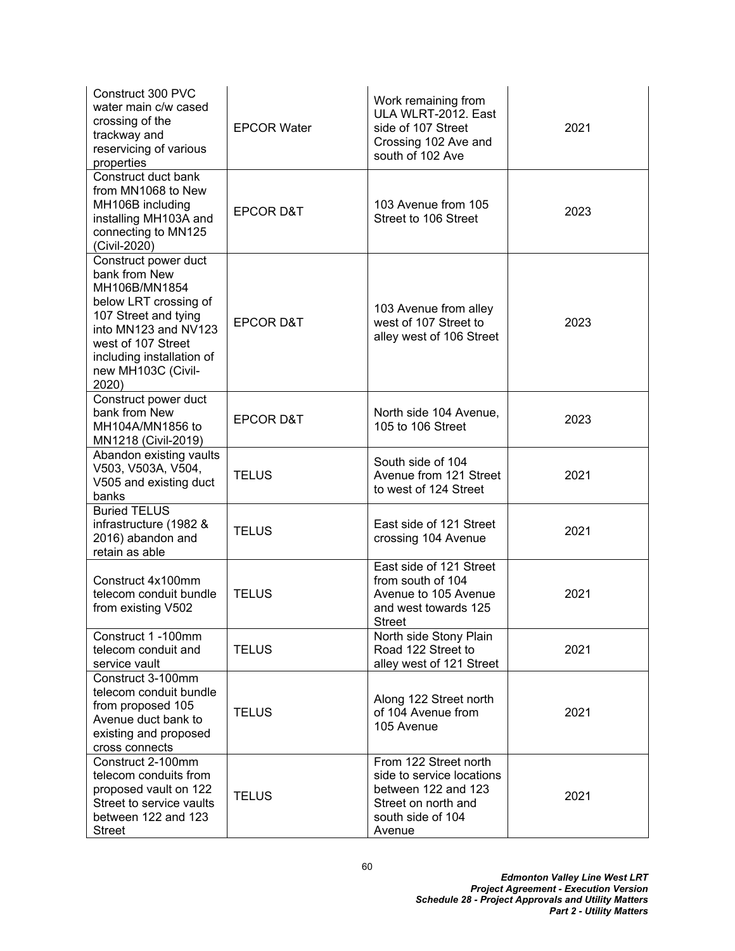| Construct 300 PVC<br>water main c/w cased<br>crossing of the<br>trackway and<br>reservicing of various<br>properties                                                                                              | <b>EPCOR Water</b>   | Work remaining from<br>ULA WLRT-2012. East<br>side of 107 Street<br>Crossing 102 Ave and<br>south of 102 Ave                    | 2021 |
|-------------------------------------------------------------------------------------------------------------------------------------------------------------------------------------------------------------------|----------------------|---------------------------------------------------------------------------------------------------------------------------------|------|
| Construct duct bank<br>from MN1068 to New<br>MH106B including<br>installing MH103A and<br>connecting to MN125<br>(Civil-2020)                                                                                     | <b>EPCOR D&amp;T</b> | 103 Avenue from 105<br>Street to 106 Street                                                                                     | 2023 |
| Construct power duct<br>bank from New<br>MH106B/MN1854<br>below LRT crossing of<br>107 Street and tying<br>into MN123 and NV123<br>west of 107 Street<br>including installation of<br>new MH103C (Civil-<br>2020) | <b>EPCOR D&amp;T</b> | 103 Avenue from alley<br>west of 107 Street to<br>alley west of 106 Street                                                      | 2023 |
| Construct power duct<br>bank from New<br>MH104A/MN1856 to<br>MN1218 (Civil-2019)                                                                                                                                  | <b>EPCOR D&amp;T</b> | North side 104 Avenue,<br>105 to 106 Street                                                                                     | 2023 |
| Abandon existing vaults<br>V503, V503A, V504,<br>V505 and existing duct<br>banks                                                                                                                                  | <b>TELUS</b>         | South side of 104<br>Avenue from 121 Street<br>to west of 124 Street                                                            | 2021 |
| <b>Buried TELUS</b><br>infrastructure (1982 &<br>2016) abandon and<br>retain as able                                                                                                                              | <b>TELUS</b>         | East side of 121 Street<br>crossing 104 Avenue                                                                                  | 2021 |
| Construct 4x100mm<br>telecom conduit bundle<br>from existing V502                                                                                                                                                 | <b>TELUS</b>         | East side of 121 Street<br>from south of 104<br>Avenue to 105 Avenue<br>and west towards 125<br>Street                          | 2021 |
| Construct 1 -100mm<br>telecom conduit and<br>service vault                                                                                                                                                        | <b>TELUS</b>         | North side Stony Plain<br>Road 122 Street to<br>alley west of 121 Street                                                        | 2021 |
| Construct 3-100mm<br>telecom conduit bundle<br>from proposed 105<br>Avenue duct bank to<br>existing and proposed<br>cross connects                                                                                | <b>TELUS</b>         | Along 122 Street north<br>of 104 Avenue from<br>105 Avenue                                                                      | 2021 |
| Construct 2-100mm<br>telecom conduits from<br>proposed vault on 122<br>Street to service vaults<br>between 122 and 123<br><b>Street</b>                                                                           | <b>TELUS</b>         | From 122 Street north<br>side to service locations<br>between 122 and 123<br>Street on north and<br>south side of 104<br>Avenue | 2021 |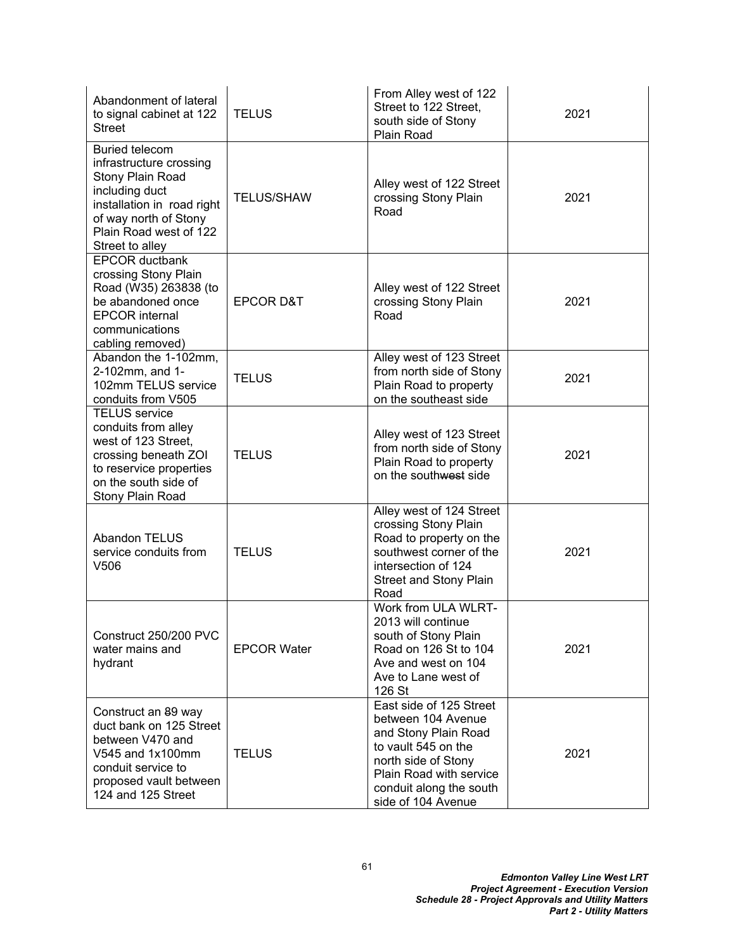| Abandonment of lateral<br>to signal cabinet at 122<br><b>Street</b>                                                                                                                        | <b>TELUS</b>         | From Alley west of 122<br>Street to 122 Street,<br>south side of Stony<br>Plain Road                                                                                                            | 2021 |
|--------------------------------------------------------------------------------------------------------------------------------------------------------------------------------------------|----------------------|-------------------------------------------------------------------------------------------------------------------------------------------------------------------------------------------------|------|
| <b>Buried telecom</b><br>infrastructure crossing<br>Stony Plain Road<br>including duct<br>installation in road right<br>of way north of Stony<br>Plain Road west of 122<br>Street to alley | <b>TELUS/SHAW</b>    | Alley west of 122 Street<br>crossing Stony Plain<br>Road                                                                                                                                        | 2021 |
| <b>EPCOR ductbank</b><br>crossing Stony Plain<br>Road (W35) 263838 (to<br>be abandoned once<br><b>EPCOR</b> internal<br>communications<br>cabling removed)                                 | <b>EPCOR D&amp;T</b> | Alley west of 122 Street<br>crossing Stony Plain<br>Road                                                                                                                                        | 2021 |
| Abandon the 1-102mm,<br>2-102mm, and 1-<br>102mm TELUS service<br>conduits from V505                                                                                                       | <b>TELUS</b>         | Alley west of 123 Street<br>from north side of Stony<br>Plain Road to property<br>on the southeast side                                                                                         | 2021 |
| <b>TELUS</b> service<br>conduits from alley<br>west of 123 Street,<br>crossing beneath ZOI<br>to reservice properties<br>on the south side of<br>Stony Plain Road                          | <b>TELUS</b>         | Alley west of 123 Street<br>from north side of Stony<br>Plain Road to property<br>on the southwest side                                                                                         | 2021 |
| <b>Abandon TELUS</b><br>service conduits from<br>V <sub>506</sub>                                                                                                                          | <b>TELUS</b>         | Alley west of 124 Street<br>crossing Stony Plain<br>Road to property on the<br>southwest corner of the<br>intersection of 124<br><b>Street and Stony Plain</b><br>Road                          | 2021 |
| Construct 250/200 PVC<br>water mains and<br>hydrant                                                                                                                                        | <b>EPCOR Water</b>   | Work from ULA WLRT-<br>2013 will continue<br>south of Stony Plain<br>Road on 126 St to 104<br>Ave and west on 104<br>Ave to Lane west of<br>126 St                                              | 2021 |
| Construct an 89 way<br>duct bank on 125 Street<br>between V470 and<br>V545 and 1x100mm<br>conduit service to<br>proposed vault between<br>124 and 125 Street                               | <b>TELUS</b>         | East side of 125 Street<br>between 104 Avenue<br>and Stony Plain Road<br>to vault 545 on the<br>north side of Stony<br>Plain Road with service<br>conduit along the south<br>side of 104 Avenue | 2021 |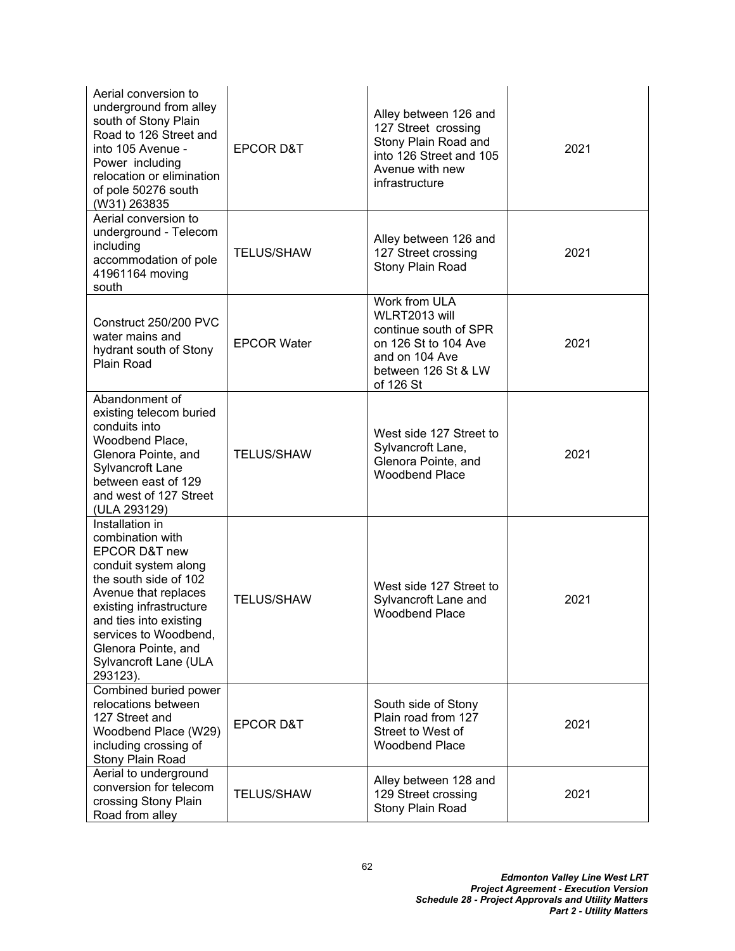| Aerial conversion to<br>underground from alley<br>south of Stony Plain<br>Road to 126 Street and<br>into 105 Avenue -<br>Power including<br>relocation or elimination<br>of pole 50276 south<br>(W31) 263835                                                            | <b>EPCOR D&amp;T</b> | Alley between 126 and<br>127 Street crossing<br>Stony Plain Road and<br>into 126 Street and 105<br>Avenue with new<br>infrastructure  | 2021 |
|-------------------------------------------------------------------------------------------------------------------------------------------------------------------------------------------------------------------------------------------------------------------------|----------------------|---------------------------------------------------------------------------------------------------------------------------------------|------|
| Aerial conversion to<br>underground - Telecom<br>including<br>accommodation of pole<br>41961164 moving<br>south                                                                                                                                                         | <b>TELUS/SHAW</b>    | Alley between 126 and<br>127 Street crossing<br>Stony Plain Road                                                                      | 2021 |
| Construct 250/200 PVC<br>water mains and<br>hydrant south of Stony<br>Plain Road                                                                                                                                                                                        | <b>EPCOR Water</b>   | Work from ULA<br>WLRT2013 will<br>continue south of SPR<br>on 126 St to 104 Ave<br>and on 104 Ave<br>between 126 St & LW<br>of 126 St | 2021 |
| Abandonment of<br>existing telecom buried<br>conduits into<br>Woodbend Place,<br>Glenora Pointe, and<br>Sylvancroft Lane<br>between east of 129<br>and west of 127 Street<br>(ULA 293129)                                                                               | <b>TELUS/SHAW</b>    | West side 127 Street to<br>Sylvancroft Lane,<br>Glenora Pointe, and<br><b>Woodbend Place</b>                                          | 2021 |
| Installation in<br>combination with<br>EPCOR D&T new<br>conduit system along<br>the south side of 102<br>Avenue that replaces<br>existing infrastructure<br>and ties into existing<br>services to Woodbend,<br>Glenora Pointe, and<br>Sylvancroft Lane (ULA<br>293123). | <b>TELUS/SHAW</b>    | West side 127 Street to<br>Sylvancroft Lane and<br><b>Woodbend Place</b>                                                              | 2021 |
| Combined buried power<br>relocations between<br>127 Street and<br>Woodbend Place (W29)<br>including crossing of<br>Stony Plain Road                                                                                                                                     | <b>EPCOR D&amp;T</b> | South side of Stony<br>Plain road from 127<br>Street to West of<br><b>Woodbend Place</b>                                              | 2021 |
| Aerial to underground<br>conversion for telecom<br>crossing Stony Plain<br>Road from alley                                                                                                                                                                              | <b>TELUS/SHAW</b>    | Alley between 128 and<br>129 Street crossing<br>Stony Plain Road                                                                      | 2021 |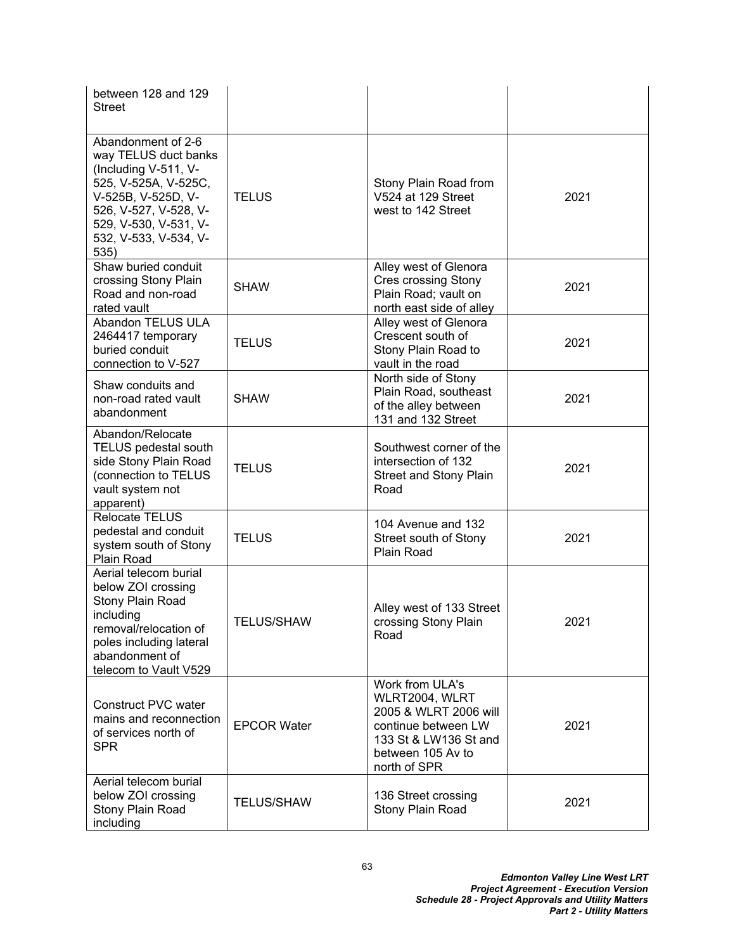| between 128 and 129<br><b>Street</b>                                                                                                                                                                |                    |                                                                                                                                                 |      |
|-----------------------------------------------------------------------------------------------------------------------------------------------------------------------------------------------------|--------------------|-------------------------------------------------------------------------------------------------------------------------------------------------|------|
| Abandonment of 2-6<br>way TELUS duct banks<br>(Including V-511, V-<br>525, V-525A, V-525C,<br>V-525B, V-525D, V-<br>526, V-527, V-528, V-<br>529, V-530, V-531, V-<br>532, V-533, V-534, V-<br>535) | <b>TELUS</b>       | Stony Plain Road from<br>V524 at 129 Street<br>west to 142 Street                                                                               | 2021 |
| Shaw buried conduit<br>crossing Stony Plain<br>Road and non-road<br>rated vault                                                                                                                     | <b>SHAW</b>        | Alley west of Glenora<br><b>Cres crossing Stony</b><br>Plain Road; vault on<br>north east side of alley                                         | 2021 |
| Abandon TELUS ULA<br>2464417 temporary<br>buried conduit<br>connection to V-527                                                                                                                     | <b>TELUS</b>       | Alley west of Glenora<br>Crescent south of<br>Stony Plain Road to<br>vault in the road                                                          | 2021 |
| Shaw conduits and<br>non-road rated vault<br>abandonment                                                                                                                                            | <b>SHAW</b>        | North side of Stony<br>Plain Road, southeast<br>of the alley between<br>131 and 132 Street                                                      | 2021 |
| Abandon/Relocate<br><b>TELUS pedestal south</b><br>side Stony Plain Road<br>(connection to TELUS<br>vault system not<br>apparent)                                                                   | <b>TELUS</b>       | Southwest corner of the<br>intersection of 132<br><b>Street and Stony Plain</b><br>Road                                                         | 2021 |
| <b>Relocate TELUS</b><br>pedestal and conduit<br>system south of Stony<br>Plain Road                                                                                                                | <b>TELUS</b>       | 104 Avenue and 132<br>Street south of Stony<br>Plain Road                                                                                       | 2021 |
| Aerial telecom burial<br>below ZOI crossing<br>Stony Plain Road<br>including<br>removal/relocation of<br>poles including lateral<br>abandonment of<br>telecom to Vault V529                         | <b>TELUS/SHAW</b>  | Alley west of 133 Street<br>crossing Stony Plain<br>Road                                                                                        | 2021 |
| Construct PVC water<br>mains and reconnection<br>of services north of<br><b>SPR</b>                                                                                                                 | <b>EPCOR Water</b> | Work from ULA's<br>WLRT2004, WLRT<br>2005 & WLRT 2006 will<br>continue between LW<br>133 St & LW136 St and<br>between 105 Av to<br>north of SPR | 2021 |
| Aerial telecom burial<br>below ZOI crossing<br>Stony Plain Road<br>including                                                                                                                        | <b>TELUS/SHAW</b>  | 136 Street crossing<br>Stony Plain Road                                                                                                         | 2021 |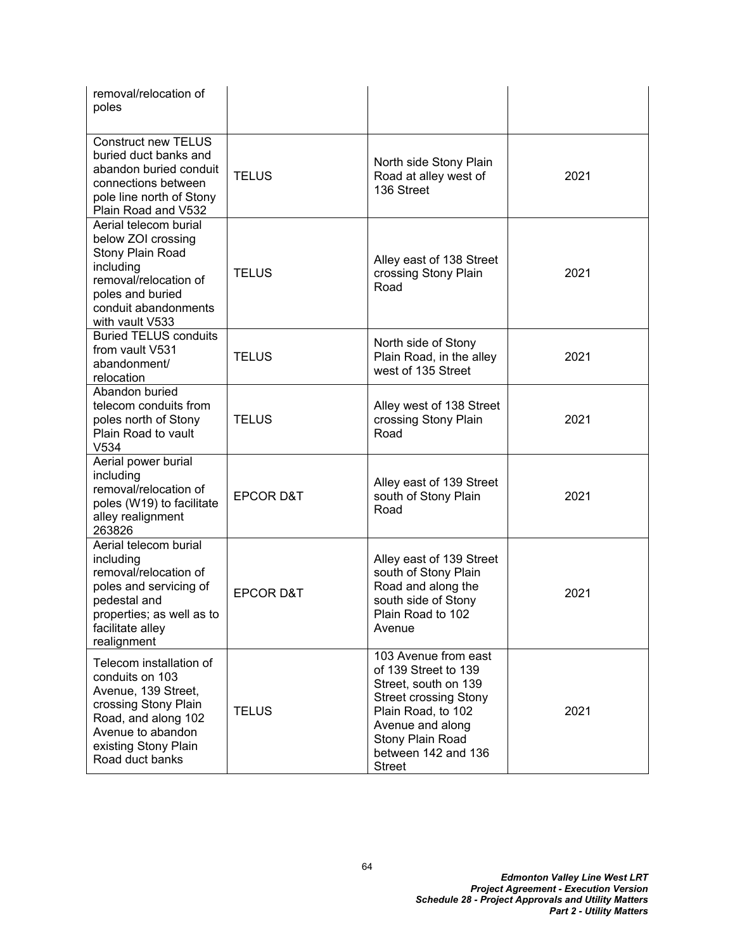| removal/relocation of<br>poles                                                                                                                                                   |                      |                                                                                                                                                                                                            |      |
|----------------------------------------------------------------------------------------------------------------------------------------------------------------------------------|----------------------|------------------------------------------------------------------------------------------------------------------------------------------------------------------------------------------------------------|------|
| <b>Construct new TELUS</b><br>buried duct banks and<br>abandon buried conduit<br>connections between<br>pole line north of Stony<br>Plain Road and V532                          | <b>TELUS</b>         | North side Stony Plain<br>Road at alley west of<br>136 Street                                                                                                                                              | 2021 |
| Aerial telecom burial<br>below ZOI crossing<br>Stony Plain Road<br>including<br>removal/relocation of<br>poles and buried<br>conduit abandonments<br>with vault V533             | <b>TELUS</b>         | Alley east of 138 Street<br>crossing Stony Plain<br>Road                                                                                                                                                   | 2021 |
| <b>Buried TELUS conduits</b><br>from vault V531<br>abandonment/<br>relocation                                                                                                    | <b>TELUS</b>         | North side of Stony<br>Plain Road, in the alley<br>west of 135 Street                                                                                                                                      | 2021 |
| Abandon buried<br>telecom conduits from<br>poles north of Stony<br>Plain Road to vault<br>V <sub>534</sub>                                                                       | <b>TELUS</b>         | Alley west of 138 Street<br>crossing Stony Plain<br>Road                                                                                                                                                   | 2021 |
| Aerial power burial<br>including<br>removal/relocation of<br>poles (W19) to facilitate<br>alley realignment<br>263826                                                            | <b>EPCOR D&amp;T</b> | Alley east of 139 Street<br>south of Stony Plain<br>Road                                                                                                                                                   | 2021 |
| Aerial telecom burial<br>including<br>removal/relocation of<br>poles and servicing of<br>pedestal and<br>properties; as well as to<br>facilitate alley<br>realignment            | <b>EPCOR D&amp;T</b> | Alley east of 139 Street<br>south of Stony Plain<br>Road and along the<br>south side of Stony<br>Plain Road to 102<br>Avenue                                                                               | 2021 |
| Telecom installation of<br>conduits on 103<br>Avenue, 139 Street,<br>crossing Stony Plain<br>Road, and along 102<br>Avenue to abandon<br>existing Stony Plain<br>Road duct banks | <b>TELUS</b>         | 103 Avenue from east<br>of 139 Street to 139<br>Street, south on 139<br><b>Street crossing Stony</b><br>Plain Road, to 102<br>Avenue and along<br>Stony Plain Road<br>between 142 and 136<br><b>Street</b> | 2021 |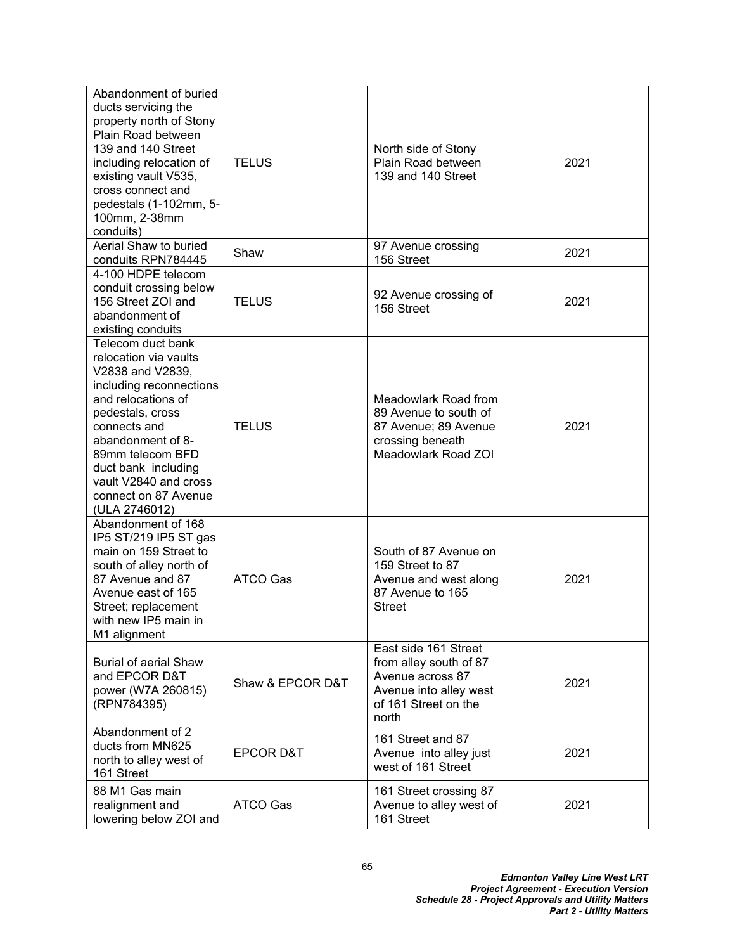| Abandonment of buried<br>ducts servicing the<br>property north of Stony<br>Plain Road between<br>139 and 140 Street<br>including relocation of<br>existing vault V535,<br>cross connect and<br>pedestals (1-102mm, 5-<br>100mm, 2-38mm<br>conduits)                                   | <b>TELUS</b>         | North side of Stony<br>Plain Road between<br>139 and 140 Street                                                               | 2021 |
|---------------------------------------------------------------------------------------------------------------------------------------------------------------------------------------------------------------------------------------------------------------------------------------|----------------------|-------------------------------------------------------------------------------------------------------------------------------|------|
| Aerial Shaw to buried<br>conduits RPN784445                                                                                                                                                                                                                                           | Shaw                 | 97 Avenue crossing<br>156 Street                                                                                              | 2021 |
| 4-100 HDPE telecom<br>conduit crossing below<br>156 Street ZOI and<br>abandonment of<br>existing conduits                                                                                                                                                                             | <b>TELUS</b>         | 92 Avenue crossing of<br>156 Street                                                                                           | 2021 |
| Telecom duct bank<br>relocation via vaults<br>V2838 and V2839,<br>including reconnections<br>and relocations of<br>pedestals, cross<br>connects and<br>abandonment of 8-<br>89mm telecom BFD<br>duct bank including<br>vault V2840 and cross<br>connect on 87 Avenue<br>(ULA 2746012) | <b>TELUS</b>         | Meadowlark Road from<br>89 Avenue to south of<br>87 Avenue; 89 Avenue<br>crossing beneath<br>Meadowlark Road ZOI              | 2021 |
| Abandonment of 168<br>IP5 ST/219 IP5 ST gas<br>main on 159 Street to<br>south of alley north of<br>87 Avenue and 87<br>Avenue east of 165<br>Street; replacement<br>with new IP5 main in<br>M1 alignment                                                                              | <b>ATCO Gas</b>      | South of 87 Avenue on<br>159 Street to 87<br>Avenue and west along<br>87 Avenue to 165<br><b>Street</b>                       | 2021 |
| <b>Burial of aerial Shaw</b><br>and EPCOR D&T<br>power (W7A 260815)<br>(RPN784395)                                                                                                                                                                                                    | Shaw & EPCOR D&T     | East side 161 Street<br>from alley south of 87<br>Avenue across 87<br>Avenue into alley west<br>of 161 Street on the<br>north | 2021 |
| Abandonment of 2<br>ducts from MN625<br>north to alley west of<br>161 Street                                                                                                                                                                                                          | <b>EPCOR D&amp;T</b> | 161 Street and 87<br>Avenue into alley just<br>west of 161 Street                                                             | 2021 |
| 88 M1 Gas main<br>realignment and<br>lowering below ZOI and                                                                                                                                                                                                                           | ATCO Gas             | 161 Street crossing 87<br>Avenue to alley west of<br>161 Street                                                               | 2021 |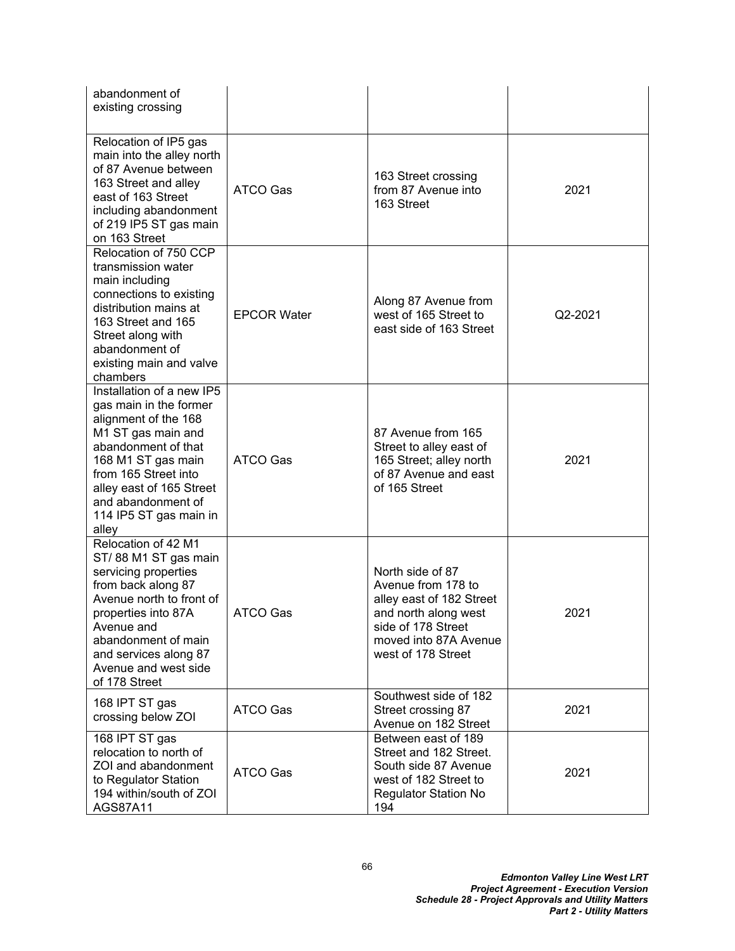| abandonment of<br>existing crossing                                                                                                                                                                                                                         |                    |                                                                                                                                                                 |         |
|-------------------------------------------------------------------------------------------------------------------------------------------------------------------------------------------------------------------------------------------------------------|--------------------|-----------------------------------------------------------------------------------------------------------------------------------------------------------------|---------|
| Relocation of IP5 gas<br>main into the alley north<br>of 87 Avenue between<br>163 Street and alley<br>east of 163 Street<br>including abandonment<br>of 219 IP5 ST gas main<br>on 163 Street                                                                | <b>ATCO Gas</b>    | 163 Street crossing<br>from 87 Avenue into<br>163 Street                                                                                                        | 2021    |
| Relocation of 750 CCP<br>transmission water<br>main including<br>connections to existing<br>distribution mains at<br>163 Street and 165<br>Street along with<br>abandonment of<br>existing main and valve<br>chambers                                       | <b>EPCOR Water</b> | Along 87 Avenue from<br>west of 165 Street to<br>east side of 163 Street                                                                                        | Q2-2021 |
| Installation of a new IP5<br>gas main in the former<br>alignment of the 168<br>M1 ST gas main and<br>abandonment of that<br>168 M1 ST gas main<br>from 165 Street into<br>alley east of 165 Street<br>and abandonment of<br>114 IP5 ST gas main in<br>alley | ATCO Gas           | 87 Avenue from 165<br>Street to alley east of<br>165 Street; alley north<br>of 87 Avenue and east<br>of 165 Street                                              | 2021    |
| Relocation of 42 M1<br>ST/88 M1 ST gas main<br>servicing properties<br>from back along 87<br>Avenue north to front of<br>properties into 87A<br>Avenue and<br>abandonment of main<br>and services along 87<br>Avenue and west side<br>of 178 Street         | ATCO Gas           | North side of 87<br>Avenue from 178 to<br>alley east of 182 Street<br>and north along west<br>side of 178 Street<br>moved into 87A Avenue<br>west of 178 Street | 2021    |
| 168 IPT ST gas<br>crossing below ZOI                                                                                                                                                                                                                        | ATCO Gas           | Southwest side of 182<br>Street crossing 87<br>Avenue on 182 Street                                                                                             | 2021    |
| 168 IPT ST gas<br>relocation to north of<br>ZOI and abandonment<br>to Regulator Station<br>194 within/south of ZOI<br>AGS87A11                                                                                                                              | <b>ATCO Gas</b>    | Between east of 189<br>Street and 182 Street.<br>South side 87 Avenue<br>west of 182 Street to<br><b>Regulator Station No</b><br>194                            | 2021    |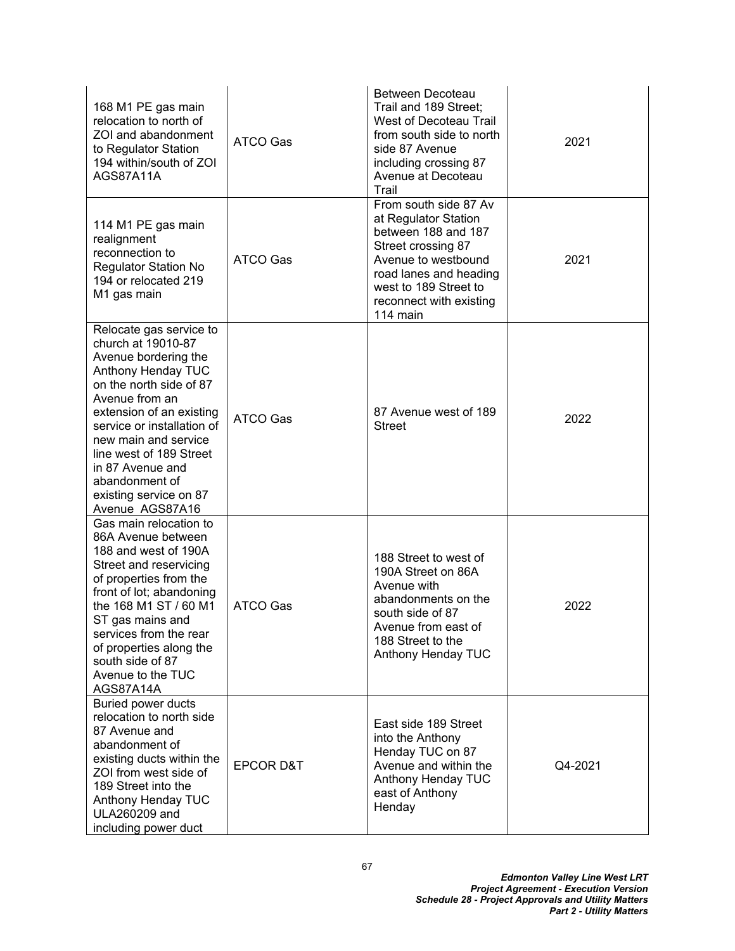| 168 M1 PE gas main<br>relocation to north of<br>ZOI and abandonment<br>to Regulator Station<br>194 within/south of ZOI<br>AGS87A11A                                                                                                                                                                                                      | <b>ATCO Gas</b>      | <b>Between Decoteau</b><br>Trail and 189 Street;<br>West of Decoteau Trail<br>from south side to north<br>side 87 Avenue<br>including crossing 87<br>Avenue at Decoteau<br>Trail                            | 2021    |
|------------------------------------------------------------------------------------------------------------------------------------------------------------------------------------------------------------------------------------------------------------------------------------------------------------------------------------------|----------------------|-------------------------------------------------------------------------------------------------------------------------------------------------------------------------------------------------------------|---------|
| 114 M1 PE gas main<br>realignment<br>reconnection to<br><b>Regulator Station No</b><br>194 or relocated 219<br>M1 gas main                                                                                                                                                                                                               | ATCO Gas             | From south side 87 Av<br>at Regulator Station<br>between 188 and 187<br>Street crossing 87<br>Avenue to westbound<br>road lanes and heading<br>west to 189 Street to<br>reconnect with existing<br>114 main | 2021    |
| Relocate gas service to<br>church at 19010-87<br>Avenue bordering the<br>Anthony Henday TUC<br>on the north side of 87<br>Avenue from an<br>extension of an existing<br>service or installation of<br>new main and service<br>line west of 189 Street<br>in 87 Avenue and<br>abandonment of<br>existing service on 87<br>Avenue AGS87A16 | <b>ATCO Gas</b>      | 87 Avenue west of 189<br><b>Street</b>                                                                                                                                                                      | 2022    |
| Gas main relocation to<br>86A Avenue between<br>188 and west of 190A<br>Street and reservicing<br>of properties from the<br>front of lot; abandoning<br>the 168 M1 ST / 60 M1<br>ST gas mains and<br>services from the rear<br>of properties along the<br>south side of 87<br>Avenue to the TUC<br>AGS87A14A                             | <b>ATCO Gas</b>      | 188 Street to west of<br>190A Street on 86A<br>Avenue with<br>abandonments on the<br>south side of 87<br>Avenue from east of<br>188 Street to the<br>Anthony Henday TUC                                     | 2022    |
| <b>Buried power ducts</b><br>relocation to north side<br>87 Avenue and<br>abandonment of<br>existing ducts within the<br>ZOI from west side of<br>189 Street into the<br>Anthony Henday TUC<br><b>ULA260209 and</b><br>including power duct                                                                                              | <b>EPCOR D&amp;T</b> | East side 189 Street<br>into the Anthony<br>Henday TUC on 87<br>Avenue and within the<br>Anthony Henday TUC<br>east of Anthony<br>Henday                                                                    | Q4-2021 |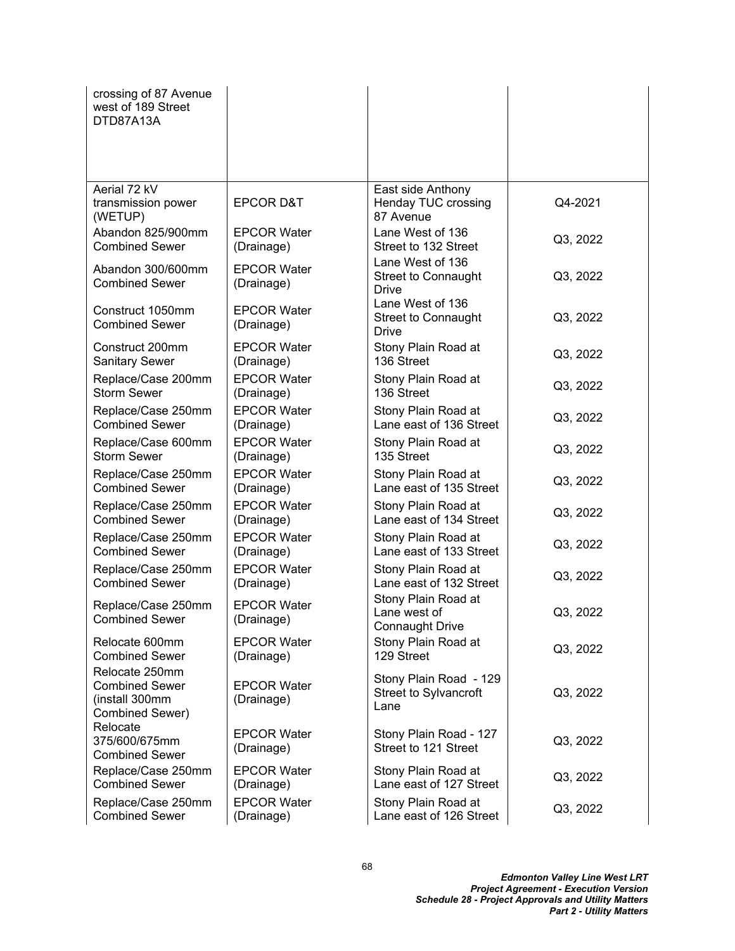| crossing of 87 Avenue<br>west of 189 Street<br>DTD87A13A                     |                                  |                                                         |          |
|------------------------------------------------------------------------------|----------------------------------|---------------------------------------------------------|----------|
| Aerial 72 kV                                                                 |                                  | East side Anthony                                       |          |
| transmission power<br>(WETUP)                                                | <b>EPCOR D&amp;T</b>             | Henday TUC crossing<br>87 Avenue                        | Q4-2021  |
| Abandon 825/900mm                                                            | <b>EPCOR Water</b>               | Lane West of 136                                        | Q3, 2022 |
| <b>Combined Sewer</b>                                                        | (Drainage)                       | Street to 132 Street                                    |          |
| Abandon 300/600mm<br><b>Combined Sewer</b>                                   | <b>EPCOR Water</b><br>(Drainage) | Lane West of 136<br>Street to Connaught<br><b>Drive</b> | Q3, 2022 |
| Construct 1050mm<br><b>Combined Sewer</b>                                    | <b>EPCOR Water</b><br>(Drainage) | Lane West of 136<br><b>Street to Connaught</b><br>Drive | Q3, 2022 |
| Construct 200mm                                                              | <b>EPCOR Water</b>               | Stony Plain Road at                                     | Q3, 2022 |
| <b>Sanitary Sewer</b>                                                        | (Drainage)                       | 136 Street                                              |          |
| Replace/Case 200mm                                                           | <b>EPCOR Water</b>               | Stony Plain Road at                                     | Q3, 2022 |
| <b>Storm Sewer</b>                                                           | (Drainage)                       | 136 Street                                              |          |
| Replace/Case 250mm                                                           | <b>EPCOR Water</b>               | Stony Plain Road at                                     | Q3, 2022 |
| <b>Combined Sewer</b>                                                        | (Drainage)                       | Lane east of 136 Street                                 |          |
| Replace/Case 600mm                                                           | <b>EPCOR Water</b>               | Stony Plain Road at                                     | Q3, 2022 |
| <b>Storm Sewer</b>                                                           | (Drainage)                       | 135 Street                                              |          |
| Replace/Case 250mm                                                           | <b>EPCOR Water</b>               | Stony Plain Road at                                     | Q3, 2022 |
| <b>Combined Sewer</b>                                                        | (Drainage)                       | Lane east of 135 Street                                 |          |
| Replace/Case 250mm                                                           | <b>EPCOR Water</b>               | Stony Plain Road at                                     | Q3, 2022 |
| <b>Combined Sewer</b>                                                        | (Drainage)                       | Lane east of 134 Street                                 |          |
| Replace/Case 250mm                                                           | <b>EPCOR Water</b>               | Stony Plain Road at                                     | Q3, 2022 |
| <b>Combined Sewer</b>                                                        | (Drainage)                       | Lane east of 133 Street                                 |          |
| Replace/Case 250mm                                                           | <b>EPCOR Water</b>               | Stony Plain Road at                                     | Q3, 2022 |
| <b>Combined Sewer</b>                                                        | (Drainage)                       | Lane east of 132 Street                                 |          |
| Replace/Case 250mm<br><b>Combined Sewer</b>                                  | <b>EPCOR Water</b><br>(Drainage) | Stony Plain Road at<br>Lane west of<br>Connaught Drive  | Q3, 2022 |
| Relocate 600mm                                                               | <b>EPCOR Water</b>               | Stony Plain Road at                                     | Q3, 2022 |
| <b>Combined Sewer</b>                                                        | (Drainage)                       | 129 Street                                              |          |
| Relocate 250mm<br><b>Combined Sewer</b><br>(install 300mm<br>Combined Sewer) | <b>EPCOR Water</b><br>(Drainage) | Stony Plain Road - 129<br>Street to Sylvancroft<br>Lane | Q3, 2022 |
| Relocate<br>375/600/675mm<br><b>Combined Sewer</b>                           | <b>EPCOR Water</b><br>(Drainage) | Stony Plain Road - 127<br>Street to 121 Street          | Q3, 2022 |
| Replace/Case 250mm                                                           | <b>EPCOR Water</b>               | Stony Plain Road at                                     | Q3, 2022 |
| <b>Combined Sewer</b>                                                        | (Drainage)                       | Lane east of 127 Street                                 |          |
| Replace/Case 250mm                                                           | <b>EPCOR Water</b>               | Stony Plain Road at                                     | Q3, 2022 |
| <b>Combined Sewer</b>                                                        | (Drainage)                       | Lane east of 126 Street                                 |          |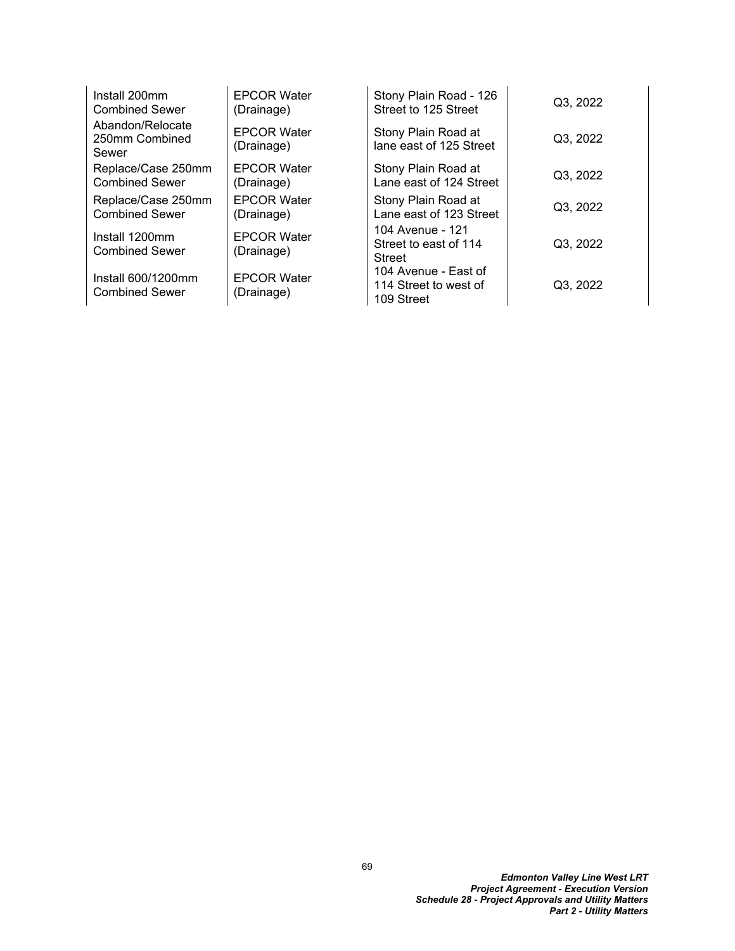| Install 200mm                               | <b>EPCOR Water</b>               | Stony Plain Road - 126                                      | Q3, 2022 |
|---------------------------------------------|----------------------------------|-------------------------------------------------------------|----------|
| <b>Combined Sewer</b>                       | (Drainage)                       | Street to 125 Street                                        |          |
| Abandon/Relocate<br>250mm Combined<br>Sewer | <b>EPCOR Water</b><br>(Drainage) | Stony Plain Road at<br>lane east of 125 Street              | Q3, 2022 |
| Replace/Case 250mm                          | <b>EPCOR Water</b>               | Stony Plain Road at                                         | Q3, 2022 |
| <b>Combined Sewer</b>                       | (Drainage)                       | Lane east of 124 Street                                     |          |
| Replace/Case 250mm                          | <b>EPCOR Water</b>               | Stony Plain Road at                                         | Q3, 2022 |
| <b>Combined Sewer</b>                       | (Drainage)                       | Lane east of 123 Street                                     |          |
| Install 1200mm<br><b>Combined Sewer</b>     | <b>EPCOR Water</b><br>(Drainage) | 104 Avenue - 121<br>Street to east of 114<br><b>Street</b>  | Q3, 2022 |
| Install 600/1200mm<br><b>Combined Sewer</b> | <b>EPCOR Water</b><br>(Drainage) | 104 Avenue - East of<br>114 Street to west of<br>109 Street | Q3, 2022 |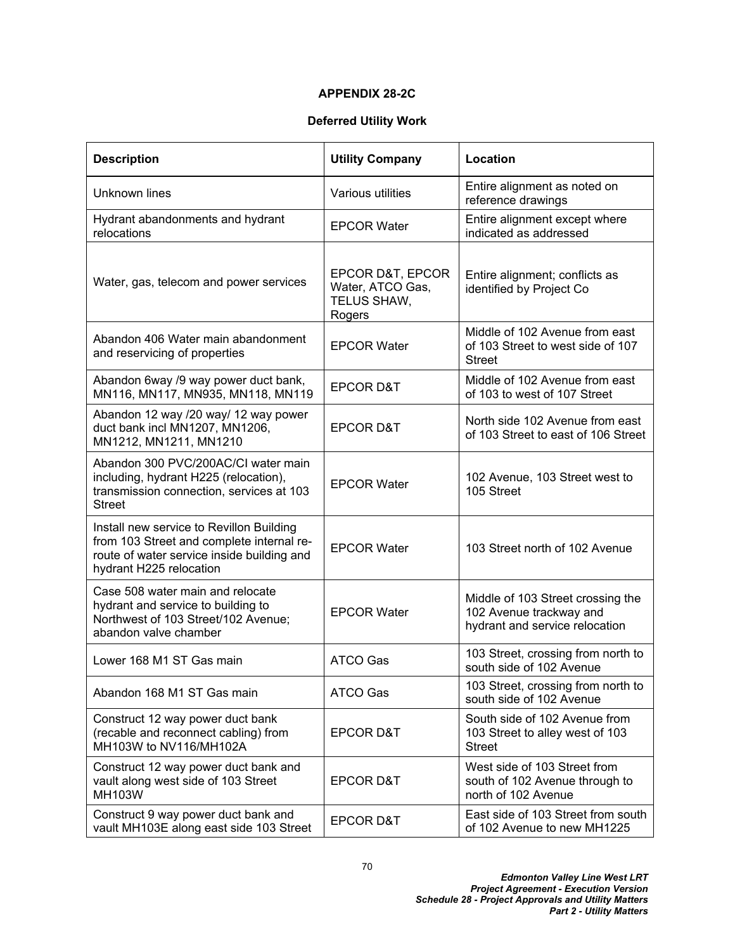## **APPENDIX 28-2C**

## **Deferred Utility Work**

| <b>Description</b>                                                                                                                                             | <b>Utility Company</b>                                        | Location                                                                                       |
|----------------------------------------------------------------------------------------------------------------------------------------------------------------|---------------------------------------------------------------|------------------------------------------------------------------------------------------------|
| <b>Unknown lines</b>                                                                                                                                           | Various utilities                                             | Entire alignment as noted on<br>reference drawings                                             |
| Hydrant abandonments and hydrant<br>relocations                                                                                                                | <b>EPCOR Water</b>                                            | Entire alignment except where<br>indicated as addressed                                        |
| Water, gas, telecom and power services                                                                                                                         | EPCOR D&T, EPCOR<br>Water, ATCO Gas,<br>TELUS SHAW,<br>Rogers | Entire alignment; conflicts as<br>identified by Project Co                                     |
| Abandon 406 Water main abandonment<br>and reservicing of properties                                                                                            | <b>EPCOR Water</b>                                            | Middle of 102 Avenue from east<br>of 103 Street to west side of 107<br><b>Street</b>           |
| Abandon 6way /9 way power duct bank,<br>MN116, MN117, MN935, MN118, MN119                                                                                      | <b>EPCOR D&amp;T</b>                                          | Middle of 102 Avenue from east<br>of 103 to west of 107 Street                                 |
| Abandon 12 way /20 way/ 12 way power<br>duct bank incl MN1207, MN1206,<br>MN1212, MN1211, MN1210                                                               | <b>EPCOR D&amp;T</b>                                          | North side 102 Avenue from east<br>of 103 Street to east of 106 Street                         |
| Abandon 300 PVC/200AC/CI water main<br>including, hydrant H225 (relocation),<br>transmission connection, services at 103<br><b>Street</b>                      | <b>EPCOR Water</b>                                            | 102 Avenue, 103 Street west to<br>105 Street                                                   |
| Install new service to Revillon Building<br>from 103 Street and complete internal re-<br>route of water service inside building and<br>hydrant H225 relocation | <b>EPCOR Water</b>                                            | 103 Street north of 102 Avenue                                                                 |
| Case 508 water main and relocate<br>hydrant and service to building to<br>Northwest of 103 Street/102 Avenue;<br>abandon valve chamber                         | <b>EPCOR Water</b>                                            | Middle of 103 Street crossing the<br>102 Avenue trackway and<br>hydrant and service relocation |
| Lower 168 M1 ST Gas main                                                                                                                                       | <b>ATCO Gas</b>                                               | 103 Street, crossing from north to<br>south side of 102 Avenue                                 |
| Abandon 168 M1 ST Gas main                                                                                                                                     | ATCO Gas                                                      | 103 Street, crossing from north to<br>south side of 102 Avenue                                 |
| Construct 12 way power duct bank<br>(recable and reconnect cabling) from<br>MH103W to NV116/MH102A                                                             | <b>EPCOR D&amp;T</b>                                          | South side of 102 Avenue from<br>103 Street to alley west of 103<br><b>Street</b>              |
| Construct 12 way power duct bank and<br>vault along west side of 103 Street<br>MH103W                                                                          | <b>EPCOR D&amp;T</b>                                          | West side of 103 Street from<br>south of 102 Avenue through to<br>north of 102 Avenue          |
| Construct 9 way power duct bank and<br>vault MH103E along east side 103 Street                                                                                 | <b>EPCOR D&amp;T</b>                                          | East side of 103 Street from south<br>of 102 Avenue to new MH1225                              |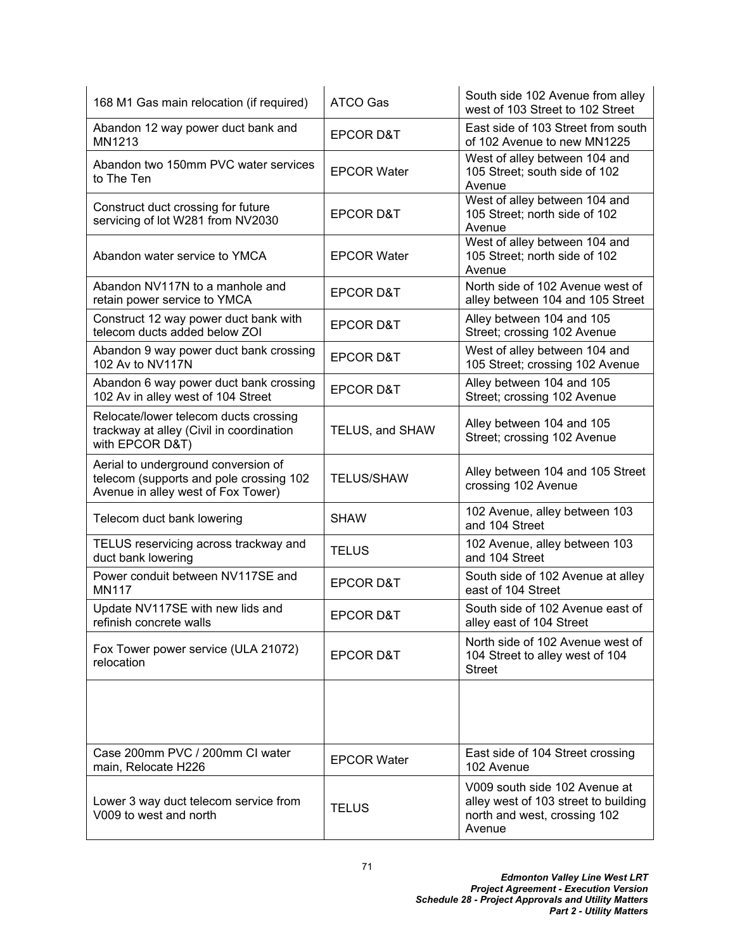| 168 M1 Gas main relocation (if required)                                                                             | <b>ATCO Gas</b>      | South side 102 Avenue from alley<br>west of 103 Street to 102 Street                                            |
|----------------------------------------------------------------------------------------------------------------------|----------------------|-----------------------------------------------------------------------------------------------------------------|
| Abandon 12 way power duct bank and<br>MN1213                                                                         | <b>EPCOR D&amp;T</b> | East side of 103 Street from south<br>of 102 Avenue to new MN1225                                               |
| Abandon two 150mm PVC water services<br>to The Ten                                                                   | <b>EPCOR Water</b>   | West of alley between 104 and<br>105 Street; south side of 102<br>Avenue                                        |
| Construct duct crossing for future<br>servicing of lot W281 from NV2030                                              | <b>EPCOR D&amp;T</b> | West of alley between 104 and<br>105 Street; north side of 102<br>Avenue                                        |
| Abandon water service to YMCA                                                                                        | <b>EPCOR Water</b>   | West of alley between 104 and<br>105 Street; north side of 102<br>Avenue                                        |
| Abandon NV117N to a manhole and<br>retain power service to YMCA                                                      | <b>EPCOR D&amp;T</b> | North side of 102 Avenue west of<br>alley between 104 and 105 Street                                            |
| Construct 12 way power duct bank with<br>telecom ducts added below ZOI                                               | <b>EPCOR D&amp;T</b> | Alley between 104 and 105<br>Street; crossing 102 Avenue                                                        |
| Abandon 9 way power duct bank crossing<br>102 Av to NV117N                                                           | <b>EPCOR D&amp;T</b> | West of alley between 104 and<br>105 Street; crossing 102 Avenue                                                |
| Abandon 6 way power duct bank crossing<br>102 Av in alley west of 104 Street                                         | <b>EPCOR D&amp;T</b> | Alley between 104 and 105<br>Street; crossing 102 Avenue                                                        |
| Relocate/lower telecom ducts crossing<br>trackway at alley (Civil in coordination<br>with EPCOR D&T)                 | TELUS, and SHAW      | Alley between 104 and 105<br>Street; crossing 102 Avenue                                                        |
| Aerial to underground conversion of<br>telecom (supports and pole crossing 102<br>Avenue in alley west of Fox Tower) | <b>TELUS/SHAW</b>    | Alley between 104 and 105 Street<br>crossing 102 Avenue                                                         |
| Telecom duct bank lowering                                                                                           | <b>SHAW</b>          | 102 Avenue, alley between 103<br>and 104 Street                                                                 |
| TELUS reservicing across trackway and<br>duct bank lowering                                                          | <b>TELUS</b>         | 102 Avenue, alley between 103<br>and 104 Street                                                                 |
| Power conduit between NV117SE and<br><b>MN117</b>                                                                    | <b>EPCOR D&amp;T</b> | South side of 102 Avenue at alley<br>east of 104 Street                                                         |
| Update NV117SE with new lids and<br>refinish concrete walls                                                          | <b>EPCOR D&amp;T</b> | South side of 102 Avenue east of<br>alley east of 104 Street                                                    |
| Fox Tower power service (ULA 21072)<br>relocation                                                                    | <b>EPCOR D&amp;T</b> | North side of 102 Avenue west of<br>104 Street to alley west of 104<br><b>Street</b>                            |
|                                                                                                                      |                      |                                                                                                                 |
| Case 200mm PVC / 200mm CI water<br>main, Relocate H226                                                               | <b>EPCOR Water</b>   | East side of 104 Street crossing<br>102 Avenue                                                                  |
| Lower 3 way duct telecom service from<br>V009 to west and north                                                      | <b>TELUS</b>         | V009 south side 102 Avenue at<br>alley west of 103 street to building<br>north and west, crossing 102<br>Avenue |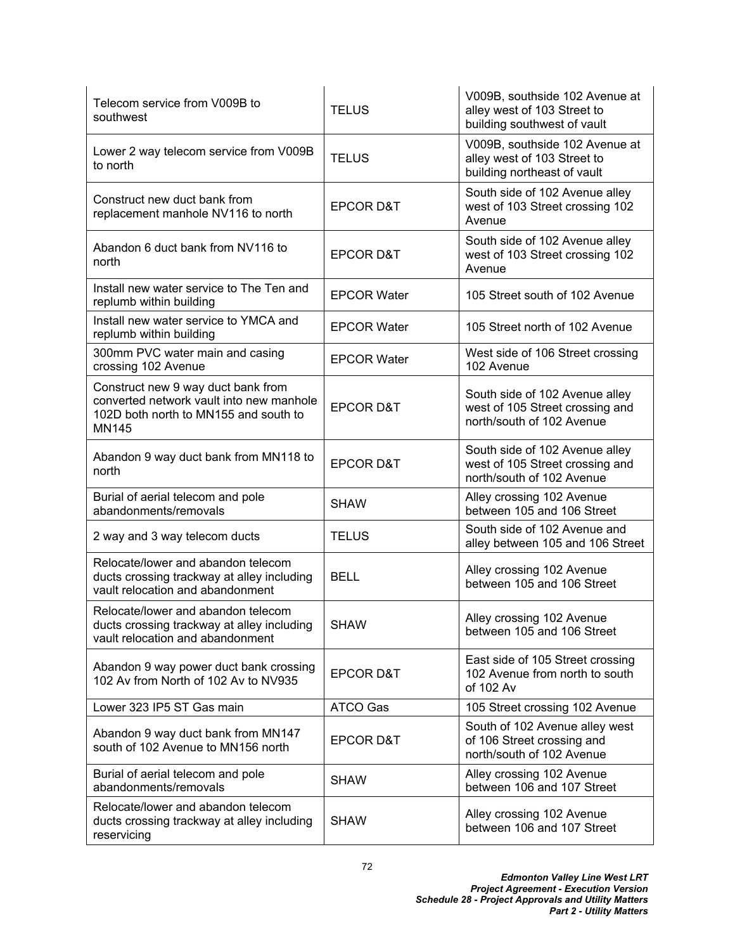| Telecom service from V009B to<br>southwest                                                                                              | <b>TELUS</b>         | V009B, southside 102 Avenue at<br>alley west of 103 Street to<br>building southwest of vault   |
|-----------------------------------------------------------------------------------------------------------------------------------------|----------------------|------------------------------------------------------------------------------------------------|
| Lower 2 way telecom service from V009B<br>to north                                                                                      | <b>TELUS</b>         | V009B, southside 102 Avenue at<br>alley west of 103 Street to<br>building northeast of vault   |
| Construct new duct bank from<br>replacement manhole NV116 to north                                                                      | <b>EPCOR D&amp;T</b> | South side of 102 Avenue alley<br>west of 103 Street crossing 102<br>Avenue                    |
| Abandon 6 duct bank from NV116 to<br>north                                                                                              | <b>EPCOR D&amp;T</b> | South side of 102 Avenue alley<br>west of 103 Street crossing 102<br>Avenue                    |
| Install new water service to The Ten and<br>replumb within building                                                                     | <b>EPCOR Water</b>   | 105 Street south of 102 Avenue                                                                 |
| Install new water service to YMCA and<br>replumb within building                                                                        | <b>EPCOR Water</b>   | 105 Street north of 102 Avenue                                                                 |
| 300mm PVC water main and casing<br>crossing 102 Avenue                                                                                  | <b>EPCOR Water</b>   | West side of 106 Street crossing<br>102 Avenue                                                 |
| Construct new 9 way duct bank from<br>converted network vault into new manhole<br>102D both north to MN155 and south to<br><b>MN145</b> | <b>EPCOR D&amp;T</b> | South side of 102 Avenue alley<br>west of 105 Street crossing and<br>north/south of 102 Avenue |
| Abandon 9 way duct bank from MN118 to<br>north                                                                                          | <b>EPCOR D&amp;T</b> | South side of 102 Avenue alley<br>west of 105 Street crossing and<br>north/south of 102 Avenue |
| Burial of aerial telecom and pole<br>abandonments/removals                                                                              | <b>SHAW</b>          | Alley crossing 102 Avenue<br>between 105 and 106 Street                                        |
| 2 way and 3 way telecom ducts                                                                                                           | <b>TELUS</b>         | South side of 102 Avenue and<br>alley between 105 and 106 Street                               |
| Relocate/lower and abandon telecom<br>ducts crossing trackway at alley including<br>vault relocation and abandonment                    | <b>BELL</b>          | Alley crossing 102 Avenue<br>between 105 and 106 Street                                        |
| Relocate/lower and abandon telecom<br>ducts crossing trackway at alley including<br>vault relocation and abandonment                    | <b>SHAW</b>          | Alley crossing 102 Avenue<br>between 105 and 106 Street                                        |
| Abandon 9 way power duct bank crossing<br>102 Av from North of 102 Av to NV935                                                          | EPCOR D&T            | East side of 105 Street crossing<br>102 Avenue from north to south<br>of 102 Av                |
| Lower 323 IP5 ST Gas main                                                                                                               | ATCO Gas             | 105 Street crossing 102 Avenue                                                                 |
| Abandon 9 way duct bank from MN147<br>south of 102 Avenue to MN156 north                                                                | <b>EPCOR D&amp;T</b> | South of 102 Avenue alley west<br>of 106 Street crossing and<br>north/south of 102 Avenue      |
| Burial of aerial telecom and pole<br>abandonments/removals                                                                              | <b>SHAW</b>          | Alley crossing 102 Avenue<br>between 106 and 107 Street                                        |
| Relocate/lower and abandon telecom<br>ducts crossing trackway at alley including<br>reservicing                                         | <b>SHAW</b>          | Alley crossing 102 Avenue<br>between 106 and 107 Street                                        |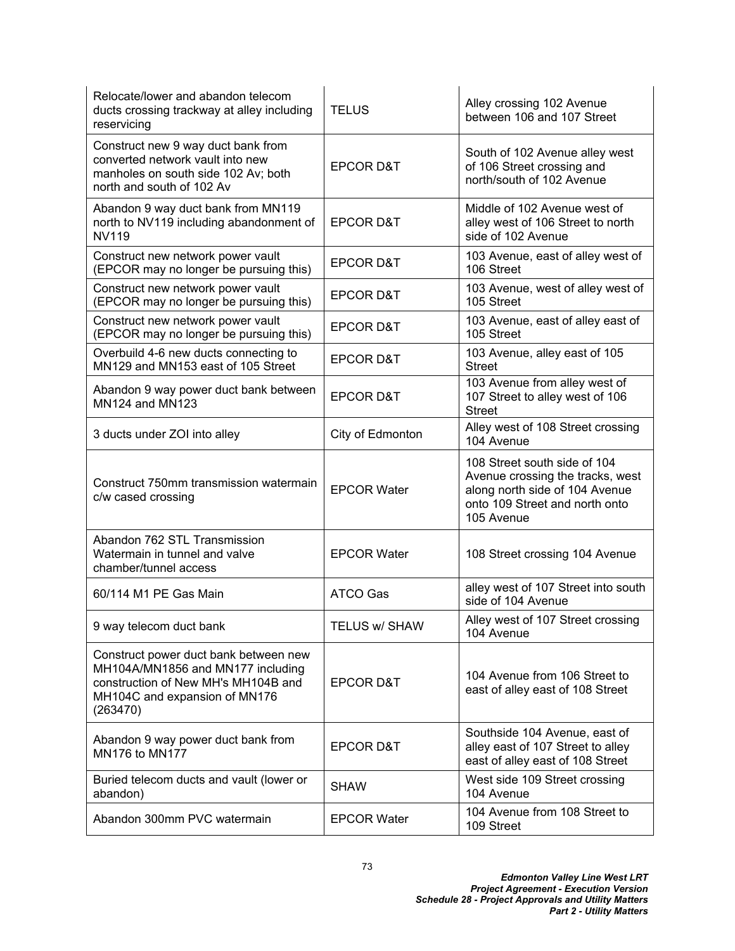| Relocate/lower and abandon telecom<br>ducts crossing trackway at alley including<br>reservicing                                                                | <b>TELUS</b>         | Alley crossing 102 Avenue<br>between 106 and 107 Street                                                                                            |
|----------------------------------------------------------------------------------------------------------------------------------------------------------------|----------------------|----------------------------------------------------------------------------------------------------------------------------------------------------|
| Construct new 9 way duct bank from<br>converted network vault into new<br>manholes on south side 102 Av; both<br>north and south of 102 Av                     | <b>EPCOR D&amp;T</b> | South of 102 Avenue alley west<br>of 106 Street crossing and<br>north/south of 102 Avenue                                                          |
| Abandon 9 way duct bank from MN119<br>north to NV119 including abandonment of<br><b>NV119</b>                                                                  | <b>EPCOR D&amp;T</b> | Middle of 102 Avenue west of<br>alley west of 106 Street to north<br>side of 102 Avenue                                                            |
| Construct new network power vault<br>(EPCOR may no longer be pursuing this)                                                                                    | <b>EPCOR D&amp;T</b> | 103 Avenue, east of alley west of<br>106 Street                                                                                                    |
| Construct new network power vault<br>(EPCOR may no longer be pursuing this)                                                                                    | <b>EPCOR D&amp;T</b> | 103 Avenue, west of alley west of<br>105 Street                                                                                                    |
| Construct new network power vault<br>(EPCOR may no longer be pursuing this)                                                                                    | <b>EPCOR D&amp;T</b> | 103 Avenue, east of alley east of<br>105 Street                                                                                                    |
| Overbuild 4-6 new ducts connecting to<br>MN129 and MN153 east of 105 Street                                                                                    | <b>EPCOR D&amp;T</b> | 103 Avenue, alley east of 105<br><b>Street</b>                                                                                                     |
| Abandon 9 way power duct bank between<br>MN124 and MN123                                                                                                       | <b>EPCOR D&amp;T</b> | 103 Avenue from alley west of<br>107 Street to alley west of 106<br><b>Street</b>                                                                  |
| 3 ducts under ZOI into alley                                                                                                                                   | City of Edmonton     | Alley west of 108 Street crossing<br>104 Avenue                                                                                                    |
| Construct 750mm transmission watermain<br>c/w cased crossing                                                                                                   | <b>EPCOR Water</b>   | 108 Street south side of 104<br>Avenue crossing the tracks, west<br>along north side of 104 Avenue<br>onto 109 Street and north onto<br>105 Avenue |
| Abandon 762 STL Transmission<br>Watermain in tunnel and valve<br>chamber/tunnel access                                                                         | <b>EPCOR Water</b>   | 108 Street crossing 104 Avenue                                                                                                                     |
| 60/114 M1 PE Gas Main                                                                                                                                          | <b>ATCO Gas</b>      | alley west of 107 Street into south<br>side of 104 Avenue                                                                                          |
| 9 way telecom duct bank                                                                                                                                        | TELUS w/ SHAW        | Alley west of 107 Street crossing<br>104 Avenue                                                                                                    |
| Construct power duct bank between new<br>MH104A/MN1856 and MN177 including<br>construction of New MH's MH104B and<br>MH104C and expansion of MN176<br>(263470) | <b>EPCOR D&amp;T</b> | 104 Avenue from 106 Street to<br>east of alley east of 108 Street                                                                                  |
| Abandon 9 way power duct bank from<br>MN176 to MN177                                                                                                           | <b>EPCOR D&amp;T</b> | Southside 104 Avenue, east of<br>alley east of 107 Street to alley<br>east of alley east of 108 Street                                             |
| Buried telecom ducts and vault (lower or<br>abandon)                                                                                                           | <b>SHAW</b>          | West side 109 Street crossing<br>104 Avenue                                                                                                        |
| Abandon 300mm PVC watermain                                                                                                                                    | <b>EPCOR Water</b>   | 104 Avenue from 108 Street to<br>109 Street                                                                                                        |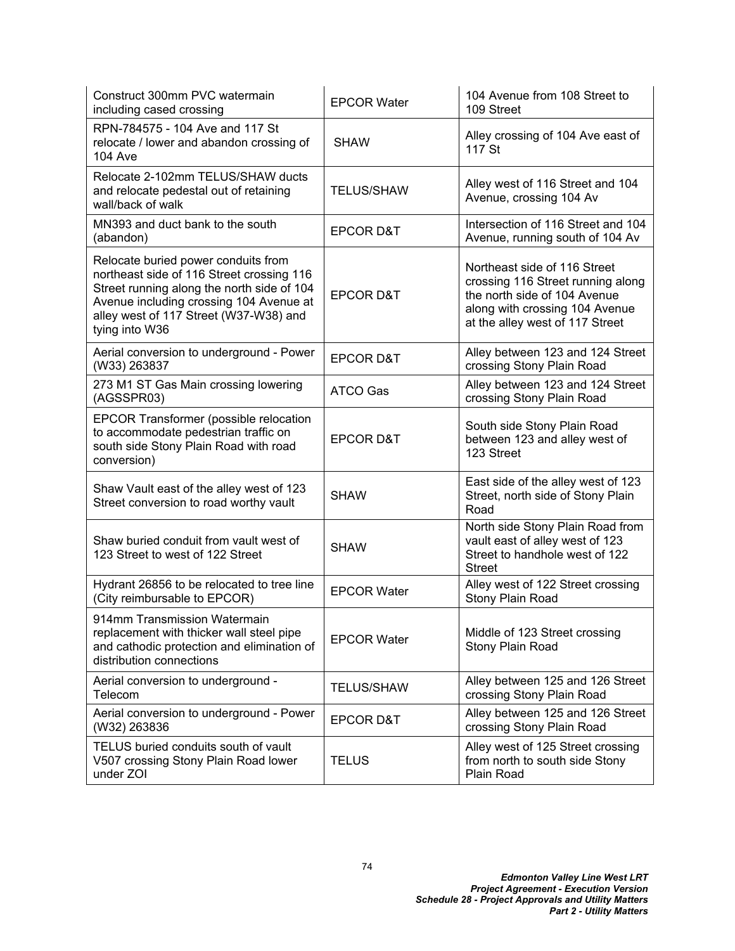| Construct 300mm PVC watermain<br>including cased crossing                                                                                                                                                                             | <b>EPCOR Water</b>   | 104 Avenue from 108 Street to<br>109 Street                                                                                                                            |
|---------------------------------------------------------------------------------------------------------------------------------------------------------------------------------------------------------------------------------------|----------------------|------------------------------------------------------------------------------------------------------------------------------------------------------------------------|
| RPN-784575 - 104 Ave and 117 St<br>relocate / lower and abandon crossing of<br><b>104 Ave</b>                                                                                                                                         | <b>SHAW</b>          | Alley crossing of 104 Ave east of<br>117 St                                                                                                                            |
| Relocate 2-102mm TELUS/SHAW ducts<br>and relocate pedestal out of retaining<br>wall/back of walk                                                                                                                                      | <b>TELUS/SHAW</b>    | Alley west of 116 Street and 104<br>Avenue, crossing 104 Av                                                                                                            |
| MN393 and duct bank to the south<br>(abandon)                                                                                                                                                                                         | <b>EPCOR D&amp;T</b> | Intersection of 116 Street and 104<br>Avenue, running south of 104 Av                                                                                                  |
| Relocate buried power conduits from<br>northeast side of 116 Street crossing 116<br>Street running along the north side of 104<br>Avenue including crossing 104 Avenue at<br>alley west of 117 Street (W37-W38) and<br>tying into W36 | <b>EPCOR D&amp;T</b> | Northeast side of 116 Street<br>crossing 116 Street running along<br>the north side of 104 Avenue<br>along with crossing 104 Avenue<br>at the alley west of 117 Street |
| Aerial conversion to underground - Power<br>(W33) 263837                                                                                                                                                                              | <b>EPCOR D&amp;T</b> | Alley between 123 and 124 Street<br>crossing Stony Plain Road                                                                                                          |
| 273 M1 ST Gas Main crossing lowering<br>(AGSSPR03)                                                                                                                                                                                    | <b>ATCO Gas</b>      | Alley between 123 and 124 Street<br>crossing Stony Plain Road                                                                                                          |
| <b>EPCOR Transformer (possible relocation</b><br>to accommodate pedestrian traffic on<br>south side Stony Plain Road with road<br>conversion)                                                                                         | <b>EPCOR D&amp;T</b> | South side Stony Plain Road<br>between 123 and alley west of<br>123 Street                                                                                             |
| Shaw Vault east of the alley west of 123<br>Street conversion to road worthy vault                                                                                                                                                    | <b>SHAW</b>          | East side of the alley west of 123<br>Street, north side of Stony Plain<br>Road                                                                                        |
| Shaw buried conduit from vault west of<br>123 Street to west of 122 Street                                                                                                                                                            | <b>SHAW</b>          | North side Stony Plain Road from<br>vault east of alley west of 123<br>Street to handhole west of 122<br><b>Street</b>                                                 |
| Hydrant 26856 to be relocated to tree line<br>(City reimbursable to EPCOR)                                                                                                                                                            | <b>EPCOR Water</b>   | Alley west of 122 Street crossing<br>Stony Plain Road                                                                                                                  |
| 914mm Transmission Watermain<br>replacement with thicker wall steel pipe<br>and cathodic protection and elimination of<br>distribution connections                                                                                    | <b>EPCOR Water</b>   | Middle of 123 Street crossing<br>Stony Plain Road                                                                                                                      |
| Aerial conversion to underground -<br>Telecom                                                                                                                                                                                         | <b>TELUS/SHAW</b>    | Alley between 125 and 126 Street<br>crossing Stony Plain Road                                                                                                          |
| Aerial conversion to underground - Power<br>(W32) 263836                                                                                                                                                                              | <b>EPCOR D&amp;T</b> | Alley between 125 and 126 Street<br>crossing Stony Plain Road                                                                                                          |
| TELUS buried conduits south of vault<br>V507 crossing Stony Plain Road lower<br>under ZOI                                                                                                                                             | <b>TELUS</b>         | Alley west of 125 Street crossing<br>from north to south side Stony<br>Plain Road                                                                                      |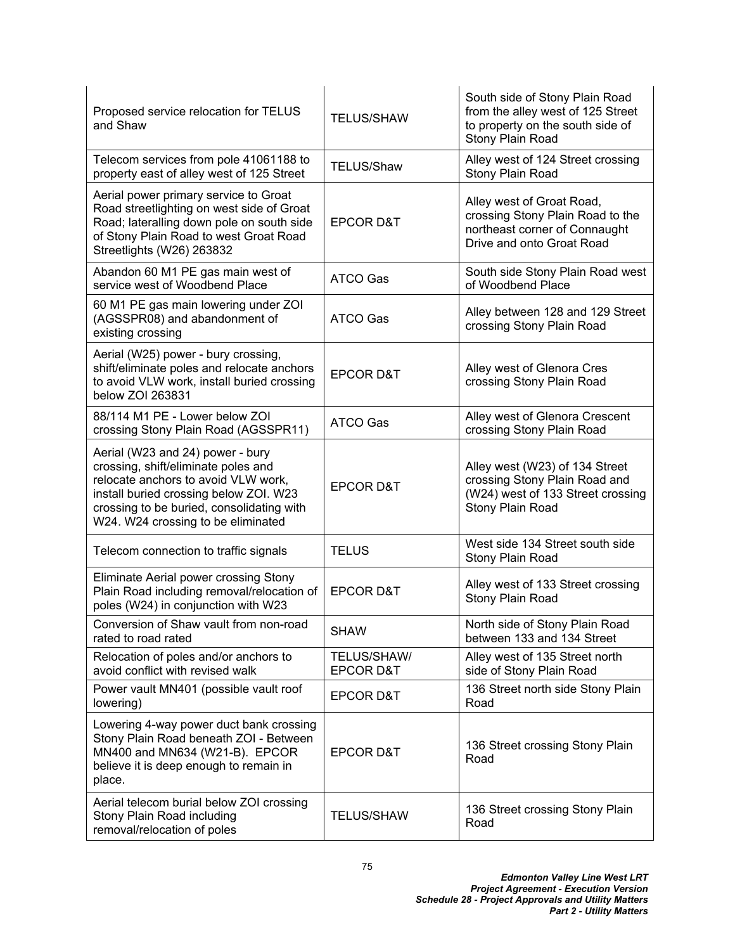| Proposed service relocation for TELUS<br>and Shaw                                                                                                                                                                                           | <b>TELUS/SHAW</b>                   | South side of Stony Plain Road<br>from the alley west of 125 Street<br>to property on the south side of<br>Stony Plain Road |
|---------------------------------------------------------------------------------------------------------------------------------------------------------------------------------------------------------------------------------------------|-------------------------------------|-----------------------------------------------------------------------------------------------------------------------------|
| Telecom services from pole 41061188 to<br>property east of alley west of 125 Street                                                                                                                                                         | <b>TELUS/Shaw</b>                   | Alley west of 124 Street crossing<br>Stony Plain Road                                                                       |
| Aerial power primary service to Groat<br>Road streetlighting on west side of Groat<br>Road; lateralling down pole on south side<br>of Stony Plain Road to west Groat Road<br>Streetlights (W26) 263832                                      | <b>EPCOR D&amp;T</b>                | Alley west of Groat Road,<br>crossing Stony Plain Road to the<br>northeast corner of Connaught<br>Drive and onto Groat Road |
| Abandon 60 M1 PE gas main west of<br>service west of Woodbend Place                                                                                                                                                                         | <b>ATCO Gas</b>                     | South side Stony Plain Road west<br>of Woodbend Place                                                                       |
| 60 M1 PE gas main lowering under ZOI<br>(AGSSPR08) and abandonment of<br>existing crossing                                                                                                                                                  | ATCO Gas                            | Alley between 128 and 129 Street<br>crossing Stony Plain Road                                                               |
| Aerial (W25) power - bury crossing,<br>shift/eliminate poles and relocate anchors<br>to avoid VLW work, install buried crossing<br>below ZOI 263831                                                                                         | <b>EPCOR D&amp;T</b>                | Alley west of Glenora Cres<br>crossing Stony Plain Road                                                                     |
| 88/114 M1 PE - Lower below ZOI<br>crossing Stony Plain Road (AGSSPR11)                                                                                                                                                                      | ATCO Gas                            | Alley west of Glenora Crescent<br>crossing Stony Plain Road                                                                 |
| Aerial (W23 and 24) power - bury<br>crossing, shift/eliminate poles and<br>relocate anchors to avoid VLW work,<br>install buried crossing below ZOI. W23<br>crossing to be buried, consolidating with<br>W24. W24 crossing to be eliminated | <b>EPCOR D&amp;T</b>                | Alley west (W23) of 134 Street<br>crossing Stony Plain Road and<br>(W24) west of 133 Street crossing<br>Stony Plain Road    |
| Telecom connection to traffic signals                                                                                                                                                                                                       | <b>TELUS</b>                        | West side 134 Street south side<br>Stony Plain Road                                                                         |
| Eliminate Aerial power crossing Stony<br>Plain Road including removal/relocation of<br>poles (W24) in conjunction with W23                                                                                                                  | <b>EPCOR D&amp;T</b>                | Alley west of 133 Street crossing<br><b>Stony Plain Road</b>                                                                |
| Conversion of Shaw vault from non-road<br>rated to road rated                                                                                                                                                                               | <b>SHAW</b>                         | North side of Stony Plain Road<br>between 133 and 134 Street                                                                |
| Relocation of poles and/or anchors to<br>avoid conflict with revised walk                                                                                                                                                                   | TELUS/SHAW/<br><b>EPCOR D&amp;T</b> | Alley west of 135 Street north<br>side of Stony Plain Road                                                                  |
| Power vault MN401 (possible vault roof<br>lowering)                                                                                                                                                                                         | <b>EPCOR D&amp;T</b>                | 136 Street north side Stony Plain<br>Road                                                                                   |
| Lowering 4-way power duct bank crossing<br>Stony Plain Road beneath ZOI - Between<br>MN400 and MN634 (W21-B). EPCOR<br>believe it is deep enough to remain in<br>place.                                                                     | <b>EPCOR D&amp;T</b>                | 136 Street crossing Stony Plain<br>Road                                                                                     |
| Aerial telecom burial below ZOI crossing<br>Stony Plain Road including<br>removal/relocation of poles                                                                                                                                       | <b>TELUS/SHAW</b>                   | 136 Street crossing Stony Plain<br>Road                                                                                     |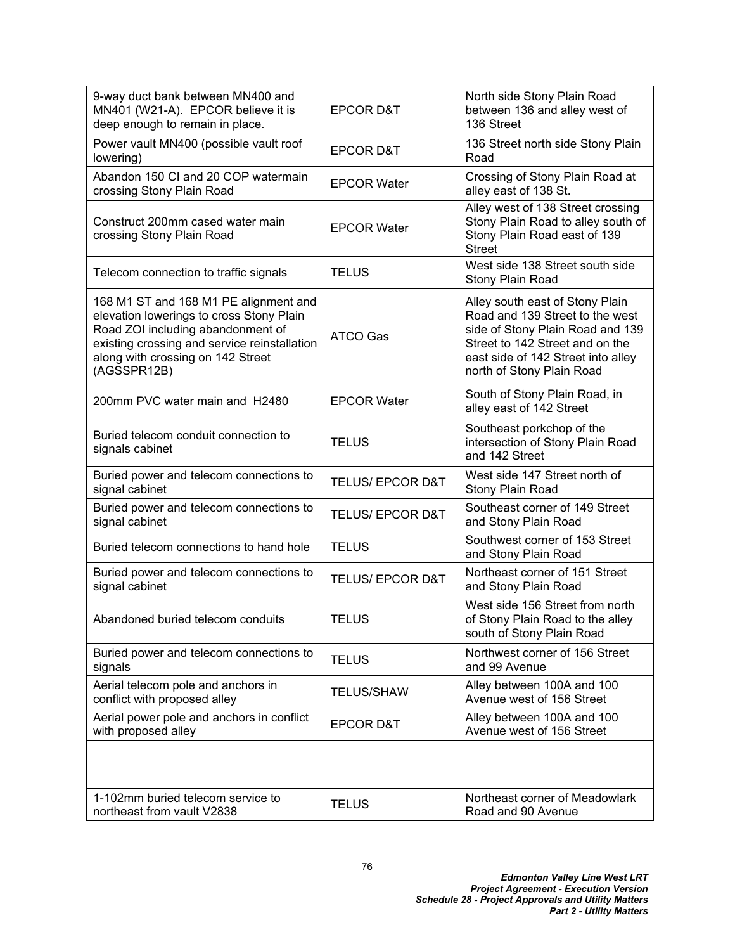| 9-way duct bank between MN400 and<br>MN401 (W21-A). EPCOR believe it is<br>deep enough to remain in place.                                                                                                                 | <b>EPCOR D&amp;T</b>        | North side Stony Plain Road<br>between 136 and alley west of<br>136 Street                                                                                                                                   |
|----------------------------------------------------------------------------------------------------------------------------------------------------------------------------------------------------------------------------|-----------------------------|--------------------------------------------------------------------------------------------------------------------------------------------------------------------------------------------------------------|
| Power vault MN400 (possible vault roof<br>lowering)                                                                                                                                                                        | <b>EPCOR D&amp;T</b>        | 136 Street north side Stony Plain<br>Road                                                                                                                                                                    |
| Abandon 150 CI and 20 COP watermain<br>crossing Stony Plain Road                                                                                                                                                           | <b>EPCOR Water</b>          | Crossing of Stony Plain Road at<br>alley east of 138 St.                                                                                                                                                     |
| Construct 200mm cased water main<br>crossing Stony Plain Road                                                                                                                                                              | <b>EPCOR Water</b>          | Alley west of 138 Street crossing<br>Stony Plain Road to alley south of<br>Stony Plain Road east of 139<br><b>Street</b>                                                                                     |
| Telecom connection to traffic signals                                                                                                                                                                                      | <b>TELUS</b>                | West side 138 Street south side<br>Stony Plain Road                                                                                                                                                          |
| 168 M1 ST and 168 M1 PE alignment and<br>elevation lowerings to cross Stony Plain<br>Road ZOI including abandonment of<br>existing crossing and service reinstallation<br>along with crossing on 142 Street<br>(AGSSPR12B) | ATCO Gas                    | Alley south east of Stony Plain<br>Road and 139 Street to the west<br>side of Stony Plain Road and 139<br>Street to 142 Street and on the<br>east side of 142 Street into alley<br>north of Stony Plain Road |
| 200mm PVC water main and H2480                                                                                                                                                                                             | <b>EPCOR Water</b>          | South of Stony Plain Road, in<br>alley east of 142 Street                                                                                                                                                    |
| Buried telecom conduit connection to<br>signals cabinet                                                                                                                                                                    | <b>TELUS</b>                | Southeast porkchop of the<br>intersection of Stony Plain Road<br>and 142 Street                                                                                                                              |
| Buried power and telecom connections to<br>signal cabinet                                                                                                                                                                  | <b>TELUS/ EPCOR D&amp;T</b> | West side 147 Street north of<br>Stony Plain Road                                                                                                                                                            |
| Buried power and telecom connections to<br>signal cabinet                                                                                                                                                                  | <b>TELUS/ EPCOR D&amp;T</b> | Southeast corner of 149 Street<br>and Stony Plain Road                                                                                                                                                       |
| Buried telecom connections to hand hole                                                                                                                                                                                    | <b>TELUS</b>                | Southwest corner of 153 Street<br>and Stony Plain Road                                                                                                                                                       |
| Buried power and telecom connections to<br>signal cabinet                                                                                                                                                                  | <b>TELUS/ EPCOR D&amp;T</b> | Northeast corner of 151 Street<br>and Stony Plain Road                                                                                                                                                       |
| Abandoned buried telecom conduits                                                                                                                                                                                          | <b>TELUS</b>                | West side 156 Street from north<br>of Stony Plain Road to the alley<br>south of Stony Plain Road                                                                                                             |
| Buried power and telecom connections to<br>signals                                                                                                                                                                         | <b>TELUS</b>                | Northwest corner of 156 Street<br>and 99 Avenue                                                                                                                                                              |
| Aerial telecom pole and anchors in<br>conflict with proposed alley                                                                                                                                                         | <b>TELUS/SHAW</b>           | Alley between 100A and 100<br>Avenue west of 156 Street                                                                                                                                                      |
| Aerial power pole and anchors in conflict<br>with proposed alley                                                                                                                                                           | <b>EPCOR D&amp;T</b>        | Alley between 100A and 100<br>Avenue west of 156 Street                                                                                                                                                      |
|                                                                                                                                                                                                                            |                             |                                                                                                                                                                                                              |
| 1-102mm buried telecom service to<br>northeast from vault V2838                                                                                                                                                            | <b>TELUS</b>                | Northeast corner of Meadowlark<br>Road and 90 Avenue                                                                                                                                                         |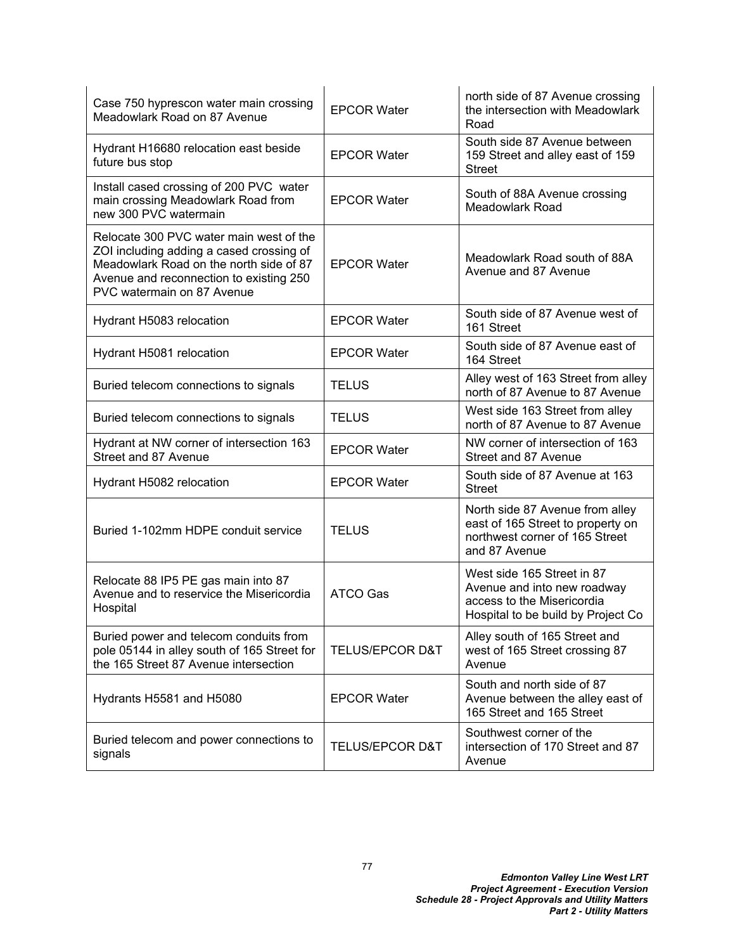| Case 750 hyprescon water main crossing<br>Meadowlark Road on 87 Avenue                                                                                                                                  | <b>EPCOR Water</b>         | north side of 87 Avenue crossing<br>the intersection with Meadowlark<br>Road                                                  |
|---------------------------------------------------------------------------------------------------------------------------------------------------------------------------------------------------------|----------------------------|-------------------------------------------------------------------------------------------------------------------------------|
| Hydrant H16680 relocation east beside<br>future bus stop                                                                                                                                                | <b>EPCOR Water</b>         | South side 87 Avenue between<br>159 Street and alley east of 159<br><b>Street</b>                                             |
| Install cased crossing of 200 PVC water<br>main crossing Meadowlark Road from<br>new 300 PVC watermain                                                                                                  | <b>EPCOR Water</b>         | South of 88A Avenue crossing<br><b>Meadowlark Road</b>                                                                        |
| Relocate 300 PVC water main west of the<br>ZOI including adding a cased crossing of<br>Meadowlark Road on the north side of 87<br>Avenue and reconnection to existing 250<br>PVC watermain on 87 Avenue | <b>EPCOR Water</b>         | Meadowlark Road south of 88A<br>Avenue and 87 Avenue                                                                          |
| Hydrant H5083 relocation                                                                                                                                                                                | <b>EPCOR Water</b>         | South side of 87 Avenue west of<br>161 Street                                                                                 |
| Hydrant H5081 relocation                                                                                                                                                                                | <b>EPCOR Water</b>         | South side of 87 Avenue east of<br>164 Street                                                                                 |
| Buried telecom connections to signals                                                                                                                                                                   | <b>TELUS</b>               | Alley west of 163 Street from alley<br>north of 87 Avenue to 87 Avenue                                                        |
| Buried telecom connections to signals                                                                                                                                                                   | <b>TELUS</b>               | West side 163 Street from alley<br>north of 87 Avenue to 87 Avenue                                                            |
| Hydrant at NW corner of intersection 163<br>Street and 87 Avenue                                                                                                                                        | <b>EPCOR Water</b>         | NW corner of intersection of 163<br>Street and 87 Avenue                                                                      |
| Hydrant H5082 relocation                                                                                                                                                                                | <b>EPCOR Water</b>         | South side of 87 Avenue at 163<br><b>Street</b>                                                                               |
| Buried 1-102mm HDPE conduit service                                                                                                                                                                     | <b>TELUS</b>               | North side 87 Avenue from alley<br>east of 165 Street to property on<br>northwest corner of 165 Street<br>and 87 Avenue       |
| Relocate 88 IP5 PE gas main into 87<br>Avenue and to reservice the Misericordia<br>Hospital                                                                                                             | <b>ATCO Gas</b>            | West side 165 Street in 87<br>Avenue and into new roadway<br>access to the Misericordia<br>Hospital to be build by Project Co |
| Buried power and telecom conduits from<br>pole 05144 in alley south of 165 Street for<br>the 165 Street 87 Avenue intersection                                                                          | <b>TELUS/EPCOR D&amp;T</b> | Alley south of 165 Street and<br>west of 165 Street crossing 87<br>Avenue                                                     |
| Hydrants H5581 and H5080                                                                                                                                                                                | <b>EPCOR Water</b>         | South and north side of 87<br>Avenue between the alley east of<br>165 Street and 165 Street                                   |
| Buried telecom and power connections to<br>signals                                                                                                                                                      | <b>TELUS/EPCOR D&amp;T</b> | Southwest corner of the<br>intersection of 170 Street and 87<br>Avenue                                                        |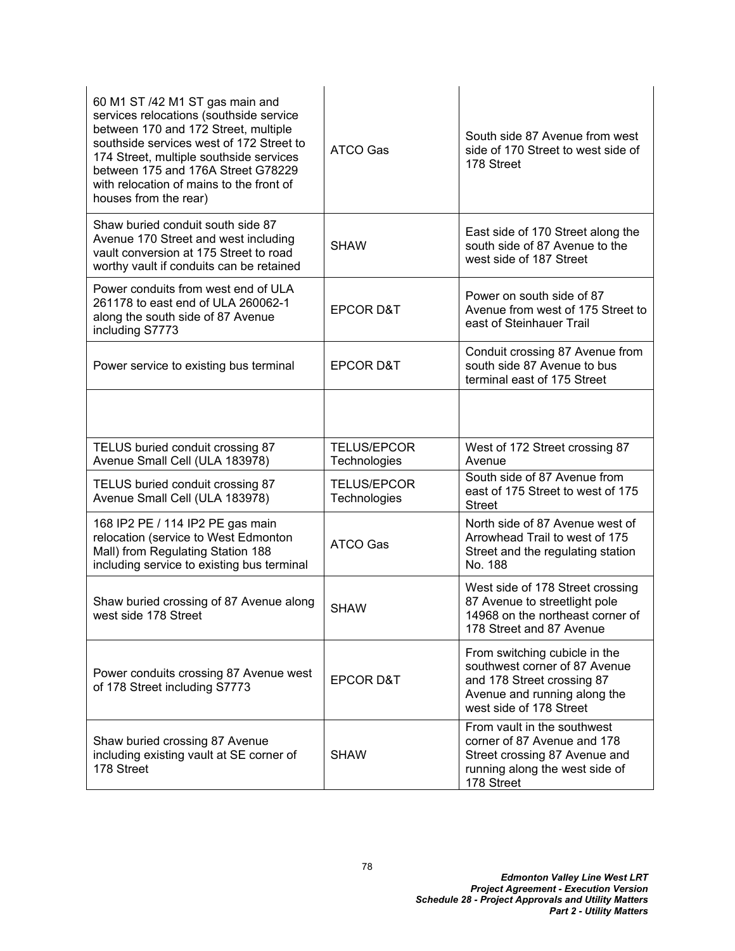| 60 M1 ST /42 M1 ST gas main and<br>services relocations (southside service<br>between 170 and 172 Street, multiple<br>southside services west of 172 Street to<br>174 Street, multiple southside services<br>between 175 and 176A Street G78229<br>with relocation of mains to the front of<br>houses from the rear) | ATCO Gas                           | South side 87 Avenue from west<br>side of 170 Street to west side of<br>178 Street                                                                      |
|----------------------------------------------------------------------------------------------------------------------------------------------------------------------------------------------------------------------------------------------------------------------------------------------------------------------|------------------------------------|---------------------------------------------------------------------------------------------------------------------------------------------------------|
| Shaw buried conduit south side 87<br>Avenue 170 Street and west including<br>vault conversion at 175 Street to road<br>worthy vault if conduits can be retained                                                                                                                                                      | <b>SHAW</b>                        | East side of 170 Street along the<br>south side of 87 Avenue to the<br>west side of 187 Street                                                          |
| Power conduits from west end of ULA<br>261178 to east end of ULA 260062-1<br>along the south side of 87 Avenue<br>including S7773                                                                                                                                                                                    | <b>EPCOR D&amp;T</b>               | Power on south side of 87<br>Avenue from west of 175 Street to<br>east of Steinhauer Trail                                                              |
| Power service to existing bus terminal                                                                                                                                                                                                                                                                               | <b>EPCOR D&amp;T</b>               | Conduit crossing 87 Avenue from<br>south side 87 Avenue to bus<br>terminal east of 175 Street                                                           |
|                                                                                                                                                                                                                                                                                                                      |                                    |                                                                                                                                                         |
| TELUS buried conduit crossing 87<br>Avenue Small Cell (ULA 183978)                                                                                                                                                                                                                                                   | <b>TELUS/EPCOR</b><br>Technologies | West of 172 Street crossing 87<br>Avenue                                                                                                                |
|                                                                                                                                                                                                                                                                                                                      |                                    |                                                                                                                                                         |
| TELUS buried conduit crossing 87<br>Avenue Small Cell (ULA 183978)                                                                                                                                                                                                                                                   | <b>TELUS/EPCOR</b><br>Technologies | South side of 87 Avenue from<br>east of 175 Street to west of 175<br><b>Street</b>                                                                      |
| 168 IP2 PE / 114 IP2 PE gas main<br>relocation (service to West Edmonton<br>Mall) from Regulating Station 188<br>including service to existing bus terminal                                                                                                                                                          | <b>ATCO Gas</b>                    | North side of 87 Avenue west of<br>Arrowhead Trail to west of 175<br>Street and the regulating station<br>No. 188                                       |
| Shaw buried crossing of 87 Avenue along<br>west side 178 Street                                                                                                                                                                                                                                                      | <b>SHAW</b>                        | West side of 178 Street crossing<br>87 Avenue to streetlight pole<br>14968 on the northeast corner of<br>178 Street and 87 Avenue                       |
| Power conduits crossing 87 Avenue west<br>of 178 Street including S7773                                                                                                                                                                                                                                              | <b>EPCOR D&amp;T</b>               | From switching cubicle in the<br>southwest corner of 87 Avenue<br>and 178 Street crossing 87<br>Avenue and running along the<br>west side of 178 Street |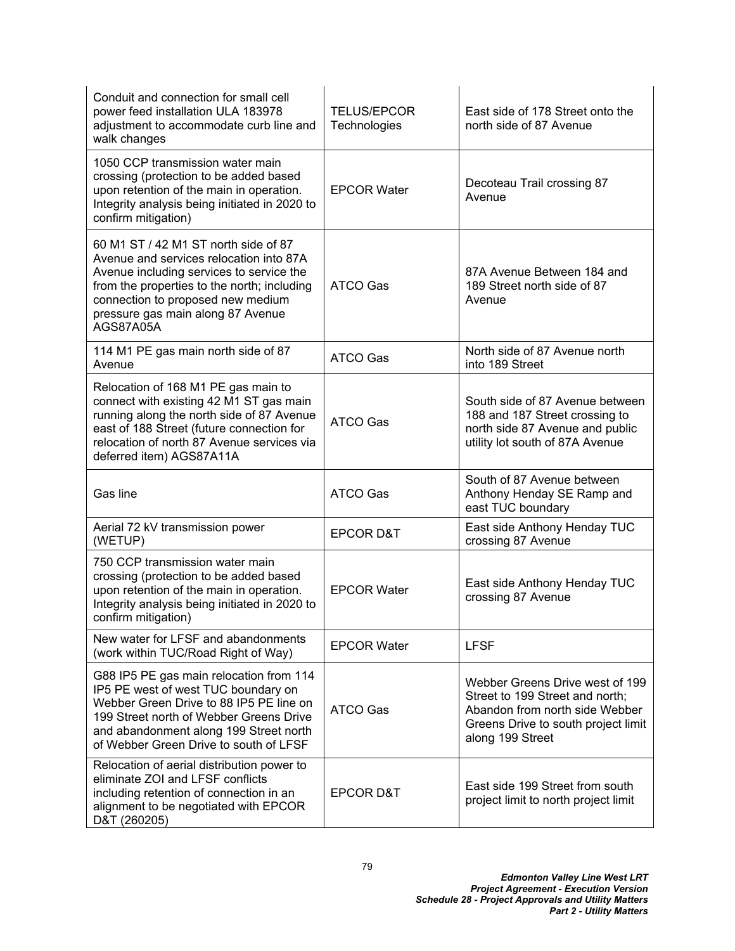| Conduit and connection for small cell<br>power feed installation ULA 183978<br>adjustment to accommodate curb line and<br>walk changes                                                                                                                            | <b>TELUS/EPCOR</b><br>Technologies | East side of 178 Street onto the<br>north side of 87 Avenue                                                                                                     |
|-------------------------------------------------------------------------------------------------------------------------------------------------------------------------------------------------------------------------------------------------------------------|------------------------------------|-----------------------------------------------------------------------------------------------------------------------------------------------------------------|
| 1050 CCP transmission water main<br>crossing (protection to be added based<br>upon retention of the main in operation.<br>Integrity analysis being initiated in 2020 to<br>confirm mitigation)                                                                    | <b>EPCOR Water</b>                 | Decoteau Trail crossing 87<br>Avenue                                                                                                                            |
| 60 M1 ST / 42 M1 ST north side of 87<br>Avenue and services relocation into 87A<br>Avenue including services to service the<br>from the properties to the north; including<br>connection to proposed new medium<br>pressure gas main along 87 Avenue<br>AGS87A05A | ATCO Gas                           | 87A Avenue Between 184 and<br>189 Street north side of 87<br>Avenue                                                                                             |
| 114 M1 PE gas main north side of 87<br>Avenue                                                                                                                                                                                                                     | <b>ATCO Gas</b>                    | North side of 87 Avenue north<br>into 189 Street                                                                                                                |
| Relocation of 168 M1 PE gas main to<br>connect with existing 42 M1 ST gas main<br>running along the north side of 87 Avenue<br>east of 188 Street (future connection for<br>relocation of north 87 Avenue services via<br>deferred item) AGS87A11A                | <b>ATCO Gas</b>                    | South side of 87 Avenue between<br>188 and 187 Street crossing to<br>north side 87 Avenue and public<br>utility lot south of 87A Avenue                         |
| Gas line                                                                                                                                                                                                                                                          | <b>ATCO Gas</b>                    | South of 87 Avenue between<br>Anthony Henday SE Ramp and<br>east TUC boundary                                                                                   |
| Aerial 72 kV transmission power<br>(WETUP)                                                                                                                                                                                                                        | <b>EPCOR D&amp;T</b>               | East side Anthony Henday TUC<br>crossing 87 Avenue                                                                                                              |
| 750 CCP transmission water main<br>crossing (protection to be added based<br>upon retention of the main in operation.<br>Integrity analysis being initiated in 2020 to<br>confirm mitigation)                                                                     | <b>EPCOR Water</b>                 | East side Anthony Henday TUC<br>crossing 87 Avenue                                                                                                              |
| New water for LFSF and abandonments<br>(work within TUC/Road Right of Way)                                                                                                                                                                                        | <b>EPCOR Water</b>                 | <b>LFSF</b>                                                                                                                                                     |
| G88 IP5 PE gas main relocation from 114<br>IP5 PE west of west TUC boundary on<br>Webber Green Drive to 88 IP5 PE line on<br>199 Street north of Webber Greens Drive<br>and abandonment along 199 Street north<br>of Webber Green Drive to south of LFSF          | ATCO Gas                           | Webber Greens Drive west of 199<br>Street to 199 Street and north;<br>Abandon from north side Webber<br>Greens Drive to south project limit<br>along 199 Street |
| Relocation of aerial distribution power to<br>eliminate ZOI and LFSF conflicts<br>including retention of connection in an<br>alignment to be negotiated with EPCOR<br>D&T (260205)                                                                                | <b>EPCOR D&amp;T</b>               | East side 199 Street from south<br>project limit to north project limit                                                                                         |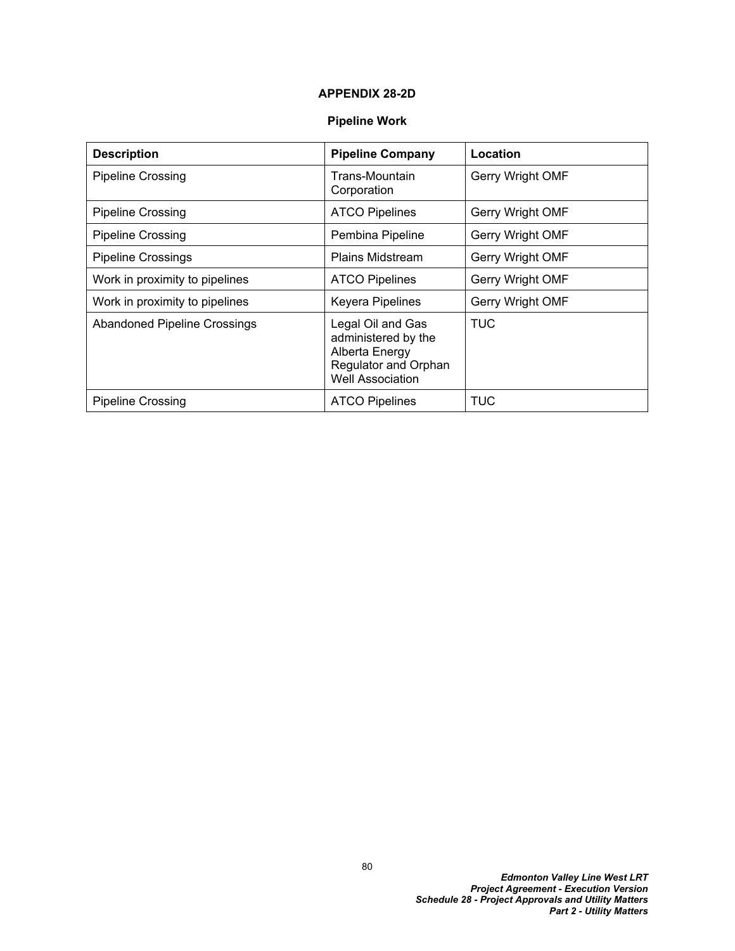## **APPENDIX 28-2D**

## **Pipeline Work**

| <b>Description</b>                  | <b>Pipeline Company</b>                                                                                       | Location         |
|-------------------------------------|---------------------------------------------------------------------------------------------------------------|------------------|
| <b>Pipeline Crossing</b>            | Trans-Mountain<br>Corporation                                                                                 | Gerry Wright OMF |
| <b>Pipeline Crossing</b>            | <b>ATCO Pipelines</b>                                                                                         | Gerry Wright OMF |
| <b>Pipeline Crossing</b>            | Pembina Pipeline                                                                                              | Gerry Wright OMF |
| <b>Pipeline Crossings</b>           | <b>Plains Midstream</b>                                                                                       | Gerry Wright OMF |
| Work in proximity to pipelines      | <b>ATCO Pipelines</b>                                                                                         | Gerry Wright OMF |
| Work in proximity to pipelines      | Keyera Pipelines                                                                                              | Gerry Wright OMF |
| <b>Abandoned Pipeline Crossings</b> | Legal Oil and Gas<br>administered by the<br>Alberta Energy<br>Regulator and Orphan<br><b>Well Association</b> | TUC              |
| <b>Pipeline Crossing</b>            | <b>ATCO Pipelines</b>                                                                                         | TUC              |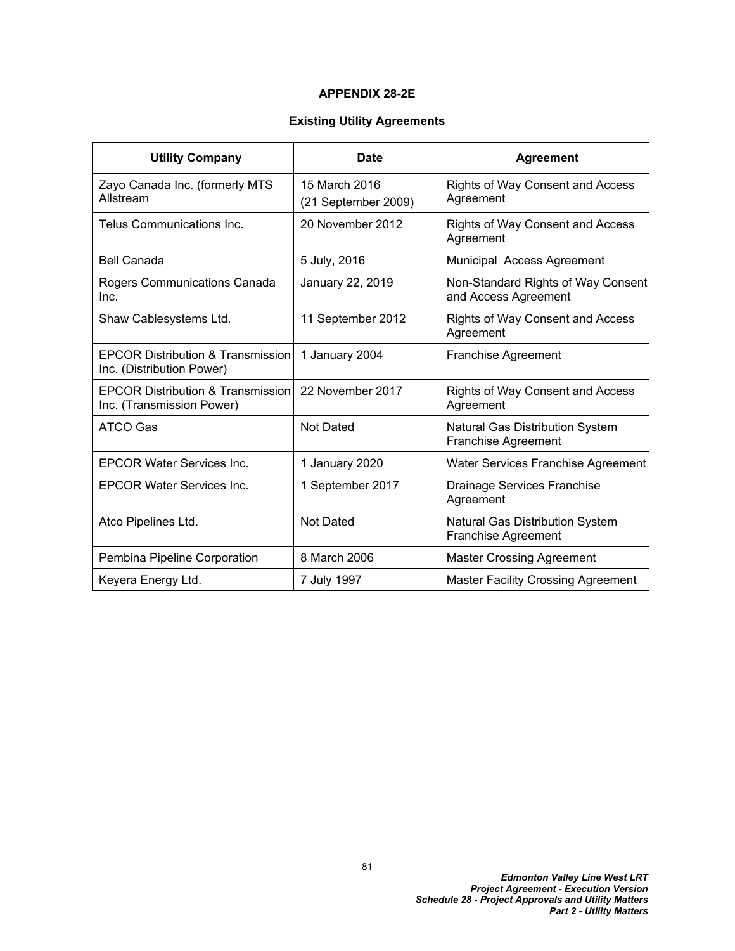### **APPENDIX 28-2E**

## **Existing Utility Agreements**

| <b>Utility Company</b>                                                    | <b>Date</b>                          | <b>Agreement</b>                                                     |
|---------------------------------------------------------------------------|--------------------------------------|----------------------------------------------------------------------|
| Zayo Canada Inc. (formerly MTS<br>Allstream                               | 15 March 2016<br>(21 September 2009) | <b>Rights of Way Consent and Access</b><br>Agreement                 |
| Telus Communications Inc.                                                 | 20 November 2012                     | <b>Rights of Way Consent and Access</b><br>Agreement                 |
| <b>Bell Canada</b>                                                        | 5 July, 2016                         | Municipal Access Agreement                                           |
| Rogers Communications Canada<br>Inc.                                      | January 22, 2019                     | Non-Standard Rights of Way Consent<br>and Access Agreement           |
| Shaw Cablesystems Ltd.                                                    | 11 September 2012                    | Rights of Way Consent and Access<br>Agreement                        |
| <b>EPCOR Distribution &amp; Transmission</b><br>Inc. (Distribution Power) | 1 January 2004                       | <b>Franchise Agreement</b>                                           |
| <b>EPCOR Distribution &amp; Transmission</b><br>Inc. (Transmission Power) | 22 November 2017                     | Rights of Way Consent and Access<br>Agreement                        |
| <b>ATCO Gas</b>                                                           | <b>Not Dated</b>                     | <b>Natural Gas Distribution System</b><br><b>Franchise Agreement</b> |
| <b>EPCOR Water Services Inc.</b>                                          | 1 January 2020                       | Water Services Franchise Agreement                                   |
| <b>EPCOR Water Services Inc.</b>                                          | 1 September 2017                     | Drainage Services Franchise<br>Agreement                             |
| Atco Pipelines Ltd.                                                       | <b>Not Dated</b>                     | <b>Natural Gas Distribution System</b><br>Franchise Agreement        |
| Pembina Pipeline Corporation                                              | 8 March 2006                         | <b>Master Crossing Agreement</b>                                     |
| Keyera Energy Ltd.                                                        | 7 July 1997                          | <b>Master Facility Crossing Agreement</b>                            |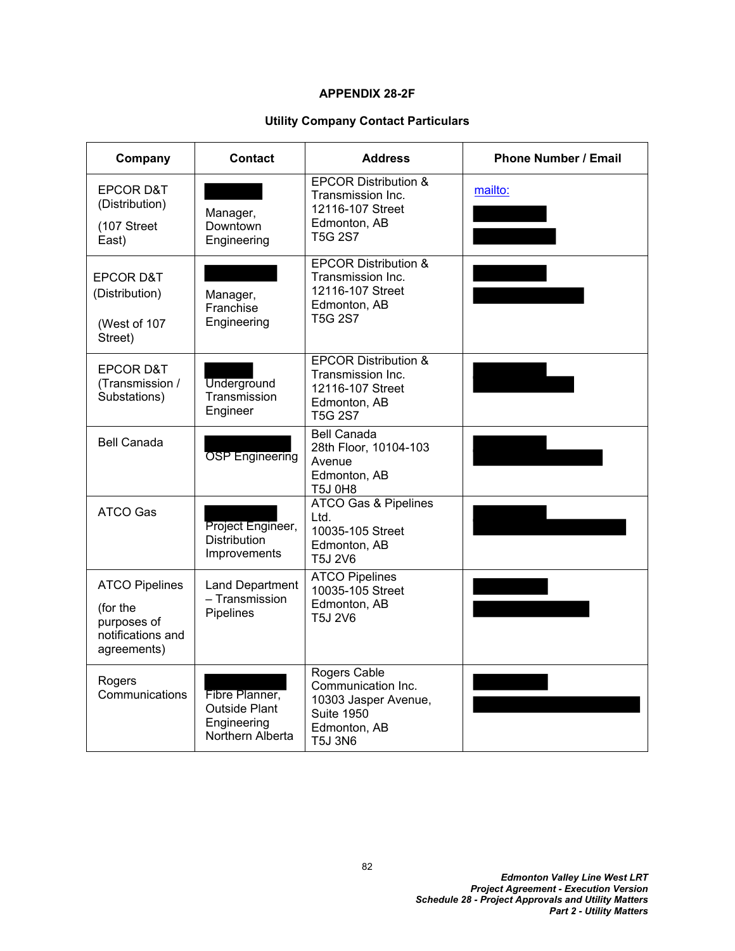## **APPENDIX 28-2F**

## **Utility Company Contact Particulars**

| Company                                                                              | Contact                                                            | <b>Address</b>                                                                                                    | <b>Phone Number / Email</b> |
|--------------------------------------------------------------------------------------|--------------------------------------------------------------------|-------------------------------------------------------------------------------------------------------------------|-----------------------------|
| <b>EPCOR D&amp;T</b><br>(Distribution)<br>(107 Street<br>East)                       | Manager,<br>Downtown<br>Engineering                                | <b>EPCOR Distribution &amp;</b><br>Transmission Inc.<br>12116-107 Street<br>Edmonton, AB<br>T5G 2S7               | mailto:                     |
| <b>EPCOR D&amp;T</b><br>(Distribution)<br>(West of 107<br>Street)                    | Manager,<br>Franchise<br>Engineering                               | <b>EPCOR Distribution &amp;</b><br>Transmission Inc.<br>12116-107 Street<br>Edmonton, AB<br><b>T5G 2S7</b>        |                             |
| <b>EPCOR D&amp;T</b><br>(Transmission /<br>Substations)                              | <b>Underground</b><br>Transmission<br>Engineer                     | <b>EPCOR Distribution &amp;</b><br>Transmission Inc.<br>12116-107 Street<br>Edmonton, AB<br><b>T5G 2S7</b>        |                             |
| <b>Bell Canada</b>                                                                   | <b>OSP</b> Engineering                                             | <b>Bell Canada</b><br>28th Floor, 10104-103<br>Avenue<br>Edmonton, AB<br><b>T5J 0H8</b>                           |                             |
| <b>ATCO Gas</b>                                                                      | Project Engineer,<br><b>Distribution</b><br>Improvements           | <b>ATCO Gas &amp; Pipelines</b><br>Ltd.<br>10035-105 Street<br>Edmonton, AB<br>T5J 2V6                            |                             |
| <b>ATCO Pipelines</b><br>(for the<br>purposes of<br>notifications and<br>agreements) | <b>Land Department</b><br>- Transmission<br>Pipelines              | <b>ATCO Pipelines</b><br>10035-105 Street<br>Edmonton, AB<br>T5J 2V6                                              |                             |
| Rogers<br>Communications                                                             | Fibre Planner,<br>Outside Plant<br>Engineering<br>Northern Alberta | Rogers Cable<br>Communication Inc.<br>10303 Jasper Avenue,<br><b>Suite 1950</b><br>Edmonton, AB<br><b>T5J 3N6</b> |                             |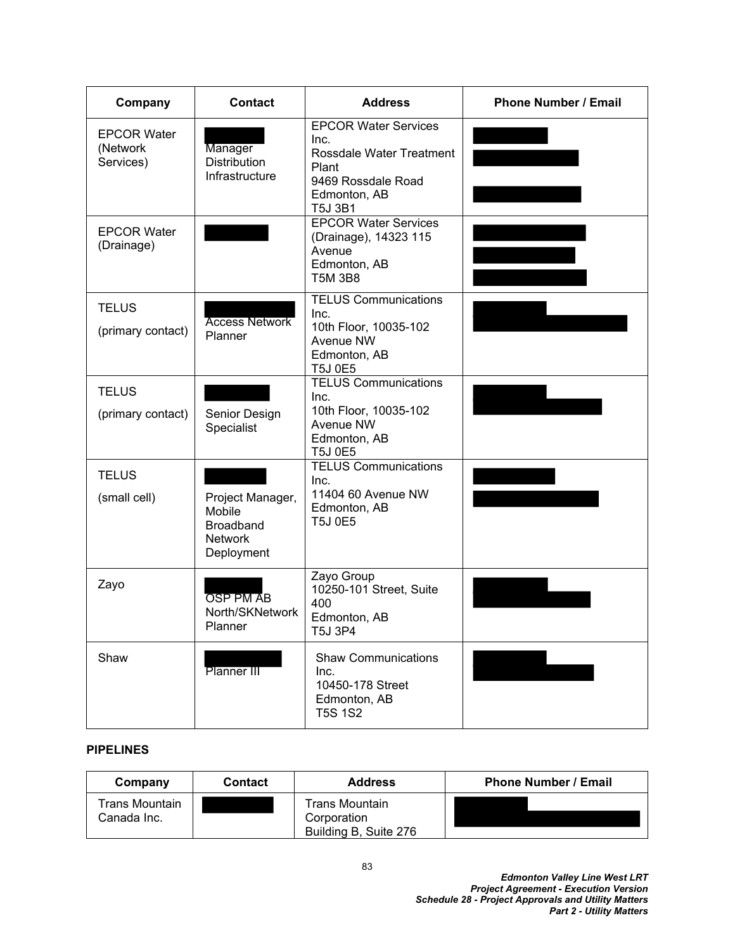| Company                                     | <b>Contact</b>                                                                 | <b>Address</b>                                                                                                                   | <b>Phone Number / Email</b> |
|---------------------------------------------|--------------------------------------------------------------------------------|----------------------------------------------------------------------------------------------------------------------------------|-----------------------------|
| <b>EPCOR Water</b><br>(Network<br>Services) | Manager<br><b>Distribution</b><br>Infrastructure                               | <b>EPCOR Water Services</b><br>Inc.<br>Rossdale Water Treatment<br>Plant<br>9469 Rossdale Road<br>Edmonton, AB<br><b>T5J 3B1</b> |                             |
| <b>EPCOR Water</b><br>(Drainage)            |                                                                                | <b>EPCOR Water Services</b><br>(Drainage), 14323 115<br>Avenue<br>Edmonton, AB<br><b>T5M 3B8</b>                                 |                             |
| <b>TELUS</b><br>(primary contact)           | <b>Access Network</b><br>Planner                                               | <b>TELUS Communications</b><br>Inc.<br>10th Floor, 10035-102<br>Avenue NW<br>Edmonton, AB<br><b>T5J 0E5</b>                      |                             |
| <b>TELUS</b><br>(primary contact)           | Senior Design<br>Specialist                                                    | <b>TELUS Communications</b><br>Inc.<br>10th Floor, 10035-102<br>Avenue NW<br>Edmonton, AB<br><b>T5J 0E5</b>                      |                             |
| <b>TELUS</b><br>(small cell)                | Project Manager,<br>Mobile<br><b>Broadband</b><br><b>Network</b><br>Deployment | <b>TELUS Communications</b><br>Inc.<br>11404 60 Avenue NW<br>Edmonton, AB<br><b>T5J 0E5</b>                                      |                             |
| Zayo                                        | <b>OSP PM AB</b><br>North/SKNetwork<br>Planner                                 | Zayo Group<br>10250-101 Street, Suite<br>400<br>Edmonton, AB<br>T5J 3P4                                                          |                             |
| Shaw                                        | Planner III                                                                    | <b>Shaw Communications</b><br>Inc.<br>10450-178 Street<br>Edmonton, AB<br><b>T5S 1S2</b>                                         |                             |

# **PIPELINES**

| Company                       | <b>Contact</b> | <b>Address</b>                                                | <b>Phone Number / Email</b> |
|-------------------------------|----------------|---------------------------------------------------------------|-----------------------------|
| Trans Mountain<br>Canada Inc. |                | <b>Trans Mountain</b><br>Corporation<br>Building B, Suite 276 |                             |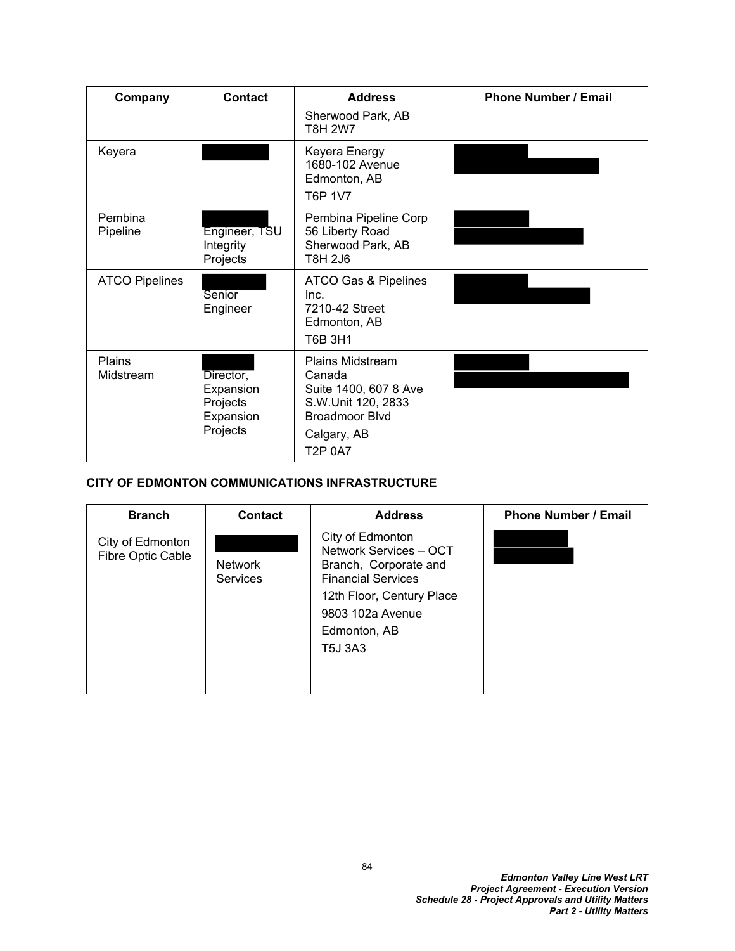| Company                    | <b>Contact</b>                                              | <b>Address</b>                                                                                                                             | <b>Phone Number / Email</b> |
|----------------------------|-------------------------------------------------------------|--------------------------------------------------------------------------------------------------------------------------------------------|-----------------------------|
|                            |                                                             | Sherwood Park, AB<br><b>T8H 2W7</b>                                                                                                        |                             |
| Keyera                     |                                                             | Keyera Energy<br>1680-102 Avenue<br>Edmonton, AB<br>T6P 1V7                                                                                |                             |
| Pembina<br>Pipeline        | Engineer, TSU<br>Integrity<br>Projects                      | Pembina Pipeline Corp<br>56 Liberty Road<br>Sherwood Park, AB<br>T8H 2J6                                                                   |                             |
| <b>ATCO Pipelines</b>      | Senior<br>Engineer                                          | ATCO Gas & Pipelines<br>Inc.<br>7210-42 Street<br>Edmonton, AB<br>T6B 3H1                                                                  |                             |
| <b>Plains</b><br>Midstream | Director,<br>Expansion<br>Projects<br>Expansion<br>Projects | <b>Plains Midstream</b><br>Canada<br>Suite 1400, 607 8 Ave<br>S.W.Unit 120, 2833<br><b>Broadmoor Blvd</b><br>Calgary, AB<br><b>T2P 0A7</b> |                             |

## **CITY OF EDMONTON COMMUNICATIONS INFRASTRUCTURE**

| <b>Branch</b>                         | <b>Contact</b>                    | <b>Address</b>                                                                                                                                                                      | <b>Phone Number / Email</b> |
|---------------------------------------|-----------------------------------|-------------------------------------------------------------------------------------------------------------------------------------------------------------------------------------|-----------------------------|
| City of Edmonton<br>Fibre Optic Cable | <b>Network</b><br><b>Services</b> | City of Edmonton<br>Network Services - OCT<br>Branch, Corporate and<br><b>Financial Services</b><br>12th Floor, Century Place<br>9803 102a Avenue<br>Edmonton, AB<br><b>T5J 3A3</b> |                             |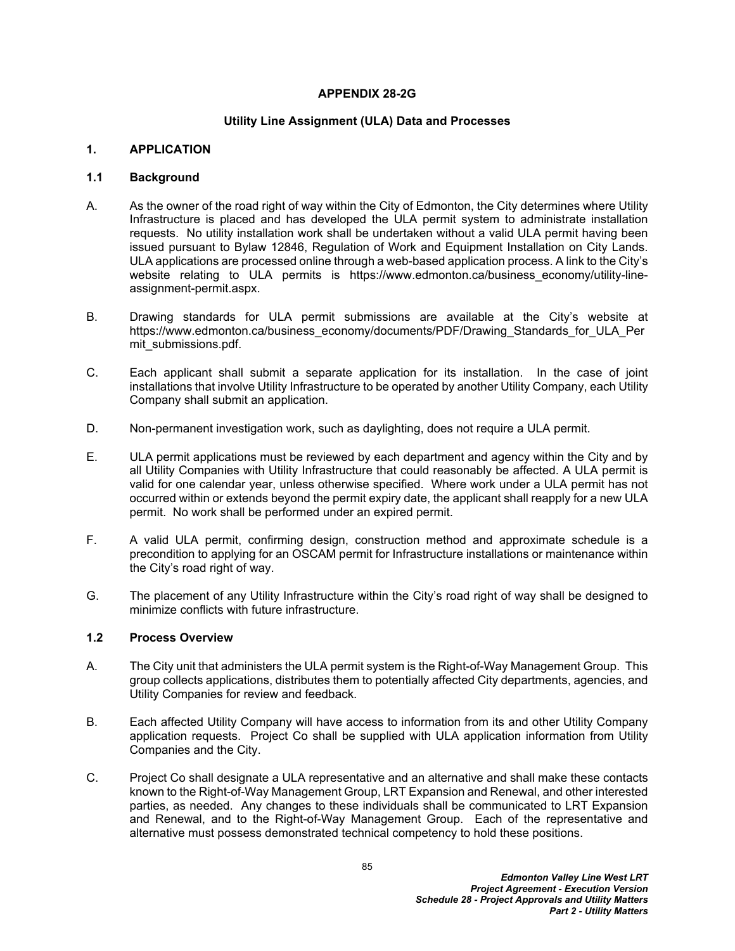#### **APPENDIX 28-2G**

#### **Utility Line Assignment (ULA) Data and Processes**

#### **1. APPLICATION**

#### **1.1 Background**

- A. As the owner of the road right of way within the City of Edmonton, the City determines where Utility Infrastructure is placed and has developed the ULA permit system to administrate installation requests. No utility installation work shall be undertaken without a valid ULA permit having been issued pursuant to Bylaw 12846, Regulation of Work and Equipment Installation on City Lands. ULA applications are processed online through a web-based application process. A link to the City's website relating to ULA permits is https://www.edmonton.ca/business economy/utility-lineassignment-permit.aspx.
- B. Drawing standards for ULA permit submissions are available at the City's website at https://www.edmonton.ca/business\_economy/documents/PDF/Drawing\_Standards\_for\_ULA\_Per mit\_submissions.pdf.
- C. Each applicant shall submit a separate application for its installation. In the case of joint installations that involve Utility Infrastructure to be operated by another Utility Company, each Utility Company shall submit an application.
- D. Non-permanent investigation work, such as daylighting, does not require a ULA permit.
- E. ULA permit applications must be reviewed by each department and agency within the City and by all Utility Companies with Utility Infrastructure that could reasonably be affected. A ULA permit is valid for one calendar year, unless otherwise specified. Where work under a ULA permit has not occurred within or extends beyond the permit expiry date, the applicant shall reapply for a new ULA permit. No work shall be performed under an expired permit.
- F. A valid ULA permit, confirming design, construction method and approximate schedule is a precondition to applying for an OSCAM permit for Infrastructure installations or maintenance within the City's road right of way.
- G. The placement of any Utility Infrastructure within the City's road right of way shall be designed to minimize conflicts with future infrastructure.

#### **1.2 Process Overview**

- A. The City unit that administers the ULA permit system is the Right-of-Way Management Group. This group collects applications, distributes them to potentially affected City departments, agencies, and Utility Companies for review and feedback.
- B. Each affected Utility Company will have access to information from its and other Utility Company application requests. Project Co shall be supplied with ULA application information from Utility Companies and the City.
- C. Project Co shall designate a ULA representative and an alternative and shall make these contacts known to the Right-of-Way Management Group, LRT Expansion and Renewal, and other interested parties, as needed. Any changes to these individuals shall be communicated to LRT Expansion and Renewal, and to the Right-of-Way Management Group. Each of the representative and alternative must possess demonstrated technical competency to hold these positions.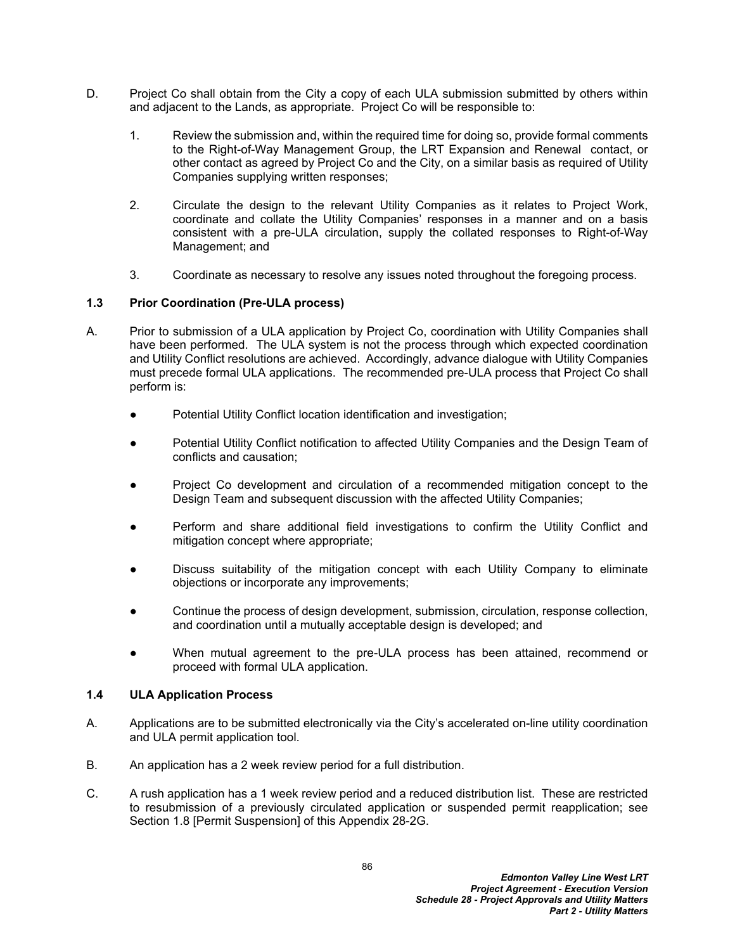- D. Project Co shall obtain from the City a copy of each ULA submission submitted by others within and adjacent to the Lands, as appropriate. Project Co will be responsible to:
	- 1. Review the submission and, within the required time for doing so, provide formal comments to the Right-of-Way Management Group, the LRT Expansion and Renewal contact, or other contact as agreed by Project Co and the City, on a similar basis as required of Utility Companies supplying written responses;
	- 2. Circulate the design to the relevant Utility Companies as it relates to Project Work, coordinate and collate the Utility Companies' responses in a manner and on a basis consistent with a pre-ULA circulation, supply the collated responses to Right-of-Way Management; and
	- 3. Coordinate as necessary to resolve any issues noted throughout the foregoing process.

### **1.3 Prior Coordination (Pre-ULA process)**

- A. Prior to submission of a ULA application by Project Co, coordination with Utility Companies shall have been performed. The ULA system is not the process through which expected coordination and Utility Conflict resolutions are achieved. Accordingly, advance dialogue with Utility Companies must precede formal ULA applications. The recommended pre-ULA process that Project Co shall perform is:
	- Potential Utility Conflict location identification and investigation;
	- Potential Utility Conflict notification to affected Utility Companies and the Design Team of conflicts and causation;
	- Project Co development and circulation of a recommended mitigation concept to the Design Team and subsequent discussion with the affected Utility Companies;
	- Perform and share additional field investigations to confirm the Utility Conflict and mitigation concept where appropriate;
	- Discuss suitability of the mitigation concept with each Utility Company to eliminate objections or incorporate any improvements;
	- Continue the process of design development, submission, circulation, response collection, and coordination until a mutually acceptable design is developed; and
	- When mutual agreement to the pre-ULA process has been attained, recommend or proceed with formal ULA application.

#### **1.4 ULA Application Process**

- A. Applications are to be submitted electronically via the City's accelerated on-line utility coordination and ULA permit application tool.
- B. An application has a 2 week review period for a full distribution.
- C. A rush application has a 1 week review period and a reduced distribution list. These are restricted to resubmission of a previously circulated application or suspended permit reapplication; see Section 1.8 [Permit Suspension] of this Appendix 28-2G.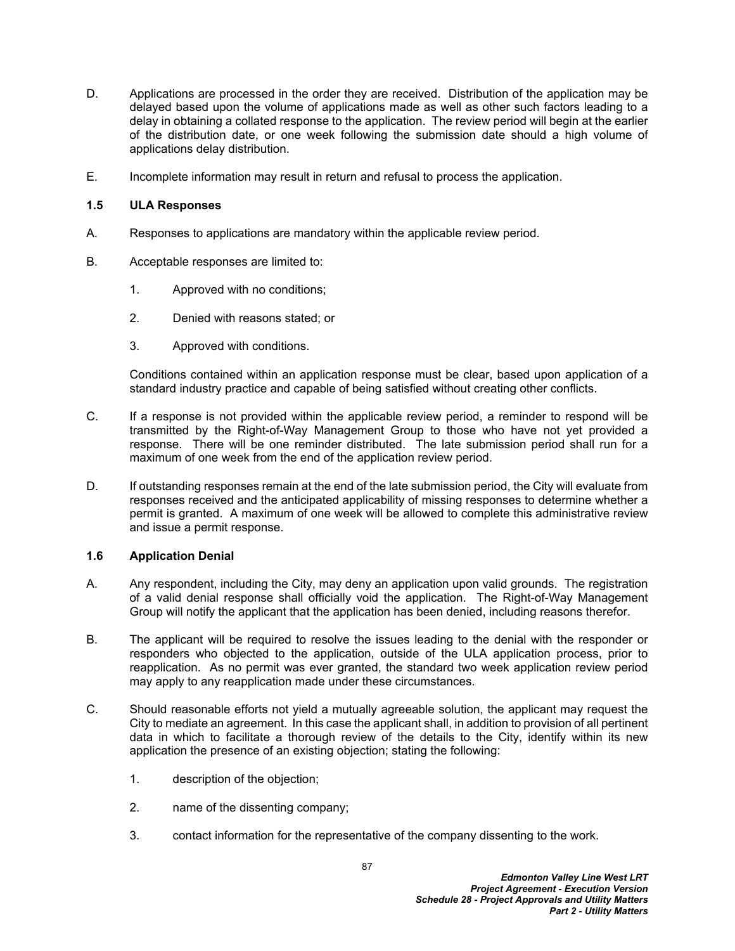- D. Applications are processed in the order they are received. Distribution of the application may be delayed based upon the volume of applications made as well as other such factors leading to a delay in obtaining a collated response to the application. The review period will begin at the earlier of the distribution date, or one week following the submission date should a high volume of applications delay distribution.
- E. Incomplete information may result in return and refusal to process the application.

### **1.5 ULA Responses**

- A. Responses to applications are mandatory within the applicable review period.
- B. Acceptable responses are limited to:
	- 1. Approved with no conditions;
	- 2. Denied with reasons stated; or
	- 3. Approved with conditions.

Conditions contained within an application response must be clear, based upon application of a standard industry practice and capable of being satisfied without creating other conflicts.

- C. If a response is not provided within the applicable review period, a reminder to respond will be transmitted by the Right-of-Way Management Group to those who have not yet provided a response. There will be one reminder distributed. The late submission period shall run for a maximum of one week from the end of the application review period.
- D. If outstanding responses remain at the end of the late submission period, the City will evaluate from responses received and the anticipated applicability of missing responses to determine whether a permit is granted. A maximum of one week will be allowed to complete this administrative review and issue a permit response.

### **1.6 Application Denial**

- A. Any respondent, including the City, may deny an application upon valid grounds. The registration of a valid denial response shall officially void the application. The Right-of-Way Management Group will notify the applicant that the application has been denied, including reasons therefor.
- B. The applicant will be required to resolve the issues leading to the denial with the responder or responders who objected to the application, outside of the ULA application process, prior to reapplication. As no permit was ever granted, the standard two week application review period may apply to any reapplication made under these circumstances.
- C. Should reasonable efforts not yield a mutually agreeable solution, the applicant may request the City to mediate an agreement. In this case the applicant shall, in addition to provision of all pertinent data in which to facilitate a thorough review of the details to the City, identify within its new application the presence of an existing objection; stating the following:
	- 1. description of the objection;
	- 2. name of the dissenting company;
	- 3. contact information for the representative of the company dissenting to the work.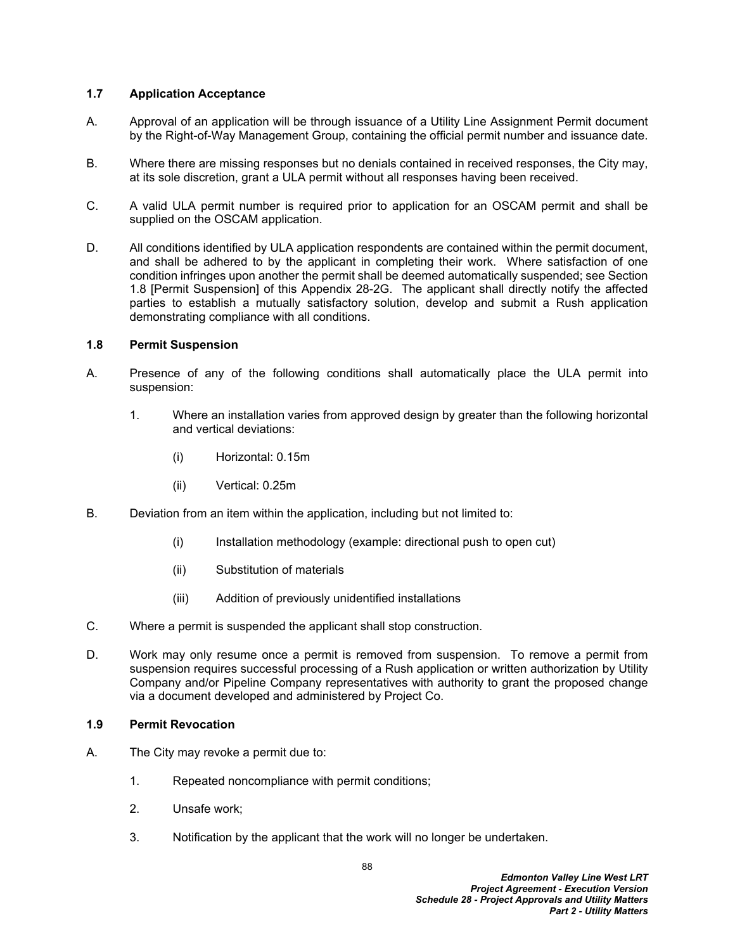### **1.7 Application Acceptance**

- A. Approval of an application will be through issuance of a Utility Line Assignment Permit document by the Right-of-Way Management Group, containing the official permit number and issuance date.
- B. Where there are missing responses but no denials contained in received responses, the City may, at its sole discretion, grant a ULA permit without all responses having been received.
- C. A valid ULA permit number is required prior to application for an OSCAM permit and shall be supplied on the OSCAM application.
- D. All conditions identified by ULA application respondents are contained within the permit document, and shall be adhered to by the applicant in completing their work. Where satisfaction of one condition infringes upon another the permit shall be deemed automatically suspended; see Section 1.8 [Permit Suspension] of this Appendix 28-2G. The applicant shall directly notify the affected parties to establish a mutually satisfactory solution, develop and submit a Rush application demonstrating compliance with all conditions.

#### **1.8 Permit Suspension**

- A. Presence of any of the following conditions shall automatically place the ULA permit into suspension:
	- 1. Where an installation varies from approved design by greater than the following horizontal and vertical deviations:
		- (i) Horizontal: 0.15m
		- (ii) Vertical: 0.25m
- B. Deviation from an item within the application, including but not limited to:
	- (i) Installation methodology (example: directional push to open cut)
	- (ii) Substitution of materials
	- (iii) Addition of previously unidentified installations
- C. Where a permit is suspended the applicant shall stop construction.
- D. Work may only resume once a permit is removed from suspension. To remove a permit from suspension requires successful processing of a Rush application or written authorization by Utility Company and/or Pipeline Company representatives with authority to grant the proposed change via a document developed and administered by Project Co.

#### **1.9 Permit Revocation**

- A. The City may revoke a permit due to:
	- 1. Repeated noncompliance with permit conditions;
	- 2. Unsafe work;
	- 3. Notification by the applicant that the work will no longer be undertaken.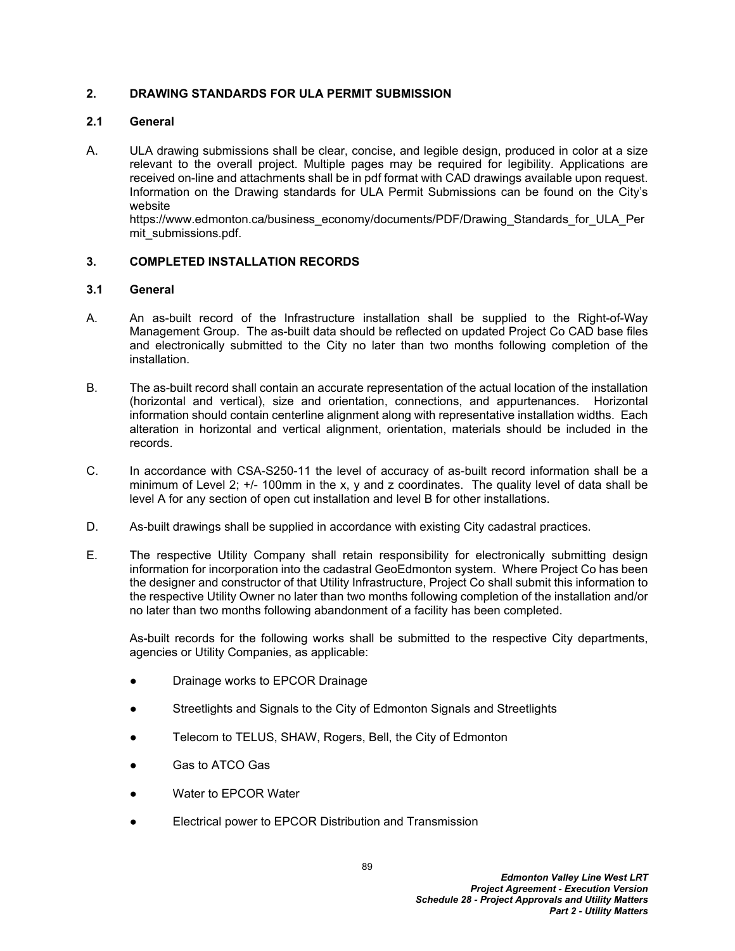### **2. DRAWING STANDARDS FOR ULA PERMIT SUBMISSION**

### **2.1 General**

A. ULA drawing submissions shall be clear, concise, and legible design, produced in color at a size relevant to the overall project. Multiple pages may be required for legibility. Applications are received on-line and attachments shall be in pdf format with CAD drawings available upon request. Information on the Drawing standards for ULA Permit Submissions can be found on the City's website

https://www.edmonton.ca/business\_economy/documents/PDF/Drawing\_Standards\_for\_ULA\_Per mit\_submissions.pdf.

## **3. COMPLETED INSTALLATION RECORDS**

### **3.1 General**

- A. An as-built record of the Infrastructure installation shall be supplied to the Right-of-Way Management Group. The as-built data should be reflected on updated Project Co CAD base files and electronically submitted to the City no later than two months following completion of the installation.
- B. The as-built record shall contain an accurate representation of the actual location of the installation (horizontal and vertical), size and orientation, connections, and appurtenances. Horizontal information should contain centerline alignment along with representative installation widths. Each alteration in horizontal and vertical alignment, orientation, materials should be included in the records.
- C. In accordance with CSA-S250-11 the level of accuracy of as-built record information shall be a minimum of Level 2; +/- 100mm in the x, y and z coordinates. The quality level of data shall be level A for any section of open cut installation and level B for other installations.
- D. As-built drawings shall be supplied in accordance with existing City cadastral practices.
- E. The respective Utility Company shall retain responsibility for electronically submitting design information for incorporation into the cadastral GeoEdmonton system. Where Project Co has been the designer and constructor of that Utility Infrastructure, Project Co shall submit this information to the respective Utility Owner no later than two months following completion of the installation and/or no later than two months following abandonment of a facility has been completed.

As-built records for the following works shall be submitted to the respective City departments, agencies or Utility Companies, as applicable:

- Drainage works to EPCOR Drainage
- Streetlights and Signals to the City of Edmonton Signals and Streetlights
- Telecom to TELUS, SHAW, Rogers, Bell, the City of Edmonton
- Gas to ATCO Gas
- Water to EPCOR Water
- Electrical power to EPCOR Distribution and Transmission